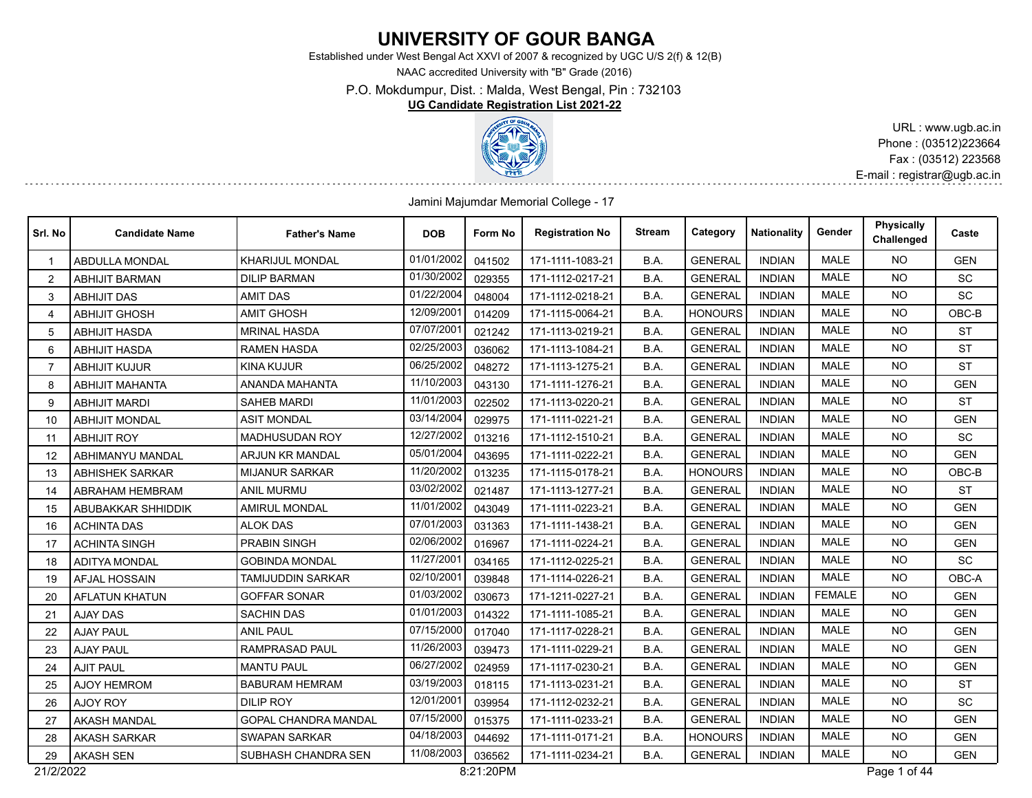## **UNIVERSITY OF GOUR BANGA**

Established under West Bengal Act XXVI of 2007 & recognized by UGC U/S 2(f) & 12(B)

NAAC accredited University with "B" Grade (2016)

P.O. Mokdumpur, Dist. : Malda, West Bengal, Pin : 732103

**UG Candidate Registration List 2021-22**



URL : www.ugb.ac.in Phone : (03512)223664 Fax : (03512) 223568 E-mail : registrar@ugb.ac.in

Jamini Majumdar Memorial College - 17

| Srl. No        | <b>Candidate Name</b>   | <b>Father's Name</b>       | <b>DOB</b> | Form No   | <b>Registration No</b> | Stream | Category       | <b>Nationality</b> | Gender        | Physically<br>Challenged | Caste      |
|----------------|-------------------------|----------------------------|------------|-----------|------------------------|--------|----------------|--------------------|---------------|--------------------------|------------|
|                | <b>ABDULLA MONDAL</b>   | <b>KHARIJUL MONDAL</b>     | 01/01/2002 | 041502    | 171-1111-1083-21       | B.A.   | <b>GENERAL</b> | <b>INDIAN</b>      | <b>MALE</b>   | NO.                      | <b>GEN</b> |
| 2              | <b>ABHIJIT BARMAN</b>   | <b>DILIP BARMAN</b>        | 01/30/2002 | 029355    | 171-1112-0217-21       | B.A.   | <b>GENERAL</b> | <b>INDIAN</b>      | <b>MALE</b>   | <b>NO</b>                | SC         |
| 3              | <b>ABHIJIT DAS</b>      | <b>AMIT DAS</b>            | 01/22/2004 | 048004    | 171-1112-0218-21       | B.A.   | <b>GENERAL</b> | <b>INDIAN</b>      | MALE          | <b>NO</b>                | SC         |
| 4              | <b>ABHIJIT GHOSH</b>    | <b>AMIT GHOSH</b>          | 12/09/2001 | 014209    | 171-1115-0064-21       | B.A.   | <b>HONOURS</b> | <b>INDIAN</b>      | <b>MALE</b>   | <b>NO</b>                | $OBC-B$    |
| 5              | <b>ABHIJIT HASDA</b>    | <b>MRINAL HASDA</b>        | 07/07/2001 | 021242    | 171-1113-0219-21       | B.A.   | <b>GENERAL</b> | <b>INDIAN</b>      | MALE          | <b>NO</b>                | <b>ST</b>  |
| 6              | <b>ABHIJIT HASDA</b>    | <b>RAMEN HASDA</b>         | 02/25/2003 | 036062    | 171-1113-1084-21       | B.A.   | <b>GENERAL</b> | <b>INDIAN</b>      | <b>MALE</b>   | <b>NO</b>                | <b>ST</b>  |
| $\overline{7}$ | <b>ABHIJIT KUJUR</b>    | <b>KINA KUJUR</b>          | 06/25/2002 | 048272    | 171-1113-1275-21       | B.A.   | <b>GENERAL</b> | <b>INDIAN</b>      | <b>MALE</b>   | <b>NO</b>                | <b>ST</b>  |
| 8              | <b>ABHIJIT MAHANTA</b>  | ANANDA MAHANTA             | 11/10/2003 | 043130    | 171-1111-1276-21       | B.A.   | <b>GENERAL</b> | <b>INDIAN</b>      | <b>MALE</b>   | <b>NO</b>                | <b>GEN</b> |
| 9              | <b>ABHIJIT MARDI</b>    | <b>SAHEB MARDI</b>         | 11/01/2003 | 022502    | 171-1113-0220-21       | B.A.   | <b>GENERAL</b> | <b>INDIAN</b>      | <b>MALE</b>   | <b>NO</b>                | <b>ST</b>  |
| 10             | <b>ABHIJIT MONDAL</b>   | <b>ASIT MONDAL</b>         | 03/14/2004 | 029975    | 171-1111-0221-21       | B.A.   | <b>GENERAL</b> | <b>INDIAN</b>      | <b>MALE</b>   | <b>NO</b>                | <b>GEN</b> |
| 11             | <b>ABHIJIT ROY</b>      | <b>MADHUSUDAN ROY</b>      | 12/27/2002 | 013216    | 171-1112-1510-21       | B.A.   | <b>GENERAL</b> | <b>INDIAN</b>      | <b>MALE</b>   | <b>NO</b>                | SC         |
| 12             | <b>ABHIMANYU MANDAL</b> | <b>ARJUN KR MANDAL</b>     | 05/01/2004 | 043695    | 171-1111-0222-21       | B.A.   | <b>GENERAL</b> | <b>INDIAN</b>      | <b>MALE</b>   | <b>NO</b>                | <b>GEN</b> |
| 13             | <b>ABHISHEK SARKAR</b>  | <b>MIJANUR SARKAR</b>      | 11/20/2002 | 013235    | 171-1115-0178-21       | B.A.   | <b>HONOURS</b> | <b>INDIAN</b>      | <b>MALE</b>   | <b>NO</b>                | OBC-B      |
| 14             | ABRAHAM HEMBRAM         | ANIL MURMU                 | 03/02/2002 | 021487    | 171-1113-1277-21       | B.A.   | <b>GENERAL</b> | <b>INDIAN</b>      | <b>MALE</b>   | <b>NO</b>                | <b>ST</b>  |
| 15             | ABUBAKKAR SHHIDDIK      | <b>AMIRUL MONDAL</b>       | 11/01/2002 | 043049    | 171-1111-0223-21       | B.A.   | <b>GENERAL</b> | <b>INDIAN</b>      | <b>MALE</b>   | <b>NO</b>                | <b>GEN</b> |
| 16             | <b>ACHINTA DAS</b>      | <b>ALOK DAS</b>            | 07/01/2003 | 031363    | 171-1111-1438-21       | B.A.   | <b>GENERAL</b> | <b>INDIAN</b>      | <b>MALE</b>   | <b>NO</b>                | <b>GEN</b> |
| 17             | <b>ACHINTA SINGH</b>    | <b>PRABIN SINGH</b>        | 02/06/2002 | 016967    | 171-1111-0224-21       | B.A.   | <b>GENERAL</b> | <b>INDIAN</b>      | <b>MALE</b>   | <b>NO</b>                | <b>GEN</b> |
| 18             | <b>ADITYA MONDAL</b>    | GOBINDA MONDAL             | 11/27/2001 | 034165    | 171-1112-0225-21       | B.A.   | <b>GENERAL</b> | <b>INDIAN</b>      | <b>MALE</b>   | <b>NO</b>                | <b>SC</b>  |
| 19             | <b>AFJAL HOSSAIN</b>    | <b>TAMIJUDDIN SARKAR</b>   | 02/10/2001 | 039848    | 171-1114-0226-21       | B.A.   | <b>GENERAL</b> | <b>INDIAN</b>      | <b>MALE</b>   | NO.                      | OBC-A      |
| 20             | <b>AFLATUN KHATUN</b>   | <b>GOFFAR SONAR</b>        | 01/03/2002 | 030673    | 171-1211-0227-21       | B.A.   | <b>GENERAL</b> | <b>INDIAN</b>      | <b>FEMALE</b> | <b>NO</b>                | <b>GEN</b> |
| 21             | <b>AJAY DAS</b>         | <b>SACHIN DAS</b>          | 01/01/2003 | 014322    | 171-1111-1085-21       | B.A.   | <b>GENERAL</b> | <b>INDIAN</b>      | <b>MALE</b>   | <b>NO</b>                | <b>GEN</b> |
| 22             | <b>AJAY PAUL</b>        | <b>ANIL PAUL</b>           | 07/15/2000 | 017040    | 171-1117-0228-21       | B.A.   | <b>GENERAL</b> | <b>INDIAN</b>      | <b>MALE</b>   | <b>NO</b>                | <b>GEN</b> |
| 23             | <b>AJAY PAUL</b>        | <b>RAMPRASAD PAUL</b>      | 11/26/2003 | 039473    | 171-1111-0229-21       | B.A.   | <b>GENERAL</b> | <b>INDIAN</b>      | <b>MALE</b>   | <b>NO</b>                | <b>GEN</b> |
| 24             | <b>AJIT PAUL</b>        | <b>MANTU PAUL</b>          | 06/27/2002 | 024959    | 171-1117-0230-21       | B.A.   | <b>GENERAL</b> | <b>INDIAN</b>      | <b>MALE</b>   | <b>NO</b>                | <b>GEN</b> |
| 25             | <b>AJOY HEMROM</b>      | <b>BABURAM HEMRAM</b>      | 03/19/2003 | 018115    | 171-1113-0231-21       | B.A.   | <b>GENERAL</b> | <b>INDIAN</b>      | <b>MALE</b>   | <b>NO</b>                | <b>ST</b>  |
| 26             | <b>AJOY ROY</b>         | <b>DILIP ROY</b>           | 12/01/2001 | 039954    | 171-1112-0232-21       | B.A.   | <b>GENERAL</b> | <b>INDIAN</b>      | <b>MALE</b>   | <b>NO</b>                | SC         |
| 27             | <b>AKASH MANDAL</b>     | GOPAL CHANDRA MANDAL       | 07/15/2000 | 015375    | 171-1111-0233-21       | B.A.   | <b>GENERAL</b> | <b>INDIAN</b>      | <b>MALE</b>   | <b>NO</b>                | <b>GEN</b> |
| 28             | <b>AKASH SARKAR</b>     | <b>SWAPAN SARKAR</b>       | 04/18/2003 | 044692    | 171-1111-0171-21       | B.A.   | <b>HONOURS</b> | <b>INDIAN</b>      | <b>MALE</b>   | <b>NO</b>                | <b>GEN</b> |
| 29             | AKASH SEN               | <b>SUBHASH CHANDRA SEN</b> | 11/08/2003 | 036562    | 171-1111-0234-21       | B.A.   | <b>GENERAL</b> | <b>INDIAN</b>      | <b>MALE</b>   | <b>NO</b>                | <b>GEN</b> |
| 21/2/2022      |                         |                            |            | 8:21:20PM |                        |        |                |                    |               | Page 1 of 44             |            |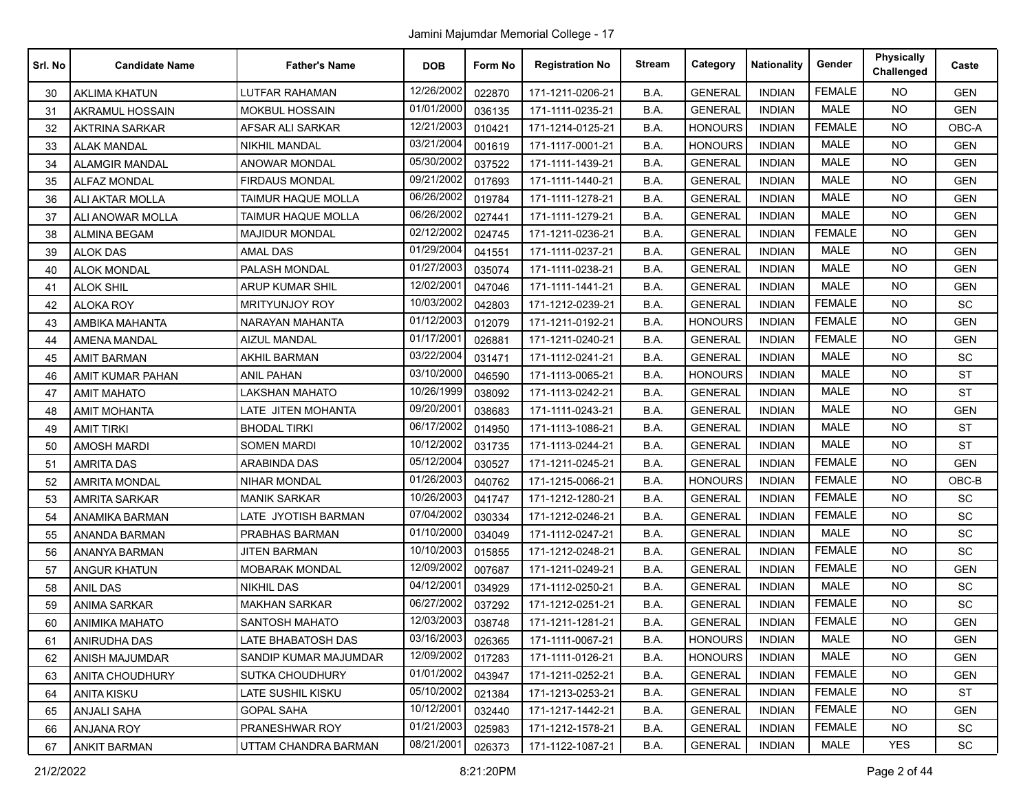| Srl. No | <b>Candidate Name</b> | <b>Father's Name</b>     | <b>DOB</b> | Form No | <b>Registration No</b> | <b>Stream</b> | Category       | <b>Nationality</b> | Gender        | <b>Physically</b><br>Challenged | Caste      |
|---------|-----------------------|--------------------------|------------|---------|------------------------|---------------|----------------|--------------------|---------------|---------------------------------|------------|
| 30      | <b>AKLIMA KHATUN</b>  | <b>LUTFAR RAHAMAN</b>    | 12/26/2002 | 022870  | 171-1211-0206-21       | B.A.          | <b>GENERAL</b> | <b>INDIAN</b>      | <b>FEMALE</b> | <b>NO</b>                       | <b>GEN</b> |
| 31      | AKRAMUL HOSSAIN       | <b>MOKBUL HOSSAIN</b>    | 01/01/2000 | 036135  | 171-1111-0235-21       | B.A.          | <b>GENERAL</b> | <b>INDIAN</b>      | <b>MALE</b>   | <b>NO</b>                       | <b>GEN</b> |
| 32      | <b>AKTRINA SARKAR</b> | AFSAR ALI SARKAR         | 12/21/2003 | 010421  | 171-1214-0125-21       | B.A.          | <b>HONOURS</b> | <b>INDIAN</b>      | <b>FEMALE</b> | <b>NO</b>                       | OBC-A      |
| 33      | <b>ALAK MANDAL</b>    | NIKHIL MANDAL            | 03/21/2004 | 001619  | 171-1117-0001-21       | B.A.          | <b>HONOURS</b> | <b>INDIAN</b>      | <b>MALE</b>   | NO.                             | <b>GEN</b> |
| 34      | <b>ALAMGIR MANDAL</b> | ANOWAR MONDAL            | 05/30/2002 | 037522  | 171-1111-1439-21       | B.A.          | <b>GENERAL</b> | <b>INDIAN</b>      | MALE          | <b>NO</b>                       | <b>GEN</b> |
| 35      | <b>ALFAZ MONDAL</b>   | <b>FIRDAUS MONDAL</b>    | 09/21/2002 | 017693  | 171-1111-1440-21       | B.A.          | <b>GENERAL</b> | <b>INDIAN</b>      | <b>MALE</b>   | <b>NO</b>                       | <b>GEN</b> |
| 36      | ALI AKTAR MOLLA       | TAIMUR HAQUE MOLLA       | 06/26/2002 | 019784  | 171-1111-1278-21       | B.A.          | <b>GENERAL</b> | <b>INDIAN</b>      | <b>MALE</b>   | <b>NO</b>                       | <b>GEN</b> |
| 37      | ALI ANOWAR MOLLA      | TAIMUR HAQUE MOLLA       | 06/26/2002 | 027441  | 171-1111-1279-21       | B.A.          | <b>GENERAL</b> | <b>INDIAN</b>      | MALE          | NO.                             | <b>GEN</b> |
| 38      | <b>ALMINA BEGAM</b>   | <b>MAJIDUR MONDAL</b>    | 02/12/2002 | 024745  | 171-1211-0236-21       | B.A.          | <b>GENERAL</b> | <b>INDIAN</b>      | <b>FEMALE</b> | NO.                             | <b>GEN</b> |
| 39      | <b>ALOK DAS</b>       | <b>AMAL DAS</b>          | 01/29/2004 | 041551  | 171-1111-0237-21       | B.A.          | <b>GENERAL</b> | <b>INDIAN</b>      | <b>MALE</b>   | <b>NO</b>                       | <b>GEN</b> |
| 40      | <b>ALOK MONDAL</b>    | PALASH MONDAL            | 01/27/2003 | 035074  | 171-1111-0238-21       | B.A.          | <b>GENERAL</b> | <b>INDIAN</b>      | <b>MALE</b>   | NO.                             | <b>GEN</b> |
| 41      | <b>ALOK SHIL</b>      | ARUP KUMAR SHIL          | 12/02/2001 | 047046  | 171-1111-1441-21       | B.A.          | <b>GENERAL</b> | <b>INDIAN</b>      | <b>MALE</b>   | NO.                             | <b>GEN</b> |
| 42      | ALOKA ROY             | <b>MRITYUNJOY ROY</b>    | 10/03/2002 | 042803  | 171-1212-0239-21       | B.A.          | <b>GENERAL</b> | <b>INDIAN</b>      | <b>FEMALE</b> | NO.                             | SC         |
| 43      | AMBIKA MAHANTA        | NARAYAN MAHANTA          | 01/12/2003 | 012079  | 171-1211-0192-21       | B.A.          | <b>HONOURS</b> | <b>INDIAN</b>      | <b>FEMALE</b> | <b>NO</b>                       | <b>GEN</b> |
| 44      | <b>AMENA MANDAL</b>   | AIZUL MANDAL             | 01/17/200  | 026881  | 171-1211-0240-21       | B.A.          | <b>GENERAL</b> | <b>INDIAN</b>      | <b>FEMALE</b> | NO.                             | <b>GEN</b> |
| 45      | <b>AMIT BARMAN</b>    | <b>AKHIL BARMAN</b>      | 03/22/2004 | 031471  | 171-1112-0241-21       | B.A.          | <b>GENERAL</b> | <b>INDIAN</b>      | <b>MALE</b>   | NO.                             | <b>SC</b>  |
| 46      | AMIT KUMAR PAHAN      | ANIL PAHAN               | 03/10/2000 | 046590  | 171-1113-0065-21       | B.A.          | <b>HONOURS</b> | <b>INDIAN</b>      | <b>MALE</b>   | NO.                             | <b>ST</b>  |
| 47      | AMIT MAHATO           | <b>LAKSHAN MAHATO</b>    | 10/26/1999 | 038092  | 171-1113-0242-21       | B.A.          | <b>GENERAL</b> | <b>INDIAN</b>      | <b>MALE</b>   | NO.                             | <b>ST</b>  |
| 48      | <b>AMIT MOHANTA</b>   | LATE JITEN MOHANTA       | 09/20/200  | 038683  | 171-1111-0243-21       | B.A.          | <b>GENERAL</b> | <b>INDIAN</b>      | MALE          | NO.                             | <b>GEN</b> |
| 49      | <b>AMIT TIRKI</b>     | <b>BHODAL TIRKI</b>      | 06/17/2002 | 014950  | 171-1113-1086-21       | B.A.          | <b>GENERAL</b> | <b>INDIAN</b>      | <b>MALE</b>   | <b>NO</b>                       | <b>ST</b>  |
| 50      | <b>AMOSH MARDI</b>    | <b>SOMEN MARDI</b>       | 10/12/2002 | 031735  | 171-1113-0244-21       | B.A.          | <b>GENERAL</b> | <b>INDIAN</b>      | <b>MALE</b>   | NO.                             | <b>ST</b>  |
| 51      | <b>AMRITA DAS</b>     | ARABINDA DAS             | 05/12/2004 | 030527  | 171-1211-0245-21       | B.A.          | <b>GENERAL</b> | <b>INDIAN</b>      | <b>FEMALE</b> | NO.                             | <b>GEN</b> |
| 52      | <b>AMRITA MONDAL</b>  | NIHAR MONDAL             | 01/26/2003 | 040762  | 171-1215-0066-21       | B.A.          | <b>HONOURS</b> | <b>INDIAN</b>      | <b>FEMALE</b> | NO.                             | OBC-B      |
| 53      | <b>AMRITA SARKAR</b>  | <b>MANIK SARKAR</b>      | 10/26/2003 | 041747  | 171-1212-1280-21       | B.A.          | <b>GENERAL</b> | <b>INDIAN</b>      | <b>FEMALE</b> | <b>NO</b>                       | <b>SC</b>  |
| 54      | ANAMIKA BARMAN        | LATE JYOTISH BARMAN      | 07/04/2002 | 030334  | 171-1212-0246-21       | B.A.          | <b>GENERAL</b> | <b>INDIAN</b>      | <b>FEMALE</b> | NO.                             | <b>SC</b>  |
| 55      | ANANDA BARMAN         | PRABHAS BARMAN           | 01/10/2000 | 034049  | 171-1112-0247-21       | B.A.          | <b>GENERAL</b> | <b>INDIAN</b>      | <b>MALE</b>   | NO.                             | SC         |
| 56      | ANANYA BARMAN         | <b>JITEN BARMAN</b>      | 10/10/2003 | 015855  | 171-1212-0248-21       | B.A.          | <b>GENERAL</b> | <b>INDIAN</b>      | <b>FEMALE</b> | <b>NO</b>                       | SC         |
| 57      | <b>ANGUR KHATUN</b>   | <b>MOBARAK MONDAL</b>    | 12/09/2002 | 007687  | 171-1211-0249-21       | B.A.          | <b>GENERAL</b> | <b>INDIAN</b>      | <b>FEMALE</b> | <b>NO</b>                       | <b>GEN</b> |
| 58      | <b>ANIL DAS</b>       | <b>NIKHIL DAS</b>        | 04/12/2001 | 034929  | 171-1112-0250-21       | B.A.          | <b>GENERAL</b> | <b>INDIAN</b>      | MALE          | <b>NO</b>                       | SC         |
| 59      | ANIMA SARKAR          | <b>MAKHAN SARKAR</b>     | 06/27/2002 | 037292  | 171-1212-0251-21       | B.A.          | <b>GENERAL</b> | <b>INDIAN</b>      | <b>FEMALE</b> | NO.                             | SC         |
| 60      | <b>ANIMIKA MAHATO</b> | <b>SANTOSH MAHATO</b>    | 12/03/2003 | 038748  | 171-1211-1281-21       | B.A.          | <b>GENERAL</b> | <b>INDIAN</b>      | <b>FEMALE</b> | NO.                             | <b>GEN</b> |
| 61      | <b>ANIRUDHA DAS</b>   | LATE BHABATOSH DAS       | 03/16/2003 | 026365  | 171-1111-0067-21       | B.A.          | <b>HONOURS</b> | <b>INDIAN</b>      | MALE          | NO.                             | <b>GEN</b> |
| 62      | ANISH MAJUMDAR        | SANDIP KUMAR MAJUMDAR    | 12/09/2002 | 017283  | 171-1111-0126-21       | B.A.          | <b>HONOURS</b> | <b>INDIAN</b>      | <b>MALE</b>   | NO.                             | <b>GEN</b> |
| 63      | ANITA CHOUDHURY       | SUTKA CHOUDHURY          | 01/01/2002 | 043947  | 171-1211-0252-21       | B.A.          | <b>GENERAL</b> | <b>INDIAN</b>      | FEMALE        | NO.                             | <b>GEN</b> |
| 64      | <b>ANITA KISKU</b>    | <b>LATE SUSHIL KISKU</b> | 05/10/2002 | 021384  | 171-1213-0253-21       | B.A.          | <b>GENERAL</b> | <b>INDIAN</b>      | <b>FEMALE</b> | NO.                             | ST         |
| 65      | <b>ANJALI SAHA</b>    | <b>GOPAL SAHA</b>        | 10/12/2001 | 032440  | 171-1217-1442-21       | B.A.          | <b>GENERAL</b> | <b>INDIAN</b>      | <b>FEMALE</b> | NO.                             | <b>GEN</b> |
| 66      | ANJANA ROY            | PRANESHWAR ROY           | 01/21/2003 | 025983  | 171-1212-1578-21       | B.A.          | <b>GENERAL</b> | <b>INDIAN</b>      | <b>FEMALE</b> | <b>NO</b>                       | SC         |
| 67      | <b>ANKIT BARMAN</b>   | UTTAM CHANDRA BARMAN     | 08/21/2001 | 026373  | 171-1122-1087-21       | B.A.          | <b>GENERAL</b> | <b>INDIAN</b>      | MALE          | <b>YES</b>                      | SC         |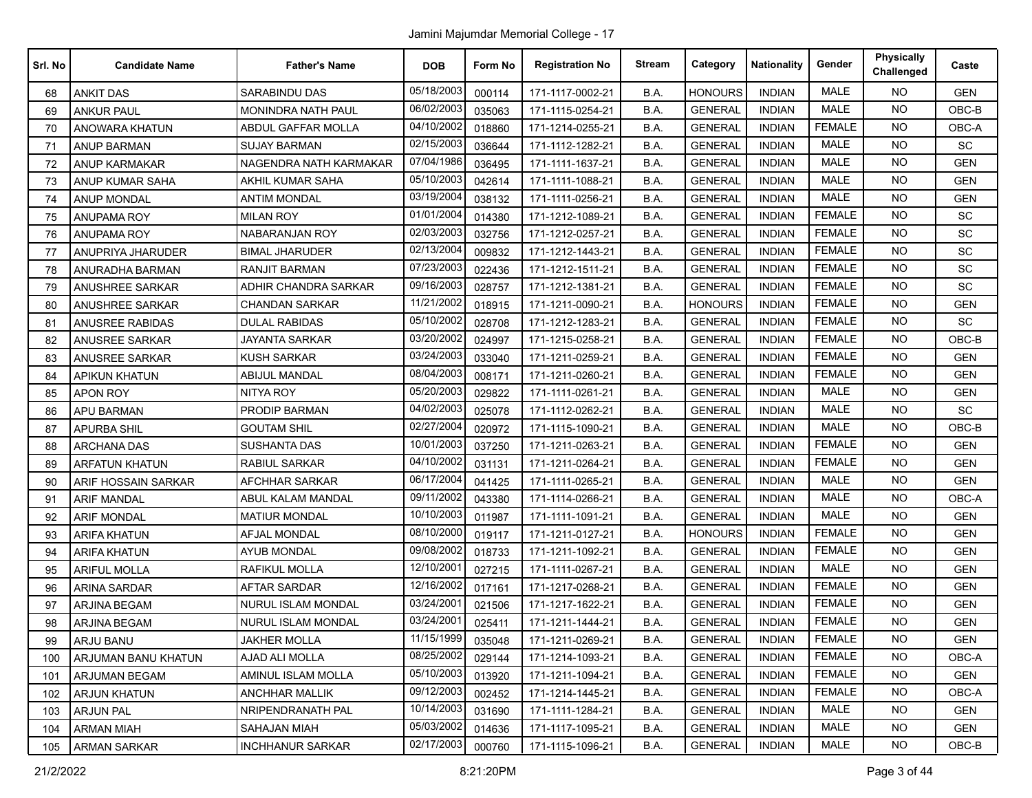| Srl. No | <b>Candidate Name</b> | <b>Father's Name</b>      | <b>DOB</b> | Form No | <b>Registration No</b> | <b>Stream</b> | Category       | <b>Nationality</b> | Gender        | <b>Physically</b><br>Challenged | Caste      |
|---------|-----------------------|---------------------------|------------|---------|------------------------|---------------|----------------|--------------------|---------------|---------------------------------|------------|
| 68      | <b>ANKIT DAS</b>      | <b>SARABINDU DAS</b>      | 05/18/2003 | 000114  | 171-1117-0002-21       | B.A.          | <b>HONOURS</b> | <b>INDIAN</b>      | <b>MALE</b>   | <b>NO</b>                       | <b>GEN</b> |
| 69      | <b>ANKUR PAUL</b>     | MONINDRA NATH PAUL        | 06/02/2003 | 035063  | 171-1115-0254-21       | B.A.          | <b>GENERAL</b> | <b>INDIAN</b>      | <b>MALE</b>   | <b>NO</b>                       | $OBC-B$    |
| 70      | ANOWARA KHATUN        | ABDUL GAFFAR MOLLA        | 04/10/2002 | 018860  | 171-1214-0255-21       | B.A.          | <b>GENERAL</b> | <b>INDIAN</b>      | <b>FEMALE</b> | <b>NO</b>                       | OBC-A      |
| 71      | <b>ANUP BARMAN</b>    | <b>SUJAY BARMAN</b>       | 02/15/2003 | 036644  | 171-1112-1282-21       | B.A.          | <b>GENERAL</b> | <b>INDIAN</b>      | <b>MALE</b>   | <b>NO</b>                       | SC         |
| 72      | ANUP KARMAKAR         | NAGENDRA NATH KARMAKAR    | 07/04/1986 | 036495  | 171-1111-1637-21       | B.A.          | <b>GENERAL</b> | <b>INDIAN</b>      | <b>MALE</b>   | <b>NO</b>                       | <b>GEN</b> |
| 73      | ANUP KUMAR SAHA       | AKHIL KUMAR SAHA          | 05/10/2003 | 042614  | 171-1111-1088-21       | B.A.          | <b>GENERAL</b> | <b>INDIAN</b>      | <b>MALE</b>   | <b>NO</b>                       | <b>GEN</b> |
| 74      | <b>ANUP MONDAL</b>    | <b>ANTIM MONDAL</b>       | 03/19/2004 | 038132  | 171-1111-0256-21       | B.A.          | <b>GENERAL</b> | <b>INDIAN</b>      | <b>MALE</b>   | <b>NO</b>                       | <b>GEN</b> |
| 75      | <b>ANUPAMA ROY</b>    | <b>MILAN ROY</b>          | 01/01/2004 | 014380  | 171-1212-1089-21       | B.A.          | <b>GENERAL</b> | <b>INDIAN</b>      | <b>FEMALE</b> | <b>NO</b>                       | SC         |
| 76      | ANUPAMA ROY           | <b>NABARANJAN ROY</b>     | 02/03/2003 | 032756  | 171-1212-0257-21       | B.A.          | <b>GENERAL</b> | <b>INDIAN</b>      | <b>FEMALE</b> | <b>NO</b>                       | SC         |
| 77      | ANUPRIYA JHARUDER     | <b>BIMAL JHARUDER</b>     | 02/13/2004 | 009832  | 171-1212-1443-21       | B.A.          | <b>GENERAL</b> | <b>INDIAN</b>      | <b>FEMALE</b> | <b>NO</b>                       | <b>SC</b>  |
| 78      | ANURADHA BARMAN       | <b>RANJIT BARMAN</b>      | 07/23/2003 | 022436  | 171-1212-1511-21       | B.A.          | <b>GENERAL</b> | <b>INDIAN</b>      | <b>FEMALE</b> | <b>NO</b>                       | SC         |
| 79      | ANUSHREE SARKAR       | ADHIR CHANDRA SARKAR      | 09/16/2003 | 028757  | 171-1212-1381-21       | B.A.          | <b>GENERAL</b> | <b>INDIAN</b>      | <b>FEMALE</b> | <b>NO</b>                       | SC         |
| 80      | ANUSHREE SARKAR       | <b>CHANDAN SARKAR</b>     | 11/21/2002 | 018915  | 171-1211-0090-21       | B.A.          | <b>HONOURS</b> | <b>INDIAN</b>      | <b>FEMALE</b> | <b>NO</b>                       | <b>GEN</b> |
| 81      | ANUSREE RABIDAS       | <b>DULAL RABIDAS</b>      | 05/10/2002 | 028708  | 171-1212-1283-21       | B.A.          | <b>GENERAL</b> | <b>INDIAN</b>      | <b>FEMALE</b> | <b>NO</b>                       | SC         |
| 82      | <b>ANUSREE SARKAR</b> | <b>JAYANTA SARKAR</b>     | 03/20/2002 | 024997  | 171-1215-0258-21       | B.A.          | <b>GENERAL</b> | <b>INDIAN</b>      | <b>FEMALE</b> | <b>NO</b>                       | OBC-B      |
| 83      | <b>ANUSREE SARKAR</b> | <b>KUSH SARKAR</b>        | 03/24/2003 | 033040  | 171-1211-0259-21       | B.A.          | <b>GENERAL</b> | <b>INDIAN</b>      | <b>FEMALE</b> | <b>NO</b>                       | <b>GEN</b> |
| 84      | <b>APIKUN KHATUN</b>  | <b>ABIJUL MANDAL</b>      | 08/04/2003 | 008171  | 171-1211-0260-21       | B.A.          | <b>GENERAL</b> | <b>INDIAN</b>      | <b>FEMALE</b> | <b>NO</b>                       | <b>GEN</b> |
| 85      | <b>APON ROY</b>       | NITYA ROY                 | 05/20/2003 | 029822  | 171-1111-0261-21       | B.A.          | <b>GENERAL</b> | <b>INDIAN</b>      | <b>MALE</b>   | <b>NO</b>                       | <b>GEN</b> |
| 86      | <b>APU BARMAN</b>     | PRODIP BARMAN             | 04/02/2003 | 025078  | 171-1112-0262-21       | B.A.          | <b>GENERAL</b> | <b>INDIAN</b>      | <b>MALE</b>   | <b>NO</b>                       | SC         |
| 87      | <b>APURBA SHIL</b>    | <b>GOUTAM SHIL</b>        | 02/27/2004 | 020972  | 171-1115-1090-21       | B.A.          | <b>GENERAL</b> | <b>INDIAN</b>      | MALE          | <b>NO</b>                       | $OBC-B$    |
| 88      | <b>ARCHANA DAS</b>    | <b>SUSHANTA DAS</b>       | 10/01/2003 | 037250  | 171-1211-0263-21       | B.A.          | <b>GENERAL</b> | <b>INDIAN</b>      | <b>FEMALE</b> | <b>NO</b>                       | <b>GEN</b> |
| 89      | <b>ARFATUN KHATUN</b> | RABIUL SARKAR             | 04/10/2002 | 031131  | 171-1211-0264-21       | B.A.          | <b>GENERAL</b> | <b>INDIAN</b>      | <b>FEMALE</b> | <b>NO</b>                       | <b>GEN</b> |
| 90      | ARIF HOSSAIN SARKAR   | AFCHHAR SARKAR            | 06/17/2004 | 041425  | 171-1111-0265-21       | B.A.          | <b>GENERAL</b> | <b>INDIAN</b>      | <b>MALE</b>   | NO.                             | <b>GEN</b> |
| 91      | <b>ARIF MANDAL</b>    | ABUL KALAM MANDAL         | 09/11/2002 | 043380  | 171-1114-0266-21       | B.A.          | <b>GENERAL</b> | <b>INDIAN</b>      | <b>MALE</b>   | <b>NO</b>                       | OBC-A      |
| 92      | <b>ARIF MONDAL</b>    | <b>MATIUR MONDAL</b>      | 10/10/2003 | 011987  | 171-1111-1091-21       | B.A.          | <b>GENERAL</b> | <b>INDIAN</b>      | <b>MALE</b>   | <b>NO</b>                       | <b>GEN</b> |
| 93      | <b>ARIFA KHATUN</b>   | AFJAL MONDAL              | 08/10/2000 | 019117  | 171-1211-0127-21       | B.A.          | <b>HONOURS</b> | <b>INDIAN</b>      | <b>FEMALE</b> | <b>NO</b>                       | <b>GEN</b> |
| 94      | <b>ARIFA KHATUN</b>   | <b>AYUB MONDAL</b>        | 09/08/2002 | 018733  | 171-1211-1092-21       | B.A.          | <b>GENERAL</b> | <b>INDIAN</b>      | <b>FEMALE</b> | <b>NO</b>                       | <b>GEN</b> |
| 95      | <b>ARIFUL MOLLA</b>   | RAFIKUL MOLLA             | 12/10/2001 | 027215  | 171-1111-0267-21       | B.A.          | <b>GENERAL</b> | <b>INDIAN</b>      | <b>MALE</b>   | <b>NO</b>                       | <b>GEN</b> |
| 96      | ARINA SARDAR          | <b>AFTAR SARDAR</b>       | 12/16/2002 | 017161  | 171-1217-0268-21       | B.A.          | <b>GENERAL</b> | <b>INDIAN</b>      | <b>FEMALE</b> | <b>NO</b>                       | <b>GEN</b> |
| 97      | <b>ARJINA BEGAM</b>   | NURUL ISLAM MONDAL        | 03/24/2001 | 021506  | 171-1217-1622-21       | B.A.          | <b>GENERAL</b> | <b>INDIAN</b>      | <b>FEMALE</b> | <b>NO</b>                       | <b>GEN</b> |
| 98      | ARJINA BEGAM          | <b>NURUL ISLAM MONDAL</b> | 03/24/2001 | 025411  | 171-1211-1444-21       | B.A.          | <b>GENERAL</b> | <b>INDIAN</b>      | <b>FEMALE</b> | <b>NO</b>                       | <b>GEN</b> |
| 99      | ARJU BANU             | <b>JAKHER MOLLA</b>       | 11/15/1999 | 035048  | 171-1211-0269-21       | B.A.          | <b>GENERAL</b> | <b>INDIAN</b>      | <b>FEMALE</b> | NO                              | <b>GEN</b> |
| 100     | ARJUMAN BANU KHATUN   | AJAD ALI MOLLA            | 08/25/2002 | 029144  | 171-1214-1093-21       | B.A.          | <b>GENERAL</b> | <b>INDIAN</b>      | <b>FEMALE</b> | <b>NO</b>                       | OBC-A      |
| 101     | ARJUMAN BEGAM         | AMINUL ISLAM MOLLA        | 05/10/2003 | 013920  | 171-1211-1094-21       | B.A.          | <b>GENERAL</b> | <b>INDIAN</b>      | <b>FEMALE</b> | <b>NO</b>                       | GEN        |
| 102     | ARJUN KHATUN          | <b>ANCHHAR MALLIK</b>     | 09/12/2003 | 002452  | 171-1214-1445-21       | B.A.          | <b>GENERAL</b> | <b>INDIAN</b>      | <b>FEMALE</b> | <b>NO</b>                       | OBC-A      |
| 103     | <b>ARJUN PAL</b>      | NRIPENDRANATH PAL         | 10/14/2003 | 031690  | 171-1111-1284-21       | <b>B.A.</b>   | <b>GENERAL</b> | <b>INDIAN</b>      | MALE          | <b>NO</b>                       | GEN        |
| 104     | <b>ARMAN MIAH</b>     | <b>SAHAJAN MIAH</b>       | 05/03/2002 | 014636  | 171-1117-1095-21       | B.A.          | <b>GENERAL</b> | <b>INDIAN</b>      | MALE          | <b>NO</b>                       | <b>GEN</b> |
| 105     | <b>ARMAN SARKAR</b>   | <b>INCHHANUR SARKAR</b>   | 02/17/2003 | 000760  | 171-1115-1096-21       | B.A.          | <b>GENERAL</b> | <b>INDIAN</b>      | MALE          | <b>NO</b>                       | OBC-B      |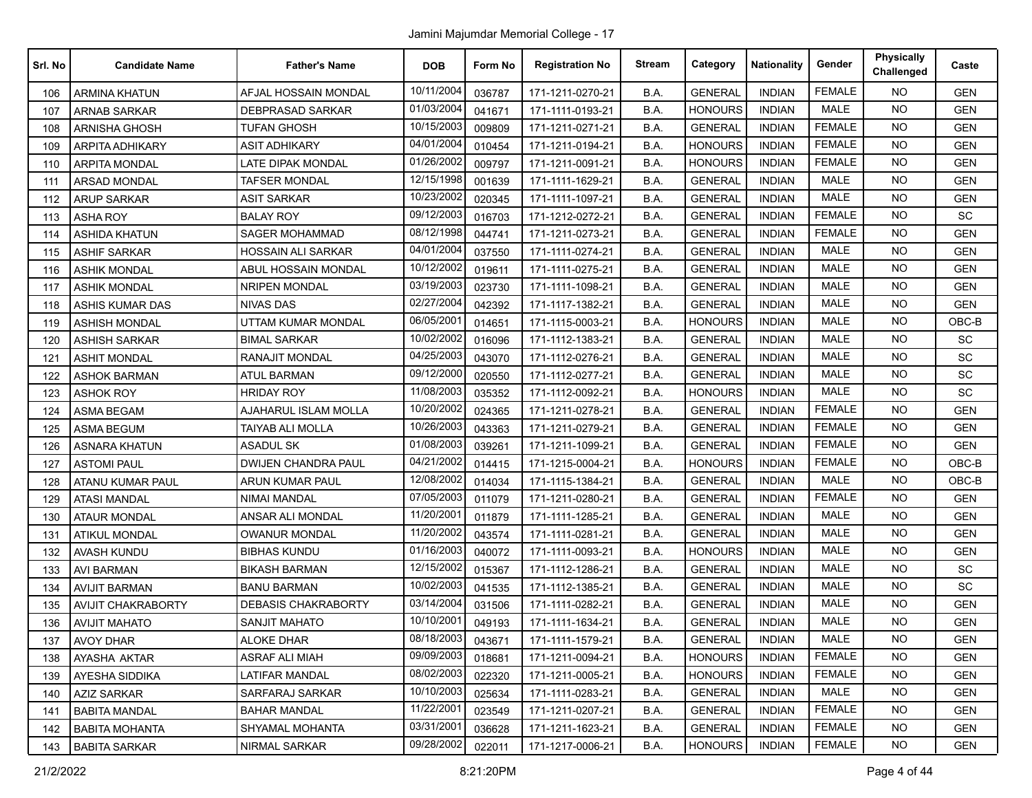| Srl. No | <b>Candidate Name</b>     | <b>Father's Name</b>       | <b>DOB</b> | Form No | <b>Registration No</b> | <b>Stream</b> | Category       | <b>Nationality</b> | Gender        | <b>Physically</b><br>Challenged | Caste      |
|---------|---------------------------|----------------------------|------------|---------|------------------------|---------------|----------------|--------------------|---------------|---------------------------------|------------|
| 106     | <b>ARMINA KHATUN</b>      | AFJAL HOSSAIN MONDAL       | 10/11/2004 | 036787  | 171-1211-0270-21       | B.A.          | <b>GENERAL</b> | <b>INDIAN</b>      | <b>FEMALE</b> | <b>NO</b>                       | <b>GEN</b> |
| 107     | <b>ARNAB SARKAR</b>       | DEBPRASAD SARKAR           | 01/03/2004 | 041671  | 171-1111-0193-21       | B.A.          | <b>HONOURS</b> | <b>INDIAN</b>      | <b>MALE</b>   | <b>NO</b>                       | <b>GEN</b> |
| 108     | ARNISHA GHOSH             | TUFAN GHOSH                | 10/15/2003 | 009809  | 171-1211-0271-21       | B.A.          | <b>GENERAL</b> | <b>INDIAN</b>      | <b>FEMALE</b> | <b>NO</b>                       | <b>GEN</b> |
| 109     | <b>ARPITA ADHIKARY</b>    | <b>ASIT ADHIKARY</b>       | 04/01/2004 | 010454  | 171-1211-0194-21       | B.A.          | <b>HONOURS</b> | <b>INDIAN</b>      | <b>FEMALE</b> | <b>NO</b>                       | <b>GEN</b> |
| 110     | <b>ARPITA MONDAL</b>      | LATE DIPAK MONDAL          | 01/26/2002 | 009797  | 171-1211-0091-21       | B.A.          | <b>HONOURS</b> | <b>INDIAN</b>      | <b>FEMALE</b> | <b>NO</b>                       | <b>GEN</b> |
| 111     | <b>ARSAD MONDAL</b>       | <b>TAFSER MONDAL</b>       | 12/15/1998 | 001639  | 171-1111-1629-21       | B.A.          | <b>GENERAL</b> | <b>INDIAN</b>      | <b>MALE</b>   | <b>NO</b>                       | <b>GEN</b> |
| 112     | <b>ARUP SARKAR</b>        | <b>ASIT SARKAR</b>         | 10/23/2002 | 020345  | 171-1111-1097-21       | B.A.          | <b>GENERAL</b> | <b>INDIAN</b>      | <b>MALE</b>   | <b>NO</b>                       | <b>GEN</b> |
| 113     | <b>ASHA ROY</b>           | <b>BALAY ROY</b>           | 09/12/2003 | 016703  | 171-1212-0272-21       | B.A.          | <b>GENERAL</b> | <b>INDIAN</b>      | <b>FEMALE</b> | <b>NO</b>                       | <b>SC</b>  |
| 114     | <b>ASHIDA KHATUN</b>      | SAGER MOHAMMAD             | 08/12/1998 | 044741  | 171-1211-0273-21       | B.A.          | <b>GENERAL</b> | <b>INDIAN</b>      | <b>FEMALE</b> | <b>NO</b>                       | <b>GEN</b> |
| 115     | <b>ASHIF SARKAR</b>       | <b>HOSSAIN ALI SARKAR</b>  | 04/01/2004 | 037550  | 171-1111-0274-21       | B.A.          | <b>GENERAL</b> | <b>INDIAN</b>      | <b>MALE</b>   | <b>NO</b>                       | <b>GEN</b> |
| 116     | <b>ASHIK MONDAL</b>       | ABUL HOSSAIN MONDAL        | 10/12/2002 | 019611  | 171-1111-0275-21       | B.A.          | <b>GENERAL</b> | <b>INDIAN</b>      | MALE          | <b>NO</b>                       | <b>GEN</b> |
| 117     | <b>ASHIK MONDAL</b>       | <b>NRIPEN MONDAL</b>       | 03/19/2003 | 023730  | 171-1111-1098-21       | B.A.          | <b>GENERAL</b> | <b>INDIAN</b>      | <b>MALE</b>   | <b>NO</b>                       | <b>GEN</b> |
| 118     | <b>ASHIS KUMAR DAS</b>    | <b>NIVAS DAS</b>           | 02/27/2004 | 042392  | 171-1117-1382-21       | B.A.          | <b>GENERAL</b> | <b>INDIAN</b>      | <b>MALE</b>   | <b>NO</b>                       | <b>GEN</b> |
| 119     | <b>ASHISH MONDAL</b>      | UTTAM KUMAR MONDAL         | 06/05/2001 | 014651  | 171-1115-0003-21       | B.A.          | <b>HONOURS</b> | <b>INDIAN</b>      | <b>MALE</b>   | <b>NO</b>                       | $OBC-B$    |
| 120     | <b>ASHISH SARKAR</b>      | <b>BIMAL SARKAR</b>        | 10/02/2002 | 016096  | 171-1112-1383-21       | B.A.          | <b>GENERAL</b> | <b>INDIAN</b>      | <b>MALE</b>   | <b>NO</b>                       | <b>SC</b>  |
| 121     | <b>ASHIT MONDAL</b>       | RANAJIT MONDAL             | 04/25/2003 | 043070  | 171-1112-0276-21       | B.A.          | <b>GENERAL</b> | <b>INDIAN</b>      | MALE          | <b>NO</b>                       | SC         |
| 122     | <b>ASHOK BARMAN</b>       | <b>ATUL BARMAN</b>         | 09/12/2000 | 020550  | 171-1112-0277-21       | B.A.          | <b>GENERAL</b> | <b>INDIAN</b>      | <b>MALE</b>   | <b>NO</b>                       | SC         |
| 123     | <b>ASHOK ROY</b>          | <b>HRIDAY ROY</b>          | 11/08/2003 | 035352  | 171-1112-0092-21       | B.A.          | <b>HONOURS</b> | <b>INDIAN</b>      | <b>MALE</b>   | <b>NO</b>                       | SC         |
| 124     | <b>ASMA BEGAM</b>         | AJAHARUL ISLAM MOLLA       | 10/20/2002 | 024365  | 171-1211-0278-21       | B.A.          | <b>GENERAL</b> | <b>INDIAN</b>      | <b>FEMALE</b> | NO.                             | <b>GEN</b> |
| 125     | <b>ASMA BEGUM</b>         | <b>TAIYAB ALI MOLLA</b>    | 10/26/2003 | 043363  | 171-1211-0279-21       | B.A.          | <b>GENERAL</b> | <b>INDIAN</b>      | <b>FEMALE</b> | <b>NO</b>                       | <b>GEN</b> |
| 126     | <b>ASNARA KHATUN</b>      | <b>ASADUL SK</b>           | 01/08/2003 | 039261  | 171-1211-1099-21       | B.A.          | <b>GENERAL</b> | <b>INDIAN</b>      | <b>FEMALE</b> | <b>NO</b>                       | <b>GEN</b> |
| 127     | <b>ASTOMI PAUL</b>        | <b>DWIJEN CHANDRA PAUL</b> | 04/21/2002 | 014415  | 171-1215-0004-21       | B.A.          | <b>HONOURS</b> | <b>INDIAN</b>      | <b>FEMALE</b> | <b>NO</b>                       | $OBC-B$    |
| 128     | ATANU KUMAR PAUL          | ARUN KUMAR PAUL            | 12/08/2002 | 014034  | 171-1115-1384-21       | B.A.          | <b>GENERAL</b> | <b>INDIAN</b>      | <b>MALE</b>   | NO.                             | $OBC-B$    |
| 129     | <b>ATASI MANDAL</b>       | NIMAI MANDAL               | 07/05/2003 | 011079  | 171-1211-0280-21       | B.A.          | <b>GENERAL</b> | <b>INDIAN</b>      | <b>FEMALE</b> | <b>NO</b>                       | <b>GEN</b> |
| 130     | <b>ATAUR MONDAL</b>       | ANSAR ALI MONDAL           | 11/20/2001 | 011879  | 171-1111-1285-21       | B.A.          | <b>GENERAL</b> | <b>INDIAN</b>      | <b>MALE</b>   | <b>NO</b>                       | <b>GEN</b> |
| 131     | <b>ATIKUL MONDAL</b>      | OWANUR MONDAL              | 11/20/2002 | 043574  | 171-1111-0281-21       | B.A.          | <b>GENERAL</b> | <b>INDIAN</b>      | <b>MALE</b>   | <b>NO</b>                       | <b>GEN</b> |
| 132     | <b>AVASH KUNDU</b>        | <b>BIBHAS KUNDU</b>        | 01/16/2003 | 040072  | 171-1111-0093-21       | B.A.          | <b>HONOURS</b> | <b>INDIAN</b>      | <b>MALE</b>   | <b>NO</b>                       | <b>GEN</b> |
| 133     | <b>AVI BARMAN</b>         | <b>BIKASH BARMAN</b>       | 12/15/2002 | 015367  | 171-1112-1286-21       | B.A.          | <b>GENERAL</b> | <b>INDIAN</b>      | <b>MALE</b>   | <b>NO</b>                       | SC         |
| 134     | <b>AVIJIT BARMAN</b>      | <b>BANU BARMAN</b>         | 10/02/2003 | 041535  | 171-1112-1385-21       | B.A.          | <b>GENERAL</b> | <b>INDIAN</b>      | <b>MALE</b>   | <b>NO</b>                       | SC         |
| 135     | <b>AVIJIT CHAKRABORTY</b> | <b>DEBASIS CHAKRABORTY</b> | 03/14/2004 | 031506  | 171-1111-0282-21       | B.A.          | <b>GENERAL</b> | <b>INDIAN</b>      | <b>MALE</b>   | <b>NO</b>                       | <b>GEN</b> |
| 136     | <b>AVIJIT MAHATO</b>      | <b>SANJIT MAHATO</b>       | 10/10/2001 | 049193  | 171-1111-1634-21       | B.A.          | <b>GENERAL</b> | <b>INDIAN</b>      | <b>MALE</b>   | <b>NO</b>                       | <b>GEN</b> |
| 137     | <b>AVOY DHAR</b>          | <b>ALOKE DHAR</b>          | 08/18/2003 | 043671  | 171-1111-1579-21       | B.A.          | <b>GENERAL</b> | <b>INDIAN</b>      | MALE          | <b>NO</b>                       | <b>GEN</b> |
| 138     | AYASHA AKTAR              | <b>ASRAF ALI MIAH</b>      | 09/09/2003 | 018681  | 171-1211-0094-21       | B.A.          | <b>HONOURS</b> | <b>INDIAN</b>      | <b>FEMALE</b> | <b>NO</b>                       | <b>GEN</b> |
| 139     | AYESHA SIDDIKA            | LATIFAR MANDAL             | 08/02/2003 | 022320  | 171-1211-0005-21       | B.A.          | <b>HONOURS</b> | <b>INDIAN</b>      | <b>FEMALE</b> | <b>NO</b>                       | <b>GEN</b> |
| 140     | <b>AZIZ SARKAR</b>        | SARFARAJ SARKAR            | 10/10/2003 | 025634  | 171-1111-0283-21       | B.A.          | <b>GENERAL</b> | <b>INDIAN</b>      | MALE          | <b>NO</b>                       | <b>GEN</b> |
| 141     | <b>BABITA MANDAL</b>      | <b>BAHAR MANDAL</b>        | 11/22/2001 | 023549  | 171-1211-0207-21       | B.A.          | <b>GENERAL</b> | <b>INDIAN</b>      | <b>FEMALE</b> | NO.                             | <b>GEN</b> |
| 142     | <b>BABITA MOHANTA</b>     | <b>SHYAMAL MOHANTA</b>     | 03/31/2001 | 036628  | 171-1211-1623-21       | B.A.          | <b>GENERAL</b> | <b>INDIAN</b>      | <b>FEMALE</b> | <b>NO</b>                       | <b>GEN</b> |
| 143     | <b>BABITA SARKAR</b>      | NIRMAL SARKAR              | 09/28/2002 | 022011  | 171-1217-0006-21       | B.A.          | <b>HONOURS</b> | <b>INDIAN</b>      | <b>FEMALE</b> | NO.                             | GEN        |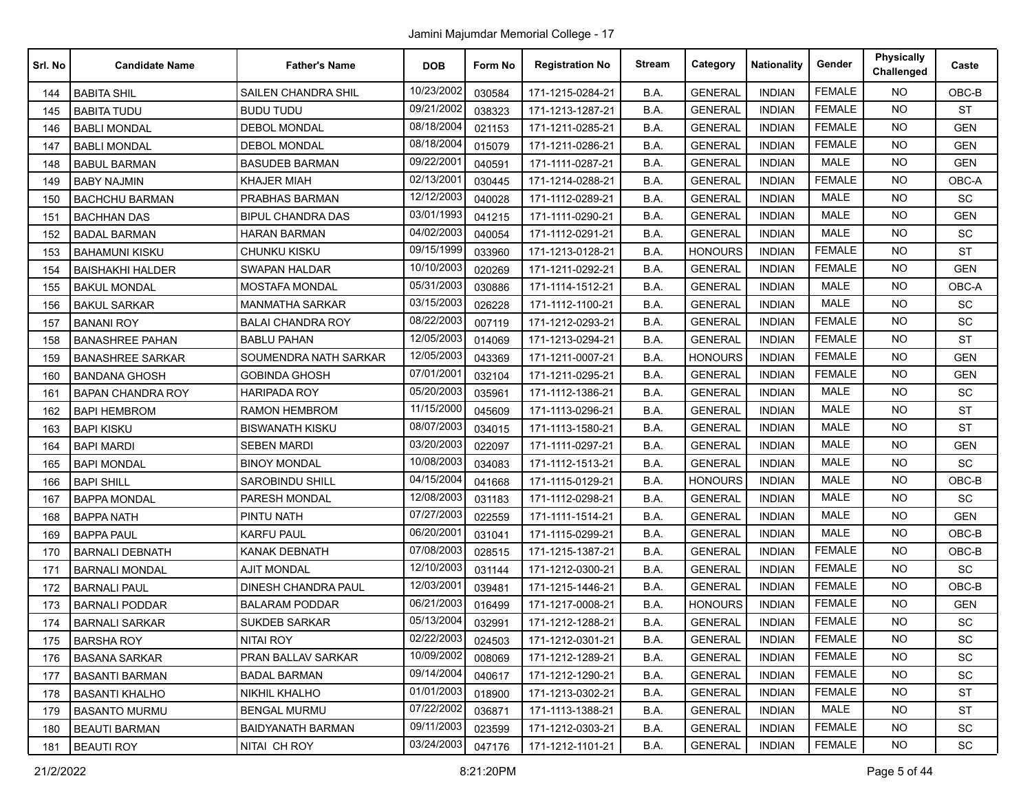| Srl. No | <b>Candidate Name</b>    | <b>Father's Name</b>       | <b>DOB</b> | Form No | <b>Registration No</b> | <b>Stream</b> | Category       | <b>Nationality</b> | Gender        | <b>Physically</b><br>Challenged | Caste      |
|---------|--------------------------|----------------------------|------------|---------|------------------------|---------------|----------------|--------------------|---------------|---------------------------------|------------|
| 144     | <b>BABITA SHIL</b>       | SAILEN CHANDRA SHIL        | 10/23/2002 | 030584  | 171-1215-0284-21       | B.A.          | <b>GENERAL</b> | <b>INDIAN</b>      | <b>FEMALE</b> | <b>NO</b>                       | OBC-B      |
| 145     | <b>BABITA TUDU</b>       | <b>BUDU TUDU</b>           | 09/21/2002 | 038323  | 171-1213-1287-21       | B.A.          | <b>GENERAL</b> | <b>INDIAN</b>      | <b>FEMALE</b> | <b>NO</b>                       | <b>ST</b>  |
| 146     | <b>BABLI MONDAL</b>      | <b>DEBOL MONDAL</b>        | 08/18/2004 | 021153  | 171-1211-0285-21       | B.A.          | <b>GENERAL</b> | <b>INDIAN</b>      | <b>FEMALE</b> | <b>NO</b>                       | <b>GEN</b> |
| 147     | <b>BABLI MONDAL</b>      | <b>DEBOL MONDAL</b>        | 08/18/2004 | 015079  | 171-1211-0286-21       | B.A.          | <b>GENERAL</b> | <b>INDIAN</b>      | <b>FEMALE</b> | <b>NO</b>                       | <b>GEN</b> |
| 148     | <b>BABUL BARMAN</b>      | <b>BASUDEB BARMAN</b>      | 09/22/200  | 040591  | 171-1111-0287-21       | B.A.          | <b>GENERAL</b> | <b>INDIAN</b>      | <b>MALE</b>   | <b>NO</b>                       | <b>GEN</b> |
| 149     | <b>BABY NAJMIN</b>       | <b>KHAJER MIAH</b>         | 02/13/2001 | 030445  | 171-1214-0288-21       | B.A.          | <b>GENERAL</b> | <b>INDIAN</b>      | <b>FEMALE</b> | <b>NO</b>                       | OBC-A      |
| 150     | <b>BACHCHU BARMAN</b>    | PRABHAS BARMAN             | 12/12/2003 | 040028  | 171-1112-0289-21       | B.A.          | <b>GENERAL</b> | <b>INDIAN</b>      | <b>MALE</b>   | <b>NO</b>                       | SC         |
| 151     | <b>BACHHAN DAS</b>       | <b>BIPUL CHANDRA DAS</b>   | 03/01/1993 | 041215  | 171-1111-0290-21       | B.A.          | <b>GENERAL</b> | <b>INDIAN</b>      | MALE          | <b>NO</b>                       | <b>GEN</b> |
| 152     | <b>BADAL BARMAN</b>      | <b>HARAN BARMAN</b>        | 04/02/2003 | 040054  | 171-1112-0291-21       | B.A.          | <b>GENERAL</b> | <b>INDIAN</b>      | <b>MALE</b>   | <b>NO</b>                       | SC         |
| 153     | <b>BAHAMUNI KISKU</b>    | CHUNKU KISKU               | 09/15/1999 | 033960  | 171-1213-0128-21       | B.A.          | <b>HONOURS</b> | <b>INDIAN</b>      | <b>FEMALE</b> | <b>NO</b>                       | <b>ST</b>  |
| 154     | <b>BAISHAKHI HALDER</b>  | SWAPAN HALDAR              | 10/10/2003 | 020269  | 171-1211-0292-21       | B.A.          | <b>GENERAL</b> | <b>INDIAN</b>      | <b>FEMALE</b> | <b>NO</b>                       | <b>GEN</b> |
| 155     | <b>BAKUL MONDAL</b>      | <b>MOSTAFA MONDAL</b>      | 05/31/2003 | 030886  | 171-1114-1512-21       | B.A.          | <b>GENERAL</b> | <b>INDIAN</b>      | <b>MALE</b>   | <b>NO</b>                       | OBC-A      |
| 156     | <b>BAKUL SARKAR</b>      | <b>MANMATHA SARKAR</b>     | 03/15/2003 | 026228  | 171-1112-1100-21       | B.A.          | <b>GENERAL</b> | <b>INDIAN</b>      | MALE          | <b>NO</b>                       | SC         |
| 157     | <b>BANANI ROY</b>        | <b>BALAI CHANDRA ROY</b>   | 08/22/2003 | 007119  | 171-1212-0293-21       | B.A.          | <b>GENERAL</b> | <b>INDIAN</b>      | <b>FEMALE</b> | <b>NO</b>                       | SC         |
| 158     | <b>BANASHREE PAHAN</b>   | <b>BABLU PAHAN</b>         | 12/05/2003 | 014069  | 171-1213-0294-21       | B.A.          | <b>GENERAL</b> | <b>INDIAN</b>      | <b>FEMALE</b> | <b>NO</b>                       | <b>ST</b>  |
| 159     | <b>BANASHREE SARKAR</b>  | SOUMENDRA NATH SARKAR      | 12/05/2003 | 043369  | 171-1211-0007-21       | B.A.          | <b>HONOURS</b> | <b>INDIAN</b>      | <b>FEMALE</b> | <b>NO</b>                       | <b>GEN</b> |
| 160     | <b>BANDANA GHOSH</b>     | <b>GOBINDA GHOSH</b>       | 07/01/200  | 032104  | 171-1211-0295-21       | B.A.          | <b>GENERAL</b> | <b>INDIAN</b>      | <b>FEMALE</b> | <b>NO</b>                       | <b>GEN</b> |
| 161     | <b>BAPAN CHANDRA ROY</b> | <b>HARIPADA ROY</b>        | 05/20/2003 | 035961  | 171-1112-1386-21       | B.A.          | <b>GENERAL</b> | <b>INDIAN</b>      | <b>MALE</b>   | <b>NO</b>                       | SC         |
| 162     | <b>BAPI HEMBROM</b>      | <b>RAMON HEMBROM</b>       | 11/15/2000 | 045609  | 171-1113-0296-21       | B.A.          | <b>GENERAL</b> | <b>INDIAN</b>      | <b>MALE</b>   | <b>NO</b>                       | <b>ST</b>  |
| 163     | <b>BAPI KISKU</b>        | <b>BISWANATH KISKU</b>     | 08/07/2003 | 034015  | 171-1113-1580-21       | B.A.          | <b>GENERAL</b> | <b>INDIAN</b>      | MALE          | <b>NO</b>                       | <b>ST</b>  |
| 164     | <b>BAPI MARDI</b>        | <b>SEBEN MARDI</b>         | 03/20/2003 | 022097  | 171-1111-0297-21       | B.A.          | <b>GENERAL</b> | <b>INDIAN</b>      | <b>MALE</b>   | <b>NO</b>                       | <b>GEN</b> |
| 165     | <b>BAPI MONDAL</b>       | <b>BINOY MONDAL</b>        | 10/08/2003 | 034083  | 171-1112-1513-21       | B.A.          | <b>GENERAL</b> | <b>INDIAN</b>      | <b>MALE</b>   | <b>NO</b>                       | SC         |
| 166     | <b>BAPI SHILL</b>        | <b>SAROBINDU SHILL</b>     | 04/15/2004 | 041668  | 171-1115-0129-21       | B.A.          | <b>HONOURS</b> | <b>INDIAN</b>      | <b>MALE</b>   | <b>NO</b>                       | OBC-B      |
| 167     | <b>BAPPA MONDAL</b>      | PARESH MONDAL              | 12/08/2003 | 031183  | 171-1112-0298-21       | B.A.          | <b>GENERAL</b> | <b>INDIAN</b>      | <b>MALE</b>   | <b>NO</b>                       | SC         |
| 168     | <b>BAPPA NATH</b>        | PINTU NATH                 | 07/27/2003 | 022559  | 171-1111-1514-21       | B.A.          | <b>GENERAL</b> | <b>INDIAN</b>      | <b>MALE</b>   | <b>NO</b>                       | <b>GEN</b> |
| 169     | <b>BAPPA PAUL</b>        | <b>KARFU PAUL</b>          | 06/20/200  | 031041  | 171-1115-0299-21       | B.A.          | <b>GENERAL</b> | <b>INDIAN</b>      | <b>MALE</b>   | <b>NO</b>                       | OBC-B      |
| 170     | <b>BARNALI DEBNATH</b>   | <b>KANAK DEBNATH</b>       | 07/08/2003 | 028515  | 171-1215-1387-21       | B.A.          | <b>GENERAL</b> | <b>INDIAN</b>      | <b>FEMALE</b> | <b>NO</b>                       | OBC-B      |
| 171     | <b>BARNALI MONDAL</b>    | <b>AJIT MONDAL</b>         | 12/10/2003 | 031144  | 171-1212-0300-21       | B.A.          | <b>GENERAL</b> | <b>INDIAN</b>      | <b>FEMALE</b> | <b>NO</b>                       | SC         |
| 172     | <b>BARNALI PAUL</b>      | <b>DINESH CHANDRA PAUL</b> | 12/03/200  | 039481  | 171-1215-1446-21       | B.A.          | <b>GENERAL</b> | <b>INDIAN</b>      | <b>FEMALE</b> | <b>NO</b>                       | $OBC-B$    |
| 173     | <b>BARNALI PODDAR</b>    | <b>BALARAM PODDAR</b>      | 06/21/2003 | 016499  | 171-1217-0008-21       | B.A.          | <b>HONOURS</b> | <b>INDIAN</b>      | <b>FEMALE</b> | <b>NO</b>                       | <b>GEN</b> |
| 174     | <b>BARNALI SARKAR</b>    | SUKDEB SARKAR              | 05/13/2004 | 032991  | 171-1212-1288-21       | B.A.          | <b>GENERAL</b> | <b>INDIAN</b>      | <b>FEMALE</b> | NO.                             | SC         |
| 175     | <b>BARSHA ROY</b>        | NITAI ROY                  | 02/22/2003 | 024503  | 171-1212-0301-21       | B.A.          | <b>GENERAL</b> | <b>INDIAN</b>      | FEMALE        | NO.                             | SC         |
| 176     | <b>BASANA SARKAR</b>     | PRAN BALLAV SARKAR         | 10/09/2002 | 008069  | 171-1212-1289-21       | B.A.          | <b>GENERAL</b> | <b>INDIAN</b>      | <b>FEMALE</b> | <b>NO</b>                       | SC         |
| 177     | <b>BASANTI BARMAN</b>    | <b>BADAL BARMAN</b>        | 09/14/2004 | 040617  | 171-1212-1290-21       | B.A.          | <b>GENERAL</b> | <b>INDIAN</b>      | <b>FEMALE</b> | <b>NO</b>                       | <b>SC</b>  |
| 178     | <b>BASANTI KHALHO</b>    | NIKHIL KHALHO              | 01/01/2003 | 018900  | 171-1213-0302-21       | B.A.          | <b>GENERAL</b> | <b>INDIAN</b>      | <b>FEMALE</b> | NO.                             | <b>ST</b>  |
| 179     | <b>BASANTO MURMU</b>     | <b>BENGAL MURMU</b>        | 07/22/2002 | 036871  | 171-1113-1388-21       | B.A.          | <b>GENERAL</b> | <b>INDIAN</b>      | MALE          | NO.                             | ST         |
| 180     | <b>BEAUTI BARMAN</b>     | <b>BAIDYANATH BARMAN</b>   | 09/11/2003 | 023599  | 171-1212-0303-21       | B.A.          | <b>GENERAL</b> | <b>INDIAN</b>      | <b>FEMALE</b> | <b>NO</b>                       | SC         |
| 181     | BEAUTI ROY               | NITAI CH ROY               | 03/24/2003 | 047176  | 171-1212-1101-21       | B.A.          | <b>GENERAL</b> | <b>INDIAN</b>      | <b>FEMALE</b> | NO.                             | <b>SC</b>  |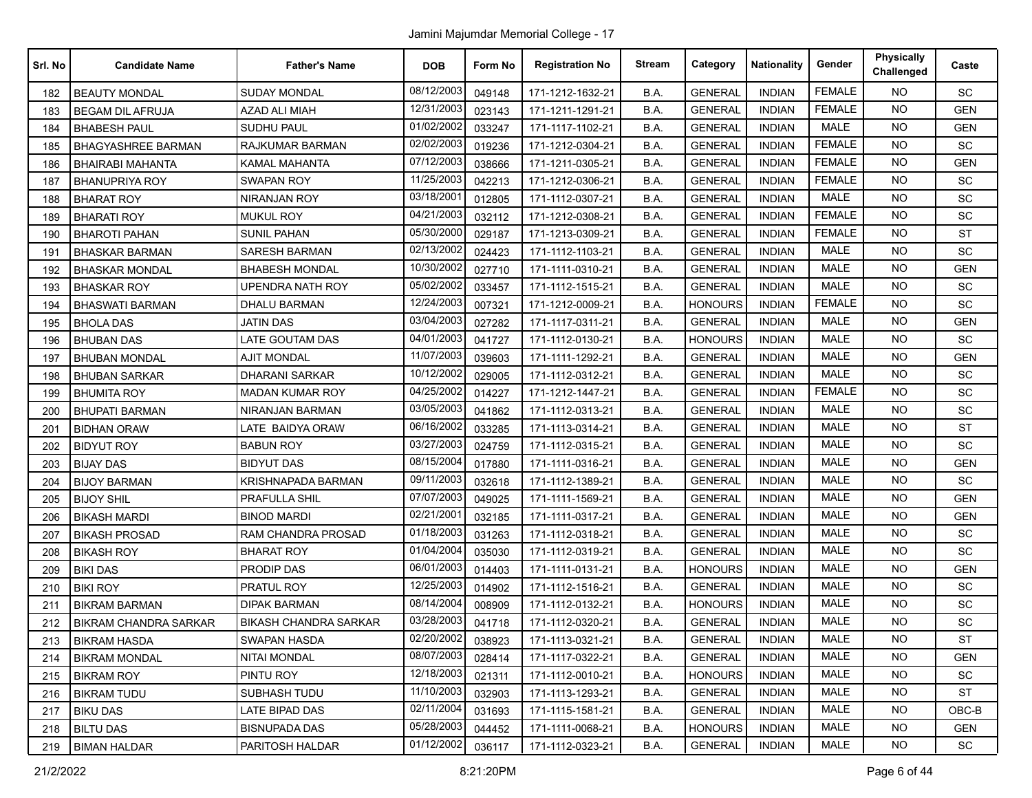| Srl. No | <b>Candidate Name</b>        | <b>Father's Name</b>         | <b>DOB</b> | Form No | <b>Registration No</b> | <b>Stream</b> | Category       | <b>Nationality</b> | Gender        | <b>Physically</b><br>Challenged | Caste      |
|---------|------------------------------|------------------------------|------------|---------|------------------------|---------------|----------------|--------------------|---------------|---------------------------------|------------|
| 182     | <b>BEAUTY MONDAL</b>         | <b>SUDAY MONDAL</b>          | 08/12/2003 | 049148  | 171-1212-1632-21       | B.A.          | <b>GENERAL</b> | <b>INDIAN</b>      | <b>FEMALE</b> | <b>NO</b>                       | SC         |
| 183     | <b>BEGAM DIL AFRUJA</b>      | <b>AZAD ALI MIAH</b>         | 12/31/2003 | 023143  | 171-1211-1291-21       | B.A.          | <b>GENERAL</b> | <b>INDIAN</b>      | <b>FEMALE</b> | <b>NO</b>                       | <b>GEN</b> |
| 184     | <b>BHABESH PAUL</b>          | SUDHU PAUL                   | 01/02/2002 | 033247  | 171-1117-1102-21       | B.A.          | <b>GENERAL</b> | <b>INDIAN</b>      | <b>MALE</b>   | <b>NO</b>                       | GEN        |
| 185     | <b>BHAGYASHREE BARMAN</b>    | <b>RAJKUMAR BARMAN</b>       | 02/02/2003 | 019236  | 171-1212-0304-21       | B.A.          | <b>GENERAL</b> | <b>INDIAN</b>      | <b>FEMALE</b> | <b>NO</b>                       | SC         |
| 186     | <b>BHAIRABI MAHANTA</b>      | KAMAL MAHANTA                | 07/12/2003 | 038666  | 171-1211-0305-21       | B.A.          | <b>GENERAL</b> | <b>INDIAN</b>      | <b>FEMALE</b> | <b>NO</b>                       | <b>GEN</b> |
| 187     | <b>BHANUPRIYA ROY</b>        | <b>SWAPAN ROY</b>            | 11/25/2003 | 042213  | 171-1212-0306-21       | B.A.          | <b>GENERAL</b> | <b>INDIAN</b>      | <b>FEMALE</b> | <b>NO</b>                       | <b>SC</b>  |
| 188     | <b>BHARAT ROY</b>            | NIRANJAN ROY                 | 03/18/2001 | 012805  | 171-1112-0307-21       | B.A.          | <b>GENERAL</b> | <b>INDIAN</b>      | <b>MALE</b>   | <b>NO</b>                       | SC         |
| 189     | <b>BHARATI ROY</b>           | <b>MUKUL ROY</b>             | 04/21/2003 | 032112  | 171-1212-0308-21       | B.A.          | <b>GENERAL</b> | <b>INDIAN</b>      | <b>FEMALE</b> | <b>NO</b>                       | SC         |
| 190     | <b>BHAROTI PAHAN</b>         | <b>SUNIL PAHAN</b>           | 05/30/2000 | 029187  | 171-1213-0309-21       | B.A.          | <b>GENERAL</b> | <b>INDIAN</b>      | <b>FEMALE</b> | <b>NO</b>                       | <b>ST</b>  |
| 191     | <b>BHASKAR BARMAN</b>        | <b>SARESH BARMAN</b>         | 02/13/2002 | 024423  | 171-1112-1103-21       | B.A.          | <b>GENERAL</b> | <b>INDIAN</b>      | <b>MALE</b>   | <b>NO</b>                       | SC         |
| 192     | <b>BHASKAR MONDAL</b>        | <b>BHABESH MONDAL</b>        | 10/30/2002 | 027710  | 171-1111-0310-21       | B.A.          | <b>GENERAL</b> | <b>INDIAN</b>      | <b>MALE</b>   | <b>NO</b>                       | <b>GEN</b> |
| 193     | <b>BHASKAR ROY</b>           | <b>UPENDRA NATH ROY</b>      | 05/02/2002 | 033457  | 171-1112-1515-21       | B.A.          | <b>GENERAL</b> | <b>INDIAN</b>      | <b>MALE</b>   | <b>NO</b>                       | SC         |
| 194     | <b>BHASWATI BARMAN</b>       | <b>DHALU BARMAN</b>          | 12/24/2003 | 007321  | 171-1212-0009-21       | B.A.          | <b>HONOURS</b> | <b>INDIAN</b>      | <b>FEMALE</b> | <b>NO</b>                       | SC         |
| 195     | <b>BHOLA DAS</b>             | <b>JATIN DAS</b>             | 03/04/2003 | 027282  | 171-1117-0311-21       | B.A.          | <b>GENERAL</b> | <b>INDIAN</b>      | <b>MALE</b>   | <b>NO</b>                       | <b>GEN</b> |
| 196     | <b>BHUBAN DAS</b>            | <b>LATE GOUTAM DAS</b>       | 04/01/2003 | 041727  | 171-1112-0130-21       | B.A.          | <b>HONOURS</b> | <b>INDIAN</b>      | MALE          | <b>NO</b>                       | SC         |
| 197     | <b>BHUBAN MONDAL</b>         | <b>AJIT MONDAL</b>           | 11/07/2003 | 039603  | 171-1111-1292-21       | B.A.          | <b>GENERAL</b> | <b>INDIAN</b>      | <b>MALE</b>   | <b>NO</b>                       | <b>GEN</b> |
| 198     | <b>BHUBAN SARKAR</b>         | <b>DHARANI SARKAR</b>        | 10/12/2002 | 029005  | 171-1112-0312-21       | B.A.          | <b>GENERAL</b> | <b>INDIAN</b>      | <b>MALE</b>   | <b>NO</b>                       | SC         |
| 199     | <b>BHUMITA ROY</b>           | <b>MADAN KUMAR ROY</b>       | 04/25/2002 | 014227  | 171-1212-1447-21       | B.A.          | <b>GENERAL</b> | <b>INDIAN</b>      | <b>FEMALE</b> | <b>NO</b>                       | SC         |
| 200     | <b>BHUPATI BARMAN</b>        | NIRANJAN BARMAN              | 03/05/2003 | 041862  | 171-1112-0313-21       | B.A.          | <b>GENERAL</b> | <b>INDIAN</b>      | <b>MALE</b>   | <b>NO</b>                       | SC         |
| 201     | <b>BIDHAN ORAW</b>           | LATE BAIDYA ORAW             | 06/16/2002 | 033285  | 171-1113-0314-21       | B.A.          | <b>GENERAL</b> | <b>INDIAN</b>      | <b>MALE</b>   | <b>NO</b>                       | <b>ST</b>  |
| 202     | <b>BIDYUT ROY</b>            | <b>BABUN ROY</b>             | 03/27/2003 | 024759  | 171-1112-0315-21       | B.A.          | <b>GENERAL</b> | <b>INDIAN</b>      | <b>MALE</b>   | <b>NO</b>                       | SC         |
| 203     | <b>BIJAY DAS</b>             | <b>BIDYUT DAS</b>            | 08/15/2004 | 017880  | 171-1111-0316-21       | B.A.          | <b>GENERAL</b> | <b>INDIAN</b>      | <b>MALE</b>   | <b>NO</b>                       | <b>GEN</b> |
| 204     | <b>BIJOY BARMAN</b>          | KRISHNAPADA BARMAN           | 09/11/2003 | 032618  | 171-1112-1389-21       | B.A.          | <b>GENERAL</b> | <b>INDIAN</b>      | <b>MALE</b>   | <b>NO</b>                       | SC         |
| 205     | <b>BIJOY SHIL</b>            | PRAFULLA SHIL                | 07/07/2003 | 049025  | 171-1111-1569-21       | B.A.          | <b>GENERAL</b> | <b>INDIAN</b>      | <b>MALE</b>   | <b>NO</b>                       | <b>GEN</b> |
| 206     | <b>BIKASH MARDI</b>          | <b>BINOD MARDI</b>           | 02/21/2001 | 032185  | 171-1111-0317-21       | B.A.          | <b>GENERAL</b> | <b>INDIAN</b>      | <b>MALE</b>   | <b>NO</b>                       | <b>GEN</b> |
| 207     | <b>BIKASH PROSAD</b>         | RAM CHANDRA PROSAD           | 01/18/2003 | 031263  | 171-1112-0318-21       | B.A.          | <b>GENERAL</b> | <b>INDIAN</b>      | <b>MALE</b>   | <b>NO</b>                       | SC         |
| 208     | <b>BIKASH ROY</b>            | <b>BHARAT ROY</b>            | 01/04/2004 | 035030  | 171-1112-0319-21       | B.A.          | <b>GENERAL</b> | <b>INDIAN</b>      | <b>MALE</b>   | <b>NO</b>                       | SC         |
| 209     | <b>BIKI DAS</b>              | PRODIP DAS                   | 06/01/2003 | 014403  | 171-1111-0131-21       | B.A.          | <b>HONOURS</b> | <b>INDIAN</b>      | <b>MALE</b>   | <b>NO</b>                       | <b>GEN</b> |
| 210     | <b>BIKI ROY</b>              | PRATUL ROY                   | 12/25/2003 | 014902  | 171-1112-1516-21       | B.A.          | <b>GENERAL</b> | <b>INDIAN</b>      | <b>MALE</b>   | <b>NO</b>                       | SC         |
| 211     | <b>BIKRAM BARMAN</b>         | DIPAK BARMAN                 | 08/14/2004 | 008909  | 171-1112-0132-21       | B.A.          | <b>HONOURS</b> | <b>INDIAN</b>      | <b>MALE</b>   | <b>NO</b>                       | SC         |
| 212     | <b>BIKRAM CHANDRA SARKAR</b> | <b>BIKASH CHANDRA SARKAR</b> | 03/28/2003 | 041718  | 171-1112-0320-21       | B.A.          | <b>GENERAL</b> | <b>INDIAN</b>      | <b>MALE</b>   | NO.                             | SC         |
| 213     | <b>BIKRAM HASDA</b>          | SWAPAN HASDA                 | 02/20/2002 | 038923  | 171-1113-0321-21       | B.A.          | <b>GENERAL</b> | <b>INDIAN</b>      | MALE          | NO.                             | ST         |
| 214     | <b>BIKRAM MONDAL</b>         | NITAI MONDAL                 | 08/07/2003 | 028414  | 171-1117-0322-21       | B.A.          | <b>GENERAL</b> | <b>INDIAN</b>      | <b>MALE</b>   | <b>NO</b>                       | <b>GEN</b> |
| 215     | <b>BIKRAM ROY</b>            | PINTU ROY                    | 12/18/2003 | 021311  | 171-1112-0010-21       | B.A.          | <b>HONOURS</b> | <b>INDIAN</b>      | MALE          | <b>NO</b>                       | <b>SC</b>  |
| 216     | <b>BIKRAM TUDU</b>           | SUBHASH TUDU                 | 11/10/2003 | 032903  | 171-1113-1293-21       | B.A.          | <b>GENERAL</b> | <b>INDIAN</b>      | MALE          | <b>NO</b>                       | <b>ST</b>  |
| 217     | <b>BIKU DAS</b>              | LATE BIPAD DAS               | 02/11/2004 | 031693  | 171-1115-1581-21       | B.A.          | <b>GENERAL</b> | INDIAN             | MALE          | NO.                             | OBC-B      |
| 218     | <b>BILTU DAS</b>             | <b>BISNUPADA DAS</b>         | 05/28/2003 | 044452  | 171-1111-0068-21       | B.A.          | <b>HONOURS</b> | INDIAN             | MALE          | <b>NO</b>                       | <b>GEN</b> |
| 219     | <b>BIMAN HALDAR</b>          | PARITOSH HALDAR              | 01/12/2002 | 036117  | 171-1112-0323-21       | B.A.          | <b>GENERAL</b> | INDIAN             | MALE          | <b>NO</b>                       | <b>SC</b>  |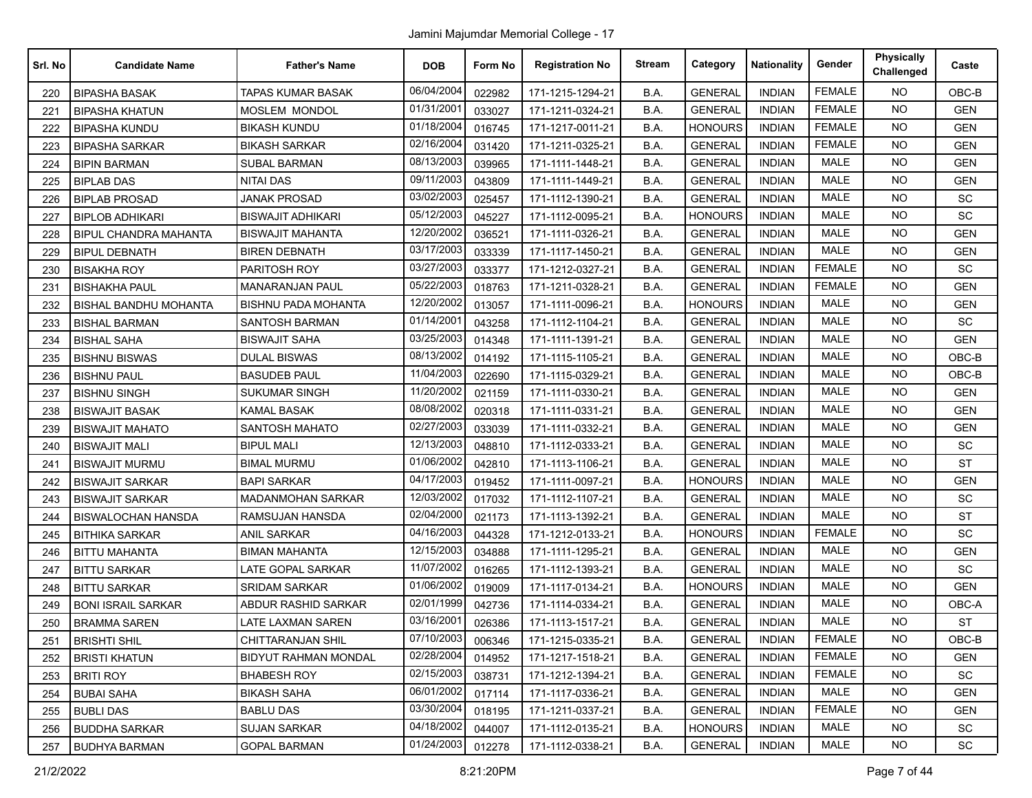| Srl. No | <b>Candidate Name</b>        | <b>Father's Name</b>       | <b>DOB</b> | Form No | <b>Registration No</b> | <b>Stream</b> | Category       | <b>Nationality</b> | Gender        | <b>Physically</b><br>Challenged | Caste      |
|---------|------------------------------|----------------------------|------------|---------|------------------------|---------------|----------------|--------------------|---------------|---------------------------------|------------|
| 220     | <b>BIPASHA BASAK</b>         | <b>TAPAS KUMAR BASAK</b>   | 06/04/2004 | 022982  | 171-1215-1294-21       | B.A.          | <b>GENERAL</b> | <b>INDIAN</b>      | <b>FEMALE</b> | <b>NO</b>                       | OBC-B      |
| 221     | <b>BIPASHA KHATUN</b>        | MOSLEM MONDOL              | 01/31/2001 | 033027  | 171-1211-0324-21       | B.A.          | <b>GENERAL</b> | <b>INDIAN</b>      | <b>FEMALE</b> | <b>NO</b>                       | <b>GEN</b> |
| 222     | <b>BIPASHA KUNDU</b>         | <b>BIKASH KUNDU</b>        | 01/18/2004 | 016745  | 171-1217-0011-21       | B.A.          | <b>HONOURS</b> | <b>INDIAN</b>      | <b>FEMALE</b> | <b>NO</b>                       | <b>GEN</b> |
| 223     | <b>BIPASHA SARKAR</b>        | <b>BIKASH SARKAR</b>       | 02/16/2004 | 031420  | 171-1211-0325-21       | B.A.          | <b>GENERAL</b> | <b>INDIAN</b>      | <b>FEMALE</b> | <b>NO</b>                       | <b>GEN</b> |
| 224     | <b>BIPIN BARMAN</b>          | <b>SUBAL BARMAN</b>        | 08/13/2003 | 039965  | 171-1111-1448-21       | B.A.          | <b>GENERAL</b> | <b>INDIAN</b>      | <b>MALE</b>   | <b>NO</b>                       | <b>GEN</b> |
| 225     | <b>BIPLAB DAS</b>            | <b>NITAI DAS</b>           | 09/11/2003 | 043809  | 171-1111-1449-21       | B.A.          | <b>GENERAL</b> | <b>INDIAN</b>      | <b>MALE</b>   | <b>NO</b>                       | <b>GEN</b> |
| 226     | <b>BIPLAB PROSAD</b>         | <b>JANAK PROSAD</b>        | 03/02/2003 | 025457  | 171-1112-1390-21       | B.A.          | <b>GENERAL</b> | <b>INDIAN</b>      | <b>MALE</b>   | <b>NO</b>                       | <b>SC</b>  |
| 227     | <b>BIPLOB ADHIKARI</b>       | <b>BISWAJIT ADHIKARI</b>   | 05/12/2003 | 045227  | 171-1112-0095-21       | B.A.          | <b>HONOURS</b> | <b>INDIAN</b>      | <b>MALE</b>   | <b>NO</b>                       | <b>SC</b>  |
| 228     | <b>BIPUL CHANDRA MAHANTA</b> | <b>BISWAJIT MAHANTA</b>    | 12/20/2002 | 036521  | 171-1111-0326-21       | B.A.          | <b>GENERAL</b> | <b>INDIAN</b>      | <b>MALE</b>   | <b>NO</b>                       | <b>GEN</b> |
| 229     | <b>BIPUL DEBNATH</b>         | <b>BIREN DEBNATH</b>       | 03/17/2003 | 033339  | 171-1117-1450-21       | B.A.          | <b>GENERAL</b> | <b>INDIAN</b>      | <b>MALE</b>   | <b>NO</b>                       | <b>GEN</b> |
| 230     | <b>BISAKHA ROY</b>           | PARITOSH ROY               | 03/27/2003 | 033377  | 171-1212-0327-21       | B.A.          | <b>GENERAL</b> | <b>INDIAN</b>      | <b>FEMALE</b> | <b>NO</b>                       | <b>SC</b>  |
| 231     | <b>BISHAKHA PAUL</b>         | <b>MANARANJAN PAUL</b>     | 05/22/2003 | 018763  | 171-1211-0328-21       | B.A.          | <b>GENERAL</b> | <b>INDIAN</b>      | <b>FEMALE</b> | <b>NO</b>                       | <b>GEN</b> |
| 232     | <b>BISHAL BANDHU MOHANTA</b> | <b>BISHNU PADA MOHANTA</b> | 12/20/2002 | 013057  | 171-1111-0096-21       | B.A.          | <b>HONOURS</b> | <b>INDIAN</b>      | <b>MALE</b>   | <b>NO</b>                       | <b>GEN</b> |
| 233     | <b>BISHAL BARMAN</b>         | SANTOSH BARMAN             | 01/14/2001 | 043258  | 171-1112-1104-21       | B.A.          | <b>GENERAL</b> | <b>INDIAN</b>      | <b>MALE</b>   | <b>NO</b>                       | <b>SC</b>  |
| 234     | <b>BISHAL SAHA</b>           | <b>BISWAJIT SAHA</b>       | 03/25/2003 | 014348  | 171-1111-1391-21       | B.A.          | <b>GENERAL</b> | <b>INDIAN</b>      | <b>MALE</b>   | NO.                             | <b>GEN</b> |
| 235     | <b>BISHNU BISWAS</b>         | <b>DULAL BISWAS</b>        | 08/13/2002 | 014192  | 171-1115-1105-21       | B.A.          | <b>GENERAL</b> | <b>INDIAN</b>      | <b>MALE</b>   | <b>NO</b>                       | OBC-B      |
| 236     | <b>BISHNU PAUL</b>           | <b>BASUDEB PAUL</b>        | 11/04/2003 | 022690  | 171-1115-0329-21       | B.A.          | <b>GENERAL</b> | <b>INDIAN</b>      | <b>MALE</b>   | <b>NO</b>                       | OBC-B      |
| 237     | <b>BISHNU SINGH</b>          | <b>SUKUMAR SINGH</b>       | 11/20/2002 | 021159  | 171-1111-0330-21       | B.A.          | <b>GENERAL</b> | <b>INDIAN</b>      | <b>MALE</b>   | <b>NO</b>                       | <b>GEN</b> |
| 238     | <b>BISWAJIT BASAK</b>        | <b>KAMAL BASAK</b>         | 08/08/2002 | 020318  | 171-1111-0331-21       | B.A.          | <b>GENERAL</b> | <b>INDIAN</b>      | <b>MALE</b>   | NO.                             | <b>GEN</b> |
| 239     | <b>BISWAJIT MAHATO</b>       | <b>SANTOSH MAHATO</b>      | 02/27/2003 | 033039  | 171-1111-0332-21       | B.A.          | <b>GENERAL</b> | <b>INDIAN</b>      | MALE          | <b>NO</b>                       | <b>GEN</b> |
| 240     | <b>BISWAJIT MALI</b>         | <b>BIPUL MALI</b>          | 12/13/2003 | 048810  | 171-1112-0333-21       | B.A.          | <b>GENERAL</b> | <b>INDIAN</b>      | <b>MALE</b>   | <b>NO</b>                       | <b>SC</b>  |
| 241     | <b>BISWAJIT MURMU</b>        | <b>BIMAL MURMU</b>         | 01/06/2002 | 042810  | 171-1113-1106-21       | B.A.          | <b>GENERAL</b> | <b>INDIAN</b>      | <b>MALE</b>   | <b>NO</b>                       | <b>ST</b>  |
| 242     | <b>BISWAJIT SARKAR</b>       | <b>BAPI SARKAR</b>         | 04/17/2003 | 019452  | 171-1111-0097-21       | B.A.          | <b>HONOURS</b> | <b>INDIAN</b>      | <b>MALE</b>   | NO.                             | <b>GEN</b> |
| 243     | <b>BISWAJIT SARKAR</b>       | <b>MADANMOHAN SARKAR</b>   | 12/03/2002 | 017032  | 171-1112-1107-21       | B.A.          | <b>GENERAL</b> | <b>INDIAN</b>      | <b>MALE</b>   | <b>NO</b>                       | <b>SC</b>  |
| 244     | <b>BISWALOCHAN HANSDA</b>    | RAMSUJAN HANSDA            | 02/04/2000 | 021173  | 171-1113-1392-21       | B.A.          | <b>GENERAL</b> | <b>INDIAN</b>      | <b>MALE</b>   | <b>NO</b>                       | <b>ST</b>  |
| 245     | <b>BITHIKA SARKAR</b>        | ANIL SARKAR                | 04/16/2003 | 044328  | 171-1212-0133-21       | B.A.          | <b>HONOURS</b> | <b>INDIAN</b>      | <b>FEMALE</b> | <b>NO</b>                       | SC         |
| 246     | <b>BITTU MAHANTA</b>         | <b>BIMAN MAHANTA</b>       | 12/15/2003 | 034888  | 171-1111-1295-21       | B.A.          | <b>GENERAL</b> | <b>INDIAN</b>      | <b>MALE</b>   | <b>NO</b>                       | <b>GEN</b> |
| 247     | <b>BITTU SARKAR</b>          | LATE GOPAL SARKAR          | 11/07/2002 | 016265  | 171-1112-1393-21       | B.A.          | <b>GENERAL</b> | <b>INDIAN</b>      | <b>MALE</b>   | <b>NO</b>                       | SC         |
| 248     | <b>BITTU SARKAR</b>          | <b>SRIDAM SARKAR</b>       | 01/06/2002 | 019009  | 171-1117-0134-21       | B.A.          | <b>HONOURS</b> | <b>INDIAN</b>      | <b>MALE</b>   | <b>NO</b>                       | <b>GEN</b> |
| 249     | <b>BONI ISRAIL SARKAR</b>    | ABDUR RASHID SARKAR        | 02/01/1999 | 042736  | 171-1114-0334-21       | B.A.          | <b>GENERAL</b> | <b>INDIAN</b>      | <b>MALE</b>   | <b>NO</b>                       | OBC-A      |
| 250     | <b>BRAMMA SAREN</b>          | LATE LAXMAN SAREN          | 03/16/2001 | 026386  | 171-1113-1517-21       | B.A.          | <b>GENERAL</b> | <b>INDIAN</b>      | <b>MALE</b>   | <b>NO</b>                       | <b>ST</b>  |
| 251     | <b>BRISHTI SHIL</b>          | <b>CHITTARANJAN SHIL</b>   | 07/10/2003 | 006346  | 171-1215-0335-21       | B.A.          | <b>GENERAL</b> | <b>INDIAN</b>      | <b>FEMALE</b> | NO                              | OBC-B      |
| 252     | <b>BRISTI KHATUN</b>         | BIDYUT RAHMAN MONDAL       | 02/28/2004 | 014952  | 171-1217-1518-21       | B.A.          | <b>GENERAL</b> | <b>INDIAN</b>      | <b>FEMALE</b> | <b>NO</b>                       | <b>GEN</b> |
| 253     | <b>BRITI ROY</b>             | <b>BHABESH ROY</b>         | 02/15/2003 | 038731  | 171-1212-1394-21       | B.A.          | <b>GENERAL</b> | <b>INDIAN</b>      | <b>FEMALE</b> | <b>NO</b>                       | SC         |
| 254     | <b>BUBAI SAHA</b>            | <b>BIKASH SAHA</b>         | 06/01/2002 | 017114  | 171-1117-0336-21       | B.A.          | <b>GENERAL</b> | <b>INDIAN</b>      | MALE          | <b>NO</b>                       | <b>GEN</b> |
| 255     | <b>BUBLI DAS</b>             | <b>BABLU DAS</b>           | 03/30/2004 | 018195  | 171-1211-0337-21       | <b>B.A.</b>   | <b>GENERAL</b> | <b>INDIAN</b>      | <b>FEMALE</b> | <b>NO</b>                       | <b>GEN</b> |
| 256     | <b>BUDDHA SARKAR</b>         | <b>SUJAN SARKAR</b>        | 04/18/2002 | 044007  | 171-1112-0135-21       | B.A.          | <b>HONOURS</b> | <b>INDIAN</b>      | MALE          | <b>NO</b>                       | SC         |
| 257     | <b>BUDHYA BARMAN</b>         | <b>GOPAL BARMAN</b>        | 01/24/2003 | 012278  | 171-1112-0338-21       | B.A.          | <b>GENERAL</b> | <b>INDIAN</b>      | MALE          | NO.                             | SC         |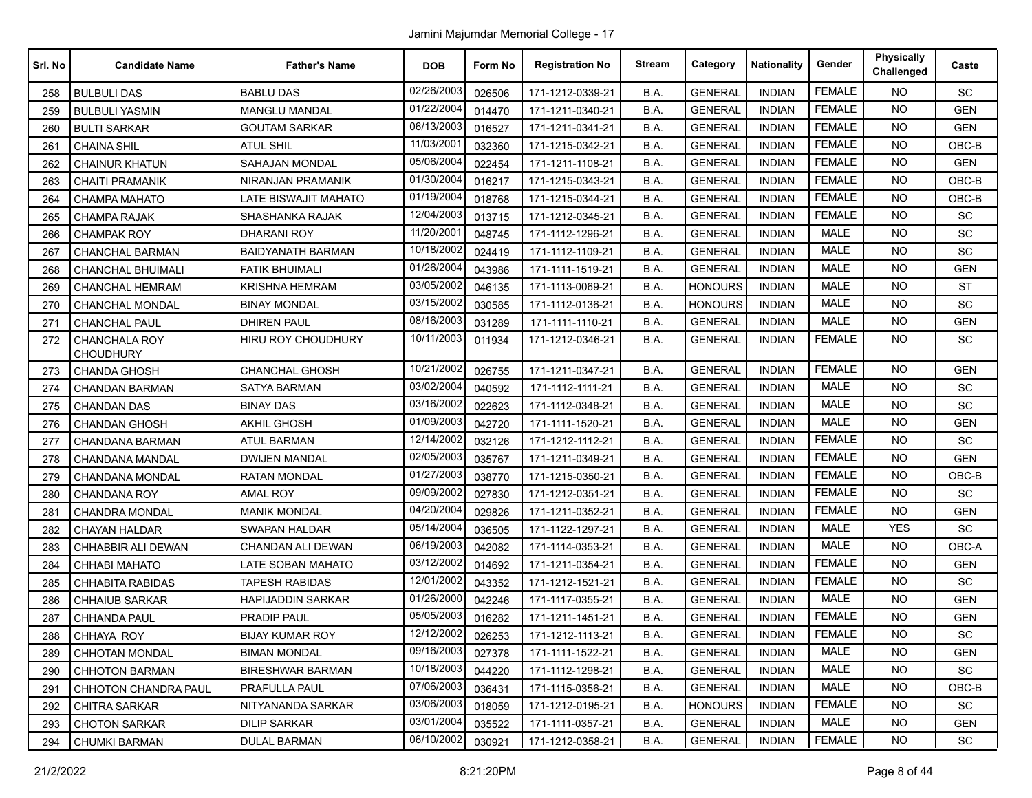| Srl. No | <b>Candidate Name</b>             | <b>Father's Name</b>     | <b>DOB</b> | Form No | <b>Registration No</b> | <b>Stream</b> | Category       | <b>Nationality</b> | Gender        | <b>Physically</b><br>Challenged | Caste      |
|---------|-----------------------------------|--------------------------|------------|---------|------------------------|---------------|----------------|--------------------|---------------|---------------------------------|------------|
| 258     | <b>BULBULI DAS</b>                | <b>BABLU DAS</b>         | 02/26/2003 | 026506  | 171-1212-0339-21       | B.A.          | <b>GENERAL</b> | <b>INDIAN</b>      | <b>FEMALE</b> | <b>NO</b>                       | SC         |
| 259     | <b>BULBULI YASMIN</b>             | <b>MANGLU MANDAL</b>     | 01/22/2004 | 014470  | 171-1211-0340-21       | B.A.          | <b>GENERAL</b> | <b>INDIAN</b>      | <b>FEMALE</b> | <b>NO</b>                       | <b>GEN</b> |
| 260     | <b>BULTI SARKAR</b>               | <b>GOUTAM SARKAR</b>     | 06/13/2003 | 016527  | 171-1211-0341-21       | B.A.          | <b>GENERAL</b> | <b>INDIAN</b>      | <b>FEMALE</b> | <b>NO</b>                       | <b>GEN</b> |
| 261     | <b>CHAINA SHIL</b>                | <b>ATUL SHIL</b>         | 11/03/2001 | 032360  | 171-1215-0342-21       | B.A.          | <b>GENERAL</b> | <b>INDIAN</b>      | <b>FEMALE</b> | NO.                             | OBC-B      |
| 262     | <b>CHAINUR KHATUN</b>             | <b>SAHAJAN MONDAL</b>    | 05/06/2004 | 022454  | 171-1211-1108-21       | B.A.          | <b>GENERAL</b> | INDIAN             | <b>FEMALE</b> | <b>NO</b>                       | <b>GEN</b> |
| 263     | <b>CHAITI PRAMANIK</b>            | NIRANJAN PRAMANIK        | 01/30/2004 | 016217  | 171-1215-0343-21       | B.A.          | <b>GENERAL</b> | <b>INDIAN</b>      | <b>FEMALE</b> | <b>NO</b>                       | OBC-B      |
| 264     | <b>CHAMPA MAHATO</b>              | LATE BISWAJIT MAHATO     | 01/19/2004 | 018768  | 171-1215-0344-21       | B.A.          | <b>GENERAL</b> | <b>INDIAN</b>      | <b>FEMALE</b> | <b>NO</b>                       | OBC-B      |
| 265     | <b>CHAMPA RAJAK</b>               | <b>SHASHANKA RAJAK</b>   | 12/04/2003 | 013715  | 171-1212-0345-21       | B.A.          | <b>GENERAL</b> | <b>INDIAN</b>      | <b>FEMALE</b> | NO.                             | SC         |
| 266     | <b>CHAMPAK ROY</b>                | DHARANI ROY              | 11/20/2001 | 048745  | 171-1112-1296-21       | B.A.          | <b>GENERAL</b> | <b>INDIAN</b>      | <b>MALE</b>   | <b>NO</b>                       | <b>SC</b>  |
| 267     | CHANCHAL BARMAN                   | <b>BAIDYANATH BARMAN</b> | 10/18/2002 | 024419  | 171-1112-1109-21       | B.A.          | <b>GENERAL</b> | <b>INDIAN</b>      | MALE          | NO                              | SC         |
| 268     | <b>CHANCHAL BHUIMALI</b>          | <b>FATIK BHUIMALI</b>    | 01/26/2004 | 043986  | 171-1111-1519-21       | B.A.          | <b>GENERAL</b> | <b>INDIAN</b>      | <b>MALE</b>   | <b>NO</b>                       | <b>GEN</b> |
| 269     | <b>CHANCHAL HEMRAM</b>            | <b>KRISHNA HEMRAM</b>    | 03/05/2002 | 046135  | 171-1113-0069-21       | B.A.          | <b>HONOURS</b> | <b>INDIAN</b>      | <b>MALE</b>   | <b>NO</b>                       | <b>ST</b>  |
| 270     | <b>CHANCHAL MONDAL</b>            | <b>BINAY MONDAL</b>      | 03/15/2002 | 030585  | 171-1112-0136-21       | B.A.          | <b>HONOURS</b> | <b>INDIAN</b>      | <b>MALE</b>   | <b>NO</b>                       | SC         |
| 271     | <b>CHANCHAL PAUL</b>              | <b>DHIREN PAUL</b>       | 08/16/2003 | 031289  | 171-1111-1110-21       | B.A.          | <b>GENERAL</b> | <b>INDIAN</b>      | <b>MALE</b>   | <b>NO</b>                       | <b>GEN</b> |
| 272     | CHANCHALA ROY<br><b>CHOUDHURY</b> | HIRU ROY CHOUDHURY       | 10/11/2003 | 011934  | 171-1212-0346-21       | B.A.          | <b>GENERAL</b> | <b>INDIAN</b>      | <b>FEMALE</b> | NO.                             | SC         |
| 273     | <b>CHANDA GHOSH</b>               | <b>CHANCHAL GHOSH</b>    | 10/21/2002 | 026755  | 171-1211-0347-21       | B.A.          | <b>GENERAL</b> | <b>INDIAN</b>      | <b>FEMALE</b> | <b>NO</b>                       | <b>GEN</b> |
| 274     | <b>CHANDAN BARMAN</b>             | <b>SATYA BARMAN</b>      | 03/02/2004 | 040592  | 171-1112-1111-21       | B.A.          | <b>GENERAL</b> | <b>INDIAN</b>      | <b>MALE</b>   | <b>NO</b>                       | SC         |
| 275     | <b>CHANDAN DAS</b>                | <b>BINAY DAS</b>         | 03/16/2002 | 022623  | 171-1112-0348-21       | B.A.          | <b>GENERAL</b> | <b>INDIAN</b>      | <b>MALE</b>   | <b>NO</b>                       | <b>SC</b>  |
| 276     | <b>CHANDAN GHOSH</b>              | <b>AKHIL GHOSH</b>       | 01/09/2003 | 042720  | 171-1111-1520-21       | B.A.          | <b>GENERAL</b> | <b>INDIAN</b>      | <b>MALE</b>   | <b>NO</b>                       | <b>GEN</b> |
| 277     | CHANDANA BARMAN                   | <b>ATUL BARMAN</b>       | 12/14/2002 | 032126  | 171-1212-1112-21       | B.A.          | <b>GENERAL</b> | INDIAN             | <b>FEMALE</b> | <b>NO</b>                       | SC         |
| 278     | CHANDANA MANDAL                   | <b>DWIJEN MANDAL</b>     | 02/05/2003 | 035767  | 171-1211-0349-21       | B.A.          | <b>GENERAL</b> | <b>INDIAN</b>      | <b>FEMALE</b> | NO                              | <b>GEN</b> |
| 279     | CHANDANA MONDAL                   | <b>RATAN MONDAL</b>      | 01/27/2003 | 038770  | 171-1215-0350-21       | B.A.          | <b>GENERAL</b> | <b>INDIAN</b>      | <b>FEMALE</b> | <b>NO</b>                       | OBC-B      |
| 280     | <b>CHANDANA ROY</b>               | <b>AMAL ROY</b>          | 09/09/2002 | 027830  | 171-1212-0351-21       | B.A.          | <b>GENERAL</b> | <b>INDIAN</b>      | <b>FEMALE</b> | <b>NO</b>                       | <b>SC</b>  |
| 281     | <b>CHANDRA MONDAL</b>             | <b>MANIK MONDAL</b>      | 04/20/2004 | 029826  | 171-1211-0352-21       | B.A.          | <b>GENERAL</b> | <b>INDIAN</b>      | <b>FEMALE</b> | <b>NO</b>                       | <b>GEN</b> |
| 282     | <b>CHAYAN HALDAR</b>              | <b>SWAPAN HALDAR</b>     | 05/14/2004 | 036505  | 171-1122-1297-21       | B.A.          | <b>GENERAL</b> | <b>INDIAN</b>      | <b>MALE</b>   | <b>YES</b>                      | SC         |
| 283     | CHHABBIR ALI DEWAN                | CHANDAN ALI DEWAN        | 06/19/2003 | 042082  | 171-1114-0353-21       | B.A.          | <b>GENERAL</b> | <b>INDIAN</b>      | <b>MALE</b>   | <b>NO</b>                       | OBC-A      |
| 284     | CHHABI MAHATO                     | LATE SOBAN MAHATO        | 03/12/2002 | 014692  | 171-1211-0354-21       | B.A.          | <b>GENERAL</b> | <b>INDIAN</b>      | <b>FEMALE</b> | <b>NO</b>                       | <b>GEN</b> |
| 285     | <b>CHHABITA RABIDAS</b>           | <b>TAPESH RABIDAS</b>    | 12/01/2002 | 043352  | 171-1212-1521-21       | B.A.          | <b>GENERAL</b> | <b>INDIAN</b>      | <b>FEMALE</b> | <b>NO</b>                       | SC         |
| 286     | <b>CHHAIUB SARKAR</b>             | <b>HAPIJADDIN SARKAR</b> | 01/26/2000 | 042246  | 171-1117-0355-21       | B.A.          | <b>GENERAL</b> | <b>INDIAN</b>      | <b>MALE</b>   | <b>NO</b>                       | <b>GEN</b> |
| 287     | <b>CHHANDA PAUL</b>               | PRADIP PAUL              | 05/05/2003 | 016282  | 171-1211-1451-21       | B.A.          | <b>GENERAL</b> | <b>INDIAN</b>      | <b>FEMALE</b> | NO                              | <b>GEN</b> |
| 288     | CHHAYA ROY                        | <b>BIJAY KUMAR ROY</b>   | 12/12/2002 | 026253  | 171-1212-1113-21       | B.A.          | <b>GENERAL</b> | <b>INDIAN</b>      | <b>FEMALE</b> | <b>NO</b>                       | SC         |
| 289     | <b>CHHOTAN MONDAL</b>             | <b>BIMAN MONDAL</b>      | 09/16/2003 | 027378  | 171-1111-1522-21       | B.A.          | <b>GENERAL</b> | INDIAN             | MALE          | NO.                             | GEN        |
| 290     | <b>CHHOTON BARMAN</b>             | <b>BIRESHWAR BARMAN</b>  | 10/18/2003 | 044220  | 171-1112-1298-21       | B.A.          | <b>GENERAL</b> | <b>INDIAN</b>      | MALE          | <b>NO</b>                       | <b>SC</b>  |
| 291     | CHHOTON CHANDRA PAUL              | PRAFULLA PAUL            | 07/06/2003 | 036431  | 171-1115-0356-21       | B.A.          | <b>GENERAL</b> | <b>INDIAN</b>      | <b>MALE</b>   | NO.                             | OBC-B      |
| 292     | <b>CHITRA SARKAR</b>              | NITYANANDA SARKAR        | 03/06/2003 | 018059  | 171-1212-0195-21       | B.A.          | <b>HONOURS</b> | <b>INDIAN</b>      | <b>FEMALE</b> | NO.                             | <b>SC</b>  |
| 293     | <b>CHOTON SARKAR</b>              | <b>DILIP SARKAR</b>      | 03/01/2004 | 035522  | 171-1111-0357-21       | B.A.          | <b>GENERAL</b> | <b>INDIAN</b>      | MALE          | <b>NO</b>                       | <b>GEN</b> |
| 294     | <b>CHUMKI BARMAN</b>              | <b>DULAL BARMAN</b>      | 06/10/2002 | 030921  | 171-1212-0358-21       | B.A.          | <b>GENERAL</b> | <b>INDIAN</b>      | <b>FEMALE</b> | <b>NO</b>                       | SC         |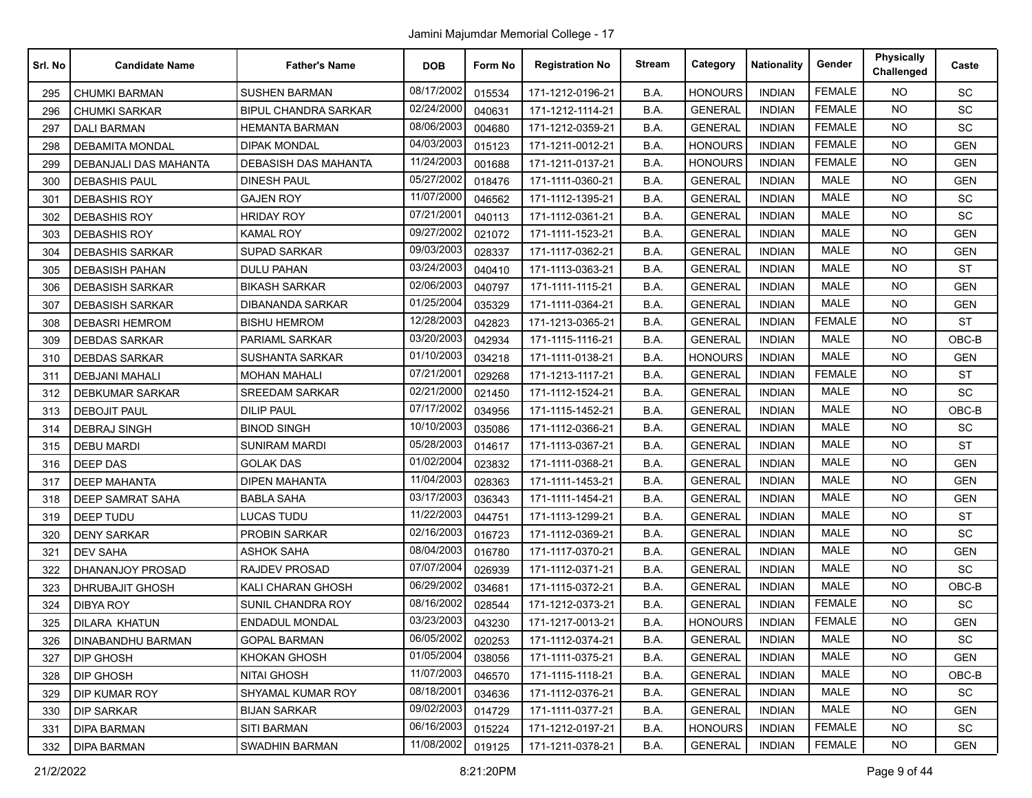| Srl. No | <b>Candidate Name</b>   | <b>Father's Name</b>        | <b>DOB</b> | Form No | <b>Registration No</b> | <b>Stream</b> | Category       | <b>Nationality</b> | Gender        | <b>Physically</b><br>Challenged | Caste      |
|---------|-------------------------|-----------------------------|------------|---------|------------------------|---------------|----------------|--------------------|---------------|---------------------------------|------------|
| 295     | <b>CHUMKI BARMAN</b>    | <b>SUSHEN BARMAN</b>        | 08/17/2002 | 015534  | 171-1212-0196-21       | B.A.          | <b>HONOURS</b> | <b>INDIAN</b>      | <b>FEMALE</b> | <b>NO</b>                       | <b>SC</b>  |
| 296     | <b>CHUMKI SARKAR</b>    | <b>BIPUL CHANDRA SARKAR</b> | 02/24/2000 | 040631  | 171-1212-1114-21       | B.A.          | <b>GENERAL</b> | <b>INDIAN</b>      | <b>FEMALE</b> | <b>NO</b>                       | <b>SC</b>  |
| 297     | <b>DALI BARMAN</b>      | <b>HEMANTA BARMAN</b>       | 08/06/2003 | 004680  | 171-1212-0359-21       | B.A.          | <b>GENERAL</b> | <b>INDIAN</b>      | <b>FEMALE</b> | NO.                             | <b>SC</b>  |
| 298     | <b>DEBAMITA MONDAL</b>  | <b>DIPAK MONDAL</b>         | 04/03/2003 | 015123  | 171-1211-0012-21       | B.A.          | <b>HONOURS</b> | <b>INDIAN</b>      | <b>FEMALE</b> | NO.                             | <b>GEN</b> |
| 299     | DEBANJALI DAS MAHANTA   | DEBASISH DAS MAHANTA        | 11/24/2003 | 001688  | 171-1211-0137-21       | B.A.          | <b>HONOURS</b> | <b>INDIAN</b>      | <b>FEMALE</b> | <b>NO</b>                       | <b>GEN</b> |
| 300     | <b>DEBASHIS PAUL</b>    | DINESH PAUL                 | 05/27/2002 | 018476  | 171-1111-0360-21       | B.A.          | <b>GENERAL</b> | <b>INDIAN</b>      | <b>MALE</b>   | <b>NO</b>                       | <b>GEN</b> |
| 301     | <b>DEBASHIS ROY</b>     | <b>GAJEN ROY</b>            | 11/07/2000 | 046562  | 171-1112-1395-21       | B.A.          | <b>GENERAL</b> | <b>INDIAN</b>      | <b>MALE</b>   | NO.                             | <b>SC</b>  |
| 302     | <b>DEBASHIS ROY</b>     | <b>HRIDAY ROY</b>           | 07/21/2001 | 040113  | 171-1112-0361-21       | B.A.          | <b>GENERAL</b> | <b>INDIAN</b>      | <b>MALE</b>   | NO.                             | <b>SC</b>  |
| 303     | <b>DEBASHIS ROY</b>     | <b>KAMAL ROY</b>            | 09/27/2002 | 021072  | 171-1111-1523-21       | B.A.          | <b>GENERAL</b> | <b>INDIAN</b>      | <b>MALE</b>   | NO.                             | <b>GEN</b> |
| 304     | <b>DEBASHIS SARKAR</b>  | <b>SUPAD SARKAR</b>         | 09/03/2003 | 028337  | 171-1117-0362-21       | B.A.          | <b>GENERAL</b> | <b>INDIAN</b>      | <b>MALE</b>   | NO.                             | <b>GEN</b> |
| 305     | <b>DEBASISH PAHAN</b>   | DULU PAHAN                  | 03/24/2003 | 040410  | 171-1113-0363-21       | B.A.          | <b>GENERAL</b> | INDIAN             | <b>MALE</b>   | NO.                             | <b>ST</b>  |
| 306     | <b>DEBASISH SARKAR</b>  | <b>BIKASH SARKAR</b>        | 02/06/2003 | 040797  | 171-1111-1115-21       | B.A.          | <b>GENERAL</b> | <b>INDIAN</b>      | <b>MALE</b>   | NO.                             | <b>GEN</b> |
| 307     | <b>DEBASISH SARKAR</b>  | DIBANANDA SARKAR            | 01/25/2004 | 035329  | 171-1111-0364-21       | B.A.          | <b>GENERAL</b> | <b>INDIAN</b>      | <b>MALE</b>   | <b>NO</b>                       | <b>GEN</b> |
| 308     | <b>DEBASRI HEMROM</b>   | <b>BISHU HEMROM</b>         | 12/28/2003 | 042823  | 171-1213-0365-21       | B.A.          | <b>GENERAL</b> | <b>INDIAN</b>      | <b>FEMALE</b> | <b>NO</b>                       | <b>ST</b>  |
| 309     | <b>DEBDAS SARKAR</b>    | PARIAML SARKAR              | 03/20/2003 | 042934  | 171-1115-1116-21       | B.A.          | <b>GENERAL</b> | INDIAN             | <b>MALE</b>   | <b>NO</b>                       | OBC-B      |
| 310     | <b>DEBDAS SARKAR</b>    | <b>SUSHANTA SARKAR</b>      | 01/10/2003 | 034218  | 171-1111-0138-21       | B.A.          | <b>HONOURS</b> | <b>INDIAN</b>      | <b>MALE</b>   | NO.                             | <b>GEN</b> |
| 311     | <b>DEBJANI MAHALI</b>   | <b>MOHAN MAHALI</b>         | 07/21/2001 | 029268  | 171-1213-1117-21       | B.A.          | <b>GENERAL</b> | <b>INDIAN</b>      | <b>FEMALE</b> | <b>NO</b>                       | <b>ST</b>  |
| 312     | DEBKUMAR SARKAR         | <b>SREEDAM SARKAR</b>       | 02/21/2000 | 021450  | 171-1112-1524-21       | B.A.          | <b>GENERAL</b> | <b>INDIAN</b>      | <b>MALE</b>   | NO.                             | <b>SC</b>  |
| 313     | <b>DEBOJIT PAUL</b>     | DILIP PAUL                  | 07/17/2002 | 034956  | 171-1115-1452-21       | B.A.          | <b>GENERAL</b> | INDIAN             | <b>MALE</b>   | <b>NO</b>                       | OBC-B      |
| 314     | <b>DEBRAJ SINGH</b>     | <b>BINOD SINGH</b>          | 10/10/2003 | 035086  | 171-1112-0366-21       | B.A.          | <b>GENERAL</b> | <b>INDIAN</b>      | <b>MALE</b>   | <b>NO</b>                       | SC         |
| 315     | <b>DEBU MARDI</b>       | <b>SUNIRAM MARDI</b>        | 05/28/2003 | 014617  | 171-1113-0367-21       | B.A.          | <b>GENERAL</b> | <b>INDIAN</b>      | <b>MALE</b>   | <b>NO</b>                       | <b>ST</b>  |
| 316     | <b>DEEP DAS</b>         | <b>GOLAK DAS</b>            | 01/02/2004 | 023832  | 171-1111-0368-21       | B.A.          | <b>GENERAL</b> | <b>INDIAN</b>      | <b>MALE</b>   | NO.                             | <b>GEN</b> |
| 317     | <b>DEEP MAHANTA</b>     | <b>DIPEN MAHANTA</b>        | 11/04/2003 | 028363  | 171-1111-1453-21       | B.A.          | <b>GENERAL</b> | INDIAN             | <b>MALE</b>   | NO.                             | <b>GEN</b> |
| 318     | <b>DEEP SAMRAT SAHA</b> | <b>BABLA SAHA</b>           | 03/17/2003 | 036343  | 171-1111-1454-21       | B.A.          | <b>GENERAL</b> | <b>INDIAN</b>      | <b>MALE</b>   | <b>NO</b>                       | <b>GEN</b> |
| 319     | <b>DEEP TUDU</b>        | <b>LUCAS TUDU</b>           | 11/22/2003 | 044751  | 171-1113-1299-21       | B.A.          | <b>GENERAL</b> | <b>INDIAN</b>      | <b>MALE</b>   | <b>NO</b>                       | <b>ST</b>  |
| 320     | DENY SARKAR             | PROBIN SARKAR               | 02/16/2003 | 016723  | 171-1112-0369-21       | B.A.          | <b>GENERAL</b> | <b>INDIAN</b>      | <b>MALE</b>   | NO.                             | SC         |
| 321     | <b>DEV SAHA</b>         | ASHOK SAHA                  | 08/04/2003 | 016780  | 171-1117-0370-21       | B.A.          | <b>GENERAL</b> | <b>INDIAN</b>      | <b>MALE</b>   | <b>NO</b>                       | <b>GEN</b> |
| 322     | DHANANJOY PROSAD        | <b>RAJDEV PROSAD</b>        | 07/07/2004 | 026939  | 171-1112-0371-21       | B.A.          | <b>GENERAL</b> | <b>INDIAN</b>      | <b>MALE</b>   | <b>NO</b>                       | SC         |
| 323     | DHRUBAJIT GHOSH         | <b>KALI CHARAN GHOSH</b>    | 06/29/2002 | 034681  | 171-1115-0372-21       | B.A.          | <b>GENERAL</b> | <b>INDIAN</b>      | <b>MALE</b>   | NO.                             | OBC-B      |
| 324     | <b>DIBYA ROY</b>        | SUNIL CHANDRA ROY           | 08/16/2002 | 028544  | 171-1212-0373-21       | B.A.          | <b>GENERAL</b> | <b>INDIAN</b>      | <b>FEMALE</b> | NO.                             | <b>SC</b>  |
| 325     | <b>DILARA KHATUN</b>    | <b>ENDADUL MONDAL</b>       | 03/23/2003 | 043230  | 171-1217-0013-21       | B.A.          | <b>HONOURS</b> | <b>INDIAN</b>      | <b>FEMALE</b> | NO.                             | <b>GEN</b> |
| 326     | DINABANDHU BARMAN       | <b>GOPAL BARMAN</b>         | 06/05/2002 | 020253  | 171-1112-0374-21       | B.A.          | <b>GENERAL</b> | INDIAN             | MALE          | NO.                             | SC         |
| 327     | <b>DIP GHOSH</b>        | <b>KHOKAN GHOSH</b>         | 01/05/2004 | 038056  | 171-1111-0375-21       | B.A.          | <b>GENERAL</b> | <b>INDIAN</b>      | MALE          | NO.                             | <b>GEN</b> |
| 328     | DIP GHOSH               | <b>NITAI GHOSH</b>          | 11/07/2003 | 046570  | 171-1115-1118-21       | B.A.          | <b>GENERAL</b> | <b>INDIAN</b>      | MALE          | <b>NO</b>                       | $OBC-B$    |
| 329     | <b>DIP KUMAR ROY</b>    | SHYAMAL KUMAR ROY           | 08/18/2001 | 034636  | 171-1112-0376-21       | B.A.          | <b>GENERAL</b> | <b>INDIAN</b>      | MALE          | NO.                             | SC         |
| 330     | <b>DIP SARKAR</b>       | <b>BIJAN SARKAR</b>         | 09/02/2003 | 014729  | 171-1111-0377-21       | B.A.          | <b>GENERAL</b> | <b>INDIAN</b>      | MALE          | NO.                             | <b>GEN</b> |
| 331     | DIPA BARMAN             | <b>SITI BARMAN</b>          | 06/16/2003 | 015224  | 171-1212-0197-21       | B.A.          | <b>HONOURS</b> | <b>INDIAN</b>      | <b>FEMALE</b> | NO.                             | SC         |
| 332     | DIPA BARMAN             | <b>SWADHIN BARMAN</b>       | 11/08/2002 | 019125  | 171-1211-0378-21       | B.A.          | <b>GENERAL</b> | INDIAN             | <b>FEMALE</b> | NO.                             | GEN        |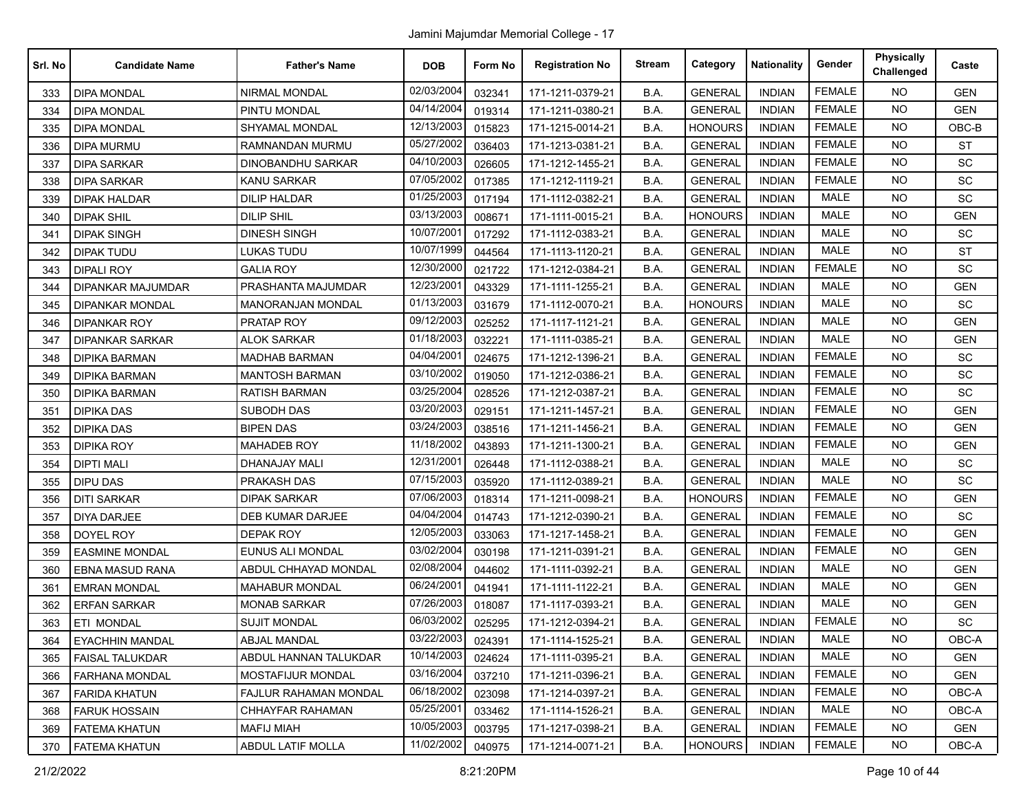| Srl. No | <b>Candidate Name</b>  | <b>Father's Name</b>     | <b>DOB</b> | Form No | <b>Registration No</b> | <b>Stream</b> | Category       | <b>Nationality</b> | Gender        | <b>Physically</b><br>Challenged | Caste      |
|---------|------------------------|--------------------------|------------|---------|------------------------|---------------|----------------|--------------------|---------------|---------------------------------|------------|
| 333     | <b>DIPA MONDAL</b>     | NIRMAL MONDAL            | 02/03/2004 | 032341  | 171-1211-0379-21       | B.A.          | <b>GENERAL</b> | <b>INDIAN</b>      | <b>FEMALE</b> | <b>NO</b>                       | <b>GEN</b> |
| 334     | <b>DIPA MONDAL</b>     | PINTU MONDAL             | 04/14/2004 | 019314  | 171-1211-0380-21       | B.A.          | <b>GENERAL</b> | <b>INDIAN</b>      | <b>FEMALE</b> | <b>NO</b>                       | <b>GEN</b> |
| 335     | <b>DIPA MONDAL</b>     | SHYAMAL MONDAL           | 12/13/2003 | 015823  | 171-1215-0014-21       | B.A.          | <b>HONOURS</b> | <b>INDIAN</b>      | <b>FEMALE</b> | <b>NO</b>                       | OBC-B      |
| 336     | <b>DIPA MURMU</b>      | RAMNANDAN MURMU          | 05/27/2002 | 036403  | 171-1213-0381-21       | B.A.          | <b>GENERAL</b> | <b>INDIAN</b>      | <b>FEMALE</b> | <b>NO</b>                       | <b>ST</b>  |
| 337     | <b>DIPA SARKAR</b>     | DINOBANDHU SARKAR        | 04/10/2003 | 026605  | 171-1212-1455-21       | B.A.          | <b>GENERAL</b> | <b>INDIAN</b>      | <b>FEMALE</b> | <b>NO</b>                       | SC         |
| 338     | <b>DIPA SARKAR</b>     | <b>KANU SARKAR</b>       | 07/05/2002 | 017385  | 171-1212-1119-21       | B.A.          | <b>GENERAL</b> | <b>INDIAN</b>      | <b>FEMALE</b> | <b>NO</b>                       | SC         |
| 339     | DIPAK HALDAR           | DILIP HALDAR             | 01/25/2003 | 017194  | 171-1112-0382-21       | B.A.          | <b>GENERAL</b> | <b>INDIAN</b>      | <b>MALE</b>   | <b>NO</b>                       | SC         |
| 340     | <b>DIPAK SHIL</b>      | <b>DILIP SHIL</b>        | 03/13/2003 | 008671  | 171-1111-0015-21       | B.A.          | <b>HONOURS</b> | <b>INDIAN</b>      | <b>MALE</b>   | <b>NO</b>                       | <b>GEN</b> |
| 341     | <b>DIPAK SINGH</b>     | <b>DINESH SINGH</b>      | 10/07/200  | 017292  | 171-1112-0383-21       | B.A.          | <b>GENERAL</b> | <b>INDIAN</b>      | <b>MALE</b>   | <b>NO</b>                       | <b>SC</b>  |
| 342     | <b>DIPAK TUDU</b>      | <b>LUKAS TUDU</b>        | 10/07/1999 | 044564  | 171-1113-1120-21       | B.A.          | <b>GENERAL</b> | <b>INDIAN</b>      | <b>MALE</b>   | <b>NO</b>                       | <b>ST</b>  |
| 343     | <b>DIPALI ROY</b>      | <b>GALIA ROY</b>         | 12/30/2000 | 021722  | 171-1212-0384-21       | B.A.          | <b>GENERAL</b> | <b>INDIAN</b>      | <b>FEMALE</b> | <b>NO</b>                       | <b>SC</b>  |
| 344     | DIPANKAR MAJUMDAR      | PRASHANTA MAJUMDAR       | 12/23/2001 | 043329  | 171-1111-1255-21       | B.A.          | <b>GENERAL</b> | <b>INDIAN</b>      | <b>MALE</b>   | <b>NO</b>                       | <b>GEN</b> |
| 345     | <b>DIPANKAR MONDAL</b> | <b>MANORANJAN MONDAL</b> | 01/13/2003 | 031679  | 171-1112-0070-21       | B.A.          | <b>HONOURS</b> | <b>INDIAN</b>      | <b>MALE</b>   | <b>NO</b>                       | SC         |
| 346     | <b>DIPANKAR ROY</b>    | PRATAP ROY               | 09/12/2003 | 025252  | 171-1117-1121-21       | B.A.          | <b>GENERAL</b> | <b>INDIAN</b>      | <b>MALE</b>   | <b>NO</b>                       | <b>GEN</b> |
| 347     | <b>DIPANKAR SARKAR</b> | <b>ALOK SARKAR</b>       | 01/18/2003 | 032221  | 171-1111-0385-21       | B.A.          | <b>GENERAL</b> | <b>INDIAN</b>      | <b>MALE</b>   | <b>NO</b>                       | <b>GEN</b> |
| 348     | <b>DIPIKA BARMAN</b>   | <b>MADHAB BARMAN</b>     | 04/04/2001 | 024675  | 171-1212-1396-21       | B.A.          | <b>GENERAL</b> | <b>INDIAN</b>      | <b>FEMALE</b> | <b>NO</b>                       | SC         |
| 349     | DIPIKA BARMAN          | <b>MANTOSH BARMAN</b>    | 03/10/2002 | 019050  | 171-1212-0386-21       | B.A.          | <b>GENERAL</b> | <b>INDIAN</b>      | <b>FEMALE</b> | <b>NO</b>                       | <b>SC</b>  |
| 350     | <b>DIPIKA BARMAN</b>   | <b>RATISH BARMAN</b>     | 03/25/2004 | 028526  | 171-1212-0387-21       | B.A.          | <b>GENERAL</b> | <b>INDIAN</b>      | <b>FEMALE</b> | <b>NO</b>                       | SC         |
| 351     | <b>DIPIKA DAS</b>      | <b>SUBODH DAS</b>        | 03/20/2003 | 029151  | 171-1211-1457-21       | B.A.          | <b>GENERAL</b> | <b>INDIAN</b>      | <b>FEMALE</b> | <b>NO</b>                       | <b>GEN</b> |
| 352     | <b>DIPIKA DAS</b>      | <b>BIPEN DAS</b>         | 03/24/2003 | 038516  | 171-1211-1456-21       | B.A.          | <b>GENERAL</b> | <b>INDIAN</b>      | <b>FEMALE</b> | <b>NO</b>                       | <b>GEN</b> |
| 353     | <b>DIPIKA ROY</b>      | <b>MAHADEB ROY</b>       | 11/18/2002 | 043893  | 171-1211-1300-21       | B.A.          | <b>GENERAL</b> | <b>INDIAN</b>      | <b>FEMALE</b> | <b>NO</b>                       | <b>GEN</b> |
| 354     | <b>DIPTI MALI</b>      | <b>DHANAJAY MALI</b>     | 12/31/2001 | 026448  | 171-1112-0388-21       | B.A.          | <b>GENERAL</b> | <b>INDIAN</b>      | <b>MALE</b>   | <b>NO</b>                       | SC         |
| 355     | <b>DIPU DAS</b>        | PRAKASH DAS              | 07/15/2003 | 035920  | 171-1112-0389-21       | B.A.          | <b>GENERAL</b> | <b>INDIAN</b>      | <b>MALE</b>   | <b>NO</b>                       | <b>SC</b>  |
| 356     | <b>DITI SARKAR</b>     | <b>DIPAK SARKAR</b>      | 07/06/2003 | 018314  | 171-1211-0098-21       | B.A.          | <b>HONOURS</b> | <b>INDIAN</b>      | <b>FEMALE</b> | <b>NO</b>                       | <b>GEN</b> |
| 357     | DIYA DARJEE            | DEB KUMAR DARJEE         | 04/04/2004 | 014743  | 171-1212-0390-21       | B.A.          | <b>GENERAL</b> | <b>INDIAN</b>      | <b>FEMALE</b> | <b>NO</b>                       | SC         |
| 358     | DOYEL ROY              | <b>DEPAK ROY</b>         | 12/05/2003 | 033063  | 171-1217-1458-21       | B.A.          | <b>GENERAL</b> | <b>INDIAN</b>      | <b>FEMALE</b> | <b>NO</b>                       | <b>GEN</b> |
| 359     | <b>EASMINE MONDAL</b>  | <b>EUNUS ALI MONDAL</b>  | 03/02/2004 | 030198  | 171-1211-0391-21       | B.A.          | <b>GENERAL</b> | <b>INDIAN</b>      | <b>FEMALE</b> | NO.                             | <b>GEN</b> |
| 360     | <b>EBNA MASUD RANA</b> | ABDUL CHHAYAD MONDAL     | 02/08/2004 | 044602  | 171-1111-0392-21       | B.A.          | <b>GENERAL</b> | <b>INDIAN</b>      | <b>MALE</b>   | <b>NO</b>                       | <b>GEN</b> |
| 361     | <b>EMRAN MONDAL</b>    | <b>MAHABUR MONDAL</b>    | 06/24/2001 | 041941  | 171-1111-1122-21       | B.A.          | <b>GENERAL</b> | <b>INDIAN</b>      | <b>MALE</b>   | <b>NO</b>                       | <b>GEN</b> |
| 362     | <b>ERFAN SARKAR</b>    | <b>MONAB SARKAR</b>      | 07/26/2003 | 018087  | 171-1117-0393-21       | B.A.          | <b>GENERAL</b> | <b>INDIAN</b>      | <b>MALE</b>   | <b>NO</b>                       | <b>GEN</b> |
| 363     | ETI MONDAL             | <b>SUJIT MONDAL</b>      | 06/03/2002 | 025295  | 171-1212-0394-21       | B.A.          | <b>GENERAL</b> | <b>INDIAN</b>      | <b>FEMALE</b> | <b>NO</b>                       | <b>SC</b>  |
| 364     | <b>EYACHHIN MANDAL</b> | <b>ABJAL MANDAL</b>      | 03/22/2003 | 024391  | 171-1114-1525-21       | B.A.          | <b>GENERAL</b> | <b>INDIAN</b>      | MALE          | <b>NO</b>                       | OBC-A      |
| 365     | FAISAL TALUKDAR        | ABDUL HANNAN TALUKDAR    | 10/14/2003 | 024624  | 171-1111-0395-21       | B.A.          | <b>GENERAL</b> | <b>INDIAN</b>      | <b>MALE</b>   | <b>NO</b>                       | <b>GEN</b> |
| 366     | <b>FARHANA MONDAL</b>  | <b>MOSTAFIJUR MONDAL</b> | 03/16/2004 | 037210  | 171-1211-0396-21       | B.A.          | <b>GENERAL</b> | <b>INDIAN</b>      | <b>FEMALE</b> | <b>NO</b>                       | <b>GEN</b> |
| 367     | <b>FARIDA KHATUN</b>   | FAJLUR RAHAMAN MONDAL    | 06/18/2002 | 023098  | 171-1214-0397-21       | B.A.          | <b>GENERAL</b> | <b>INDIAN</b>      | <b>FEMALE</b> | <b>NO</b>                       | OBC-A      |
| 368     | <b>FARUK HOSSAIN</b>   | CHHAYFAR RAHAMAN         | 05/25/2001 | 033462  | 171-1114-1526-21       | B.A.          | <b>GENERAL</b> | <b>INDIAN</b>      | MALE          | <b>NO</b>                       | OBC-A      |
| 369     | <b>FATEMA KHATUN</b>   | MAFIJ MIAH               | 10/05/2003 | 003795  | 171-1217-0398-21       | B.A.          | <b>GENERAL</b> | <b>INDIAN</b>      | <b>FEMALE</b> | <b>NO</b>                       | <b>GEN</b> |
| 370     | <b>FATEMA KHATUN</b>   | <b>ABDUL LATIF MOLLA</b> | 11/02/2002 | 040975  | 171-1214-0071-21       | B.A.          | <b>HONOURS</b> | <b>INDIAN</b>      | <b>FEMALE</b> | NO.                             | OBC-A      |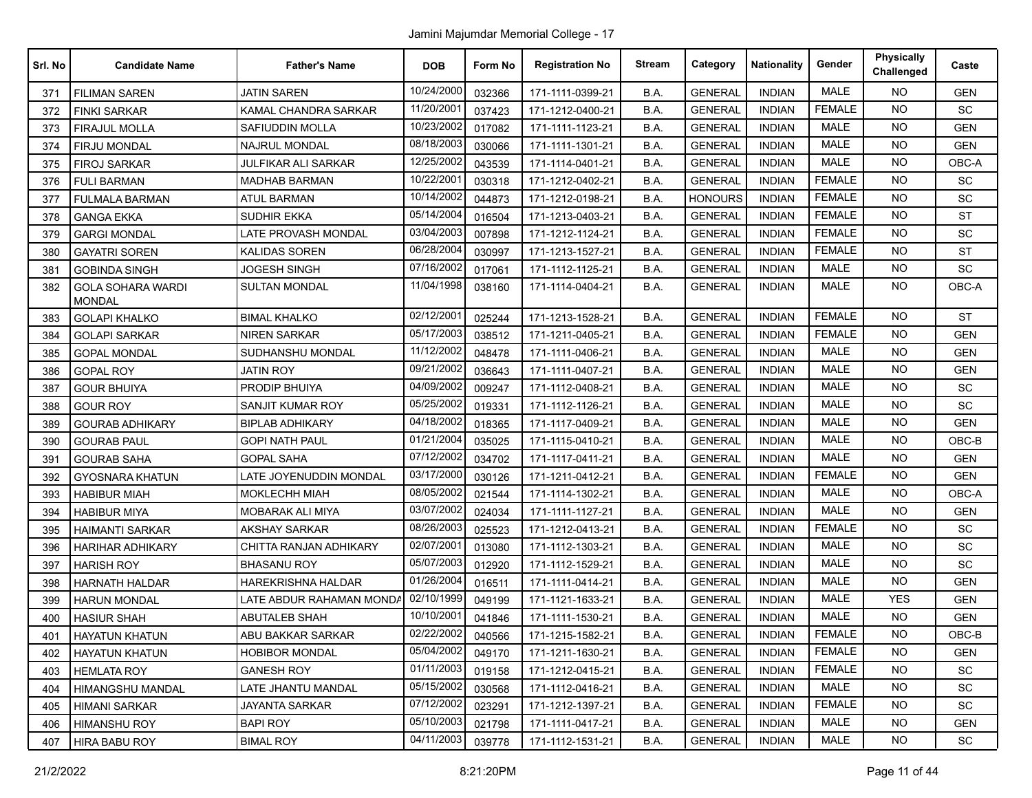| Srl. No | <b>Candidate Name</b>                     | <b>Father's Name</b>      | <b>DOB</b> | Form No | <b>Registration No</b> | <b>Stream</b> | Category       | <b>Nationality</b> | Gender        | <b>Physically</b><br>Challenged | Caste      |
|---------|-------------------------------------------|---------------------------|------------|---------|------------------------|---------------|----------------|--------------------|---------------|---------------------------------|------------|
| 371     | <b>FILIMAN SAREN</b>                      | <b>JATIN SAREN</b>        | 10/24/2000 | 032366  | 171-1111-0399-21       | B.A.          | <b>GENERAL</b> | <b>INDIAN</b>      | <b>MALE</b>   | <b>NO</b>                       | <b>GEN</b> |
| 372     | <b>FINKI SARKAR</b>                       | KAMAL CHANDRA SARKAR      | 11/20/2001 | 037423  | 171-1212-0400-21       | B.A.          | <b>GENERAL</b> | <b>INDIAN</b>      | <b>FEMALE</b> | <b>NO</b>                       | <b>SC</b>  |
| 373     | <b>FIRAJUL MOLLA</b>                      | SAFIUDDIN MOLLA           | 10/23/2002 | 017082  | 171-1111-1123-21       | B.A.          | <b>GENERAL</b> | <b>INDIAN</b>      | <b>MALE</b>   | <b>NO</b>                       | <b>GEN</b> |
| 374     | FIRJU MONDAL                              | NAJRUL MONDAL             | 08/18/2003 | 030066  | 171-1111-1301-21       | B.A.          | <b>GENERAL</b> | <b>INDIAN</b>      | <b>MALE</b>   | NO.                             | <b>GEN</b> |
| 375     | <b>FIROJ SARKAR</b>                       | JULFIKAR ALI SARKAR       | 12/25/2002 | 043539  | 171-1114-0401-21       | B.A.          | <b>GENERAL</b> | <b>INDIAN</b>      | <b>MALE</b>   | <b>NO</b>                       | OBC-A      |
| 376     | <b>FULI BARMAN</b>                        | <b>MADHAB BARMAN</b>      | 10/22/2001 | 030318  | 171-1212-0402-21       | B.A.          | <b>GENERAL</b> | <b>INDIAN</b>      | <b>FEMALE</b> | <b>NO</b>                       | SC         |
| 377     | <b>FULMALA BARMAN</b>                     | <b>ATUL BARMAN</b>        | 10/14/2002 | 044873  | 171-1212-0198-21       | B.A.          | <b>HONOURS</b> | <b>INDIAN</b>      | <b>FEMALE</b> | <b>NO</b>                       | SC         |
| 378     | <b>GANGA EKKA</b>                         | SUDHIR EKKA               | 05/14/2004 | 016504  | 171-1213-0403-21       | B.A.          | <b>GENERAL</b> | <b>INDIAN</b>      | <b>FEMALE</b> | <b>NO</b>                       | <b>ST</b>  |
| 379     | <b>GARGI MONDAL</b>                       | LATE PROVASH MONDAL       | 03/04/2003 | 007898  | 171-1212-1124-21       | B.A.          | <b>GENERAL</b> | <b>INDIAN</b>      | <b>FEMALE</b> | <b>NO</b>                       | SC         |
| 380     | <b>GAYATRI SOREN</b>                      | KALIDAS SOREN             | 06/28/2004 | 030997  | 171-1213-1527-21       | B.A.          | <b>GENERAL</b> | <b>INDIAN</b>      | <b>FEMALE</b> | <b>NO</b>                       | <b>ST</b>  |
| 381     | <b>GOBINDA SINGH</b>                      | JOGESH SINGH              | 07/16/2002 | 017061  | 171-1112-1125-21       | B.A.          | <b>GENERAL</b> | <b>INDIAN</b>      | <b>MALE</b>   | <b>NO</b>                       | <b>SC</b>  |
| 382     | <b>GOLA SOHARA WARDI</b><br><b>MONDAL</b> | <b>SULTAN MONDAL</b>      | 11/04/1998 | 038160  | 171-1114-0404-21       | B.A.          | <b>GENERAL</b> | <b>INDIAN</b>      | <b>MALE</b>   | <b>NO</b>                       | OBC-A      |
| 383     | <b>GOLAPI KHALKO</b>                      | <b>BIMAL KHALKO</b>       | 02/12/2001 | 025244  | 171-1213-1528-21       | B.A.          | <b>GENERAL</b> | <b>INDIAN</b>      | <b>FEMALE</b> | <b>NO</b>                       | <b>ST</b>  |
| 384     | <b>GOLAPI SARKAR</b>                      | <b>NIREN SARKAR</b>       | 05/17/2003 | 038512  | 171-1211-0405-21       | B.A.          | <b>GENERAL</b> | <b>INDIAN</b>      | <b>FEMALE</b> | <b>NO</b>                       | <b>GEN</b> |
| 385     | <b>GOPAL MONDAL</b>                       | SUDHANSHU MONDAL          | 11/12/2002 | 048478  | 171-1111-0406-21       | B.A.          | <b>GENERAL</b> | <b>INDIAN</b>      | <b>MALE</b>   | <b>NO</b>                       | <b>GEN</b> |
| 386     | <b>GOPAL ROY</b>                          | JATIN ROY                 | 09/21/2002 | 036643  | 171-1111-0407-21       | B.A.          | <b>GENERAL</b> | <b>INDIAN</b>      | <b>MALE</b>   | <b>NO</b>                       | <b>GEN</b> |
| 387     | <b>GOUR BHUIYA</b>                        | PRODIP BHUIYA             | 04/09/2002 | 009247  | 171-1112-0408-21       | B.A.          | <b>GENERAL</b> | <b>INDIAN</b>      | <b>MALE</b>   | NO.                             | SC         |
| 388     | <b>GOUR ROY</b>                           | SANJIT KUMAR ROY          | 05/25/2002 | 019331  | 171-1112-1126-21       | B.A.          | <b>GENERAL</b> | <b>INDIAN</b>      | <b>MALE</b>   | <b>NO</b>                       | SC         |
| 389     | <b>GOURAB ADHIKARY</b>                    | <b>BIPLAB ADHIKARY</b>    | 04/18/2002 | 018365  | 171-1117-0409-21       | B.A.          | <b>GENERAL</b> | <b>INDIAN</b>      | <b>MALE</b>   | <b>NO</b>                       | <b>GEN</b> |
| 390     | <b>GOURAB PAUL</b>                        | GOPI NATH PAUL            | 01/21/2004 | 035025  | 171-1115-0410-21       | B.A.          | <b>GENERAL</b> | <b>INDIAN</b>      | <b>MALE</b>   | <b>NO</b>                       | OBC-B      |
| 391     | <b>GOURAB SAHA</b>                        | <b>GOPAL SAHA</b>         | 07/12/2002 | 034702  | 171-1117-0411-21       | B.A.          | <b>GENERAL</b> | <b>INDIAN</b>      | <b>MALE</b>   | <b>NO</b>                       | <b>GEN</b> |
| 392     | <b>GYOSNARA KHATUN</b>                    | LATE JOYENUDDIN MONDAL    | 03/17/2000 | 030126  | 171-1211-0412-21       | B.A.          | <b>GENERAL</b> | <b>INDIAN</b>      | <b>FEMALE</b> | <b>NO</b>                       | <b>GEN</b> |
| 393     | <b>HABIBUR MIAH</b>                       | <b>MOKLECHH MIAH</b>      | 08/05/2002 | 021544  | 171-1114-1302-21       | B.A.          | <b>GENERAL</b> | <b>INDIAN</b>      | <b>MALE</b>   | <b>NO</b>                       | OBC-A      |
| 394     | <b>HABIBUR MIYA</b>                       | MOBARAK ALI MIYA          | 03/07/2002 | 024034  | 171-1111-1127-21       | B.A.          | <b>GENERAL</b> | <b>INDIAN</b>      | <b>MALE</b>   | <b>NO</b>                       | <b>GEN</b> |
| 395     | <b>HAIMANTI SARKAR</b>                    | <b>AKSHAY SARKAR</b>      | 08/26/2003 | 025523  | 171-1212-0413-21       | B.A.          | <b>GENERAL</b> | <b>INDIAN</b>      | <b>FEMALE</b> | <b>NO</b>                       | SC         |
| 396     | <b>HARIHAR ADHIKARY</b>                   | CHITTA RANJAN ADHIKARY    | 02/07/2001 | 013080  | 171-1112-1303-21       | B.A.          | <b>GENERAL</b> | <b>INDIAN</b>      | <b>MALE</b>   | <b>NO</b>                       | <b>SC</b>  |
| 397     | <b>HARISH ROY</b>                         | <b>BHASANU ROY</b>        | 05/07/2003 | 012920  | 171-1112-1529-21       | B.A.          | <b>GENERAL</b> | <b>INDIAN</b>      | <b>MALE</b>   | <b>NO</b>                       | <b>SC</b>  |
| 398     | <b>HARNATH HALDAR</b>                     | <b>HAREKRISHNA HALDAR</b> | 01/26/2004 | 016511  | 171-1111-0414-21       | B.A.          | <b>GENERAL</b> | <b>INDIAN</b>      | <b>MALE</b>   | NO.                             | <b>GEN</b> |
| 399     | <b>HARUN MONDAL</b>                       | LATE ABDUR RAHAMAN MONDA  | 02/10/1999 | 049199  | 171-1121-1633-21       | B.A.          | <b>GENERAL</b> | <b>INDIAN</b>      | <b>MALE</b>   | <b>YES</b>                      | <b>GEN</b> |
| 400     | <b>HASIUR SHAH</b>                        | <b>ABUTALEB SHAH</b>      | 10/10/2001 | 041846  | 171-1111-1530-21       | B.A.          | <b>GENERAL</b> | <b>INDIAN</b>      | <b>MALE</b>   | <b>NO</b>                       | <b>GEN</b> |
| 401     | HAYATUN KHATUN                            | ABU BAKKAR SARKAR         | 02/22/2002 | 040566  | 171-1215-1582-21       | B.A.          | <b>GENERAL</b> | <b>INDIAN</b>      | FEMALE        | <b>NO</b>                       | OBC-B      |
| 402     | <b>HAYATUN KHATUN</b>                     | <b>HOBIBOR MONDAL</b>     | 05/04/2002 | 049170  | 171-1211-1630-21       | B.A.          | <b>GENERAL</b> | <b>INDIAN</b>      | <b>FEMALE</b> | NO.                             | <b>GEN</b> |
| 403     | <b>HEMLATA ROY</b>                        | <b>GANESH ROY</b>         | 01/11/2003 | 019158  | 171-1212-0415-21       | B.A.          | <b>GENERAL</b> | <b>INDIAN</b>      | <b>FEMALE</b> | <b>NO</b>                       | <b>SC</b>  |
| 404     | HIMANGSHU MANDAL                          | LATE JHANTU MANDAL        | 05/15/2002 | 030568  | 171-1112-0416-21       | B.A.          | <b>GENERAL</b> | <b>INDIAN</b>      | MALE          | NO.                             | <b>SC</b>  |
| 405     | <b>HIMANI SARKAR</b>                      | JAYANTA SARKAR            | 07/12/2002 | 023291  | 171-1212-1397-21       | B.A.          | <b>GENERAL</b> | <b>INDIAN</b>      | <b>FEMALE</b> | <b>NO</b>                       | SC         |
| 406     | <b>HIMANSHU ROY</b>                       | <b>BAPI ROY</b>           | 05/10/2003 | 021798  | 171-1111-0417-21       | B.A.          | <b>GENERAL</b> | <b>INDIAN</b>      | MALE          | <b>NO</b>                       | <b>GEN</b> |
| 407     | <b>HIRA BABU ROY</b>                      | <b>BIMAL ROY</b>          | 04/11/2003 | 039778  | 171-1112-1531-21       | B.A.          | <b>GENERAL</b> | <b>INDIAN</b>      | MALE          | NO.                             | SC         |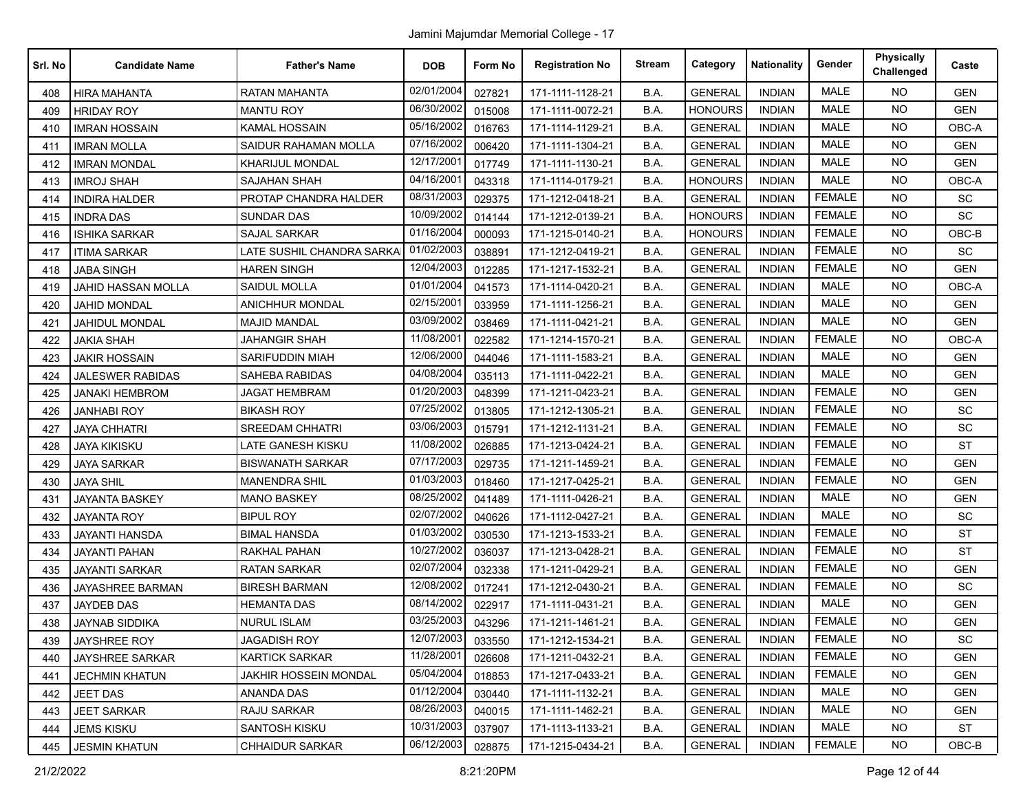| Srl. No | <b>Candidate Name</b>     | <b>Father's Name</b>       | <b>DOB</b> | Form No | <b>Registration No</b> | <b>Stream</b> | Category       | <b>Nationality</b> | Gender        | <b>Physically</b><br>Challenged | Caste      |
|---------|---------------------------|----------------------------|------------|---------|------------------------|---------------|----------------|--------------------|---------------|---------------------------------|------------|
| 408     | <b>HIRA MAHANTA</b>       | <b>RATAN MAHANTA</b>       | 02/01/2004 | 027821  | 171-1111-1128-21       | B.A.          | <b>GENERAL</b> | <b>INDIAN</b>      | <b>MALE</b>   | <b>NO</b>                       | <b>GEN</b> |
| 409     | <b>HRIDAY ROY</b>         | <b>MANTU ROY</b>           | 06/30/2002 | 015008  | 171-1111-0072-21       | B.A.          | <b>HONOURS</b> | <b>INDIAN</b>      | <b>MALE</b>   | <b>NO</b>                       | <b>GEN</b> |
| 410     | <b>IMRAN HOSSAIN</b>      | <b>KAMAL HOSSAIN</b>       | 05/16/2002 | 016763  | 171-1114-1129-21       | B.A.          | <b>GENERAL</b> | <b>INDIAN</b>      | MALE          | <b>NO</b>                       | OBC-A      |
| 411     | <b>IMRAN MOLLA</b>        | SAIDUR RAHAMAN MOLLA       | 07/16/2002 | 006420  | 171-1111-1304-21       | B.A.          | <b>GENERAL</b> | <b>INDIAN</b>      | <b>MALE</b>   | <b>NO</b>                       | <b>GEN</b> |
| 412     | <b>IMRAN MONDAL</b>       | <b>KHARIJUL MONDAL</b>     | 12/17/2001 | 017749  | 171-1111-1130-21       | B.A.          | <b>GENERAL</b> | <b>INDIAN</b>      | <b>MALE</b>   | <b>NO</b>                       | <b>GEN</b> |
| 413     | <b>IMROJ SHAH</b>         | <b>SAJAHAN SHAH</b>        | 04/16/2001 | 043318  | 171-1114-0179-21       | B.A.          | <b>HONOURS</b> | <b>INDIAN</b>      | <b>MALE</b>   | <b>NO</b>                       | OBC-A      |
| 414     | <b>INDIRA HALDER</b>      | PROTAP CHANDRA HALDER      | 08/31/2003 | 029375  | 171-1212-0418-21       | B.A.          | <b>GENERAL</b> | <b>INDIAN</b>      | <b>FEMALE</b> | <b>NO</b>                       | <b>SC</b>  |
| 415     | <b>INDRA DAS</b>          | <b>SUNDAR DAS</b>          | 10/09/2002 | 014144  | 171-1212-0139-21       | B.A.          | <b>HONOURS</b> | <b>INDIAN</b>      | <b>FEMALE</b> | <b>NO</b>                       | SC         |
| 416     | <b>ISHIKA SARKAR</b>      | <b>SAJAL SARKAR</b>        | 01/16/2004 | 000093  | 171-1215-0140-21       | B.A.          | <b>HONOURS</b> | <b>INDIAN</b>      | <b>FEMALE</b> | <b>NO</b>                       | $OBC-B$    |
| 417     | <b>ITIMA SARKAR</b>       | LATE SUSHIL CHANDRA SARKAI | 01/02/2003 | 038891  | 171-1212-0419-21       | B.A.          | <b>GENERAL</b> | <b>INDIAN</b>      | <b>FEMALE</b> | <b>NO</b>                       | <b>SC</b>  |
| 418     | <b>JABA SINGH</b>         | <b>HAREN SINGH</b>         | 12/04/2003 | 012285  | 171-1217-1532-21       | B.A.          | <b>GENERAL</b> | <b>INDIAN</b>      | <b>FEMALE</b> | <b>NO</b>                       | <b>GEN</b> |
| 419     | <b>JAHID HASSAN MOLLA</b> | SAIDUL MOLLA               | 01/01/2004 | 041573  | 171-1114-0420-21       | B.A.          | <b>GENERAL</b> | <b>INDIAN</b>      | <b>MALE</b>   | <b>NO</b>                       | OBC-A      |
| 420     | <b>JAHID MONDAL</b>       | ANICHHUR MONDAL            | 02/15/2001 | 033959  | 171-1111-1256-21       | B.A.          | <b>GENERAL</b> | <b>INDIAN</b>      | MALE          | <b>NO</b>                       | <b>GEN</b> |
| 421     | <b>JAHIDUL MONDAL</b>     | <b>MAJID MANDAL</b>        | 03/09/2002 | 038469  | 171-1111-0421-21       | B.A.          | <b>GENERAL</b> | <b>INDIAN</b>      | <b>MALE</b>   | <b>NO</b>                       | <b>GEN</b> |
| 422     | <b>JAKIA SHAH</b>         | <b>JAHANGIR SHAH</b>       | 11/08/2001 | 022582  | 171-1214-1570-21       | B.A.          | <b>GENERAL</b> | <b>INDIAN</b>      | <b>FEMALE</b> | <b>NO</b>                       | OBC-A      |
| 423     | <b>JAKIR HOSSAIN</b>      | <b>SARIFUDDIN MIAH</b>     | 12/06/2000 | 044046  | 171-1111-1583-21       | B.A.          | <b>GENERAL</b> | <b>INDIAN</b>      | <b>MALE</b>   | <b>NO</b>                       | <b>GEN</b> |
| 424     | <b>JALESWER RABIDAS</b>   | <b>SAHEBA RABIDAS</b>      | 04/08/2004 | 035113  | 171-1111-0422-21       | B.A.          | <b>GENERAL</b> | <b>INDIAN</b>      | MALE          | <b>NO</b>                       | <b>GEN</b> |
| 425     | <b>JANAKI HEMBROM</b>     | <b>JAGAT HEMBRAM</b>       | 01/20/2003 | 048399  | 171-1211-0423-21       | B.A.          | <b>GENERAL</b> | <b>INDIAN</b>      | <b>FEMALE</b> | <b>NO</b>                       | <b>GEN</b> |
| 426     | <b>JANHABI ROY</b>        | <b>BIKASH ROY</b>          | 07/25/2002 | 013805  | 171-1212-1305-21       | B.A.          | <b>GENERAL</b> | <b>INDIAN</b>      | <b>FEMALE</b> | <b>NO</b>                       | <b>SC</b>  |
| 427     | <b>JAYA CHHATRI</b>       | <b>SREEDAM CHHATRI</b>     | 03/06/2003 | 015791  | 171-1212-1131-21       | B.A.          | <b>GENERAL</b> | <b>INDIAN</b>      | <b>FEMALE</b> | <b>NO</b>                       | SC         |
| 428     | <b>JAYA KIKISKU</b>       | LATE GANESH KISKU          | 11/08/2002 | 026885  | 171-1213-0424-21       | B.A.          | <b>GENERAL</b> | <b>INDIAN</b>      | <b>FEMALE</b> | <b>NO</b>                       | <b>ST</b>  |
| 429     | <b>JAYA SARKAR</b>        | <b>BISWANATH SARKAR</b>    | 07/17/2003 | 029735  | 171-1211-1459-21       | B.A.          | <b>GENERAL</b> | <b>INDIAN</b>      | <b>FEMALE</b> | <b>NO</b>                       | <b>GEN</b> |
| 430     | <b>JAYA SHIL</b>          | <b>MANENDRA SHIL</b>       | 01/03/2003 | 018460  | 171-1217-0425-21       | B.A.          | <b>GENERAL</b> | <b>INDIAN</b>      | <b>FEMALE</b> | <b>NO</b>                       | <b>GEN</b> |
| 431     | <b>JAYANTA BASKEY</b>     | <b>MANO BASKEY</b>         | 08/25/2002 | 041489  | 171-1111-0426-21       | B.A.          | <b>GENERAL</b> | <b>INDIAN</b>      | <b>MALE</b>   | <b>NO</b>                       | <b>GEN</b> |
| 432     | <b>JAYANTA ROY</b>        | <b>BIPUL ROY</b>           | 02/07/2002 | 040626  | 171-1112-0427-21       | B.A.          | <b>GENERAL</b> | <b>INDIAN</b>      | <b>MALE</b>   | <b>NO</b>                       | SC         |
| 433     | <b>JAYANTI HANSDA</b>     | <b>BIMAL HANSDA</b>        | 01/03/2002 | 030530  | 171-1213-1533-21       | B.A.          | <b>GENERAL</b> | <b>INDIAN</b>      | <b>FEMALE</b> | <b>NO</b>                       | <b>ST</b>  |
| 434     | <b>JAYANTI PAHAN</b>      | <b>RAKHAL PAHAN</b>        | 10/27/2002 | 036037  | 171-1213-0428-21       | B.A.          | <b>GENERAL</b> | <b>INDIAN</b>      | <b>FEMALE</b> | <b>NO</b>                       | <b>ST</b>  |
| 435     | <b>JAYANTI SARKAR</b>     | <b>RATAN SARKAR</b>        | 02/07/2004 | 032338  | 171-1211-0429-21       | B.A.          | <b>GENERAL</b> | <b>INDIAN</b>      | <b>FEMALE</b> | <b>NO</b>                       | <b>GEN</b> |
| 436     | JAYASHREE BARMAN          | <b>BIRESH BARMAN</b>       | 12/08/2002 | 017241  | 171-1212-0430-21       | B.A.          | <b>GENERAL</b> | <b>INDIAN</b>      | <b>FEMALE</b> | <b>NO</b>                       | SC         |
| 437     | <b>JAYDEB DAS</b>         | HEMANTA DAS                | 08/14/2002 | 022917  | 171-1111-0431-21       | B.A.          | <b>GENERAL</b> | <b>INDIAN</b>      | <b>MALE</b>   | <b>NO</b>                       | <b>GEN</b> |
| 438     | <b>JAYNAB SIDDIKA</b>     | <b>NURUL ISLAM</b>         | 03/25/2003 | 043296  | 171-1211-1461-21       | B.A.          | <b>GENERAL</b> | <b>INDIAN</b>      | <b>FEMALE</b> | <b>NO</b>                       | <b>GEN</b> |
| 439     | JAYSHREE ROY              | <b>JAGADISH ROY</b>        | 12/07/2003 | 033550  | 171-1212-1534-21       | B.A.          | <b>GENERAL</b> | <b>INDIAN</b>      | <b>FEMALE</b> | NO                              | SC         |
| 440     | JAYSHREE SARKAR           | <b>KARTICK SARKAR</b>      | 11/28/2001 | 026608  | 171-1211-0432-21       | B.A.          | <b>GENERAL</b> | <b>INDIAN</b>      | <b>FEMALE</b> | <b>NO</b>                       | <b>GEN</b> |
| 441     | <b>JECHMIN KHATUN</b>     | JAKHIR HOSSEIN MONDAL      | 05/04/2004 | 018853  | 171-1217-0433-21       | B.A.          | <b>GENERAL</b> | <b>INDIAN</b>      | <b>FEMALE</b> | <b>NO</b>                       | <b>GEN</b> |
| 442     | <b>JEET DAS</b>           | <b>ANANDA DAS</b>          | 01/12/2004 | 030440  | 171-1111-1132-21       | B.A.          | <b>GENERAL</b> | <b>INDIAN</b>      | MALE          | <b>NO</b>                       | <b>GEN</b> |
| 443     | <b>JEET SARKAR</b>        | RAJU SARKAR                | 08/26/2003 | 040015  | 171-1111-1462-21       | B.A.          | <b>GENERAL</b> | <b>INDIAN</b>      | MALE          | <b>NO</b>                       | <b>GEN</b> |
| 444     | <b>JEMS KISKU</b>         | SANTOSH KISKU              | 10/31/2003 | 037907  | 171-1113-1133-21       | B.A.          | <b>GENERAL</b> | <b>INDIAN</b>      | MALE          | <b>NO</b>                       | <b>ST</b>  |
| 445     | <b>JESMIN KHATUN</b>      | <b>CHHAIDUR SARKAR</b>     | 06/12/2003 | 028875  | 171-1215-0434-21       | B.A.          | <b>GENERAL</b> | <b>INDIAN</b>      | <b>FEMALE</b> | NO.                             | OBC-B      |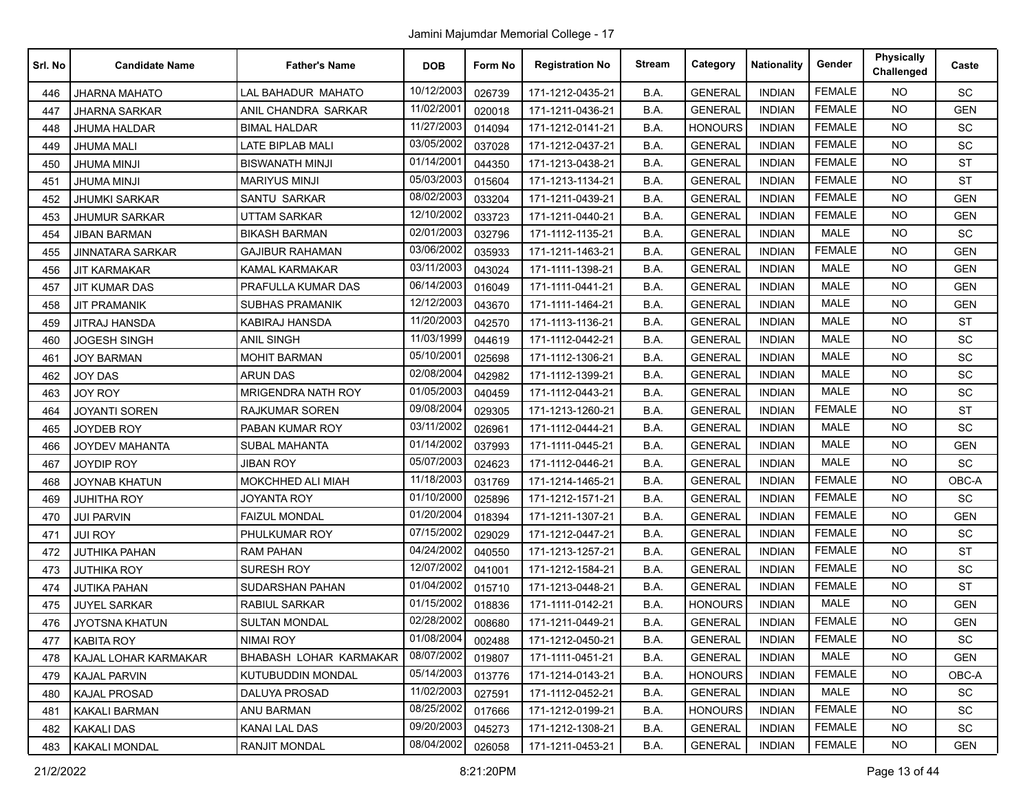| Srl. No | <b>Candidate Name</b> | <b>Father's Name</b>      | <b>DOB</b> | Form No | <b>Registration No</b> | <b>Stream</b> | Category       | <b>Nationality</b> | Gender        | <b>Physically</b><br>Challenged | Caste      |
|---------|-----------------------|---------------------------|------------|---------|------------------------|---------------|----------------|--------------------|---------------|---------------------------------|------------|
| 446     | <b>JHARNA MAHATO</b>  | <b>LAL BAHADUR MAHATO</b> | 10/12/2003 | 026739  | 171-1212-0435-21       | B.A.          | <b>GENERAL</b> | <b>INDIAN</b>      | <b>FEMALE</b> | <b>NO</b>                       | SC         |
| 447     | <b>JHARNA SARKAR</b>  | ANIL CHANDRA SARKAR       | 11/02/2001 | 020018  | 171-1211-0436-21       | B.A.          | <b>GENERAL</b> | <b>INDIAN</b>      | <b>FEMALE</b> | <b>NO</b>                       | <b>GEN</b> |
| 448     | JHUMA HALDAR          | <b>BIMAL HALDAR</b>       | 11/27/2003 | 014094  | 171-1212-0141-21       | B.A.          | <b>HONOURS</b> | <b>INDIAN</b>      | <b>FEMALE</b> | <b>NO</b>                       | SC         |
| 449     | <b>JHUMA MALI</b>     | <b>LATE BIPLAB MALI</b>   | 03/05/2002 | 037028  | 171-1212-0437-21       | B.A.          | <b>GENERAL</b> | <b>INDIAN</b>      | <b>FEMALE</b> | <b>NO</b>                       | SC         |
| 450     | <b>JHUMA MINJI</b>    | <b>BISWANATH MINJI</b>    | 01/14/2001 | 044350  | 171-1213-0438-21       | B.A.          | <b>GENERAL</b> | <b>INDIAN</b>      | <b>FEMALE</b> | <b>NO</b>                       | <b>ST</b>  |
| 451     | <b>JHUMA MINJI</b>    | <b>MARIYUS MINJI</b>      | 05/03/2003 | 015604  | 171-1213-1134-21       | B.A.          | <b>GENERAL</b> | <b>INDIAN</b>      | <b>FEMALE</b> | <b>NO</b>                       | <b>ST</b>  |
| 452     | <b>JHUMKI SARKAR</b>  | SANTU SARKAR              | 08/02/2003 | 033204  | 171-1211-0439-21       | B.A.          | <b>GENERAL</b> | <b>INDIAN</b>      | <b>FEMALE</b> | <b>NO</b>                       | <b>GEN</b> |
| 453     | <b>JHUMUR SARKAR</b>  | <b>UTTAM SARKAR</b>       | 12/10/2002 | 033723  | 171-1211-0440-21       | B.A.          | <b>GENERAL</b> | <b>INDIAN</b>      | <b>FEMALE</b> | <b>NO</b>                       | <b>GEN</b> |
| 454     | <b>JIBAN BARMAN</b>   | <b>BIKASH BARMAN</b>      | 02/01/2003 | 032796  | 171-1112-1135-21       | B.A.          | <b>GENERAL</b> | <b>INDIAN</b>      | <b>MALE</b>   | <b>NO</b>                       | SC         |
| 455     | JINNATARA SARKAR      | <b>GAJIBUR RAHAMAN</b>    | 03/06/2002 | 035933  | 171-1211-1463-21       | B.A.          | <b>GENERAL</b> | <b>INDIAN</b>      | <b>FEMALE</b> | <b>NO</b>                       | <b>GEN</b> |
| 456     | <b>JIT KARMAKAR</b>   | <b>KAMAL KARMAKAR</b>     | 03/11/2003 | 043024  | 171-1111-1398-21       | B.A.          | <b>GENERAL</b> | <b>INDIAN</b>      | MALE          | <b>NO</b>                       | <b>GEN</b> |
| 457     | <b>JIT KUMAR DAS</b>  | PRAFULLA KUMAR DAS        | 06/14/2003 | 016049  | 171-1111-0441-21       | B.A.          | <b>GENERAL</b> | <b>INDIAN</b>      | <b>MALE</b>   | <b>NO</b>                       | <b>GEN</b> |
| 458     | <b>JIT PRAMANIK</b>   | <b>SUBHAS PRAMANIK</b>    | 12/12/2003 | 043670  | 171-1111-1464-21       | B.A.          | <b>GENERAL</b> | <b>INDIAN</b>      | <b>MALE</b>   | <b>NO</b>                       | <b>GEN</b> |
| 459     | <b>JITRAJ HANSDA</b>  | <b>KABIRAJ HANSDA</b>     | 11/20/2003 | 042570  | 171-1113-1136-21       | B.A.          | <b>GENERAL</b> | <b>INDIAN</b>      | <b>MALE</b>   | <b>NO</b>                       | <b>ST</b>  |
| 460     | <b>JOGESH SINGH</b>   | <b>ANIL SINGH</b>         | 11/03/1999 | 044619  | 171-1112-0442-21       | B.A.          | <b>GENERAL</b> | <b>INDIAN</b>      | MALE          | <b>NO</b>                       | SC         |
| 461     | <b>JOY BARMAN</b>     | <b>MOHIT BARMAN</b>       | 05/10/2001 | 025698  | 171-1112-1306-21       | B.A.          | <b>GENERAL</b> | <b>INDIAN</b>      | <b>MALE</b>   | <b>NO</b>                       | SC         |
| 462     | <b>JOY DAS</b>        | <b>ARUN DAS</b>           | 02/08/2004 | 042982  | 171-1112-1399-21       | B.A.          | <b>GENERAL</b> | <b>INDIAN</b>      | <b>MALE</b>   | <b>NO</b>                       | SC         |
| 463     | JOY ROY               | MRIGENDRA NATH ROY        | 01/05/2003 | 040459  | 171-1112-0443-21       | B.A.          | <b>GENERAL</b> | <b>INDIAN</b>      | <b>MALE</b>   | <b>NO</b>                       | SC         |
| 464     | <b>JOYANTI SOREN</b>  | <b>RAJKUMAR SOREN</b>     | 09/08/2004 | 029305  | 171-1213-1260-21       | B.A.          | <b>GENERAL</b> | <b>INDIAN</b>      | <b>FEMALE</b> | <b>NO</b>                       | <b>ST</b>  |
| 465     | <b>JOYDEB ROY</b>     | PABAN KUMAR ROY           | 03/11/2002 | 026961  | 171-1112-0444-21       | B.A.          | <b>GENERAL</b> | <b>INDIAN</b>      | <b>MALE</b>   | <b>NO</b>                       | SC         |
| 466     | <b>JOYDEV MAHANTA</b> | <b>SUBAL MAHANTA</b>      | 01/14/2002 | 037993  | 171-1111-0445-21       | B.A.          | <b>GENERAL</b> | <b>INDIAN</b>      | <b>MALE</b>   | <b>NO</b>                       | <b>GEN</b> |
| 467     | JOYDIP ROY            | <b>JIBAN ROY</b>          | 05/07/2003 | 024623  | 171-1112-0446-21       | B.A.          | <b>GENERAL</b> | <b>INDIAN</b>      | <b>MALE</b>   | <b>NO</b>                       | SC         |
| 468     | JOYNAB KHATUN         | MOKCHHED ALI MIAH         | 11/18/2003 | 031769  | 171-1214-1465-21       | B.A.          | <b>GENERAL</b> | <b>INDIAN</b>      | <b>FEMALE</b> | <b>NO</b>                       | OBC-A      |
| 469     | <b>JUHITHA ROY</b>    | <b>JOYANTA ROY</b>        | 01/10/2000 | 025896  | 171-1212-1571-21       | B.A.          | <b>GENERAL</b> | <b>INDIAN</b>      | <b>FEMALE</b> | <b>NO</b>                       | SC         |
| 470     | <b>JUI PARVIN</b>     | <b>FAIZUL MONDAL</b>      | 01/20/2004 | 018394  | 171-1211-1307-21       | B.A.          | <b>GENERAL</b> | <b>INDIAN</b>      | <b>FEMALE</b> | <b>NO</b>                       | <b>GEN</b> |
| 471     | JUI ROY               | PHULKUMAR ROY             | 07/15/2002 | 029029  | 171-1212-0447-21       | B.A.          | <b>GENERAL</b> | <b>INDIAN</b>      | <b>FEMALE</b> | <b>NO</b>                       | SC         |
| 472     | <b>JUTHIKA PAHAN</b>  | <b>RAM PAHAN</b>          | 04/24/2002 | 040550  | 171-1213-1257-21       | B.A.          | <b>GENERAL</b> | <b>INDIAN</b>      | <b>FEMALE</b> | <b>NO</b>                       | <b>ST</b>  |
| 473     | <b>JUTHIKA ROY</b>    | <b>SURESH ROY</b>         | 12/07/2002 | 041001  | 171-1212-1584-21       | B.A.          | <b>GENERAL</b> | <b>INDIAN</b>      | <b>FEMALE</b> | <b>NO</b>                       | SC         |
| 474     | <b>JUTIKA PAHAN</b>   | SUDARSHAN PAHAN           | 01/04/2002 | 015710  | 171-1213-0448-21       | B.A.          | <b>GENERAL</b> | <b>INDIAN</b>      | <b>FEMALE</b> | <b>NO</b>                       | <b>ST</b>  |
| 475     | <b>JUYEL SARKAR</b>   | RABIUL SARKAR             | 01/15/2002 | 018836  | 171-1111-0142-21       | B.A.          | <b>HONOURS</b> | <b>INDIAN</b>      | <b>MALE</b>   | <b>NO</b>                       | <b>GEN</b> |
| 476     | <b>JYOTSNA KHATUN</b> | <b>SULTAN MONDAL</b>      | 02/28/2002 | 008680  | 171-1211-0449-21       | B.A.          | <b>GENERAL</b> | <b>INDIAN</b>      | <b>FEMALE</b> | NO.                             | <b>GEN</b> |
| 477     | KABITA ROY            | NIMAI ROY                 | 01/08/2004 | 002488  | 171-1212-0450-21       | B.A.          | <b>GENERAL</b> | <b>INDIAN</b>      | <b>FEMALE</b> | NO.                             | SC         |
| 478     | KAJAL LOHAR KARMAKAR  | BHABASH LOHAR KARMAKAR    | 08/07/2002 | 019807  | 171-1111-0451-21       | B.A.          | <b>GENERAL</b> | <b>INDIAN</b>      | MALE          | <b>NO</b>                       | <b>GEN</b> |
| 479     | <b>KAJAL PARVIN</b>   | KUTUBUDDIN MONDAL         | 05/14/2003 | 013776  | 171-1214-0143-21       | B.A.          | <b>HONOURS</b> | INDIAN             | <b>FEMALE</b> | <b>NO</b>                       | OBC-A      |
| 480     | <b>KAJAL PROSAD</b>   | DALUYA PROSAD             | 11/02/2003 | 027591  | 171-1112-0452-21       | B.A.          | <b>GENERAL</b> | <b>INDIAN</b>      | MALE          | <b>NO</b>                       | <b>SC</b>  |
| 481     | <b>KAKALI BARMAN</b>  | ANU BARMAN                | 08/25/2002 | 017666  | 171-1212-0199-21       | B.A.          | <b>HONOURS</b> | INDIAN             | <b>FEMALE</b> | NO.                             | SC         |
| 482     | <b>KAKALI DAS</b>     | <b>KANAI LAL DAS</b>      | 09/20/2003 | 045273  | 171-1212-1308-21       | B.A.          | <b>GENERAL</b> | INDIAN             | <b>FEMALE</b> | <b>NO</b>                       | SC         |
| 483     | <b>KAKALI MONDAL</b>  | RANJIT MONDAL             | 08/04/2002 | 026058  | 171-1211-0453-21       | B.A.          | <b>GENERAL</b> | INDIAN             | <b>FEMALE</b> | <b>NO</b>                       | <b>GEN</b> |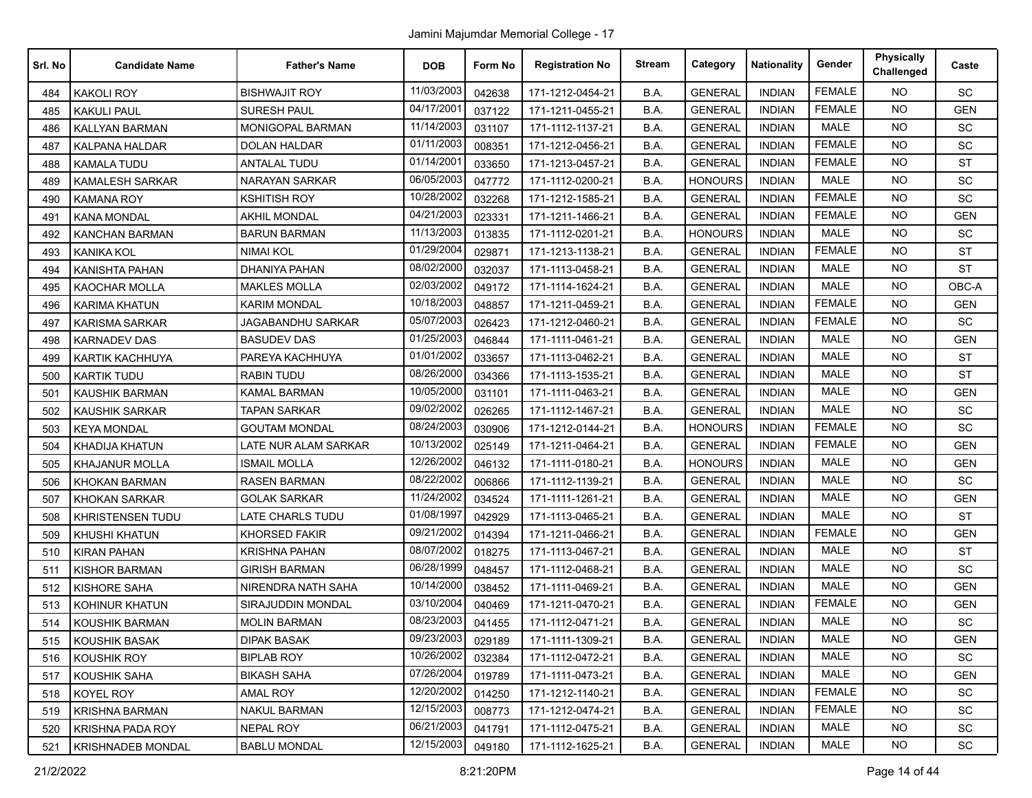| Srl. No | <b>Candidate Name</b>    | <b>Father's Name</b>     | <b>DOB</b> | Form No | <b>Registration No</b> | <b>Stream</b> | Category       | <b>Nationality</b> | Gender        | <b>Physically</b><br>Challenged | Caste      |
|---------|--------------------------|--------------------------|------------|---------|------------------------|---------------|----------------|--------------------|---------------|---------------------------------|------------|
| 484     | <b>KAKOLI ROY</b>        | <b>BISHWAJIT ROY</b>     | 11/03/2003 | 042638  | 171-1212-0454-21       | B.A.          | <b>GENERAL</b> | <b>INDIAN</b>      | <b>FEMALE</b> | <b>NO</b>                       | SC         |
| 485     | <b>KAKULI PAUL</b>       | <b>SURESH PAUL</b>       | 04/17/2001 | 037122  | 171-1211-0455-21       | B.A.          | <b>GENERAL</b> | <b>INDIAN</b>      | <b>FEMALE</b> | <b>NO</b>                       | <b>GEN</b> |
| 486     | <b>KALLYAN BARMAN</b>    | <b>MONIGOPAL BARMAN</b>  | 11/14/2003 | 031107  | 171-1112-1137-21       | B.A.          | <b>GENERAL</b> | <b>INDIAN</b>      | MALE          | <b>NO</b>                       | SC         |
| 487     | <b>KALPANA HALDAR</b>    | <b>DOLAN HALDAR</b>      | 01/11/2003 | 008351  | 171-1212-0456-21       | B.A.          | <b>GENERAL</b> | <b>INDIAN</b>      | <b>FEMALE</b> | <b>NO</b>                       | SC         |
| 488     | <b>KAMALA TUDU</b>       | <b>ANTALAL TUDU</b>      | 01/14/2001 | 033650  | 171-1213-0457-21       | B.A.          | <b>GENERAL</b> | <b>INDIAN</b>      | <b>FEMALE</b> | <b>NO</b>                       | <b>ST</b>  |
| 489     | <b>KAMALESH SARKAR</b>   | <b>NARAYAN SARKAR</b>    | 06/05/2003 | 047772  | 171-1112-0200-21       | B.A.          | <b>HONOURS</b> | <b>INDIAN</b>      | <b>MALE</b>   | <b>NO</b>                       | <b>SC</b>  |
| 490     | <b>KAMANA ROY</b>        | <b>KSHITISH ROY</b>      | 10/28/2002 | 032268  | 171-1212-1585-21       | B.A.          | <b>GENERAL</b> | <b>INDIAN</b>      | <b>FEMALE</b> | <b>NO</b>                       | SC         |
| 491     | <b>KANA MONDAL</b>       | <b>AKHIL MONDAL</b>      | 04/21/2003 | 023331  | 171-1211-1466-21       | B.A.          | <b>GENERAL</b> | <b>INDIAN</b>      | <b>FEMALE</b> | <b>NO</b>                       | <b>GEN</b> |
| 492     | <b>KANCHAN BARMAN</b>    | <b>BARUN BARMAN</b>      | 11/13/2003 | 013835  | 171-1112-0201-21       | B.A.          | <b>HONOURS</b> | <b>INDIAN</b>      | <b>MALE</b>   | <b>NO</b>                       | <b>SC</b>  |
| 493     | KANIKA KOL               | NIMAI KOL                | 01/29/2004 | 029871  | 171-1213-1138-21       | B.A.          | <b>GENERAL</b> | <b>INDIAN</b>      | <b>FEMALE</b> | <b>NO</b>                       | <b>ST</b>  |
| 494     | <b>KANISHTA PAHAN</b>    | DHANIYA PAHAN            | 08/02/2000 | 032037  | 171-1113-0458-21       | B.A.          | <b>GENERAL</b> | <b>INDIAN</b>      | <b>MALE</b>   | <b>NO</b>                       | <b>ST</b>  |
| 495     | <b>KAOCHAR MOLLA</b>     | <b>MAKLES MOLLA</b>      | 02/03/2002 | 049172  | 171-1114-1624-21       | B.A.          | <b>GENERAL</b> | <b>INDIAN</b>      | <b>MALE</b>   | <b>NO</b>                       | OBC-A      |
| 496     | <b>KARIMA KHATUN</b>     | <b>KARIM MONDAL</b>      | 10/18/2003 | 048857  | 171-1211-0459-21       | B.A.          | <b>GENERAL</b> | <b>INDIAN</b>      | <b>FEMALE</b> | <b>NO</b>                       | <b>GEN</b> |
| 497     | <b>KARISMA SARKAR</b>    | <b>JAGABANDHU SARKAR</b> | 05/07/2003 | 026423  | 171-1212-0460-21       | B.A.          | <b>GENERAL</b> | <b>INDIAN</b>      | <b>FEMALE</b> | <b>NO</b>                       | SC         |
| 498     | <b>KARNADEV DAS</b>      | <b>BASUDEV DAS</b>       | 01/25/2003 | 046844  | 171-1111-0461-21       | B.A.          | <b>GENERAL</b> | <b>INDIAN</b>      | <b>MALE</b>   | <b>NO</b>                       | <b>GEN</b> |
| 499     | <b>KARTIK KACHHUYA</b>   | PAREYA KACHHUYA          | 01/01/2002 | 033657  | 171-1113-0462-21       | B.A.          | <b>GENERAL</b> | <b>INDIAN</b>      | <b>MALE</b>   | <b>NO</b>                       | <b>ST</b>  |
| 500     | <b>KARTIK TUDU</b>       | <b>RABIN TUDU</b>        | 08/26/2000 | 034366  | 171-1113-1535-21       | B.A.          | <b>GENERAL</b> | <b>INDIAN</b>      | <b>MALE</b>   | <b>NO</b>                       | <b>ST</b>  |
| 501     | <b>KAUSHIK BARMAN</b>    | <b>KAMAL BARMAN</b>      | 10/05/2000 | 031101  | 171-1111-0463-21       | B.A.          | <b>GENERAL</b> | <b>INDIAN</b>      | <b>MALE</b>   | <b>NO</b>                       | <b>GEN</b> |
| 502     | <b>KAUSHIK SARKAR</b>    | <b>TAPAN SARKAR</b>      | 09/02/2002 | 026265  | 171-1112-1467-21       | B.A.          | <b>GENERAL</b> | <b>INDIAN</b>      | <b>MALE</b>   | <b>NO</b>                       | SC         |
| 503     | <b>KEYA MONDAL</b>       | <b>GOUTAM MONDAL</b>     | 08/24/2003 | 030906  | 171-1212-0144-21       | B.A.          | <b>HONOURS</b> | <b>INDIAN</b>      | <b>FEMALE</b> | <b>NO</b>                       | SC         |
| 504     | <b>KHADIJA KHATUN</b>    | LATE NUR ALAM SARKAR     | 10/13/2002 | 025149  | 171-1211-0464-21       | B.A.          | <b>GENERAL</b> | <b>INDIAN</b>      | <b>FEMALE</b> | <b>NO</b>                       | <b>GEN</b> |
| 505     | <b>KHAJANUR MOLLA</b>    | <b>ISMAIL MOLLA</b>      | 12/26/2002 | 046132  | 171-1111-0180-21       | B.A.          | <b>HONOURS</b> | <b>INDIAN</b>      | <b>MALE</b>   | <b>NO</b>                       | <b>GEN</b> |
| 506     | <b>KHOKAN BARMAN</b>     | <b>RASEN BARMAN</b>      | 08/22/2002 | 006866  | 171-1112-1139-21       | B.A.          | <b>GENERAL</b> | <b>INDIAN</b>      | <b>MALE</b>   | <b>NO</b>                       | SC         |
| 507     | <b>KHOKAN SARKAR</b>     | <b>GOLAK SARKAR</b>      | 11/24/2002 | 034524  | 171-1111-1261-21       | B.A.          | <b>GENERAL</b> | <b>INDIAN</b>      | <b>MALE</b>   | <b>NO</b>                       | <b>GEN</b> |
| 508     | <b>KHRISTENSEN TUDU</b>  | <b>LATE CHARLS TUDU</b>  | 01/08/1997 | 042929  | 171-1113-0465-21       | B.A.          | <b>GENERAL</b> | <b>INDIAN</b>      | <b>MALE</b>   | <b>NO</b>                       | <b>ST</b>  |
| 509     | KHUSHI KHATUN            | <b>KHORSED FAKIR</b>     | 09/21/2002 | 014394  | 171-1211-0466-21       | B.A.          | <b>GENERAL</b> | <b>INDIAN</b>      | <b>FEMALE</b> | <b>NO</b>                       | <b>GEN</b> |
| 510     | <b>KIRAN PAHAN</b>       | <b>KRISHNA PAHAN</b>     | 08/07/2002 | 018275  | 171-1113-0467-21       | B.A.          | <b>GENERAL</b> | <b>INDIAN</b>      | <b>MALE</b>   | <b>NO</b>                       | <b>ST</b>  |
| 511     | <b>KISHOR BARMAN</b>     | <b>GIRISH BARMAN</b>     | 06/28/1999 | 048457  | 171-1112-0468-21       | B.A.          | <b>GENERAL</b> | <b>INDIAN</b>      | <b>MALE</b>   | <b>NO</b>                       | SC         |
| 512     | <b>KISHORE SAHA</b>      | NIRENDRA NATH SAHA       | 10/14/2000 | 038452  | 171-1111-0469-21       | B.A.          | <b>GENERAL</b> | <b>INDIAN</b>      | <b>MALE</b>   | <b>NO</b>                       | <b>GEN</b> |
| 513     | KOHINUR KHATUN           | SIRAJUDDIN MONDAL        | 03/10/2004 | 040469  | 171-1211-0470-21       | B.A.          | <b>GENERAL</b> | <b>INDIAN</b>      | <b>FEMALE</b> | <b>NO</b>                       | <b>GEN</b> |
| 514     | <b>KOUSHIK BARMAN</b>    | <b>MOLIN BARMAN</b>      | 08/23/2003 | 041455  | 171-1112-0471-21       | B.A.          | <b>GENERAL</b> | <b>INDIAN</b>      | <b>MALE</b>   | NO.                             | SC         |
| 515     | KOUSHIK BASAK            | <b>DIPAK BASAK</b>       | 09/23/2003 | 029189  | 171-1111-1309-21       | B.A.          | <b>GENERAL</b> | <b>INDIAN</b>      | MALE          | NO.                             | GEN        |
| 516     | KOUSHIK ROY              | <b>BIPLAB ROY</b>        | 10/26/2002 | 032384  | 171-1112-0472-21       | B.A.          | <b>GENERAL</b> | <b>INDIAN</b>      | MALE          | <b>NO</b>                       | SC         |
| 517     | <b>KOUSHIK SAHA</b>      | <b>BIKASH SAHA</b>       | 07/26/2004 | 019789  | 171-1111-0473-21       | B.A.          | <b>GENERAL</b> | <b>INDIAN</b>      | MALE          | <b>NO</b>                       | <b>GEN</b> |
| 518     | <b>KOYEL ROY</b>         | <b>AMAL ROY</b>          | 12/20/2002 | 014250  | 171-1212-1140-21       | B.A.          | <b>GENERAL</b> | <b>INDIAN</b>      | <b>FEMALE</b> | <b>NO</b>                       | SC         |
| 519     | <b>KRISHNA BARMAN</b>    | <b>NAKUL BARMAN</b>      | 12/15/2003 | 008773  | 171-1212-0474-21       | B.A.          | <b>GENERAL</b> | INDIAN             | <b>FEMALE</b> | <b>NO</b>                       | <b>SC</b>  |
| 520     | <b>KRISHNA PADA ROY</b>  | <b>NEPAL ROY</b>         | 06/21/2003 | 041791  | 171-1112-0475-21       | B.A.          | <b>GENERAL</b> | INDIAN             | MALE          | <b>NO</b>                       | SC         |
| 521     | <b>KRISHNADEB MONDAL</b> | <b>BABLU MONDAL</b>      | 12/15/2003 | 049180  | 171-1112-1625-21       | B.A.          | <b>GENERAL</b> | INDIAN             | MALE          | <b>NO</b>                       | SC         |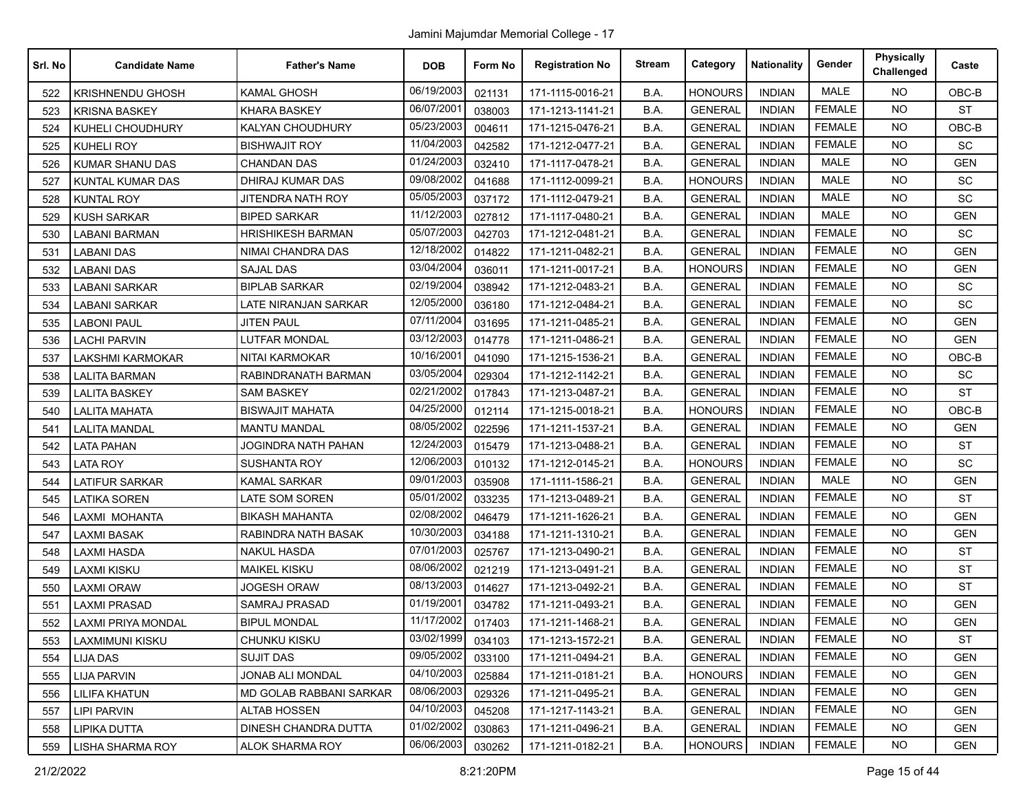| Srl. No | <b>Candidate Name</b>     | <b>Father's Name</b>           | <b>DOB</b> | Form No | <b>Registration No</b> | <b>Stream</b> | Category       | <b>Nationality</b> | Gender        | <b>Physically</b><br>Challenged | Caste      |
|---------|---------------------------|--------------------------------|------------|---------|------------------------|---------------|----------------|--------------------|---------------|---------------------------------|------------|
| 522     | <b>KRISHNENDU GHOSH</b>   | <b>KAMAL GHOSH</b>             | 06/19/2003 | 021131  | 171-1115-0016-21       | B.A.          | <b>HONOURS</b> | <b>INDIAN</b>      | <b>MALE</b>   | <b>NO</b>                       | OBC-B      |
| 523     | <b>KRISNA BASKEY</b>      | <b>KHARA BASKEY</b>            | 06/07/2001 | 038003  | 171-1213-1141-21       | B.A.          | <b>GENERAL</b> | <b>INDIAN</b>      | <b>FEMALE</b> | <b>NO</b>                       | <b>ST</b>  |
| 524     | KUHELI CHOUDHURY          | KALYAN CHOUDHURY               | 05/23/2003 | 004611  | 171-1215-0476-21       | B.A.          | <b>GENERAL</b> | <b>INDIAN</b>      | <b>FEMALE</b> | <b>NO</b>                       | OBC-B      |
| 525     | <b>KUHELI ROY</b>         | <b>BISHWAJIT ROY</b>           | 11/04/2003 | 042582  | 171-1212-0477-21       | B.A.          | <b>GENERAL</b> | <b>INDIAN</b>      | <b>FEMALE</b> | <b>NO</b>                       | SC         |
| 526     | <b>KUMAR SHANU DAS</b>    | <b>CHANDAN DAS</b>             | 01/24/2003 | 032410  | 171-1117-0478-21       | B.A.          | <b>GENERAL</b> | <b>INDIAN</b>      | <b>MALE</b>   | <b>NO</b>                       | <b>GEN</b> |
| 527     | <b>KUNTAL KUMAR DAS</b>   | DHIRAJ KUMAR DAS               | 09/08/2002 | 041688  | 171-1112-0099-21       | B.A.          | <b>HONOURS</b> | <b>INDIAN</b>      | <b>MALE</b>   | <b>NO</b>                       | <b>SC</b>  |
| 528     | <b>KUNTAL ROY</b>         | JITENDRA NATH ROY              | 05/05/2003 | 037172  | 171-1112-0479-21       | B.A.          | <b>GENERAL</b> | <b>INDIAN</b>      | <b>MALE</b>   | <b>NO</b>                       | <b>SC</b>  |
| 529     | <b>KUSH SARKAR</b>        | <b>BIPED SARKAR</b>            | 11/12/2003 | 027812  | 171-1117-0480-21       | B.A.          | <b>GENERAL</b> | <b>INDIAN</b>      | <b>MALE</b>   | <b>NO</b>                       | <b>GEN</b> |
| 530     | <b>LABANI BARMAN</b>      | <b>HRISHIKESH BARMAN</b>       | 05/07/2003 | 042703  | 171-1212-0481-21       | B.A.          | <b>GENERAL</b> | <b>INDIAN</b>      | <b>FEMALE</b> | <b>NO</b>                       | SC         |
| 531     | LABANI DAS                | NIMAI CHANDRA DAS              | 12/18/2002 | 014822  | 171-1211-0482-21       | B.A.          | <b>GENERAL</b> | <b>INDIAN</b>      | <b>FEMALE</b> | <b>NO</b>                       | <b>GEN</b> |
| 532     | <b>LABANI DAS</b>         | <b>SAJAL DAS</b>               | 03/04/2004 | 036011  | 171-1211-0017-21       | B.A.          | <b>HONOURS</b> | <b>INDIAN</b>      | <b>FEMALE</b> | <b>NO</b>                       | <b>GEN</b> |
| 533     | <b>LABANI SARKAR</b>      | <b>BIPLAB SARKAR</b>           | 02/19/2004 | 038942  | 171-1212-0483-21       | B.A.          | <b>GENERAL</b> | <b>INDIAN</b>      | <b>FEMALE</b> | <b>NO</b>                       | SC         |
| 534     | <b>LABANI SARKAR</b>      | <b>LATE NIRANJAN SARKAR</b>    | 12/05/2000 | 036180  | 171-1212-0484-21       | B.A.          | <b>GENERAL</b> | <b>INDIAN</b>      | <b>FEMALE</b> | <b>NO</b>                       | SC         |
| 535     | <b>LABONI PAUL</b>        | <b>JITEN PAUL</b>              | 07/11/2004 | 031695  | 171-1211-0485-21       | B.A.          | <b>GENERAL</b> | <b>INDIAN</b>      | <b>FEMALE</b> | <b>NO</b>                       | <b>GEN</b> |
| 536     | <b>LACHI PARVIN</b>       | <b>LUTFAR MONDAL</b>           | 03/12/2003 | 014778  | 171-1211-0486-21       | B.A.          | <b>GENERAL</b> | <b>INDIAN</b>      | <b>FEMALE</b> | <b>NO</b>                       | <b>GEN</b> |
| 537     | <b>LAKSHMI KARMOKAR</b>   | NITAI KARMOKAR                 | 10/16/2001 | 041090  | 171-1215-1536-21       | B.A.          | <b>GENERAL</b> | <b>INDIAN</b>      | <b>FEMALE</b> | <b>NO</b>                       | $OBC-B$    |
| 538     | <b>LALITA BARMAN</b>      | RABINDRANATH BARMAN            | 03/05/2004 | 029304  | 171-1212-1142-21       | B.A.          | <b>GENERAL</b> | <b>INDIAN</b>      | <b>FEMALE</b> | <b>NO</b>                       | <b>SC</b>  |
| 539     | <b>LALITA BASKEY</b>      | SAM BASKEY                     | 02/21/2002 | 017843  | 171-1213-0487-21       | B.A.          | <b>GENERAL</b> | <b>INDIAN</b>      | <b>FEMALE</b> | <b>NO</b>                       | <b>ST</b>  |
| 540     | <b>LALITA MAHATA</b>      | <b>BISWAJIT MAHATA</b>         | 04/25/2000 | 012114  | 171-1215-0018-21       | B.A.          | <b>HONOURS</b> | <b>INDIAN</b>      | <b>FEMALE</b> | NO.                             | OBC-B      |
| 541     | <b>LALITA MANDAL</b>      | <b>MANTU MANDAL</b>            | 08/05/2002 | 022596  | 171-1211-1537-21       | B.A.          | <b>GENERAL</b> | <b>INDIAN</b>      | <b>FEMALE</b> | <b>NO</b>                       | <b>GEN</b> |
| 542     | <b>LATA PAHAN</b>         | JOGINDRA NATH PAHAN            | 12/24/2003 | 015479  | 171-1213-0488-21       | B.A.          | <b>GENERAL</b> | <b>INDIAN</b>      | <b>FEMALE</b> | <b>NO</b>                       | <b>ST</b>  |
| 543     | <b>LATA ROY</b>           | <b>SUSHANTA ROY</b>            | 12/06/2003 | 010132  | 171-1212-0145-21       | B.A.          | <b>HONOURS</b> | <b>INDIAN</b>      | <b>FEMALE</b> | <b>NO</b>                       | SC         |
| 544     | <b>LATIFUR SARKAR</b>     | <b>KAMAL SARKAR</b>            | 09/01/2003 | 035908  | 171-1111-1586-21       | B.A.          | <b>GENERAL</b> | <b>INDIAN</b>      | <b>MALE</b>   | <b>NO</b>                       | <b>GEN</b> |
| 545     | <b>LATIKA SOREN</b>       | <b>LATE SOM SOREN</b>          | 05/01/2002 | 033235  | 171-1213-0489-21       | B.A.          | <b>GENERAL</b> | <b>INDIAN</b>      | <b>FEMALE</b> | <b>NO</b>                       | <b>ST</b>  |
| 546     | LAXMI MOHANTA             | <b>BIKASH MAHANTA</b>          | 02/08/2002 | 046479  | 171-1211-1626-21       | B.A.          | <b>GENERAL</b> | <b>INDIAN</b>      | <b>FEMALE</b> | <b>NO</b>                       | <b>GEN</b> |
| 547     | <b>LAXMI BASAK</b>        | RABINDRA NATH BASAK            | 10/30/2003 | 034188  | 171-1211-1310-21       | B.A.          | <b>GENERAL</b> | <b>INDIAN</b>      | <b>FEMALE</b> | <b>NO</b>                       | <b>GEN</b> |
| 548     | <b>LAXMI HASDA</b>        | <b>NAKUL HASDA</b>             | 07/01/2003 | 025767  | 171-1213-0490-21       | B.A.          | <b>GENERAL</b> | <b>INDIAN</b>      | <b>FEMALE</b> | <b>NO</b>                       | <b>ST</b>  |
| 549     | <b>LAXMI KISKU</b>        | <b>MAIKEL KISKU</b>            | 08/06/2002 | 021219  | 171-1213-0491-21       | B.A.          | <b>GENERAL</b> | <b>INDIAN</b>      | <b>FEMALE</b> | <b>NO</b>                       | <b>ST</b>  |
| 550     | <b>LAXMI ORAW</b>         | <b>JOGESH ORAW</b>             | 08/13/2003 | 014627  | 171-1213-0492-21       | B.A.          | <b>GENERAL</b> | <b>INDIAN</b>      | <b>FEMALE</b> | <b>NO</b>                       | <b>ST</b>  |
| 551     | <b>LAXMI PRASAD</b>       | SAMRAJ PRASAD                  | 01/19/2001 | 034782  | 171-1211-0493-21       | B.A.          | <b>GENERAL</b> | <b>INDIAN</b>      | <b>FEMALE</b> | <b>NO</b>                       | <b>GEN</b> |
| 552     | <b>LAXMI PRIYA MONDAL</b> | <b>BIPUL MONDAL</b>            | 11/17/2002 | 017403  | 171-1211-1468-21       | B.A.          | <b>GENERAL</b> | <b>INDIAN</b>      | <b>FEMALE</b> | <b>NO</b>                       | <b>GEN</b> |
| 553     | LAXMIMUNI KISKU           | CHUNKU KISKU                   | 03/02/1999 | 034103  | 171-1213-1572-21       | B.A.          | <b>GENERAL</b> | <b>INDIAN</b>      | <b>FEMALE</b> | NO                              | ST         |
| 554     | <b>LIJA DAS</b>           | <b>SUJIT DAS</b>               | 09/05/2002 | 033100  | 171-1211-0494-21       | B.A.          | <b>GENERAL</b> | <b>INDIAN</b>      | <b>FEMALE</b> | <b>NO</b>                       | <b>GEN</b> |
| 555     | <b>LIJA PARVIN</b>        | JONAB ALI MONDAL               | 04/10/2003 | 025884  | 171-1211-0181-21       | B.A.          | <b>HONOURS</b> | <b>INDIAN</b>      | <b>FEMALE</b> | <b>NO</b>                       | GEN        |
| 556     | <b>LILIFA KHATUN</b>      | <b>MD GOLAB RABBANI SARKAR</b> | 08/06/2003 | 029326  | 171-1211-0495-21       | B.A.          | <b>GENERAL</b> | <b>INDIAN</b>      | <b>FEMALE</b> | <b>NO</b>                       | <b>GEN</b> |
| 557     | <b>LIPI PARVIN</b>        | <b>ALTAB HOSSEN</b>            | 04/10/2003 | 045208  | 171-1217-1143-21       | B.A.          | <b>GENERAL</b> | <b>INDIAN</b>      | <b>FEMALE</b> | <b>NO</b>                       | <b>GEN</b> |
| 558     | LIPIKA DUTTA              | <b>DINESH CHANDRA DUTTA</b>    | 01/02/2002 | 030863  | 171-1211-0496-21       | B.A.          | <b>GENERAL</b> | <b>INDIAN</b>      | <b>FEMALE</b> | <b>NO</b>                       | <b>GEN</b> |
| 559     | <b>LISHA SHARMA ROY</b>   | <b>ALOK SHARMA ROY</b>         | 06/06/2003 | 030262  | 171-1211-0182-21       | B.A.          | <b>HONOURS</b> | <b>INDIAN</b>      | <b>FEMALE</b> | NO.                             | GEN        |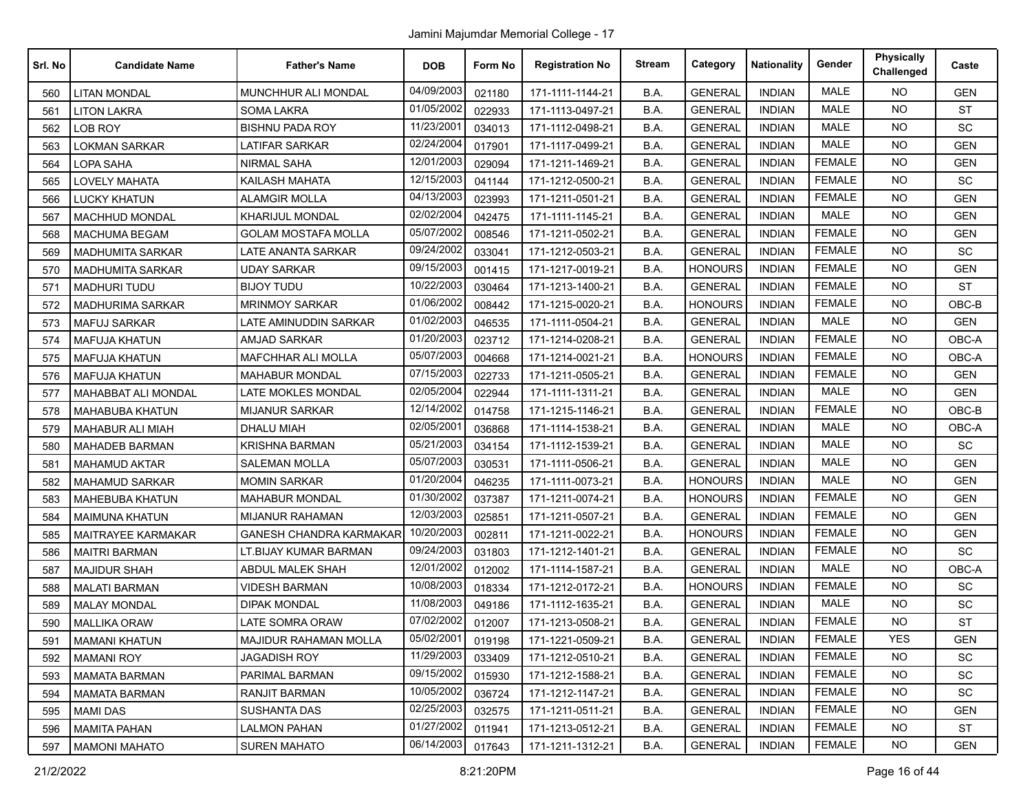| Srl. No | <b>Candidate Name</b>     | <b>Father's Name</b>         | <b>DOB</b> | Form No | <b>Registration No</b> | <b>Stream</b> | Category       | <b>Nationality</b> | Gender        | <b>Physically</b><br>Challenged | Caste      |
|---------|---------------------------|------------------------------|------------|---------|------------------------|---------------|----------------|--------------------|---------------|---------------------------------|------------|
| 560     | <b>LITAN MONDAL</b>       | MUNCHHUR ALI MONDAL          | 04/09/2003 | 021180  | 171-1111-1144-21       | B.A.          | <b>GENERAL</b> | <b>INDIAN</b>      | <b>MALE</b>   | <b>NO</b>                       | <b>GEN</b> |
| 561     | <b>LITON LAKRA</b>        | SOMA LAKRA                   | 01/05/2002 | 022933  | 171-1113-0497-21       | B.A.          | <b>GENERAL</b> | <b>INDIAN</b>      | <b>MALE</b>   | <b>NO</b>                       | <b>ST</b>  |
| 562     | LOB ROY                   | <b>BISHNU PADA ROY</b>       | 11/23/2001 | 034013  | 171-1112-0498-21       | B.A.          | <b>GENERAL</b> | <b>INDIAN</b>      | MALE          | <b>NO</b>                       | <b>SC</b>  |
| 563     | <b>LOKMAN SARKAR</b>      | <b>LATIFAR SARKAR</b>        | 02/24/2004 | 017901  | 171-1117-0499-21       | B.A.          | <b>GENERAL</b> | <b>INDIAN</b>      | <b>MALE</b>   | <b>NO</b>                       | <b>GEN</b> |
| 564     | <b>LOPA SAHA</b>          | <b>NIRMAL SAHA</b>           | 12/01/2003 | 029094  | 171-1211-1469-21       | B.A.          | <b>GENERAL</b> | <b>INDIAN</b>      | <b>FEMALE</b> | <b>NO</b>                       | <b>GEN</b> |
| 565     | <b>LOVELY MAHATA</b>      | <b>KAILASH MAHATA</b>        | 12/15/2003 | 041144  | 171-1212-0500-21       | B.A.          | <b>GENERAL</b> | <b>INDIAN</b>      | <b>FEMALE</b> | <b>NO</b>                       | <b>SC</b>  |
| 566     | <b>LUCKY KHATUN</b>       | <b>ALAMGIR MOLLA</b>         | 04/13/2003 | 023993  | 171-1211-0501-21       | B.A.          | <b>GENERAL</b> | <b>INDIAN</b>      | <b>FEMALE</b> | <b>NO</b>                       | <b>GEN</b> |
| 567     | <b>MACHHUD MONDAL</b>     | KHARIJUL MONDAL              | 02/02/2004 | 042475  | 171-1111-1145-21       | B.A.          | <b>GENERAL</b> | <b>INDIAN</b>      | <b>MALE</b>   | <b>NO</b>                       | <b>GEN</b> |
| 568     | <b>MACHUMA BEGAM</b>      | <b>GOLAM MOSTAFA MOLLA</b>   | 05/07/2002 | 008546  | 171-1211-0502-21       | B.A.          | <b>GENERAL</b> | <b>INDIAN</b>      | <b>FEMALE</b> | <b>NO</b>                       | <b>GEN</b> |
| 569     | <b>MADHUMITA SARKAR</b>   | LATE ANANTA SARKAR           | 09/24/2002 | 033041  | 171-1212-0503-21       | B.A.          | <b>GENERAL</b> | <b>INDIAN</b>      | <b>FEMALE</b> | <b>NO</b>                       | <b>SC</b>  |
| 570     | <b>MADHUMITA SARKAR</b>   | UDAY SARKAR                  | 09/15/2003 | 001415  | 171-1217-0019-21       | B.A.          | <b>HONOURS</b> | <b>INDIAN</b>      | <b>FEMALE</b> | <b>NO</b>                       | <b>GEN</b> |
| 571     | <b>MADHURI TUDU</b>       | <b>BIJOY TUDU</b>            | 10/22/2003 | 030464  | 171-1213-1400-21       | B.A.          | <b>GENERAL</b> | <b>INDIAN</b>      | <b>FEMALE</b> | <b>NO</b>                       | <b>ST</b>  |
| 572     | <b>MADHURIMA SARKAR</b>   | <b>MRINMOY SARKAR</b>        | 01/06/2002 | 008442  | 171-1215-0020-21       | B.A.          | <b>HONOURS</b> | <b>INDIAN</b>      | <b>FEMALE</b> | <b>NO</b>                       | OBC-B      |
| 573     | <b>MAFUJ SARKAR</b>       | LATE AMINUDDIN SARKAR        | 01/02/2003 | 046535  | 171-1111-0504-21       | B.A.          | <b>GENERAL</b> | <b>INDIAN</b>      | <b>MALE</b>   | <b>NO</b>                       | <b>GEN</b> |
| 574     | <b>MAFUJA KHATUN</b>      | <b>AMJAD SARKAR</b>          | 01/20/2003 | 023712  | 171-1214-0208-21       | B.A.          | <b>GENERAL</b> | <b>INDIAN</b>      | <b>FEMALE</b> | <b>NO</b>                       | OBC-A      |
| 575     | <b>MAFUJA KHATUN</b>      | <b>MAFCHHAR ALI MOLLA</b>    | 05/07/2003 | 004668  | 171-1214-0021-21       | B.A.          | <b>HONOURS</b> | <b>INDIAN</b>      | <b>FEMALE</b> | <b>NO</b>                       | OBC-A      |
| 576     | <b>MAFUJA KHATUN</b>      | <b>MAHABUR MONDAL</b>        | 07/15/2003 | 022733  | 171-1211-0505-21       | B.A.          | <b>GENERAL</b> | <b>INDIAN</b>      | <b>FEMALE</b> | <b>NO</b>                       | <b>GEN</b> |
| 577     | MAHABBAT ALI MONDAL       | LATE MOKLES MONDAL           | 02/05/2004 | 022944  | 171-1111-1311-21       | B.A.          | <b>GENERAL</b> | <b>INDIAN</b>      | <b>MALE</b>   | <b>NO</b>                       | <b>GEN</b> |
| 578     | MAHABUBA KHATUN           | <b>MIJANUR SARKAR</b>        | 12/14/2002 | 014758  | 171-1215-1146-21       | B.A.          | <b>GENERAL</b> | <b>INDIAN</b>      | <b>FEMALE</b> | NO.                             | $OBC-B$    |
| 579     | <b>MAHABUR ALI MIAH</b>   | <b>DHALU MIAH</b>            | 02/05/2001 | 036868  | 171-1114-1538-21       | B.A.          | <b>GENERAL</b> | <b>INDIAN</b>      | <b>MALE</b>   | <b>NO</b>                       | OBC-A      |
| 580     | <b>MAHADEB BARMAN</b>     | <b>KRISHNA BARMAN</b>        | 05/21/2003 | 034154  | 171-1112-1539-21       | B.A.          | <b>GENERAL</b> | <b>INDIAN</b>      | <b>MALE</b>   | <b>NO</b>                       | SC         |
| 581     | <b>MAHAMUD AKTAR</b>      | <b>SALEMAN MOLLA</b>         | 05/07/2003 | 030531  | 171-1111-0506-21       | B.A.          | <b>GENERAL</b> | <b>INDIAN</b>      | <b>MALE</b>   | <b>NO</b>                       | <b>GEN</b> |
| 582     | <b>MAHAMUD SARKAR</b>     | <b>MOMIN SARKAR</b>          | 01/20/2004 | 046235  | 171-1111-0073-21       | B.A.          | <b>HONOURS</b> | <b>INDIAN</b>      | <b>MALE</b>   | NO.                             | <b>GEN</b> |
| 583     | <b>MAHEBUBA KHATUN</b>    | <b>MAHABUR MONDAL</b>        | 01/30/2002 | 037387  | 171-1211-0074-21       | B.A.          | <b>HONOURS</b> | <b>INDIAN</b>      | <b>FEMALE</b> | <b>NO</b>                       | <b>GEN</b> |
| 584     | <b>MAIMUNA KHATUN</b>     | <b>MIJANUR RAHAMAN</b>       | 12/03/2003 | 025851  | 171-1211-0507-21       | B.A.          | <b>GENERAL</b> | <b>INDIAN</b>      | <b>FEMALE</b> | <b>NO</b>                       | <b>GEN</b> |
| 585     | <b>MAITRAYEE KARMAKAR</b> | GANESH CHANDRA KARMAKAR      | 10/20/2003 | 002811  | 171-1211-0022-21       | B.A.          | <b>HONOURS</b> | <b>INDIAN</b>      | <b>FEMALE</b> | <b>NO</b>                       | <b>GEN</b> |
| 586     | <b>MAITRI BARMAN</b>      | LT.BIJAY KUMAR BARMAN        | 09/24/2003 | 031803  | 171-1212-1401-21       | B.A.          | <b>GENERAL</b> | <b>INDIAN</b>      | <b>FEMALE</b> | <b>NO</b>                       | SC         |
| 587     | <b>MAJIDUR SHAH</b>       | <b>ABDUL MALEK SHAH</b>      | 12/01/2002 | 012002  | 171-1114-1587-21       | B.A.          | <b>GENERAL</b> | <b>INDIAN</b>      | <b>MALE</b>   | <b>NO</b>                       | OBC-A      |
| 588     | <b>MALATI BARMAN</b>      | <b>VIDESH BARMAN</b>         | 10/08/2003 | 018334  | 171-1212-0172-21       | B.A.          | <b>HONOURS</b> | <b>INDIAN</b>      | <b>FEMALE</b> | <b>NO</b>                       | SC         |
| 589     | <b>MALAY MONDAL</b>       | DIPAK MONDAL                 | 11/08/2003 | 049186  | 171-1112-1635-21       | B.A.          | <b>GENERAL</b> | <b>INDIAN</b>      | <b>MALE</b>   | <b>NO</b>                       | SC         |
| 590     | <b>MALLIKA ORAW</b>       | LATE SOMRA ORAW              | 07/02/2002 | 012007  | 171-1213-0508-21       | B.A.          | <b>GENERAL</b> | <b>INDIAN</b>      | <b>FEMALE</b> | <b>NO</b>                       | <b>ST</b>  |
| 591     | <b>MAMANI KHATUN</b>      | <b>MAJIDUR RAHAMAN MOLLA</b> | 05/02/2001 | 019198  | 171-1221-0509-21       | B.A.          | <b>GENERAL</b> | <b>INDIAN</b>      | <b>FEMALE</b> | <b>YES</b>                      | <b>GEN</b> |
| 592     | <b>MAMANI ROY</b>         | <b>JAGADISH ROY</b>          | 11/29/2003 | 033409  | 171-1212-0510-21       | B.A.          | <b>GENERAL</b> | <b>INDIAN</b>      | <b>FEMALE</b> | <b>NO</b>                       | SC         |
| 593     | <b>MAMATA BARMAN</b>      | PARIMAL BARMAN               | 09/15/2002 | 015930  | 171-1212-1588-21       | B.A.          | <b>GENERAL</b> | <b>INDIAN</b>      | <b>FEMALE</b> | <b>NO</b>                       | SC         |
| 594     | <b>MAMATA BARMAN</b>      | <b>RANJIT BARMAN</b>         | 10/05/2002 | 036724  | 171-1212-1147-21       | B.A.          | <b>GENERAL</b> | <b>INDIAN</b>      | <b>FEMALE</b> | <b>NO</b>                       | SC         |
| 595     | <b>MAMI DAS</b>           | <b>SUSHANTA DAS</b>          | 02/25/2003 | 032575  | 171-1211-0511-21       | <b>B.A.</b>   | <b>GENERAL</b> | <b>INDIAN</b>      | <b>FEMALE</b> | <b>NO</b>                       | <b>GEN</b> |
| 596     | <b>MAMITA PAHAN</b>       | LALMON PAHAN                 | 01/27/2002 | 011941  | 171-1213-0512-21       | B.A.          | <b>GENERAL</b> | <b>INDIAN</b>      | <b>FEMALE</b> | <b>NO</b>                       | <b>ST</b>  |
| 597     | <b>MAMONI MAHATO</b>      | <b>SUREN MAHATO</b>          | 06/14/2003 | 017643  | 171-1211-1312-21       | B.A.          | <b>GENERAL</b> | <b>INDIAN</b>      | <b>FEMALE</b> | <b>NO</b>                       | <b>GEN</b> |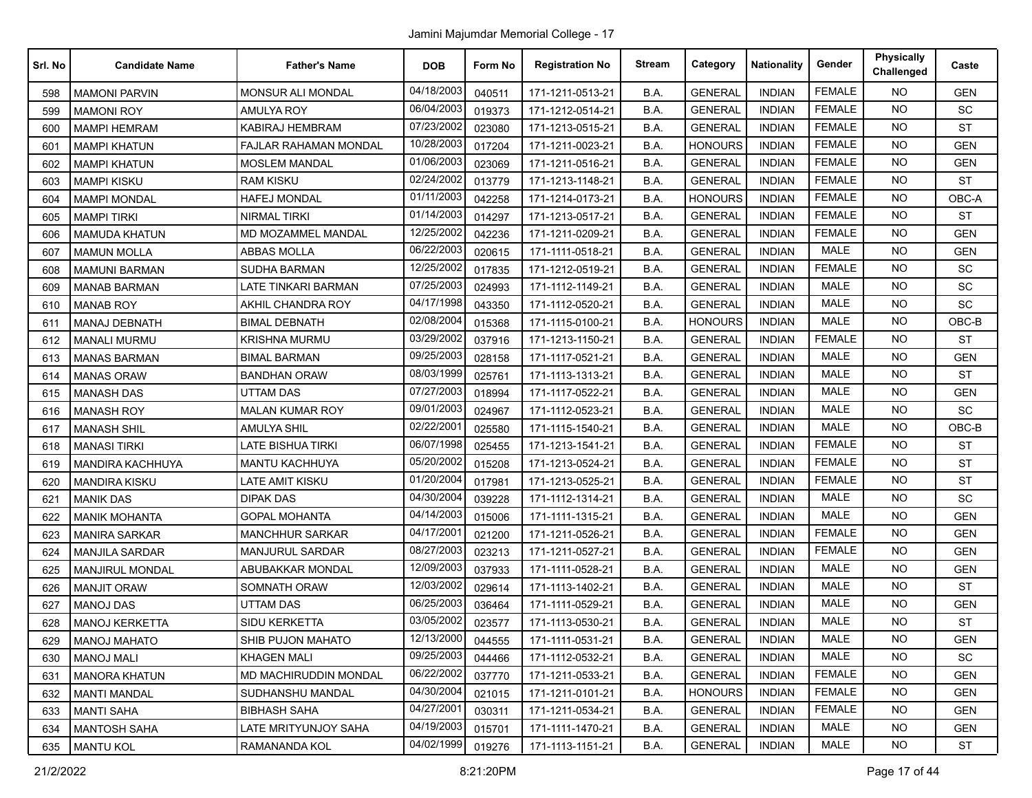| Srl. No | <b>Candidate Name</b>   | <b>Father's Name</b>         | <b>DOB</b> | Form No | <b>Registration No</b> | <b>Stream</b> | Category       | <b>Nationality</b> | Gender        | <b>Physically</b><br>Challenged | Caste      |
|---------|-------------------------|------------------------------|------------|---------|------------------------|---------------|----------------|--------------------|---------------|---------------------------------|------------|
| 598     | <b>MAMONI PARVIN</b>    | <b>MONSUR ALI MONDAL</b>     | 04/18/2003 | 040511  | 171-1211-0513-21       | B.A.          | <b>GENERAL</b> | <b>INDIAN</b>      | <b>FEMALE</b> | <b>NO</b>                       | <b>GEN</b> |
| 599     | <b>MAMONI ROY</b>       | <b>AMULYA ROY</b>            | 06/04/2003 | 019373  | 171-1212-0514-21       | B.A.          | <b>GENERAL</b> | <b>INDIAN</b>      | <b>FEMALE</b> | <b>NO</b>                       | SC         |
| 600     | <b>MAMPI HEMRAM</b>     | KABIRAJ HEMBRAM              | 07/23/2002 | 023080  | 171-1213-0515-21       | B.A.          | <b>GENERAL</b> | <b>INDIAN</b>      | <b>FEMALE</b> | <b>NO</b>                       | <b>ST</b>  |
| 601     | <b>MAMPI KHATUN</b>     | <b>FAJLAR RAHAMAN MONDAL</b> | 10/28/2003 | 017204  | 171-1211-0023-21       | B.A.          | <b>HONOURS</b> | <b>INDIAN</b>      | <b>FEMALE</b> | <b>NO</b>                       | <b>GEN</b> |
| 602     | <b>MAMPI KHATUN</b>     | <b>MOSLEM MANDAL</b>         | 01/06/2003 | 023069  | 171-1211-0516-21       | B.A.          | <b>GENERAL</b> | <b>INDIAN</b>      | <b>FEMALE</b> | <b>NO</b>                       | <b>GEN</b> |
| 603     | <b>MAMPI KISKU</b>      | <b>RAM KISKU</b>             | 02/24/2002 | 013779  | 171-1213-1148-21       | B.A.          | <b>GENERAL</b> | <b>INDIAN</b>      | <b>FEMALE</b> | <b>NO</b>                       | <b>ST</b>  |
| 604     | <b>MAMPI MONDAL</b>     | <b>HAFEJ MONDAL</b>          | 01/11/2003 | 042258  | 171-1214-0173-21       | B.A.          | <b>HONOURS</b> | <b>INDIAN</b>      | <b>FEMALE</b> | <b>NO</b>                       | OBC-A      |
| 605     | <b>MAMPI TIRKI</b>      | <b>NIRMAL TIRKI</b>          | 01/14/2003 | 014297  | 171-1213-0517-21       | B.A.          | <b>GENERAL</b> | <b>INDIAN</b>      | <b>FEMALE</b> | <b>NO</b>                       | <b>ST</b>  |
| 606     | <b>MAMUDA KHATUN</b>    | MD MOZAMMEL MANDAL           | 12/25/2002 | 042236  | 171-1211-0209-21       | B.A.          | <b>GENERAL</b> | <b>INDIAN</b>      | <b>FEMALE</b> | <b>NO</b>                       | <b>GEN</b> |
| 607     | <b>MAMUN MOLLA</b>      | ABBAS MOLLA                  | 06/22/2003 | 020615  | 171-1111-0518-21       | B.A.          | <b>GENERAL</b> | <b>INDIAN</b>      | <b>MALE</b>   | <b>NO</b>                       | <b>GEN</b> |
| 608     | <b>MAMUNI BARMAN</b>    | <b>SUDHA BARMAN</b>          | 12/25/2002 | 017835  | 171-1212-0519-21       | B.A.          | <b>GENERAL</b> | <b>INDIAN</b>      | <b>FEMALE</b> | <b>NO</b>                       | <b>SC</b>  |
| 609     | <b>MANAB BARMAN</b>     | LATE TINKARI BARMAN          | 07/25/2003 | 024993  | 171-1112-1149-21       | B.A.          | <b>GENERAL</b> | <b>INDIAN</b>      | <b>MALE</b>   | <b>NO</b>                       | SC         |
| 610     | <b>MANAB ROY</b>        | AKHIL CHANDRA ROY            | 04/17/1998 | 043350  | 171-1112-0520-21       | B.A.          | <b>GENERAL</b> | <b>INDIAN</b>      | MALE          | <b>NO</b>                       | SC         |
| 611     | <b>MANAJ DEBNATH</b>    | <b>BIMAL DEBNATH</b>         | 02/08/2004 | 015368  | 171-1115-0100-21       | B.A.          | <b>HONOURS</b> | <b>INDIAN</b>      | <b>MALE</b>   | <b>NO</b>                       | $OBC-B$    |
| 612     | <b>MANALI MURMU</b>     | <b>KRISHNA MURMU</b>         | 03/29/2002 | 037916  | 171-1213-1150-21       | B.A.          | <b>GENERAL</b> | <b>INDIAN</b>      | <b>FEMALE</b> | <b>NO</b>                       | <b>ST</b>  |
| 613     | <b>MANAS BARMAN</b>     | <b>BIMAL BARMAN</b>          | 09/25/2003 | 028158  | 171-1117-0521-21       | B.A.          | <b>GENERAL</b> | <b>INDIAN</b>      | <b>MALE</b>   | <b>NO</b>                       | <b>GEN</b> |
| 614     | <b>MANAS ORAW</b>       | <b>BANDHAN ORAW</b>          | 08/03/1999 | 025761  | 171-1113-1313-21       | B.A.          | <b>GENERAL</b> | <b>INDIAN</b>      | <b>MALE</b>   | <b>NO</b>                       | <b>ST</b>  |
| 615     | <b>MANASH DAS</b>       | <b>UTTAM DAS</b>             | 07/27/2003 | 018994  | 171-1117-0522-21       | B.A.          | <b>GENERAL</b> | <b>INDIAN</b>      | <b>MALE</b>   | <b>NO</b>                       | <b>GEN</b> |
| 616     | <b>MANASH ROY</b>       | <b>MALAN KUMAR ROY</b>       | 09/01/2003 | 024967  | 171-1112-0523-21       | B.A.          | <b>GENERAL</b> | <b>INDIAN</b>      | <b>MALE</b>   | <b>NO</b>                       | SC         |
| 617     | <b>MANASH SHIL</b>      | <b>AMULYA SHIL</b>           | 02/22/2001 | 025580  | 171-1115-1540-21       | B.A.          | <b>GENERAL</b> | <b>INDIAN</b>      | MALE          | <b>NO</b>                       | $OBC-B$    |
| 618     | <b>MANASI TIRKI</b>     | <b>LATE BISHUA TIRKI</b>     | 06/07/1998 | 025455  | 171-1213-1541-21       | B.A.          | <b>GENERAL</b> | <b>INDIAN</b>      | <b>FEMALE</b> | <b>NO</b>                       | <b>ST</b>  |
| 619     | <b>MANDIRA KACHHUYA</b> | MANTU KACHHUYA               | 05/20/2002 | 015208  | 171-1213-0524-21       | B.A.          | <b>GENERAL</b> | <b>INDIAN</b>      | <b>FEMALE</b> | <b>NO</b>                       | <b>ST</b>  |
| 620     | <b>MANDIRA KISKU</b>    | <b>LATE AMIT KISKU</b>       | 01/20/2004 | 017981  | 171-1213-0525-21       | B.A.          | <b>GENERAL</b> | <b>INDIAN</b>      | <b>FEMALE</b> | <b>NO</b>                       | <b>ST</b>  |
| 621     | <b>MANIK DAS</b>        | <b>DIPAK DAS</b>             | 04/30/2004 | 039228  | 171-1112-1314-21       | B.A.          | <b>GENERAL</b> | <b>INDIAN</b>      | <b>MALE</b>   | <b>NO</b>                       | SC         |
| 622     | <b>MANIK MOHANTA</b>    | <b>GOPAL MOHANTA</b>         | 04/14/2003 | 015006  | 171-1111-1315-21       | B.A.          | <b>GENERAL</b> | <b>INDIAN</b>      | <b>MALE</b>   | <b>NO</b>                       | <b>GEN</b> |
| 623     | <b>MANIRA SARKAR</b>    | <b>MANCHHUR SARKAR</b>       | 04/17/2001 | 021200  | 171-1211-0526-21       | B.A.          | <b>GENERAL</b> | <b>INDIAN</b>      | <b>FEMALE</b> | <b>NO</b>                       | <b>GEN</b> |
| 624     | <b>MANJILA SARDAR</b>   | <b>MANJURUL SARDAR</b>       | 08/27/2003 | 023213  | 171-1211-0527-21       | B.A.          | <b>GENERAL</b> | <b>INDIAN</b>      | <b>FEMALE</b> | <b>NO</b>                       | <b>GEN</b> |
| 625     | <b>MANJIRUL MONDAL</b>  | ABUBAKKAR MONDAL             | 12/09/2003 | 037933  | 171-1111-0528-21       | B.A.          | <b>GENERAL</b> | <b>INDIAN</b>      | <b>MALE</b>   | <b>NO</b>                       | <b>GEN</b> |
| 626     | <b>MANJIT ORAW</b>      | SOMNATH ORAW                 | 12/03/2002 | 029614  | 171-1113-1402-21       | B.A.          | <b>GENERAL</b> | <b>INDIAN</b>      | <b>MALE</b>   | <b>NO</b>                       | <b>ST</b>  |
| 627     | <b>MANOJ DAS</b>        | UTTAM DAS                    | 06/25/2003 | 036464  | 171-1111-0529-21       | B.A.          | <b>GENERAL</b> | <b>INDIAN</b>      | <b>MALE</b>   | <b>NO</b>                       | <b>GEN</b> |
| 628     | <b>MANOJ KERKETTA</b>   | SIDU KERKETTA                | 03/05/2002 | 023577  | 171-1113-0530-21       | B.A.          | <b>GENERAL</b> | <b>INDIAN</b>      | <b>MALE</b>   | <b>NO</b>                       | <b>ST</b>  |
| 629     | <b>MANOJ MAHATO</b>     | SHIB PUJON MAHATO            | 12/13/2000 | 044555  | 171-1111-0531-21       | B.A.          | <b>GENERAL</b> | <b>INDIAN</b>      | MALE          | NO                              | <b>GEN</b> |
| 630     | <b>MANOJ MALI</b>       | <b>KHAGEN MALI</b>           | 09/25/2003 | 044466  | 171-1112-0532-21       | B.A.          | <b>GENERAL</b> | <b>INDIAN</b>      | MALE          | <b>NO</b>                       | SC         |
| 631     | <b>MANORA KHATUN</b>    | MD MACHIRUDDIN MONDAL        | 06/22/2002 | 037770  | 171-1211-0533-21       | B.A.          | <b>GENERAL</b> | <b>INDIAN</b>      | <b>FEMALE</b> | <b>NO</b>                       | <b>GEN</b> |
| 632     | <b>MANTI MANDAL</b>     | SUDHANSHU MANDAL             | 04/30/2004 | 021015  | 171-1211-0101-21       | B.A.          | <b>HONOURS</b> | <b>INDIAN</b>      | <b>FEMALE</b> | <b>NO</b>                       | <b>GEN</b> |
| 633     | <b>MANTI SAHA</b>       | <b>BIBHASH SAHA</b>          | 04/27/2001 | 030311  | 171-1211-0534-21       | B.A.          | <b>GENERAL</b> | <b>INDIAN</b>      | <b>FEMALE</b> | <b>NO</b>                       | <b>GEN</b> |
| 634     | <b>MANTOSH SAHA</b>     | LATE MRITYUNJOY SAHA         | 04/19/2003 | 015701  | 171-1111-1470-21       | B.A.          | <b>GENERAL</b> | <b>INDIAN</b>      | MALE          | <b>NO</b>                       | <b>GEN</b> |
| 635     | <b>MANTU KOL</b>        | RAMANANDA KOL                | 04/02/1999 | 019276  | 171-1113-1151-21       | B.A.          | <b>GENERAL</b> | <b>INDIAN</b>      | MALE          | NO.                             | ST         |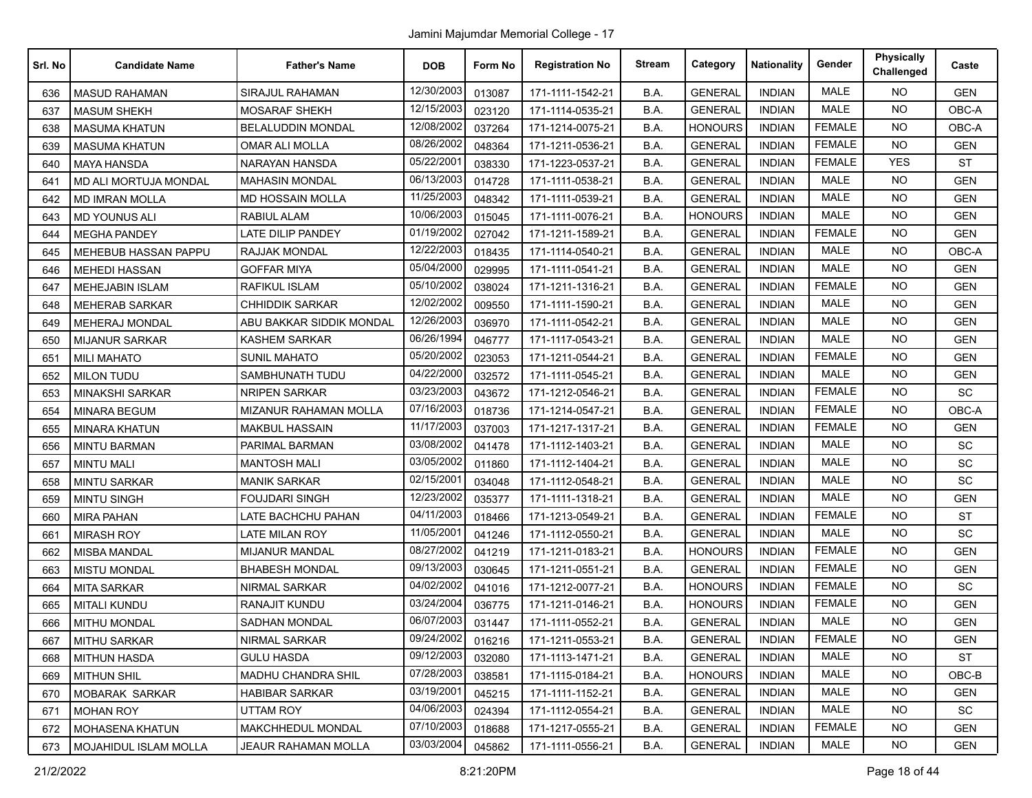| Srl. No | <b>Candidate Name</b>        | <b>Father's Name</b>     | <b>DOB</b> | Form No | <b>Registration No</b> | <b>Stream</b> | Category       | <b>Nationality</b> | Gender        | <b>Physically</b><br>Challenged | Caste      |
|---------|------------------------------|--------------------------|------------|---------|------------------------|---------------|----------------|--------------------|---------------|---------------------------------|------------|
| 636     | <b>MASUD RAHAMAN</b>         | <b>SIRAJUL RAHAMAN</b>   | 12/30/2003 | 013087  | 171-1111-1542-21       | B.A.          | <b>GENERAL</b> | <b>INDIAN</b>      | MALE          | <b>NO</b>                       | <b>GEN</b> |
| 637     | <b>MASUM SHEKH</b>           | <b>MOSARAF SHEKH</b>     | 12/15/2003 | 023120  | 171-1114-0535-21       | B.A.          | <b>GENERAL</b> | <b>INDIAN</b>      | <b>MALE</b>   | <b>NO</b>                       | OBC-A      |
| 638     | <b>MASUMA KHATUN</b>         | <b>BELALUDDIN MONDAL</b> | 12/08/2002 | 037264  | 171-1214-0075-21       | B.A.          | <b>HONOURS</b> | <b>INDIAN</b>      | <b>FEMALE</b> | <b>NO</b>                       | OBC-A      |
| 639     | <b>MASUMA KHATUN</b>         | <b>OMAR ALI MOLLA</b>    | 08/26/2002 | 048364  | 171-1211-0536-21       | B.A.          | <b>GENERAL</b> | <b>INDIAN</b>      | <b>FEMALE</b> | <b>NO</b>                       | <b>GEN</b> |
| 640     | <b>MAYA HANSDA</b>           | NARAYAN HANSDA           | 05/22/200  | 038330  | 171-1223-0537-21       | B.A.          | <b>GENERAL</b> | <b>INDIAN</b>      | <b>FEMALE</b> | <b>YES</b>                      | <b>ST</b>  |
| 641     | MD ALI MORTUJA MONDAL        | <b>MAHASIN MONDAL</b>    | 06/13/2003 | 014728  | 171-1111-0538-21       | B.A.          | <b>GENERAL</b> | <b>INDIAN</b>      | <b>MALE</b>   | <b>NO</b>                       | <b>GEN</b> |
| 642     | <b>MD IMRAN MOLLA</b>        | MD HOSSAIN MOLLA         | 11/25/2003 | 048342  | 171-1111-0539-21       | B.A.          | <b>GENERAL</b> | <b>INDIAN</b>      | <b>MALE</b>   | <b>NO</b>                       | <b>GEN</b> |
| 643     | <b>MD YOUNUS ALI</b>         | <b>RABIUL ALAM</b>       | 10/06/2003 | 015045  | 171-1111-0076-21       | B.A.          | <b>HONOURS</b> | <b>INDIAN</b>      | MALE          | NO.                             | <b>GEN</b> |
| 644     | <b>MEGHA PANDEY</b>          | LATE DILIP PANDEY        | 01/19/2002 | 027042  | 171-1211-1589-21       | B.A.          | <b>GENERAL</b> | <b>INDIAN</b>      | <b>FEMALE</b> | NO.                             | <b>GEN</b> |
| 645     | <b>MEHEBUB HASSAN PAPPU</b>  | RAJJAK MONDAL            | 12/22/2003 | 018435  | 171-1114-0540-21       | B.A.          | <b>GENERAL</b> | <b>INDIAN</b>      | <b>MALE</b>   | <b>NO</b>                       | OBC-A      |
| 646     | <b>MEHEDI HASSAN</b>         | GOFFAR MIYA              | 05/04/2000 | 029995  | 171-1111-0541-21       | B.A.          | <b>GENERAL</b> | <b>INDIAN</b>      | <b>MALE</b>   | <b>NO</b>                       | <b>GEN</b> |
| 647     | <b>MEHEJABIN ISLAM</b>       | <b>RAFIKUL ISLAM</b>     | 05/10/2002 | 038024  | 171-1211-1316-21       | B.A.          | <b>GENERAL</b> | <b>INDIAN</b>      | <b>FEMALE</b> | NO.                             | <b>GEN</b> |
| 648     | <b>MEHERAB SARKAR</b>        | <b>CHHIDDIK SARKAR</b>   | 12/02/2002 | 009550  | 171-1111-1590-21       | B.A.          | <b>GENERAL</b> | <b>INDIAN</b>      | <b>MALE</b>   | NO.                             | <b>GEN</b> |
| 649     | <b>MEHERAJ MONDAL</b>        | ABU BAKKAR SIDDIK MONDAL | 12/26/2003 | 036970  | 171-1111-0542-21       | B.A.          | <b>GENERAL</b> | <b>INDIAN</b>      | <b>MALE</b>   | <b>NO</b>                       | <b>GEN</b> |
| 650     | <b>MIJANUR SARKAR</b>        | <b>KASHEM SARKAR</b>     | 06/26/1994 | 046777  | 171-1117-0543-21       | B.A.          | <b>GENERAL</b> | <b>INDIAN</b>      | <b>MALE</b>   | NO.                             | <b>GEN</b> |
| 651     | <b>MILI MAHATO</b>           | <b>SUNIL MAHATO</b>      | 05/20/2002 | 023053  | 171-1211-0544-21       | B.A.          | <b>GENERAL</b> | <b>INDIAN</b>      | <b>FEMALE</b> | NO.                             | <b>GEN</b> |
| 652     | <b>MILON TUDU</b>            | SAMBHUNATH TUDU          | 04/22/2000 | 032572  | 171-1111-0545-21       | B.A.          | <b>GENERAL</b> | <b>INDIAN</b>      | <b>MALE</b>   | <b>NO</b>                       | <b>GEN</b> |
| 653     | <b>MINAKSHI SARKAR</b>       | <b>NRIPEN SARKAR</b>     | 03/23/2003 | 043672  | 171-1212-0546-21       | B.A.          | <b>GENERAL</b> | <b>INDIAN</b>      | <b>FEMALE</b> | <b>NO</b>                       | SC         |
| 654     | <b>MINARA BEGUM</b>          | MIZANUR RAHAMAN MOLLA    | 07/16/2003 | 018736  | 171-1214-0547-21       | B.A.          | <b>GENERAL</b> | <b>INDIAN</b>      | <b>FEMALE</b> | <b>NO</b>                       | OBC-A      |
| 655     | <b>MINARA KHATUN</b>         | <b>MAKBUL HASSAIN</b>    | 11/17/2003 | 037003  | 171-1217-1317-21       | B.A.          | <b>GENERAL</b> | <b>INDIAN</b>      | <b>FEMALE</b> | <b>NO</b>                       | <b>GEN</b> |
| 656     | <b>MINTU BARMAN</b>          | PARIMAL BARMAN           | 03/08/2002 | 041478  | 171-1112-1403-21       | B.A.          | <b>GENERAL</b> | <b>INDIAN</b>      | <b>MALE</b>   | NO.                             | <b>SC</b>  |
| 657     | <b>MINTU MALI</b>            | <b>MANTOSH MALI</b>      | 03/05/2002 | 011860  | 171-1112-1404-21       | B.A.          | <b>GENERAL</b> | <b>INDIAN</b>      | <b>MALE</b>   | NO.                             | <b>SC</b>  |
| 658     | <b>MINTU SARKAR</b>          | <b>MANIK SARKAR</b>      | 02/15/2001 | 034048  | 171-1112-0548-21       | B.A.          | <b>GENERAL</b> | <b>INDIAN</b>      | <b>MALE</b>   | NO.                             | SC         |
| 659     | <b>MINTU SINGH</b>           | <b>FOUJDARI SINGH</b>    | 12/23/2002 | 035377  | 171-1111-1318-21       | B.A.          | <b>GENERAL</b> | <b>INDIAN</b>      | <b>MALE</b>   | <b>NO</b>                       | <b>GEN</b> |
| 660     | <b>MIRA PAHAN</b>            | LATE BACHCHU PAHAN       | 04/11/2003 | 018466  | 171-1213-0549-21       | B.A.          | <b>GENERAL</b> | <b>INDIAN</b>      | <b>FEMALE</b> | NO.                             | <b>ST</b>  |
| 661     | <b>MIRASH ROY</b>            | <b>LATE MILAN ROY</b>    | 11/05/2001 | 041246  | 171-1112-0550-21       | B.A.          | <b>GENERAL</b> | <b>INDIAN</b>      | <b>MALE</b>   | NO.                             | SC         |
| 662     | <b>MISBA MANDAL</b>          | <b>MIJANUR MANDAL</b>    | 08/27/2002 | 041219  | 171-1211-0183-21       | B.A.          | <b>HONOURS</b> | <b>INDIAN</b>      | <b>FEMALE</b> | <b>NO</b>                       | <b>GEN</b> |
| 663     | <b>MISTU MONDAL</b>          | <b>BHABESH MONDAL</b>    | 09/13/2003 | 030645  | 171-1211-0551-21       | B.A.          | <b>GENERAL</b> | <b>INDIAN</b>      | <b>FEMALE</b> | <b>NO</b>                       | <b>GEN</b> |
| 664     | <b>MITA SARKAR</b>           | <b>NIRMAL SARKAR</b>     | 04/02/2002 | 041016  | 171-1212-0077-21       | B.A.          | <b>HONOURS</b> | <b>INDIAN</b>      | <b>FEMALE</b> | <b>NO</b>                       | SC         |
| 665     | <b>MITALI KUNDU</b>          | RANAJIT KUNDU            | 03/24/2004 | 036775  | 171-1211-0146-21       | B.A.          | <b>HONOURS</b> | <b>INDIAN</b>      | <b>FEMALE</b> | <b>NO</b>                       | <b>GEN</b> |
| 666     | <b>MITHU MONDAL</b>          | SADHAN MONDAL            | 06/07/2003 | 031447  | 171-1111-0552-21       | B.A.          | <b>GENERAL</b> | <b>INDIAN</b>      | <b>MALE</b>   | NO.                             | <b>GEN</b> |
| 667     | MITHU SARKAR                 | <b>NIRMAL SARKAR</b>     | 09/24/2002 | 016216  | 171-1211-0553-21       | B.A.          | <b>GENERAL</b> | <b>INDIAN</b>      | FEMALE        | NO.                             | <b>GEN</b> |
| 668     | <b>MITHUN HASDA</b>          | <b>GULU HASDA</b>        | 09/12/2003 | 032080  | 171-1113-1471-21       | B.A.          | <b>GENERAL</b> | <b>INDIAN</b>      | <b>MALE</b>   | <b>NO</b>                       | <b>ST</b>  |
| 669     | <b>MITHUN SHIL</b>           | MADHU CHANDRA SHIL       | 07/28/2003 | 038581  | 171-1115-0184-21       | B.A.          | <b>HONOURS</b> | <b>INDIAN</b>      | MALE          | NO.                             | OBC-B      |
| 670     | <b>MOBARAK SARKAR</b>        | <b>HABIBAR SARKAR</b>    | 03/19/2001 | 045215  | 171-1111-1152-21       | B.A.          | <b>GENERAL</b> | <b>INDIAN</b>      | MALE          | NO.                             | <b>GEN</b> |
| 671     | <b>MOHAN ROY</b>             | UTTAM ROY                | 04/06/2003 | 024394  | 171-1112-0554-21       | B.A.          | <b>GENERAL</b> | <b>INDIAN</b>      | MALE          | NO.                             | <b>SC</b>  |
| 672     | <b>MOHASENA KHATUN</b>       | MAKCHHEDUL MONDAL        | 07/10/2003 | 018688  | 171-1217-0555-21       | B.A.          | <b>GENERAL</b> | <b>INDIAN</b>      | <b>FEMALE</b> | <b>NO</b>                       | <b>GEN</b> |
| 673     | <b>MOJAHIDUL ISLAM MOLLA</b> | JEAUR RAHAMAN MOLLA      | 03/03/2004 | 045862  | 171-1111-0556-21       | B.A.          | <b>GENERAL</b> | <b>INDIAN</b>      | MALE          | NO.                             | <b>GEN</b> |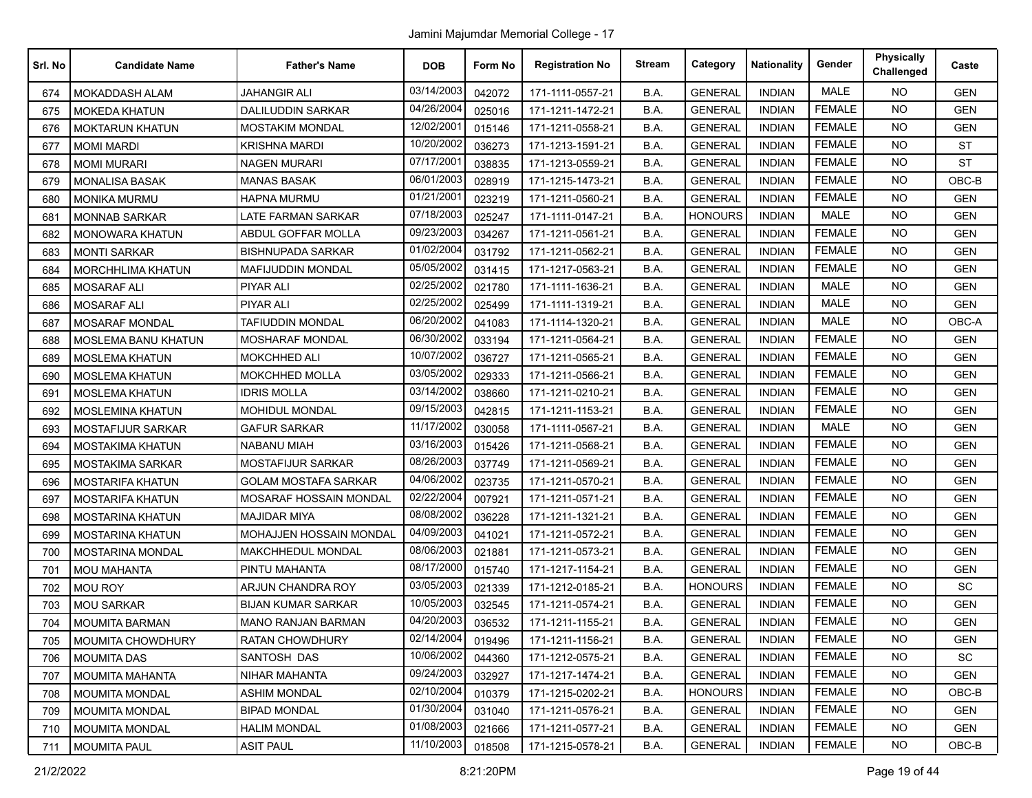| Srl. No | <b>Candidate Name</b>      | <b>Father's Name</b>        | <b>DOB</b> | Form No | <b>Registration No</b> | <b>Stream</b> | Category       | <b>Nationality</b> | Gender        | <b>Physically</b><br>Challenged | Caste      |
|---------|----------------------------|-----------------------------|------------|---------|------------------------|---------------|----------------|--------------------|---------------|---------------------------------|------------|
| 674     | <b>MOKADDASH ALAM</b>      | JAHANGIR ALI                | 03/14/2003 | 042072  | 171-1111-0557-21       | B.A.          | <b>GENERAL</b> | <b>INDIAN</b>      | <b>MALE</b>   | <b>NO</b>                       | <b>GEN</b> |
| 675     | <b>MOKEDA KHATUN</b>       | <b>DALILUDDIN SARKAR</b>    | 04/26/2004 | 025016  | 171-1211-1472-21       | B.A.          | <b>GENERAL</b> | <b>INDIAN</b>      | <b>FEMALE</b> | <b>NO</b>                       | <b>GEN</b> |
| 676     | <b>MOKTARUN KHATUN</b>     | <b>MOSTAKIM MONDAL</b>      | 12/02/2001 | 015146  | 171-1211-0558-21       | B.A.          | <b>GENERAL</b> | <b>INDIAN</b>      | <b>FEMALE</b> | <b>NO</b>                       | <b>GEN</b> |
| 677     | <b>MOMI MARDI</b>          | <b>KRISHNA MARDI</b>        | 10/20/2002 | 036273  | 171-1213-1591-21       | B.A.          | <b>GENERAL</b> | <b>INDIAN</b>      | <b>FEMALE</b> | <b>NO</b>                       | <b>ST</b>  |
| 678     | <b>MOMI MURARI</b>         | <b>NAGEN MURARI</b>         | 07/17/2001 | 038835  | 171-1213-0559-21       | B.A.          | <b>GENERAL</b> | <b>INDIAN</b>      | <b>FEMALE</b> | <b>NO</b>                       | <b>ST</b>  |
| 679     | <b>MONALISA BASAK</b>      | <b>MANAS BASAK</b>          | 06/01/2003 | 028919  | 171-1215-1473-21       | B.A.          | <b>GENERAL</b> | <b>INDIAN</b>      | <b>FEMALE</b> | <b>NO</b>                       | OBC-B      |
| 680     | <b>MONIKA MURMU</b>        | HAPNA MURMU                 | 01/21/2001 | 023219  | 171-1211-0560-21       | B.A.          | <b>GENERAL</b> | <b>INDIAN</b>      | <b>FEMALE</b> | <b>NO</b>                       | <b>GEN</b> |
| 681     | <b>MONNAB SARKAR</b>       | <b>LATE FARMAN SARKAR</b>   | 07/18/2003 | 025247  | 171-1111-0147-21       | B.A.          | <b>HONOURS</b> | <b>INDIAN</b>      | <b>MALE</b>   | <b>NO</b>                       | <b>GEN</b> |
| 682     | <b>MONOWARA KHATUN</b>     | ABDUL GOFFAR MOLLA          | 09/23/2003 | 034267  | 171-1211-0561-21       | B.A.          | <b>GENERAL</b> | <b>INDIAN</b>      | <b>FEMALE</b> | <b>NO</b>                       | <b>GEN</b> |
| 683     | <b>MONTI SARKAR</b>        | <b>BISHNUPADA SARKAR</b>    | 01/02/2004 | 031792  | 171-1211-0562-21       | B.A.          | <b>GENERAL</b> | <b>INDIAN</b>      | <b>FEMALE</b> | <b>NO</b>                       | <b>GEN</b> |
| 684     | <b>MORCHHLIMA KHATUN</b>   | <b>MAFIJUDDIN MONDAL</b>    | 05/05/2002 | 031415  | 171-1217-0563-21       | B.A.          | <b>GENERAL</b> | <b>INDIAN</b>      | <b>FEMALE</b> | <b>NO</b>                       | <b>GEN</b> |
| 685     | <b>MOSARAF ALI</b>         | <b>PIYAR ALI</b>            | 02/25/2002 | 021780  | 171-1111-1636-21       | B.A.          | <b>GENERAL</b> | <b>INDIAN</b>      | <b>MALE</b>   | <b>NO</b>                       | <b>GEN</b> |
| 686     | <b>MOSARAF ALI</b>         | PIYAR ALI                   | 02/25/2002 | 025499  | 171-1111-1319-21       | B.A.          | <b>GENERAL</b> | <b>INDIAN</b>      | <b>MALE</b>   | <b>NO</b>                       | <b>GEN</b> |
| 687     | <b>MOSARAF MONDAL</b>      | <b>TAFIUDDIN MONDAL</b>     | 06/20/2002 | 041083  | 171-1114-1320-21       | B.A.          | <b>GENERAL</b> | <b>INDIAN</b>      | <b>MALE</b>   | <b>NO</b>                       | OBC-A      |
| 688     | <b>MOSLEMA BANU KHATUN</b> | <b>MOSHARAF MONDAL</b>      | 06/30/2002 | 033194  | 171-1211-0564-21       | B.A.          | <b>GENERAL</b> | <b>INDIAN</b>      | <b>FEMALE</b> | <b>NO</b>                       | <b>GEN</b> |
| 689     | <b>MOSLEMA KHATUN</b>      | <b>MOKCHHED ALI</b>         | 10/07/2002 | 036727  | 171-1211-0565-21       | B.A.          | <b>GENERAL</b> | <b>INDIAN</b>      | <b>FEMALE</b> | <b>NO</b>                       | <b>GEN</b> |
| 690     | <b>MOSLEMA KHATUN</b>      | <b>MOKCHHED MOLLA</b>       | 03/05/2002 | 029333  | 171-1211-0566-21       | B.A.          | <b>GENERAL</b> | <b>INDIAN</b>      | <b>FEMALE</b> | <b>NO</b>                       | <b>GEN</b> |
| 691     | <b>MOSLEMA KHATUN</b>      | <b>IDRIS MOLLA</b>          | 03/14/2002 | 038660  | 171-1211-0210-21       | B.A.          | <b>GENERAL</b> | <b>INDIAN</b>      | <b>FEMALE</b> | <b>NO</b>                       | <b>GEN</b> |
| 692     | <b>MOSLEMINA KHATUN</b>    | MOHIDUL MONDAL              | 09/15/2003 | 042815  | 171-1211-1153-21       | B.A.          | <b>GENERAL</b> | <b>INDIAN</b>      | <b>FEMALE</b> | NO.                             | <b>GEN</b> |
| 693     | MOSTAFIJUR SARKAR          | <b>GAFUR SARKAR</b>         | 11/17/2002 | 030058  | 171-1111-0567-21       | B.A.          | <b>GENERAL</b> | <b>INDIAN</b>      | MALE          | <b>NO</b>                       | <b>GEN</b> |
| 694     | <b>MOSTAKIMA KHATUN</b>    | <b>NABANU MIAH</b>          | 03/16/2003 | 015426  | 171-1211-0568-21       | B.A.          | <b>GENERAL</b> | <b>INDIAN</b>      | <b>FEMALE</b> | <b>NO</b>                       | <b>GEN</b> |
| 695     | MOSTAKIMA SARKAR           | MOSTAFIJUR SARKAR           | 08/26/2003 | 037749  | 171-1211-0569-21       | B.A.          | <b>GENERAL</b> | <b>INDIAN</b>      | <b>FEMALE</b> | <b>NO</b>                       | <b>GEN</b> |
| 696     | <b>MOSTARIFA KHATUN</b>    | <b>GOLAM MOSTAFA SARKAR</b> | 04/06/2002 | 023735  | 171-1211-0570-21       | B.A.          | <b>GENERAL</b> | <b>INDIAN</b>      | <b>FEMALE</b> | NO.                             | <b>GEN</b> |
| 697     | <b>MOSTARIFA KHATUN</b>    | MOSARAF HOSSAIN MONDAL      | 02/22/2004 | 007921  | 171-1211-0571-21       | B.A.          | <b>GENERAL</b> | <b>INDIAN</b>      | <b>FEMALE</b> | <b>NO</b>                       | <b>GEN</b> |
| 698     | <b>MOSTARINA KHATUN</b>    | <b>MAJIDAR MIYA</b>         | 08/08/2002 | 036228  | 171-1211-1321-21       | B.A.          | <b>GENERAL</b> | <b>INDIAN</b>      | <b>FEMALE</b> | <b>NO</b>                       | <b>GEN</b> |
| 699     | <b>MOSTARINA KHATUN</b>    | MOHAJJEN HOSSAIN MONDAL     | 04/09/2003 | 041021  | 171-1211-0572-21       | B.A.          | <b>GENERAL</b> | <b>INDIAN</b>      | <b>FEMALE</b> | <b>NO</b>                       | <b>GEN</b> |
| 700     | MOSTARINA MONDAL           | MAKCHHEDUL MONDAL           | 08/06/2003 | 021881  | 171-1211-0573-21       | B.A.          | <b>GENERAL</b> | <b>INDIAN</b>      | <b>FEMALE</b> | <b>NO</b>                       | <b>GEN</b> |
| 701     | <b>MOU MAHANTA</b>         | PINTU MAHANTA               | 08/17/2000 | 015740  | 171-1217-1154-21       | B.A.          | <b>GENERAL</b> | <b>INDIAN</b>      | <b>FEMALE</b> | <b>NO</b>                       | <b>GEN</b> |
| 702     | <b>MOU ROY</b>             | ARJUN CHANDRA ROY           | 03/05/2003 | 021339  | 171-1212-0185-21       | B.A.          | <b>HONOURS</b> | <b>INDIAN</b>      | <b>FEMALE</b> | <b>NO</b>                       | SC         |
| 703     | <b>MOU SARKAR</b>          | <b>BIJAN KUMAR SARKAR</b>   | 10/05/2003 | 032545  | 171-1211-0574-21       | B.A.          | <b>GENERAL</b> | <b>INDIAN</b>      | <b>FEMALE</b> | <b>NO</b>                       | <b>GEN</b> |
| 704     | <b>MOUMITA BARMAN</b>      | <b>MANO RANJAN BARMAN</b>   | 04/20/2003 | 036532  | 171-1211-1155-21       | B.A.          | <b>GENERAL</b> | <b>INDIAN</b>      | <b>FEMALE</b> | <b>NO</b>                       | <b>GEN</b> |
| 705     | MOUMITA CHOWDHURY          | <b>RATAN CHOWDHURY</b>      | 02/14/2004 | 019496  | 171-1211-1156-21       | B.A.          | <b>GENERAL</b> | <b>INDIAN</b>      | <b>FEMALE</b> | NO                              | <b>GEN</b> |
| 706     | <b>MOUMITA DAS</b>         | SANTOSH DAS                 | 10/06/2002 | 044360  | 171-1212-0575-21       | B.A.          | <b>GENERAL</b> | <b>INDIAN</b>      | <b>FEMALE</b> | <b>NO</b>                       | SC         |
| 707     | <b>MOUMITA MAHANTA</b>     | NIHAR MAHANTA               | 09/24/2003 | 032927  | 171-1217-1474-21       | B.A.          | <b>GENERAL</b> | <b>INDIAN</b>      | <b>FEMALE</b> | <b>NO</b>                       | <b>GEN</b> |
| 708     | <b>MOUMITA MONDAL</b>      | <b>ASHIM MONDAL</b>         | 02/10/2004 | 010379  | 171-1215-0202-21       | B.A.          | <b>HONOURS</b> | <b>INDIAN</b>      | <b>FEMALE</b> | <b>NO</b>                       | OBC-B      |
| 709     | <b>MOUMITA MONDAL</b>      | <b>BIPAD MONDAL</b>         | 01/30/2004 | 031040  | 171-1211-0576-21       | B.A.          | <b>GENERAL</b> | <b>INDIAN</b>      | <b>FEMALE</b> | NO.                             | <b>GEN</b> |
| 710     | <b>MOUMITA MONDAL</b>      | <b>HALIM MONDAL</b>         | 01/08/2003 | 021666  | 171-1211-0577-21       | B.A.          | <b>GENERAL</b> | <b>INDIAN</b>      | <b>FEMALE</b> | <b>NO</b>                       | <b>GEN</b> |
| 711     | <b>MOUMITA PAUL</b>        | <b>ASIT PAUL</b>            | 11/10/2003 | 018508  | 171-1215-0578-21       | B.A.          | <b>GENERAL</b> | <b>INDIAN</b>      | <b>FEMALE</b> | NO.                             | OBC-B      |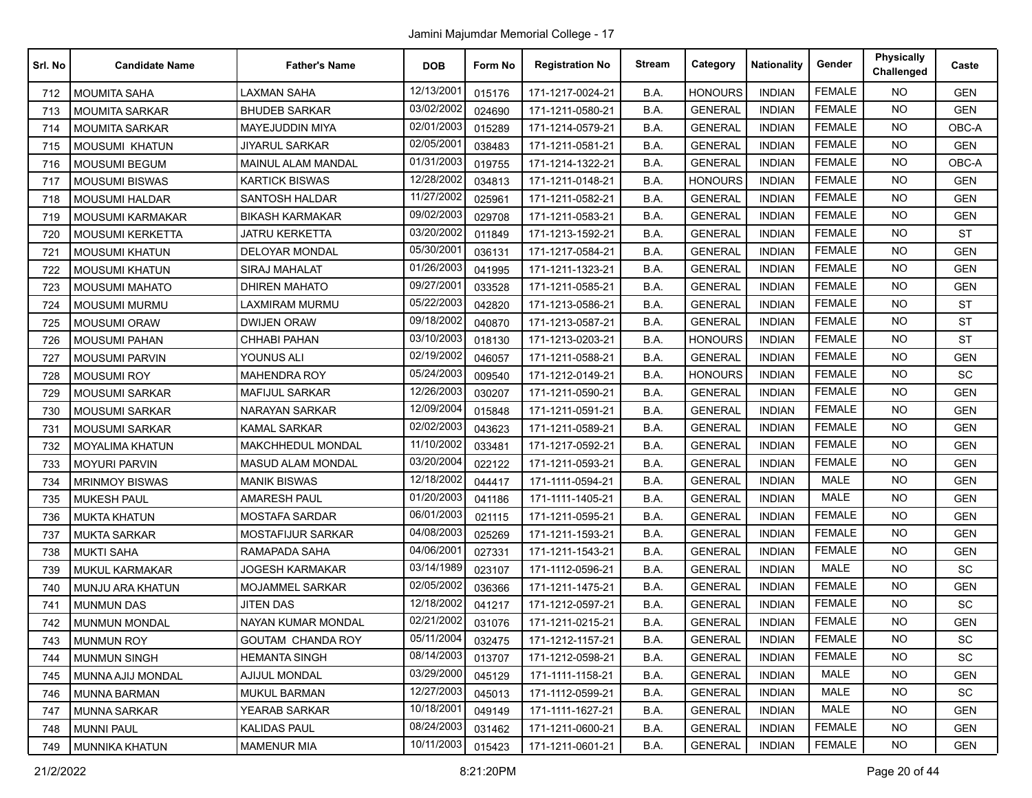| Srl. No | <b>Candidate Name</b>   | <b>Father's Name</b>      | <b>DOB</b> | Form No | <b>Registration No</b> | <b>Stream</b> | Category       | <b>Nationality</b> | Gender        | <b>Physically</b><br>Challenged | Caste      |
|---------|-------------------------|---------------------------|------------|---------|------------------------|---------------|----------------|--------------------|---------------|---------------------------------|------------|
| 712     | <b>MOUMITA SAHA</b>     | LAXMAN SAHA               | 12/13/2001 | 015176  | 171-1217-0024-21       | B.A.          | <b>HONOURS</b> | <b>INDIAN</b>      | <b>FEMALE</b> | <b>NO</b>                       | <b>GEN</b> |
| 713     | <b>MOUMITA SARKAR</b>   | <b>BHUDEB SARKAR</b>      | 03/02/2002 | 024690  | 171-1211-0580-21       | B.A.          | <b>GENERAL</b> | <b>INDIAN</b>      | <b>FEMALE</b> | <b>NO</b>                       | <b>GEN</b> |
| 714     | <b>MOUMITA SARKAR</b>   | MAYEJUDDIN MIYA           | 02/01/2003 | 015289  | 171-1214-0579-21       | B.A.          | <b>GENERAL</b> | <b>INDIAN</b>      | <b>FEMALE</b> | <b>NO</b>                       | OBC-A      |
| 715     | <b>MOUSUMI KHATUN</b>   | <b>JIYARUL SARKAR</b>     | 02/05/2001 | 038483  | 171-1211-0581-21       | B.A.          | <b>GENERAL</b> | <b>INDIAN</b>      | <b>FEMALE</b> | <b>NO</b>                       | <b>GEN</b> |
| 716     | MOUSUMI BEGUM           | <b>MAINUL ALAM MANDAL</b> | 01/31/2003 | 019755  | 171-1214-1322-21       | B.A.          | <b>GENERAL</b> | <b>INDIAN</b>      | <b>FEMALE</b> | <b>NO</b>                       | OBC-A      |
| 717     | <b>MOUSUMI BISWAS</b>   | <b>KARTICK BISWAS</b>     | 12/28/2002 | 034813  | 171-1211-0148-21       | B.A.          | <b>HONOURS</b> | <b>INDIAN</b>      | <b>FEMALE</b> | <b>NO</b>                       | <b>GEN</b> |
| 718     | <b>MOUSUMI HALDAR</b>   | SANTOSH HALDAR            | 11/27/2002 | 025961  | 171-1211-0582-21       | B.A.          | <b>GENERAL</b> | <b>INDIAN</b>      | <b>FEMALE</b> | <b>NO</b>                       | <b>GEN</b> |
| 719     | <b>MOUSUMI KARMAKAR</b> | <b>BIKASH KARMAKAR</b>    | 09/02/2003 | 029708  | 171-1211-0583-21       | B.A.          | <b>GENERAL</b> | <b>INDIAN</b>      | <b>FEMALE</b> | <b>NO</b>                       | <b>GEN</b> |
| 720     | <b>MOUSUMI KERKETTA</b> | JATRU KERKETTA            | 03/20/2002 | 011849  | 171-1213-1592-21       | B.A.          | <b>GENERAL</b> | <b>INDIAN</b>      | <b>FEMALE</b> | <b>NO</b>                       | <b>ST</b>  |
| 721     | <b>MOUSUMI KHATUN</b>   | <b>DELOYAR MONDAL</b>     | 05/30/2001 | 036131  | 171-1217-0584-21       | B.A.          | <b>GENERAL</b> | <b>INDIAN</b>      | <b>FEMALE</b> | <b>NO</b>                       | <b>GEN</b> |
| 722     | <b>MOUSUMI KHATUN</b>   | SIRAJ MAHALAT             | 01/26/2003 | 041995  | 171-1211-1323-21       | B.A.          | <b>GENERAL</b> | <b>INDIAN</b>      | <b>FEMALE</b> | <b>NO</b>                       | <b>GEN</b> |
| 723     | <b>MOUSUMI MAHATO</b>   | <b>DHIREN MAHATO</b>      | 09/27/2001 | 033528  | 171-1211-0585-21       | B.A.          | <b>GENERAL</b> | <b>INDIAN</b>      | <b>FEMALE</b> | <b>NO</b>                       | <b>GEN</b> |
| 724     | MOUSUMI MURMU           | LAXMIRAM MURMU            | 05/22/2003 | 042820  | 171-1213-0586-21       | B.A.          | <b>GENERAL</b> | <b>INDIAN</b>      | <b>FEMALE</b> | <b>NO</b>                       | <b>ST</b>  |
| 725     | <b>MOUSUMI ORAW</b>     | <b>DWIJEN ORAW</b>        | 09/18/2002 | 040870  | 171-1213-0587-21       | B.A.          | <b>GENERAL</b> | <b>INDIAN</b>      | <b>FEMALE</b> | <b>NO</b>                       | <b>ST</b>  |
| 726     | <b>MOUSUMI PAHAN</b>    | CHHABI PAHAN              | 03/10/2003 | 018130  | 171-1213-0203-21       | B.A.          | <b>HONOURS</b> | <b>INDIAN</b>      | <b>FEMALE</b> | <b>NO</b>                       | <b>ST</b>  |
| 727     | <b>MOUSUMI PARVIN</b>   | YOUNUS ALI                | 02/19/2002 | 046057  | 171-1211-0588-21       | B.A.          | <b>GENERAL</b> | <b>INDIAN</b>      | <b>FEMALE</b> | <b>NO</b>                       | <b>GEN</b> |
| 728     | <b>MOUSUMI ROY</b>      | <b>MAHENDRA ROY</b>       | 05/24/2003 | 009540  | 171-1212-0149-21       | B.A.          | <b>HONOURS</b> | <b>INDIAN</b>      | <b>FEMALE</b> | <b>NO</b>                       | <b>SC</b>  |
| 729     | <b>MOUSUMI SARKAR</b>   | <b>MAFIJUL SARKAR</b>     | 12/26/2003 | 030207  | 171-1211-0590-21       | B.A.          | <b>GENERAL</b> | <b>INDIAN</b>      | <b>FEMALE</b> | <b>NO</b>                       | <b>GEN</b> |
| 730     | <b>MOUSUMI SARKAR</b>   | <b>NARAYAN SARKAR</b>     | 12/09/2004 | 015848  | 171-1211-0591-21       | B.A.          | <b>GENERAL</b> | <b>INDIAN</b>      | <b>FEMALE</b> | NO.                             | <b>GEN</b> |
| 731     | <b>MOUSUMI SARKAR</b>   | <b>KAMAL SARKAR</b>       | 02/02/2003 | 043623  | 171-1211-0589-21       | B.A.          | <b>GENERAL</b> | <b>INDIAN</b>      | <b>FEMALE</b> | <b>NO</b>                       | <b>GEN</b> |
| 732     | <b>MOYALIMA KHATUN</b>  | MAKCHHEDUL MONDAL         | 11/10/2002 | 033481  | 171-1217-0592-21       | B.A.          | <b>GENERAL</b> | <b>INDIAN</b>      | <b>FEMALE</b> | <b>NO</b>                       | <b>GEN</b> |
| 733     | <b>MOYURI PARVIN</b>    | <b>MASUD ALAM MONDAL</b>  | 03/20/2004 | 022122  | 171-1211-0593-21       | B.A.          | <b>GENERAL</b> | <b>INDIAN</b>      | <b>FEMALE</b> | <b>NO</b>                       | <b>GEN</b> |
| 734     | <b>MRINMOY BISWAS</b>   | <b>MANIK BISWAS</b>       | 12/18/2002 | 044417  | 171-1111-0594-21       | B.A.          | <b>GENERAL</b> | <b>INDIAN</b>      | <b>MALE</b>   | NO.                             | <b>GEN</b> |
| 735     | <b>MUKESH PAUL</b>      | <b>AMARESH PAUL</b>       | 01/20/2003 | 041186  | 171-1111-1405-21       | B.A.          | <b>GENERAL</b> | <b>INDIAN</b>      | <b>MALE</b>   | <b>NO</b>                       | <b>GEN</b> |
| 736     | <b>MUKTA KHATUN</b>     | <b>MOSTAFA SARDAR</b>     | 06/01/2003 | 021115  | 171-1211-0595-21       | B.A.          | <b>GENERAL</b> | <b>INDIAN</b>      | <b>FEMALE</b> | <b>NO</b>                       | <b>GEN</b> |
| 737     | <b>MUKTA SARKAR</b>     | <b>MOSTAFIJUR SARKAR</b>  | 04/08/2003 | 025269  | 171-1211-1593-21       | B.A.          | <b>GENERAL</b> | <b>INDIAN</b>      | <b>FEMALE</b> | <b>NO</b>                       | <b>GEN</b> |
| 738     | <b>MUKTI SAHA</b>       | RAMAPADA SAHA             | 04/06/2001 | 027331  | 171-1211-1543-21       | B.A.          | <b>GENERAL</b> | <b>INDIAN</b>      | <b>FEMALE</b> | <b>NO</b>                       | <b>GEN</b> |
| 739     | <b>MUKUL KARMAKAR</b>   | JOGESH KARMAKAR           | 03/14/1989 | 023107  | 171-1112-0596-21       | B.A.          | <b>GENERAL</b> | <b>INDIAN</b>      | <b>MALE</b>   | <b>NO</b>                       | SC         |
| 740     | MUNJU ARA KHATUN        | <b>MOJAMMEL SARKAR</b>    | 02/05/2002 | 036366  | 171-1211-1475-21       | B.A.          | <b>GENERAL</b> | <b>INDIAN</b>      | <b>FEMALE</b> | <b>NO</b>                       | <b>GEN</b> |
| 741     | <b>MUNMUN DAS</b>       | JITEN DAS                 | 12/18/2002 | 041217  | 171-1212-0597-21       | B.A.          | <b>GENERAL</b> | <b>INDIAN</b>      | <b>FEMALE</b> | <b>NO</b>                       | SC         |
| 742     | <b>MUNMUN MONDAL</b>    | NAYAN KUMAR MONDAL        | 02/21/2002 | 031076  | 171-1211-0215-21       | B.A.          | <b>GENERAL</b> | <b>INDIAN</b>      | <b>FEMALE</b> | <b>NO</b>                       | <b>GEN</b> |
| 743     | <b>MUNMUN ROY</b>       | <b>GOUTAM CHANDA ROY</b>  | 05/11/2004 | 032475  | 171-1212-1157-21       | B.A.          | <b>GENERAL</b> | <b>INDIAN</b>      | <b>FEMALE</b> | NO                              | SC         |
| 744     | <b>MUNMUN SINGH</b>     | <b>HEMANTA SINGH</b>      | 08/14/2003 | 013707  | 171-1212-0598-21       | B.A.          | <b>GENERAL</b> | <b>INDIAN</b>      | <b>FEMALE</b> | <b>NO</b>                       | SC         |
| 745     | MUNNA AJIJ MONDAL       | <b>AJIJUL MONDAL</b>      | 03/29/2000 | 045129  | 171-1111-1158-21       | B.A.          | <b>GENERAL</b> | <b>INDIAN</b>      | MALE          | <b>NO</b>                       | <b>GEN</b> |
| 746     | <b>MUNNA BARMAN</b>     | <b>MUKUL BARMAN</b>       | 12/27/2003 | 045013  | 171-1112-0599-21       | B.A.          | <b>GENERAL</b> | <b>INDIAN</b>      | MALE          | <b>NO</b>                       | SC         |
| 747     | <b>MUNNA SARKAR</b>     | YEARAB SARKAR             | 10/18/2001 | 049149  | 171-1111-1627-21       | <b>B.A.</b>   | <b>GENERAL</b> | <b>INDIAN</b>      | MALE          | <b>NO</b>                       | <b>GEN</b> |
| 748     | <b>MUNNI PAUL</b>       | <b>KALIDAS PAUL</b>       | 08/24/2003 | 031462  | 171-1211-0600-21       | B.A.          | <b>GENERAL</b> | <b>INDIAN</b>      | <b>FEMALE</b> | <b>NO</b>                       | <b>GEN</b> |
| 749     | MUNNIKA KHATUN          | <b>MAMENUR MIA</b>        | 10/11/2003 | 015423  | 171-1211-0601-21       | B.A.          | <b>GENERAL</b> | <b>INDIAN</b>      | <b>FEMALE</b> | NO.                             | GEN        |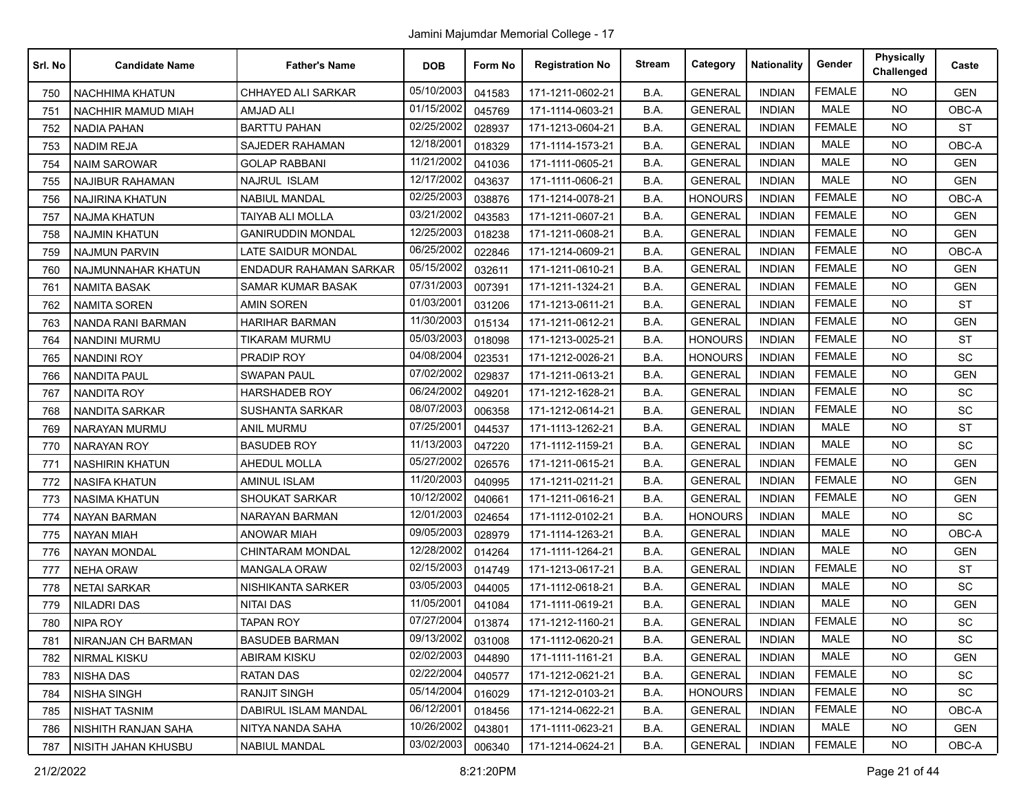Jamini Majumdar Memorial College - 17

| Srl. No | <b>Candidate Name</b>  | <b>Father's Name</b>          | <b>DOB</b> | Form No | <b>Registration No</b> | <b>Stream</b> | Category       | <b>Nationality</b> | Gender        | <b>Physically</b><br>Challenged | Caste      |
|---------|------------------------|-------------------------------|------------|---------|------------------------|---------------|----------------|--------------------|---------------|---------------------------------|------------|
| 750     | NACHHIMA KHATUN        | CHHAYED ALI SARKAR            | 05/10/2003 | 041583  | 171-1211-0602-21       | B.A.          | <b>GENERAL</b> | <b>INDIAN</b>      | <b>FEMALE</b> | <b>NO</b>                       | <b>GEN</b> |
| 751     | NACHHIR MAMUD MIAH     | AMJAD ALI                     | 01/15/2002 | 045769  | 171-1114-0603-21       | B.A.          | <b>GENERAL</b> | <b>INDIAN</b>      | <b>MALE</b>   | <b>NO</b>                       | OBC-A      |
| 752     | <b>NADIA PAHAN</b>     | <b>BARTTU PAHAN</b>           | 02/25/2002 | 028937  | 171-1213-0604-21       | B.A.          | <b>GENERAL</b> | <b>INDIAN</b>      | <b>FEMALE</b> | <b>NO</b>                       | <b>ST</b>  |
| 753     | <b>NADIM REJA</b>      | SAJEDER RAHAMAN               | 12/18/2001 | 018329  | 171-1114-1573-21       | B.A.          | <b>GENERAL</b> | <b>INDIAN</b>      | <b>MALE</b>   | <b>NO</b>                       | OBC-A      |
| 754     | <b>NAIM SAROWAR</b>    | <b>GOLAP RABBANI</b>          | 11/21/2002 | 041036  | 171-1111-0605-21       | B.A.          | <b>GENERAL</b> | <b>INDIAN</b>      | <b>MALE</b>   | NO.                             | <b>GEN</b> |
| 755     | NAJIBUR RAHAMAN        | NAJRUL ISLAM                  | 12/17/2002 | 043637  | 171-1111-0606-21       | B.A.          | <b>GENERAL</b> | <b>INDIAN</b>      | <b>MALE</b>   | <b>NO</b>                       | <b>GEN</b> |
| 756     | <b>NAJIRINA KHATUN</b> | <b>NABIUL MANDAL</b>          | 02/25/2003 | 038876  | 171-1214-0078-21       | B.A.          | <b>HONOURS</b> | <b>INDIAN</b>      | <b>FEMALE</b> | NO.                             | OBC-A      |
| 757     | NAJMA KHATUN           | TAIYAB ALI MOLLA              | 03/21/2002 | 043583  | 171-1211-0607-21       | B.A.          | <b>GENERAL</b> | <b>INDIAN</b>      | <b>FEMALE</b> | <b>NO</b>                       | <b>GEN</b> |
| 758     | NAJMIN KHATUN          | <b>GANIRUDDIN MONDAL</b>      | 12/25/2003 | 018238  | 171-1211-0608-21       | B.A.          | <b>GENERAL</b> | <b>INDIAN</b>      | <b>FEMALE</b> | NO.                             | <b>GEN</b> |
| 759     | <b>NAJMUN PARVIN</b>   | <b>LATE SAIDUR MONDAL</b>     | 06/25/2002 | 022846  | 171-1214-0609-21       | B.A.          | <b>GENERAL</b> | <b>INDIAN</b>      | <b>FEMALE</b> | <b>NO</b>                       | OBC-A      |
| 760     | NAJMUNNAHAR KHATUN     | <b>ENDADUR RAHAMAN SARKAR</b> | 05/15/2002 | 032611  | 171-1211-0610-21       | B.A.          | <b>GENERAL</b> | <b>INDIAN</b>      | <b>FEMALE</b> | <b>NO</b>                       | <b>GEN</b> |
| 761     | <b>NAMITA BASAK</b>    | SAMAR KUMAR BASAK             | 07/31/2003 | 007391  | 171-1211-1324-21       | B.A.          | <b>GENERAL</b> | <b>INDIAN</b>      | <b>FEMALE</b> | <b>NO</b>                       | <b>GEN</b> |
| 762     | <b>NAMITA SOREN</b>    | <b>AMIN SOREN</b>             | 01/03/2001 | 031206  | 171-1213-0611-21       | B.A.          | <b>GENERAL</b> | <b>INDIAN</b>      | <b>FEMALE</b> | NO.                             | <b>ST</b>  |
| 763     | NANDA RANI BARMAN      | HARIHAR BARMAN                | 11/30/2003 | 015134  | 171-1211-0612-21       | B.A.          | <b>GENERAL</b> | <b>INDIAN</b>      | <b>FEMALE</b> | <b>NO</b>                       | GEN        |
| 764     | NANDINI MURMU          | TIKARAM MURMU                 | 05/03/2003 | 018098  | 171-1213-0025-21       | B.A.          | <b>HONOURS</b> | <b>INDIAN</b>      | <b>FEMALE</b> | <b>NO</b>                       | <b>ST</b>  |
| 765     | NANDINI ROY            | PRADIP ROY                    | 04/08/2004 | 023531  | 171-1212-0026-21       | B.A.          | <b>HONOURS</b> | <b>INDIAN</b>      | <b>FEMALE</b> | <b>NO</b>                       | <b>SC</b>  |
| 766     | NANDITA PAUL           | <b>SWAPAN PAUL</b>            | 07/02/2002 | 029837  | 171-1211-0613-21       | B.A.          | <b>GENERAL</b> | <b>INDIAN</b>      | <b>FEMALE</b> | NO.                             | <b>GEN</b> |
| 767     | NANDITA ROY            | HARSHADEB ROY                 | 06/24/2002 | 049201  | 171-1212-1628-21       | B.A.          | <b>GENERAL</b> | <b>INDIAN</b>      | <b>FEMALE</b> | <b>NO</b>                       | SC         |
| 768     | NANDITA SARKAR         | <b>SUSHANTA SARKAR</b>        | 08/07/2003 | 006358  | 171-1212-0614-21       | B.A.          | <b>GENERAL</b> | <b>INDIAN</b>      | <b>FEMALE</b> | <b>NO</b>                       | SC         |
| 769     | NARAYAN MURMU          | <b>ANIL MURMU</b>             | 07/25/2001 | 044537  | 171-1113-1262-21       | B.A.          | <b>GENERAL</b> | <b>INDIAN</b>      | <b>MALE</b>   | <b>NO</b>                       | <b>ST</b>  |
| 770     | <b>NARAYAN ROY</b>     | <b>BASUDEB ROY</b>            | 11/13/2003 | 047220  | 171-1112-1159-21       | B.A.          | <b>GENERAL</b> | <b>INDIAN</b>      | <b>MALE</b>   | NO.                             | <b>SC</b>  |
| 771     | <b>NASHIRIN KHATUN</b> | AHEDUL MOLLA                  | 05/27/2002 | 026576  | 171-1211-0615-21       | B.A.          | <b>GENERAL</b> | <b>INDIAN</b>      | <b>FEMALE</b> | <b>NO</b>                       | <b>GEN</b> |
| 772     | <b>NASIFA KHATUN</b>   | <b>AMINUL ISLAM</b>           | 11/20/2003 | 040995  | 171-1211-0211-21       | B.A.          | <b>GENERAL</b> | <b>INDIAN</b>      | <b>FEMALE</b> | <b>NO</b>                       | <b>GEN</b> |
| 773     | NASIMA KHATUN          | <b>SHOUKAT SARKAR</b>         | 10/12/2002 | 040661  | 171-1211-0616-21       | B.A.          | <b>GENERAL</b> | <b>INDIAN</b>      | <b>FEMALE</b> | <b>NO</b>                       | <b>GEN</b> |
| 774     | <b>NAYAN BARMAN</b>    | <b>NARAYAN BARMAN</b>         | 12/01/2003 | 024654  | 171-1112-0102-21       | B.A.          | <b>HONOURS</b> | <b>INDIAN</b>      | <b>MALE</b>   | NO.                             | SC         |
| 775     | <b>NAYAN MIAH</b>      | <b>ANOWAR MIAH</b>            | 09/05/2003 | 028979  | 171-1114-1263-21       | B.A.          | <b>GENERAL</b> | <b>INDIAN</b>      | <b>MALE</b>   | <b>NO</b>                       | OBC-A      |
| 776     | <b>NAYAN MONDAL</b>    | CHINTARAM MONDAL              | 12/28/2002 | 014264  | 171-1111-1264-21       | B.A.          | <b>GENERAL</b> | <b>INDIAN</b>      | MALE          | <b>NO</b>                       | <b>GEN</b> |
| 777     | <b>NEHA ORAW</b>       | <b>MANGALA ORAW</b>           | 02/15/2003 | 014749  | 171-1213-0617-21       | B.A.          | <b>GENERAL</b> | <b>INDIAN</b>      | <b>FEMALE</b> | NO.                             | <b>ST</b>  |
| 778     | <b>NETAI SARKAR</b>    | NISHIKANTA SARKER             | 03/05/2003 | 044005  | 171-1112-0618-21       | B.A.          | <b>GENERAL</b> | <b>INDIAN</b>      | <b>MALE</b>   | <b>NO</b>                       | <b>SC</b>  |
| 779     | <b>NILADRI DAS</b>     | <b>NITAI DAS</b>              | 11/05/2001 | 041084  | 171-1111-0619-21       | B.A.          | <b>GENERAL</b> | <b>INDIAN</b>      | MALE          | <b>NO</b>                       | <b>GEN</b> |
| 780     | <b>NIPA ROY</b>        | <b>TAPAN ROY</b>              | 07/27/2004 | 013874  | 171-1212-1160-21       | B.A.          | <b>GENERAL</b> | <b>INDIAN</b>      | <b>FEMALE</b> | <b>NO</b>                       | SC         |
| 781     | NIRANJAN CH BARMAN     | <b>BASUDEB BARMAN</b>         | 09/13/2002 | 031008  | 171-1112-0620-21       | B.A.          | <b>GENERAL</b> | <b>INDIAN</b>      | MALE          | NO.                             | <b>SC</b>  |
| 782     | NIRMAL KISKU           | <b>ABIRAM KISKU</b>           | 02/02/2003 | 044890  | 171-1111-1161-21       | B.A.          | <b>GENERAL</b> | <b>INDIAN</b>      | MALE          | <b>NO</b>                       | <b>GEN</b> |
| 783     | <b>NISHA DAS</b>       | <b>RATAN DAS</b>              | 02/22/2004 | 040577  | 171-1212-0621-21       | B.A.          | <b>GENERAL</b> | <b>INDIAN</b>      | <b>FEMALE</b> | NO.                             | SC         |
| 784     | <b>NISHA SINGH</b>     | <b>RANJIT SINGH</b>           | 05/14/2004 | 016029  | 171-1212-0103-21       | B.A.          | <b>HONOURS</b> | <b>INDIAN</b>      | <b>FEMALE</b> | NO.                             | SC         |
| 785     | NISHAT TASNIM          | DABIRUL ISLAM MANDAL          | 06/12/2001 | 018456  | 171-1214-0622-21       | B.A.          | <b>GENERAL</b> | <b>INDIAN</b>      | <b>FEMALE</b> | NO.                             | OBC-A      |
| 786     | NISHITH RANJAN SAHA    | NITYA NANDA SAHA              | 10/26/2002 | 043801  | 171-1111-0623-21       | B.A.          | <b>GENERAL</b> | <b>INDIAN</b>      | MALE          | <b>NO</b>                       | <b>GEN</b> |
| 787     | NISITH JAHAN KHUSBU    | <b>NABIUL MANDAL</b>          | 03/02/2003 | 006340  | 171-1214-0624-21       | B.A.          | <b>GENERAL</b> | <b>INDIAN</b>      | <b>FEMALE</b> | NO.                             | OBC-A      |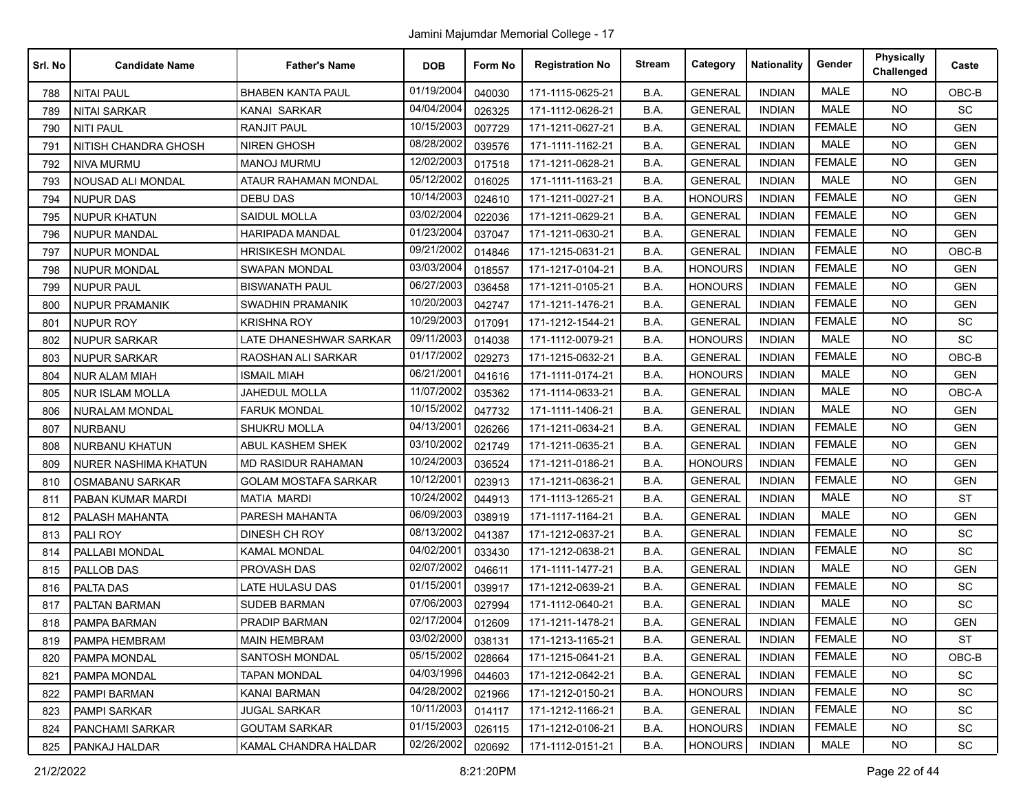| Srl. No | <b>Candidate Name</b>  | <b>Father's Name</b>        | <b>DOB</b> | Form No | <b>Registration No</b> | <b>Stream</b> | Category       | <b>Nationality</b> | Gender        | <b>Physically</b><br>Challenged | Caste      |
|---------|------------------------|-----------------------------|------------|---------|------------------------|---------------|----------------|--------------------|---------------|---------------------------------|------------|
| 788     | <b>NITAI PAUL</b>      | <b>BHABEN KANTA PAUL</b>    | 01/19/2004 | 040030  | 171-1115-0625-21       | B.A.          | <b>GENERAL</b> | <b>INDIAN</b>      | <b>MALE</b>   | <b>NO</b>                       | $OBC-B$    |
| 789     | <b>NITAI SARKAR</b>    | <b>KANAI SARKAR</b>         | 04/04/2004 | 026325  | 171-1112-0626-21       | B.A.          | <b>GENERAL</b> | <b>INDIAN</b>      | <b>MALE</b>   | <b>NO</b>                       | <b>SC</b>  |
| 790     | <b>NITI PAUL</b>       | <b>RANJIT PAUL</b>          | 10/15/2003 | 007729  | 171-1211-0627-21       | B.A.          | <b>GENERAL</b> | <b>INDIAN</b>      | <b>FEMALE</b> | <b>NO</b>                       | <b>GEN</b> |
| 791     | NITISH CHANDRA GHOSH   | <b>NIREN GHOSH</b>          | 08/28/2002 | 039576  | 171-1111-1162-21       | B.A.          | <b>GENERAL</b> | <b>INDIAN</b>      | <b>MALE</b>   | <b>NO</b>                       | <b>GEN</b> |
| 792     | <b>NIVA MURMU</b>      | <b>MANOJ MURMU</b>          | 12/02/2003 | 017518  | 171-1211-0628-21       | B.A.          | <b>GENERAL</b> | <b>INDIAN</b>      | <b>FEMALE</b> | <b>NO</b>                       | <b>GEN</b> |
| 793     | NOUSAD ALI MONDAL      | ATAUR RAHAMAN MONDAL        | 05/12/2002 | 016025  | 171-1111-1163-21       | B.A.          | <b>GENERAL</b> | <b>INDIAN</b>      | <b>MALE</b>   | <b>NO</b>                       | <b>GEN</b> |
| 794     | <b>NUPUR DAS</b>       | <b>DEBU DAS</b>             | 10/14/2003 | 024610  | 171-1211-0027-21       | B.A.          | <b>HONOURS</b> | <b>INDIAN</b>      | <b>FEMALE</b> | <b>NO</b>                       | <b>GEN</b> |
| 795     | <b>NUPUR KHATUN</b>    | <b>SAIDUL MOLLA</b>         | 03/02/2004 | 022036  | 171-1211-0629-21       | B.A.          | <b>GENERAL</b> | <b>INDIAN</b>      | <b>FEMALE</b> | <b>NO</b>                       | <b>GEN</b> |
| 796     | <b>NUPUR MANDAL</b>    | <b>HARIPADA MANDAL</b>      | 01/23/2004 | 037047  | 171-1211-0630-21       | B.A.          | <b>GENERAL</b> | <b>INDIAN</b>      | <b>FEMALE</b> | <b>NO</b>                       | <b>GEN</b> |
| 797     | <b>NUPUR MONDAL</b>    | <b>HRISIKESH MONDAL</b>     | 09/21/2002 | 014846  | 171-1215-0631-21       | B.A.          | <b>GENERAL</b> | <b>INDIAN</b>      | <b>FEMALE</b> | <b>NO</b>                       | OBC-B      |
| 798     | <b>NUPUR MONDAL</b>    | SWAPAN MONDAL               | 03/03/2004 | 018557  | 171-1217-0104-21       | B.A.          | HONOURS        | <b>INDIAN</b>      | <b>FEMALE</b> | <b>NO</b>                       | <b>GEN</b> |
| 799     | <b>NUPUR PAUL</b>      | <b>BISWANATH PAUL</b>       | 06/27/2003 | 036458  | 171-1211-0105-21       | B.A.          | <b>HONOURS</b> | <b>INDIAN</b>      | <b>FEMALE</b> | <b>NO</b>                       | <b>GEN</b> |
| 800     | <b>NUPUR PRAMANIK</b>  | SWADHIN PRAMANIK            | 10/20/2003 | 042747  | 171-1211-1476-21       | B.A.          | <b>GENERAL</b> | <b>INDIAN</b>      | <b>FEMALE</b> | <b>NO</b>                       | <b>GEN</b> |
| 801     | <b>NUPUR ROY</b>       | <b>KRISHNA ROY</b>          | 10/29/2003 | 017091  | 171-1212-1544-21       | B.A.          | <b>GENERAL</b> | <b>INDIAN</b>      | <b>FEMALE</b> | <b>NO</b>                       | <b>SC</b>  |
| 802     | <b>NUPUR SARKAR</b>    | LATE DHANESHWAR SARKAR      | 09/11/2003 | 014038  | 171-1112-0079-21       | B.A.          | <b>HONOURS</b> | <b>INDIAN</b>      | <b>MALE</b>   | <b>NO</b>                       | <b>SC</b>  |
| 803     | <b>NUPUR SARKAR</b>    | <b>RAOSHAN ALI SARKAR</b>   | 01/17/2002 | 029273  | 171-1215-0632-21       | B.A.          | <b>GENERAL</b> | <b>INDIAN</b>      | <b>FEMALE</b> | <b>NO</b>                       | OBC-B      |
| 804     | <b>NUR ALAM MIAH</b>   | <b>ISMAIL MIAH</b>          | 06/21/2001 | 041616  | 171-1111-0174-21       | B.A.          | <b>HONOURS</b> | <b>INDIAN</b>      | <b>MALE</b>   | <b>NO</b>                       | <b>GEN</b> |
| 805     | <b>NUR ISLAM MOLLA</b> | <b>JAHEDUL MOLLA</b>        | 11/07/2002 | 035362  | 171-1114-0633-21       | B.A.          | <b>GENERAL</b> | <b>INDIAN</b>      | <b>MALE</b>   | <b>NO</b>                       | OBC-A      |
| 806     | NURALAM MONDAL         | <b>FARUK MONDAL</b>         | 10/15/2002 | 047732  | 171-1111-1406-21       | B.A.          | <b>GENERAL</b> | <b>INDIAN</b>      | <b>MALE</b>   | NO.                             | <b>GEN</b> |
| 807     | <b>NURBANU</b>         | <b>SHUKRU MOLLA</b>         | 04/13/2001 | 026266  | 171-1211-0634-21       | B.A.          | <b>GENERAL</b> | <b>INDIAN</b>      | <b>FEMALE</b> | <b>NO</b>                       | <b>GEN</b> |
| 808     | <b>NURBANU KHATUN</b>  | ABUL KASHEM SHEK            | 03/10/2002 | 021749  | 171-1211-0635-21       | B.A.          | <b>GENERAL</b> | <b>INDIAN</b>      | <b>FEMALE</b> | <b>NO</b>                       | <b>GEN</b> |
| 809     | NURER NASHIMA KHATUN   | <b>MD RASIDUR RAHAMAN</b>   | 10/24/2003 | 036524  | 171-1211-0186-21       | B.A.          | <b>HONOURS</b> | <b>INDIAN</b>      | <b>FEMALE</b> | <b>NO</b>                       | <b>GEN</b> |
| 810     | <b>OSMABANU SARKAR</b> | <b>GOLAM MOSTAFA SARKAR</b> | 10/12/2001 | 023913  | 171-1211-0636-21       | B.A.          | <b>GENERAL</b> | <b>INDIAN</b>      | <b>FEMALE</b> | <b>NO</b>                       | <b>GEN</b> |
| 811     | PABAN KUMAR MARDI      | <b>MATIA MARDI</b>          | 10/24/2002 | 044913  | 171-1113-1265-21       | B.A.          | <b>GENERAL</b> | <b>INDIAN</b>      | <b>MALE</b>   | <b>NO</b>                       | <b>ST</b>  |
| 812     | PALASH MAHANTA         | PARESH MAHANTA              | 06/09/2003 | 038919  | 171-1117-1164-21       | B.A.          | <b>GENERAL</b> | <b>INDIAN</b>      | <b>MALE</b>   | <b>NO</b>                       | <b>GEN</b> |
| 813     | <b>PALI ROY</b>        | DINESH CH ROY               | 08/13/2002 | 041387  | 171-1212-0637-21       | B.A.          | <b>GENERAL</b> | <b>INDIAN</b>      | <b>FEMALE</b> | <b>NO</b>                       | SC         |
| 814     | PALLABI MONDAL         | <b>KAMAL MONDAL</b>         | 04/02/2001 | 033430  | 171-1212-0638-21       | B.A.          | <b>GENERAL</b> | <b>INDIAN</b>      | <b>FEMALE</b> | NO.                             | SC         |
| 815     | PALLOB DAS             | PROVASH DAS                 | 02/07/2002 | 046611  | 171-1111-1477-21       | B.A.          | <b>GENERAL</b> | <b>INDIAN</b>      | <b>MALE</b>   | <b>NO</b>                       | <b>GEN</b> |
| 816     | PALTA DAS              | LATE HULASU DAS             | 01/15/2001 | 039917  | 171-1212-0639-21       | B.A.          | <b>GENERAL</b> | <b>INDIAN</b>      | <b>FEMALE</b> | <b>NO</b>                       | SC         |
| 817     | PALTAN BARMAN          | <b>SUDEB BARMAN</b>         | 07/06/2003 | 027994  | 171-1112-0640-21       | B.A.          | <b>GENERAL</b> | <b>INDIAN</b>      | MALE          | <b>NO</b>                       | SC         |
| 818     | PAMPA BARMAN           | <b>PRADIP BARMAN</b>        | 02/17/2004 | 012609  | 171-1211-1478-21       | B.A.          | <b>GENERAL</b> | <b>INDIAN</b>      | <b>FEMALE</b> | <b>NO</b>                       | <b>GEN</b> |
| 819     | PAMPA HEMBRAM          | <b>MAIN HEMBRAM</b>         | 03/02/2000 | 038131  | 171-1213-1165-21       | B.A.          | <b>GENERAL</b> | <b>INDIAN</b>      | FEMALE        | NO.                             | ST         |
| 820     | PAMPA MONDAL           | <b>SANTOSH MONDAL</b>       | 05/15/2002 | 028664  | 171-1215-0641-21       | B.A.          | <b>GENERAL</b> | <b>INDIAN</b>      | <b>FEMALE</b> | NO.                             | OBC-B      |
| 821     | PAMPA MONDAL           | TAPAN MONDAL                | 04/03/1996 | 044603  | 171-1212-0642-21       | B.A.          | <b>GENERAL</b> | <b>INDIAN</b>      | <b>FEMALE</b> | <b>NO</b>                       | SC         |
| 822     | PAMPI BARMAN           | <b>KANAI BARMAN</b>         | 04/28/2002 | 021966  | 171-1212-0150-21       | B.A.          | <b>HONOURS</b> | <b>INDIAN</b>      | <b>FEMALE</b> | <b>NO</b>                       | SC         |
| 823     | PAMPI SARKAR           | JUGAL SARKAR                | 10/11/2003 | 014117  | 171-1212-1166-21       | B.A.          | <b>GENERAL</b> | <b>INDIAN</b>      | <b>FEMALE</b> | <b>NO</b>                       | SC         |
| 824     | PANCHAMI SARKAR        | GOUTAM SARKAR               | 01/15/2003 | 026115  | 171-1212-0106-21       | B.A.          | <b>HONOURS</b> | <b>INDIAN</b>      | <b>FEMALE</b> | <b>NO</b>                       | SC         |
| 825     | PANKAJ HALDAR          | KAMAL CHANDRA HALDAR        | 02/26/2002 | 020692  | 171-1112-0151-21       | B.A.          | <b>HONOURS</b> | <b>INDIAN</b>      | MALE          | NO                              | SC         |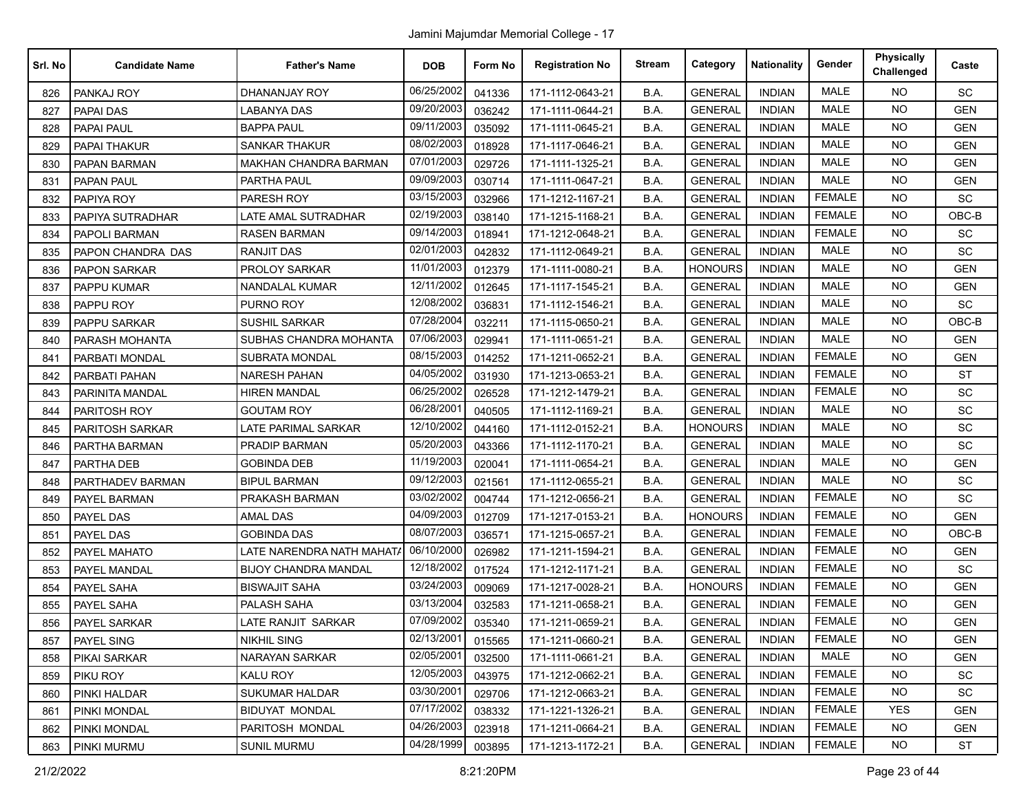| Srl. No | <b>Candidate Name</b> | <b>Father's Name</b>         | <b>DOB</b> | Form No | <b>Registration No</b> | <b>Stream</b> | Category       | <b>Nationality</b> | Gender        | <b>Physically</b><br>Challenged | Caste      |
|---------|-----------------------|------------------------------|------------|---------|------------------------|---------------|----------------|--------------------|---------------|---------------------------------|------------|
| 826     | PANKAJ ROY            | DHANANJAY ROY                | 06/25/2002 | 041336  | 171-1112-0643-21       | B.A.          | <b>GENERAL</b> | <b>INDIAN</b>      | <b>MALE</b>   | <b>NO</b>                       | SC         |
| 827     | <b>PAPAI DAS</b>      | <b>LABANYA DAS</b>           | 09/20/2003 | 036242  | 171-1111-0644-21       | B.A.          | <b>GENERAL</b> | <b>INDIAN</b>      | <b>MALE</b>   | <b>NO</b>                       | <b>GEN</b> |
| 828     | PAPAI PAUL            | BAPPA PAUL                   | 09/11/2003 | 035092  | 171-1111-0645-21       | B.A.          | <b>GENERAL</b> | <b>INDIAN</b>      | <b>MALE</b>   | <b>NO</b>                       | <b>GEN</b> |
| 829     | <b>PAPAI THAKUR</b>   | <b>SANKAR THAKUR</b>         | 08/02/2003 | 018928  | 171-1117-0646-21       | B.A.          | <b>GENERAL</b> | <b>INDIAN</b>      | <b>MALE</b>   | <b>NO</b>                       | <b>GEN</b> |
| 830     | PAPAN BARMAN          | <b>MAKHAN CHANDRA BARMAN</b> | 07/01/2003 | 029726  | 171-1111-1325-21       | B.A.          | <b>GENERAL</b> | <b>INDIAN</b>      | <b>MALE</b>   | <b>NO</b>                       | <b>GEN</b> |
| 831     | <b>PAPAN PAUL</b>     | PARTHA PAUL                  | 09/09/2003 | 030714  | 171-1111-0647-21       | B.A.          | <b>GENERAL</b> | <b>INDIAN</b>      | <b>MALE</b>   | <b>NO</b>                       | <b>GEN</b> |
| 832     | PAPIYA ROY            | PARESH ROY                   | 03/15/2003 | 032966  | 171-1212-1167-21       | B.A.          | <b>GENERAL</b> | <b>INDIAN</b>      | <b>FEMALE</b> | <b>NO</b>                       | SC         |
| 833     | PAPIYA SUTRADHAR      | LATE AMAL SUTRADHAR          | 02/19/2003 | 038140  | 171-1215-1168-21       | B.A.          | <b>GENERAL</b> | <b>INDIAN</b>      | <b>FEMALE</b> | <b>NO</b>                       | OBC-B      |
| 834     | PAPOLI BARMAN         | <b>RASEN BARMAN</b>          | 09/14/2003 | 018941  | 171-1212-0648-21       | B.A.          | <b>GENERAL</b> | <b>INDIAN</b>      | <b>FEMALE</b> | <b>NO</b>                       | SC         |
| 835     | PAPON CHANDRA DAS     | <b>RANJIT DAS</b>            | 02/01/2003 | 042832  | 171-1112-0649-21       | B.A.          | <b>GENERAL</b> | <b>INDIAN</b>      | <b>MALE</b>   | <b>NO</b>                       | <b>SC</b>  |
| 836     | PAPON SARKAR          | PROLOY SARKAR                | 11/01/2003 | 012379  | 171-1111-0080-21       | B.A.          | <b>HONOURS</b> | <b>INDIAN</b>      | <b>MALE</b>   | <b>NO</b>                       | GEN        |
| 837     | PAPPU KUMAR           | <b>NANDALAL KUMAR</b>        | 12/11/2002 | 012645  | 171-1117-1545-21       | B.A.          | <b>GENERAL</b> | <b>INDIAN</b>      | <b>MALE</b>   | <b>NO</b>                       | <b>GEN</b> |
| 838     | PAPPU ROY             | PURNO ROY                    | 12/08/2002 | 036831  | 171-1112-1546-21       | B.A.          | <b>GENERAL</b> | <b>INDIAN</b>      | <b>MALE</b>   | <b>NO</b>                       | SC         |
| 839     | PAPPU SARKAR          | <b>SUSHIL SARKAR</b>         | 07/28/2004 | 032211  | 171-1115-0650-21       | B.A.          | <b>GENERAL</b> | <b>INDIAN</b>      | <b>MALE</b>   | <b>NO</b>                       | OBC-B      |
| 840     | PARASH MOHANTA        | SUBHAS CHANDRA MOHANTA       | 07/06/2003 | 029941  | 171-1111-0651-21       | B.A.          | <b>GENERAL</b> | <b>INDIAN</b>      | <b>MALE</b>   | <b>NO</b>                       | <b>GEN</b> |
| 841     | PARBATI MONDAL        | <b>SUBRATA MONDAL</b>        | 08/15/2003 | 014252  | 171-1211-0652-21       | B.A.          | <b>GENERAL</b> | <b>INDIAN</b>      | <b>FEMALE</b> | <b>NO</b>                       | <b>GEN</b> |
| 842     | PARBATI PAHAN         | <b>NARESH PAHAN</b>          | 04/05/2002 | 031930  | 171-1213-0653-21       | B.A.          | <b>GENERAL</b> | <b>INDIAN</b>      | <b>FEMALE</b> | <b>NO</b>                       | <b>ST</b>  |
| 843     | PARINITA MANDAL       | <b>HIREN MANDAL</b>          | 06/25/2002 | 026528  | 171-1212-1479-21       | B.A.          | <b>GENERAL</b> | <b>INDIAN</b>      | <b>FEMALE</b> | NO                              | SC         |
| 844     | PARITOSH ROY          | GOUTAM ROY                   | 06/28/2001 | 040505  | 171-1112-1169-21       | B.A.          | <b>GENERAL</b> | <b>INDIAN</b>      | <b>MALE</b>   | <b>NO</b>                       | SC         |
| 845     | PARITOSH SARKAR       | LATE PARIMAL SARKAR          | 12/10/2002 | 044160  | 171-1112-0152-21       | B.A.          | <b>HONOURS</b> | <b>INDIAN</b>      | <b>MALE</b>   | <b>NO</b>                       | SC         |
| 846     | PARTHA BARMAN         | PRADIP BARMAN                | 05/20/2003 | 043366  | 171-1112-1170-21       | B.A.          | <b>GENERAL</b> | <b>INDIAN</b>      | <b>MALE</b>   | <b>NO</b>                       | SC         |
| 847     | PARTHA DEB            | <b>GOBINDA DEB</b>           | 11/19/2003 | 020041  | 171-1111-0654-21       | B.A.          | <b>GENERAL</b> | <b>INDIAN</b>      | <b>MALE</b>   | <b>NO</b>                       | <b>GEN</b> |
| 848     | PARTHADEV BARMAN      | <b>BIPUL BARMAN</b>          | 09/12/2003 | 021561  | 171-1112-0655-21       | B.A.          | <b>GENERAL</b> | <b>INDIAN</b>      | <b>MALE</b>   | <b>NO</b>                       | SC         |
| 849     | PAYEL BARMAN          | PRAKASH BARMAN               | 03/02/2002 | 004744  | 171-1212-0656-21       | B.A.          | <b>GENERAL</b> | <b>INDIAN</b>      | <b>FEMALE</b> | <b>NO</b>                       | SC         |
| 850     | PAYEL DAS             | <b>AMAL DAS</b>              | 04/09/2003 | 012709  | 171-1217-0153-21       | B.A.          | <b>HONOURS</b> | <b>INDIAN</b>      | <b>FEMALE</b> | <b>NO</b>                       | <b>GEN</b> |
| 851     | PAYEL DAS             | <b>GOBINDA DAS</b>           | 08/07/2003 | 036571  | 171-1215-0657-21       | B.A.          | <b>GENERAL</b> | <b>INDIAN</b>      | <b>FEMALE</b> | <b>NO</b>                       | OBC-B      |
| 852     | PAYEL MAHATO          | LATE NARENDRA NATH MAHATA    | 06/10/2000 | 026982  | 171-1211-1594-21       | B.A.          | <b>GENERAL</b> | <b>INDIAN</b>      | <b>FEMALE</b> | NO.                             | <b>GEN</b> |
| 853     | PAYEL MANDAL          | <b>BIJOY CHANDRA MANDAL</b>  | 12/18/2002 | 017524  | 171-1212-1171-21       | B.A.          | <b>GENERAL</b> | <b>INDIAN</b>      | <b>FEMALE</b> | <b>NO</b>                       | SC         |
| 854     | PAYEL SAHA            | <b>BISWAJIT SAHA</b>         | 03/24/2003 | 009069  | 171-1217-0028-21       | B.A.          | <b>HONOURS</b> | <b>INDIAN</b>      | <b>FEMALE</b> | <b>NO</b>                       | <b>GEN</b> |
| 855     | PAYEL SAHA            | PALASH SAHA                  | 03/13/2004 | 032583  | 171-1211-0658-21       | B.A.          | <b>GENERAL</b> | <b>INDIAN</b>      | <b>FEMALE</b> | <b>NO</b>                       | <b>GEN</b> |
| 856     | PAYEL SARKAR          | <b>LATE RANJIT SARKAR</b>    | 07/09/2002 | 035340  | 171-1211-0659-21       | B.A.          | <b>GENERAL</b> | <b>INDIAN</b>      | <b>FEMALE</b> | <b>NO</b>                       | <b>GEN</b> |
| 857     | PAYEL SING            | NIKHIL SING                  | 02/13/2001 | 015565  | 171-1211-0660-21       | B.A.          | <b>GENERAL</b> | INDIAN             | <b>FEMALE</b> | NO.                             | <b>GEN</b> |
| 858     | PIKAI SARKAR          | NARAYAN SARKAR               | 02/05/2001 | 032500  | 171-1111-0661-21       | B.A.          | <b>GENERAL</b> | <b>INDIAN</b>      | <b>MALE</b>   | NO.                             | <b>GEN</b> |
| 859     | PIKU ROY              | KALU ROY                     | 12/05/2003 | 043975  | 171-1212-0662-21       | B.A.          | <b>GENERAL</b> | <b>INDIAN</b>      | <b>FEMALE</b> | NO.                             | <b>SC</b>  |
| 860     | PINKI HALDAR          | <b>SUKUMAR HALDAR</b>        | 03/30/2001 | 029706  | 171-1212-0663-21       | B.A.          | <b>GENERAL</b> | <b>INDIAN</b>      | <b>FEMALE</b> | <b>NO</b>                       | SC         |
| 861     | PINKI MONDAL          | BIDUYAT MONDAL               | 07/17/2002 | 038332  | 171-1221-1326-21       | B.A.          | <b>GENERAL</b> | <b>INDIAN</b>      | <b>FEMALE</b> | <b>YES</b>                      | <b>GEN</b> |
| 862     | PINKI MONDAL          | PARITOSH MONDAL              | 04/26/2003 | 023918  | 171-1211-0664-21       | B.A.          | <b>GENERAL</b> | <b>INDIAN</b>      | <b>FEMALE</b> | NO.                             | <b>GEN</b> |
| 863     | PINKI MURMU           | SUNIL MURMU                  | 04/28/1999 | 003895  | 171-1213-1172-21       | B.A.          | <b>GENERAL</b> | <b>INDIAN</b>      | <b>FEMALE</b> | NO.                             | ST         |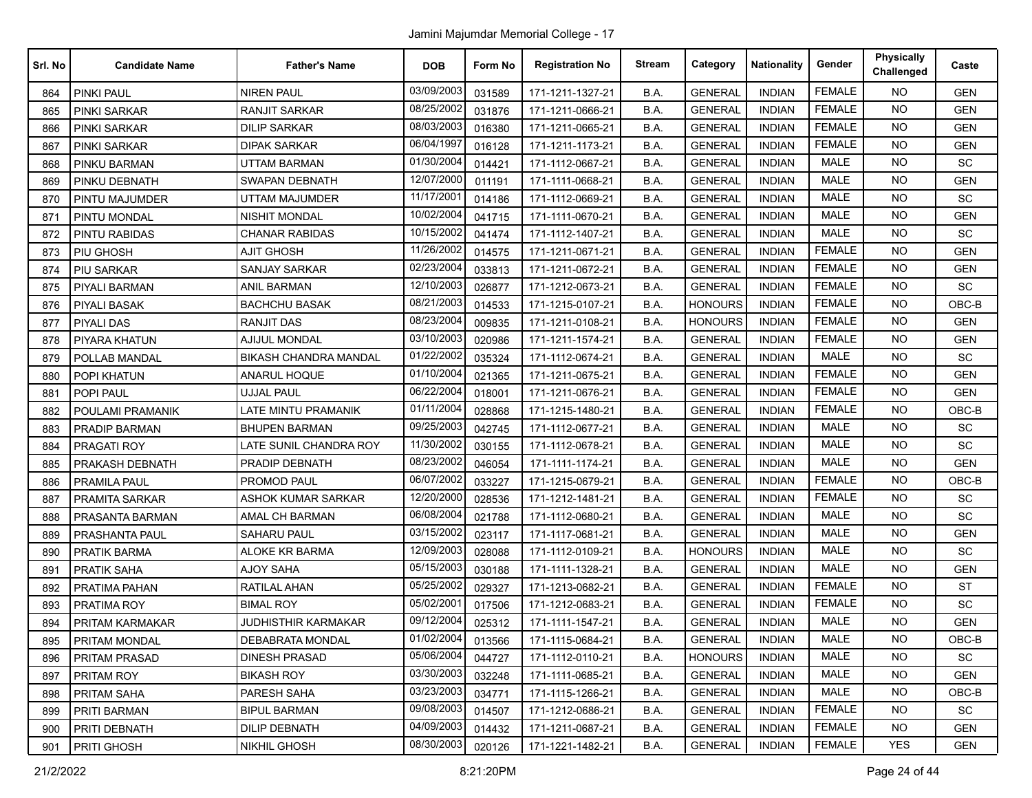| Srl. No | <b>Candidate Name</b> | <b>Father's Name</b>         | <b>DOB</b> | Form No | <b>Registration No</b> | <b>Stream</b> | Category       | <b>Nationality</b> | Gender        | <b>Physically</b><br>Challenged | Caste      |
|---------|-----------------------|------------------------------|------------|---------|------------------------|---------------|----------------|--------------------|---------------|---------------------------------|------------|
| 864     | <b>PINKI PAUL</b>     | <b>NIREN PAUL</b>            | 03/09/2003 | 031589  | 171-1211-1327-21       | B.A.          | <b>GENERAL</b> | <b>INDIAN</b>      | <b>FEMALE</b> | <b>NO</b>                       | <b>GEN</b> |
| 865     | PINKI SARKAR          | <b>RANJIT SARKAR</b>         | 08/25/2002 | 031876  | 171-1211-0666-21       | B.A.          | <b>GENERAL</b> | <b>INDIAN</b>      | <b>FEMALE</b> | <b>NO</b>                       | <b>GEN</b> |
| 866     | PINKI SARKAR          | DILIP SARKAR                 | 08/03/2003 | 016380  | 171-1211-0665-21       | B.A.          | <b>GENERAL</b> | <b>INDIAN</b>      | <b>FEMALE</b> | <b>NO</b>                       | <b>GEN</b> |
| 867     | PINKI SARKAR          | <b>DIPAK SARKAR</b>          | 06/04/1997 | 016128  | 171-1211-1173-21       | B.A.          | <b>GENERAL</b> | <b>INDIAN</b>      | <b>FEMALE</b> | <b>NO</b>                       | <b>GEN</b> |
| 868     | PINKU BARMAN          | <b>UTTAM BARMAN</b>          | 01/30/2004 | 014421  | 171-1112-0667-21       | B.A.          | <b>GENERAL</b> | <b>INDIAN</b>      | <b>MALE</b>   | <b>NO</b>                       | SC         |
| 869     | PINKU DEBNATH         | <b>SWAPAN DEBNATH</b>        | 12/07/2000 | 011191  | 171-1111-0668-21       | B.A.          | <b>GENERAL</b> | <b>INDIAN</b>      | <b>MALE</b>   | <b>NO</b>                       | <b>GEN</b> |
| 870     | PINTU MAJUMDER        | UTTAM MAJUMDER               | 11/17/2001 | 014186  | 171-1112-0669-21       | B.A.          | <b>GENERAL</b> | <b>INDIAN</b>      | <b>MALE</b>   | <b>NO</b>                       | SC         |
| 871     | PINTU MONDAL          | <b>NISHIT MONDAL</b>         | 10/02/2004 | 041715  | 171-1111-0670-21       | B.A.          | <b>GENERAL</b> | <b>INDIAN</b>      | <b>MALE</b>   | <b>NO</b>                       | <b>GEN</b> |
| 872     | PINTU RABIDAS         | <b>CHANAR RABIDAS</b>        | 10/15/2002 | 041474  | 171-1112-1407-21       | B.A.          | <b>GENERAL</b> | <b>INDIAN</b>      | <b>MALE</b>   | <b>NO</b>                       | SC         |
| 873     | PIU GHOSH             | <b>AJIT GHOSH</b>            | 11/26/2002 | 014575  | 171-1211-0671-21       | B.A.          | <b>GENERAL</b> | <b>INDIAN</b>      | <b>FEMALE</b> | <b>NO</b>                       | <b>GEN</b> |
| 874     | PIU SARKAR            | <b>SANJAY SARKAR</b>         | 02/23/2004 | 033813  | 171-1211-0672-21       | B.A.          | <b>GENERAL</b> | <b>INDIAN</b>      | <b>FEMALE</b> | <b>NO</b>                       | <b>GEN</b> |
| 875     | PIYALI BARMAN         | <b>ANIL BARMAN</b>           | 12/10/2003 | 026877  | 171-1212-0673-21       | B.A.          | <b>GENERAL</b> | <b>INDIAN</b>      | <b>FEMALE</b> | <b>NO</b>                       | SC         |
| 876     | <b>PIYALI BASAK</b>   | <b>BACHCHU BASAK</b>         | 08/21/2003 | 014533  | 171-1215-0107-21       | B.A.          | <b>HONOURS</b> | <b>INDIAN</b>      | <b>FEMALE</b> | <b>NO</b>                       | OBC-B      |
| 877     | PIYALI DAS            | <b>RANJIT DAS</b>            | 08/23/2004 | 009835  | 171-1211-0108-21       | B.A.          | <b>HONOURS</b> | <b>INDIAN</b>      | <b>FEMALE</b> | <b>NO</b>                       | <b>GEN</b> |
| 878     | PIYARA KHATUN         | <b>AJIJUL MONDAL</b>         | 03/10/2003 | 020986  | 171-1211-1574-21       | B.A.          | <b>GENERAL</b> | <b>INDIAN</b>      | <b>FEMALE</b> | <b>NO</b>                       | <b>GEN</b> |
| 879     | POLLAB MANDAL         | <b>BIKASH CHANDRA MANDAL</b> | 01/22/2002 | 035324  | 171-1112-0674-21       | B.A.          | <b>GENERAL</b> | <b>INDIAN</b>      | MALE          | <b>NO</b>                       | SC         |
| 880     | POPI KHATUN           | ANARUL HOQUE                 | 01/10/2004 | 021365  | 171-1211-0675-21       | B.A.          | <b>GENERAL</b> | <b>INDIAN</b>      | <b>FEMALE</b> | <b>NO</b>                       | <b>GEN</b> |
| 881     | POPI PAUL             | <b>UJJAL PAUL</b>            | 06/22/2004 | 018001  | 171-1211-0676-21       | B.A.          | <b>GENERAL</b> | <b>INDIAN</b>      | <b>FEMALE</b> | <b>NO</b>                       | <b>GEN</b> |
| 882     | POULAMI PRAMANIK      | LATE MINTU PRAMANIK          | 01/11/2004 | 028868  | 171-1215-1480-21       | B.A.          | <b>GENERAL</b> | <b>INDIAN</b>      | <b>FEMALE</b> | <b>NO</b>                       | $OBC-B$    |
| 883     | <b>PRADIP BARMAN</b>  | <b>BHUPEN BARMAN</b>         | 09/25/2003 | 042745  | 171-1112-0677-21       | B.A.          | <b>GENERAL</b> | <b>INDIAN</b>      | <b>MALE</b>   | <b>NO</b>                       | SC         |
| 884     | PRAGATI ROY           | LATE SUNIL CHANDRA ROY       | 11/30/2002 | 030155  | 171-1112-0678-21       | B.A.          | <b>GENERAL</b> | <b>INDIAN</b>      | <b>MALE</b>   | <b>NO</b>                       | SC         |
| 885     | PRAKASH DEBNATH       | PRADIP DEBNATH               | 08/23/2002 | 046054  | 171-1111-1174-21       | B.A.          | <b>GENERAL</b> | <b>INDIAN</b>      | <b>MALE</b>   | <b>NO</b>                       | <b>GEN</b> |
| 886     | <b>PRAMILA PAUL</b>   | PROMOD PAUL                  | 06/07/2002 | 033227  | 171-1215-0679-21       | B.A.          | <b>GENERAL</b> | <b>INDIAN</b>      | <b>FEMALE</b> | <b>NO</b>                       | $OBC-B$    |
| 887     | PRAMITA SARKAR        | <b>ASHOK KUMAR SARKAR</b>    | 12/20/2000 | 028536  | 171-1212-1481-21       | B.A.          | <b>GENERAL</b> | <b>INDIAN</b>      | <b>FEMALE</b> | <b>NO</b>                       | SC         |
| 888     | PRASANTA BARMAN       | AMAL CH BARMAN               | 06/08/2004 | 021788  | 171-1112-0680-21       | B.A.          | <b>GENERAL</b> | <b>INDIAN</b>      | <b>MALE</b>   | <b>NO</b>                       | SC         |
| 889     | PRASHANTA PAUL        | SAHARU PAUL                  | 03/15/2002 | 023117  | 171-1117-0681-21       | B.A.          | <b>GENERAL</b> | <b>INDIAN</b>      | <b>MALE</b>   | <b>NO</b>                       | <b>GEN</b> |
| 890     | <b>PRATIK BARMA</b>   | <b>ALOKE KR BARMA</b>        | 12/09/2003 | 028088  | 171-1112-0109-21       | B.A.          | <b>HONOURS</b> | <b>INDIAN</b>      | <b>MALE</b>   | <b>NO</b>                       | SC         |
| 891     | <b>PRATIK SAHA</b>    | <b>AJOY SAHA</b>             | 05/15/2003 | 030188  | 171-1111-1328-21       | B.A.          | <b>GENERAL</b> | <b>INDIAN</b>      | MALE          | <b>NO</b>                       | <b>GEN</b> |
| 892     | PRATIMA PAHAN         | RATILAL AHAN                 | 05/25/2002 | 029327  | 171-1213-0682-21       | B.A.          | <b>GENERAL</b> | <b>INDIAN</b>      | <b>FEMALE</b> | <b>NO</b>                       | <b>ST</b>  |
| 893     | <b>PRATIMA ROY</b>    | <b>BIMAL ROY</b>             | 05/02/2001 | 017506  | 171-1212-0683-21       | B.A.          | <b>GENERAL</b> | <b>INDIAN</b>      | <b>FEMALE</b> | <b>NO</b>                       | SC         |
| 894     | PRITAM KARMAKAR       | <b>JUDHISTHIR KARMAKAR</b>   | 09/12/2004 | 025312  | 171-1111-1547-21       | B.A.          | <b>GENERAL</b> | <b>INDIAN</b>      | <b>MALE</b>   | <b>NO</b>                       | <b>GEN</b> |
| 895     | PRITAM MONDAL         | <b>DEBABRATA MONDAL</b>      | 01/02/2004 | 013566  | 171-1115-0684-21       | B.A.          | <b>GENERAL</b> | <b>INDIAN</b>      | MALE          | NO                              | OBC-B      |
| 896     | PRITAM PRASAD         | <b>DINESH PRASAD</b>         | 05/06/2004 | 044727  | 171-1112-0110-21       | B.A.          | <b>HONOURS</b> | <b>INDIAN</b>      | MALE          | <b>NO</b>                       | <b>SC</b>  |
| 897     | PRITAM ROY            | <b>BIKASH ROY</b>            | 03/30/2003 | 032248  | 171-1111-0685-21       | B.A.          | <b>GENERAL</b> | <b>INDIAN</b>      | MALE          | <b>NO</b>                       | <b>GEN</b> |
| 898     | <b>PRITAM SAHA</b>    | PARESH SAHA                  | 03/23/2003 | 034771  | 171-1115-1266-21       | B.A.          | <b>GENERAL</b> | <b>INDIAN</b>      | MALE          | <b>NO</b>                       | OBC-B      |
| 899     | <b>PRITI BARMAN</b>   | <b>BIPUL BARMAN</b>          | 09/08/2003 | 014507  | 171-1212-0686-21       | B.A.          | <b>GENERAL</b> | <b>INDIAN</b>      | <b>FEMALE</b> | <b>NO</b>                       | SC         |
| 900     | PRITI DEBNATH         | <b>DILIP DEBNATH</b>         | 04/09/2003 | 014432  | 171-1211-0687-21       | B.A.          | <b>GENERAL</b> | <b>INDIAN</b>      | <b>FEMALE</b> | <b>NO</b>                       | <b>GEN</b> |
| 901     | <b>PRITI GHOSH</b>    | <b>NIKHIL GHOSH</b>          | 08/30/2003 | 020126  | 171-1221-1482-21       | B.A.          | <b>GENERAL</b> | <b>INDIAN</b>      | <b>FEMALE</b> | <b>YES</b>                      | GEN        |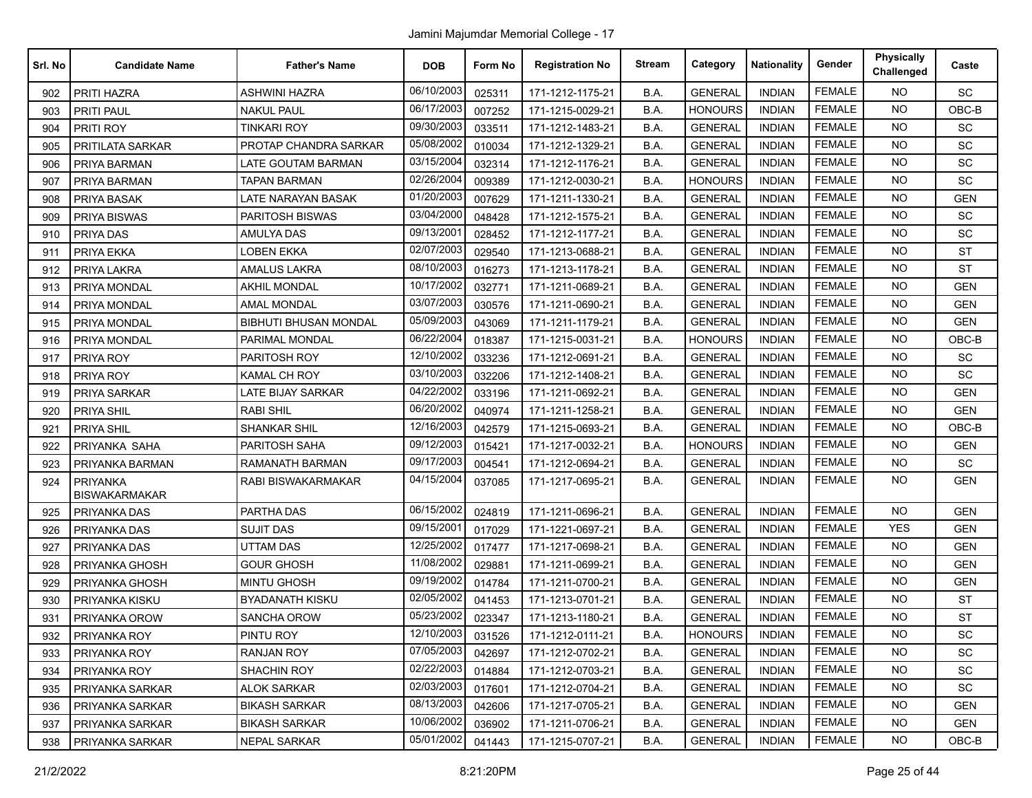| Srl. No | <b>Candidate Name</b>            | <b>Father's Name</b>         | <b>DOB</b> | Form No | <b>Registration No</b> | <b>Stream</b> | Category       | <b>Nationality</b> | Gender        | <b>Physically</b><br>Challenged | Caste      |
|---------|----------------------------------|------------------------------|------------|---------|------------------------|---------------|----------------|--------------------|---------------|---------------------------------|------------|
| 902     | <b>PRITI HAZRA</b>               | <b>ASHWINI HAZRA</b>         | 06/10/2003 | 025311  | 171-1212-1175-21       | B.A.          | <b>GENERAL</b> | <b>INDIAN</b>      | <b>FEMALE</b> | <b>NO</b>                       | SC         |
| 903     | PRITI PAUL                       | NAKUL PAUL                   | 06/17/2003 | 007252  | 171-1215-0029-21       | B.A.          | <b>HONOURS</b> | <b>INDIAN</b>      | <b>FEMALE</b> | <b>NO</b>                       | $OBC-B$    |
| 904     | PRITI ROY                        | TINKARI ROY                  | 09/30/2003 | 033511  | 171-1212-1483-21       | B.A.          | <b>GENERAL</b> | <b>INDIAN</b>      | <b>FEMALE</b> | <b>NO</b>                       | SC         |
| 905     | PRITILATA SARKAR                 | PROTAP CHANDRA SARKAR        | 05/08/2002 | 010034  | 171-1212-1329-21       | B.A.          | <b>GENERAL</b> | <b>INDIAN</b>      | <b>FEMALE</b> | <b>NO</b>                       | SC         |
| 906     | PRIYA BARMAN                     | LATE GOUTAM BARMAN           | 03/15/2004 | 032314  | 171-1212-1176-21       | B.A.          | <b>GENERAL</b> | <b>INDIAN</b>      | <b>FEMALE</b> | <b>NO</b>                       | SC         |
| 907     | PRIYA BARMAN                     | <b>TAPAN BARMAN</b>          | 02/26/2004 | 009389  | 171-1212-0030-21       | B.A.          | <b>HONOURS</b> | <b>INDIAN</b>      | <b>FEMALE</b> | <b>NO</b>                       | <b>SC</b>  |
| 908     | PRIYA BASAK                      | LATE NARAYAN BASAK           | 01/20/2003 | 007629  | 171-1211-1330-21       | B.A.          | <b>GENERAL</b> | <b>INDIAN</b>      | <b>FEMALE</b> | <b>NO</b>                       | <b>GEN</b> |
| 909     | <b>PRIYA BISWAS</b>              | PARITOSH BISWAS              | 03/04/2000 | 048428  | 171-1212-1575-21       | B.A.          | <b>GENERAL</b> | <b>INDIAN</b>      | <b>FEMALE</b> | <b>NO</b>                       | SC         |
| 910     | PRIYA DAS                        | <b>AMULYA DAS</b>            | 09/13/2001 | 028452  | 171-1212-1177-21       | B.A.          | <b>GENERAL</b> | <b>INDIAN</b>      | <b>FEMALE</b> | <b>NO</b>                       | SC         |
| 911     | PRIYA EKKA                       | LOBEN EKKA                   | 02/07/2003 | 029540  | 171-1213-0688-21       | B.A.          | <b>GENERAL</b> | <b>INDIAN</b>      | <b>FEMALE</b> | <b>NO</b>                       | <b>ST</b>  |
| 912     | PRIYA LAKRA                      | <b>AMALUS LAKRA</b>          | 08/10/2003 | 016273  | 171-1213-1178-21       | B.A.          | <b>GENERAL</b> | <b>INDIAN</b>      | <b>FEMALE</b> | <b>NO</b>                       | <b>ST</b>  |
| 913     | PRIYA MONDAL                     | <b>AKHIL MONDAL</b>          | 10/17/2002 | 032771  | 171-1211-0689-21       | B.A.          | <b>GENERAL</b> | <b>INDIAN</b>      | <b>FEMALE</b> | <b>NO</b>                       | <b>GEN</b> |
| 914     | PRIYA MONDAL                     | <b>AMAL MONDAL</b>           | 03/07/2003 | 030576  | 171-1211-0690-21       | B.A.          | <b>GENERAL</b> | <b>INDIAN</b>      | <b>FEMALE</b> | <b>NO</b>                       | <b>GEN</b> |
| 915     | PRIYA MONDAL                     | <b>BIBHUTI BHUSAN MONDAL</b> | 05/09/2003 | 043069  | 171-1211-1179-21       | B.A.          | <b>GENERAL</b> | <b>INDIAN</b>      | <b>FEMALE</b> | <b>NO</b>                       | <b>GEN</b> |
| 916     | PRIYA MONDAL                     | PARIMAL MONDAL               | 06/22/2004 | 018387  | 171-1215-0031-21       | B.A.          | <b>HONOURS</b> | <b>INDIAN</b>      | <b>FEMALE</b> | <b>NO</b>                       | OBC-B      |
| 917     | PRIYA ROY                        | PARITOSH ROY                 | 12/10/2002 | 033236  | 171-1212-0691-21       | B.A.          | <b>GENERAL</b> | <b>INDIAN</b>      | <b>FEMALE</b> | <b>NO</b>                       | SC         |
| 918     | PRIYA ROY                        | <b>KAMAL CH ROY</b>          | 03/10/2003 | 032206  | 171-1212-1408-21       | B.A.          | <b>GENERAL</b> | <b>INDIAN</b>      | <b>FEMALE</b> | <b>NO</b>                       | <b>SC</b>  |
| 919     | PRIYA SARKAR                     | LATE BIJAY SARKAR            | 04/22/2002 | 033196  | 171-1211-0692-21       | B.A.          | <b>GENERAL</b> | <b>INDIAN</b>      | <b>FEMALE</b> | <b>NO</b>                       | <b>GEN</b> |
| 920     | PRIYA SHIL                       | <b>RABI SHIL</b>             | 06/20/2002 | 040974  | 171-1211-1258-21       | B.A.          | <b>GENERAL</b> | <b>INDIAN</b>      | <b>FEMALE</b> | NO.                             | <b>GEN</b> |
| 921     | PRIYA SHIL                       | <b>SHANKAR SHIL</b>          | 12/16/2003 | 042579  | 171-1215-0693-21       | B.A.          | <b>GENERAL</b> | <b>INDIAN</b>      | <b>FEMALE</b> | <b>NO</b>                       | $OBC-B$    |
| 922     | PRIYANKA SAHA                    | PARITOSH SAHA                | 09/12/2003 | 015421  | 171-1217-0032-21       | B.A.          | <b>HONOURS</b> | <b>INDIAN</b>      | <b>FEMALE</b> | <b>NO</b>                       | <b>GEN</b> |
| 923     | PRIYANKA BARMAN                  | RAMANATH BARMAN              | 09/17/2003 | 004541  | 171-1212-0694-21       | B.A.          | <b>GENERAL</b> | <b>INDIAN</b>      | <b>FEMALE</b> | <b>NO</b>                       | SC         |
| 924     | PRIYANKA<br><b>BISWAKARMAKAR</b> | RABI BISWAKARMAKAR           | 04/15/2004 | 037085  | 171-1217-0695-21       | B.A.          | <b>GENERAL</b> | <b>INDIAN</b>      | <b>FEMALE</b> | <b>NO</b>                       | <b>GEN</b> |
| 925     | PRIYANKA DAS                     | PARTHA DAS                   | 06/15/2002 | 024819  | 171-1211-0696-21       | B.A.          | <b>GENERAL</b> | <b>INDIAN</b>      | <b>FEMALE</b> | <b>NO</b>                       | <b>GEN</b> |
| 926     | PRIYANKA DAS                     | <b>SUJIT DAS</b>             | 09/15/2001 | 017029  | 171-1221-0697-21       | B.A.          | <b>GENERAL</b> | <b>INDIAN</b>      | <b>FEMALE</b> | <b>YES</b>                      | <b>GEN</b> |
| 927     | PRIYANKA DAS                     | <b>UTTAM DAS</b>             | 12/25/2002 | 017477  | 171-1217-0698-21       | B.A.          | <b>GENERAL</b> | <b>INDIAN</b>      | <b>FEMALE</b> | <b>NO</b>                       | <b>GEN</b> |
| 928     | PRIYANKA GHOSH                   | <b>GOUR GHOSH</b>            | 11/08/2002 | 029881  | 171-1211-0699-21       | B.A.          | <b>GENERAL</b> | <b>INDIAN</b>      | <b>FEMALE</b> | <b>NO</b>                       | <b>GEN</b> |
| 929     | PRIYANKA GHOSH                   | <b>MINTU GHOSH</b>           | 09/19/2002 | 014784  | 171-1211-0700-21       | B.A.          | <b>GENERAL</b> | <b>INDIAN</b>      | <b>FEMALE</b> | <b>NO</b>                       | <b>GEN</b> |
| 930     | PRIYANKA KISKU                   | <b>BYADANATH KISKU</b>       | 02/05/2002 | 041453  | 171-1213-0701-21       | B.A.          | <b>GENERAL</b> | <b>INDIAN</b>      | <b>FEMALE</b> | <b>NO</b>                       | <b>ST</b>  |
| 931     | PRIYANKA OROW                    | <b>SANCHA OROW</b>           | 05/23/2002 | 023347  | 171-1213-1180-21       | B.A.          | <b>GENERAL</b> | <b>INDIAN</b>      | <b>FEMALE</b> | <b>NO</b>                       | <b>ST</b>  |
| 932     | <b>PRIYANKA ROY</b>              | PINTU ROY                    | 12/10/2003 | 031526  | 171-1212-0111-21       | B.A.          | <b>HONOURS</b> | <b>INDIAN</b>      | <b>FEMALE</b> | <b>NO</b>                       | <b>SC</b>  |
| 933     | PRIYANKA ROY                     | RANJAN ROY                   | 07/05/2003 | 042697  | 171-1212-0702-21       | B.A.          | <b>GENERAL</b> | <b>INDIAN</b>      | <b>FEMALE</b> | <b>NO</b>                       | SC         |
| 934     | PRIYANKA ROY                     | <b>SHACHIN ROY</b>           | 02/22/2003 | 014884  | 171-1212-0703-21       | B.A.          | <b>GENERAL</b> | <b>INDIAN</b>      | <b>FEMALE</b> | <b>NO</b>                       | SC         |
| 935     | <b>PRIYANKA SARKAR</b>           | ALOK SARKAR                  | 02/03/2003 | 017601  | 171-1212-0704-21       | B.A.          | <b>GENERAL</b> | <b>INDIAN</b>      | <b>FEMALE</b> | NO                              | <b>SC</b>  |
| 936     | PRIYANKA SARKAR                  | <b>BIKASH SARKAR</b>         | 08/13/2003 | 042606  | 171-1217-0705-21       | B.A.          | <b>GENERAL</b> | <b>INDIAN</b>      | <b>FEMALE</b> | <b>NO</b>                       | <b>GEN</b> |
| 937     | PRIYANKA SARKAR                  | <b>BIKASH SARKAR</b>         | 10/06/2002 | 036902  | 171-1211-0706-21       | B.A.          | <b>GENERAL</b> | <b>INDIAN</b>      | <b>FEMALE</b> | <b>NO</b>                       | <b>GEN</b> |
| 938     | <b>PRIYANKA SARKAR</b>           | NEPAL SARKAR                 | 05/01/2002 | 041443  | 171-1215-0707-21       | B.A.          | <b>GENERAL</b> | <b>INDIAN</b>      | <b>FEMALE</b> | <b>NO</b>                       | OBC-B      |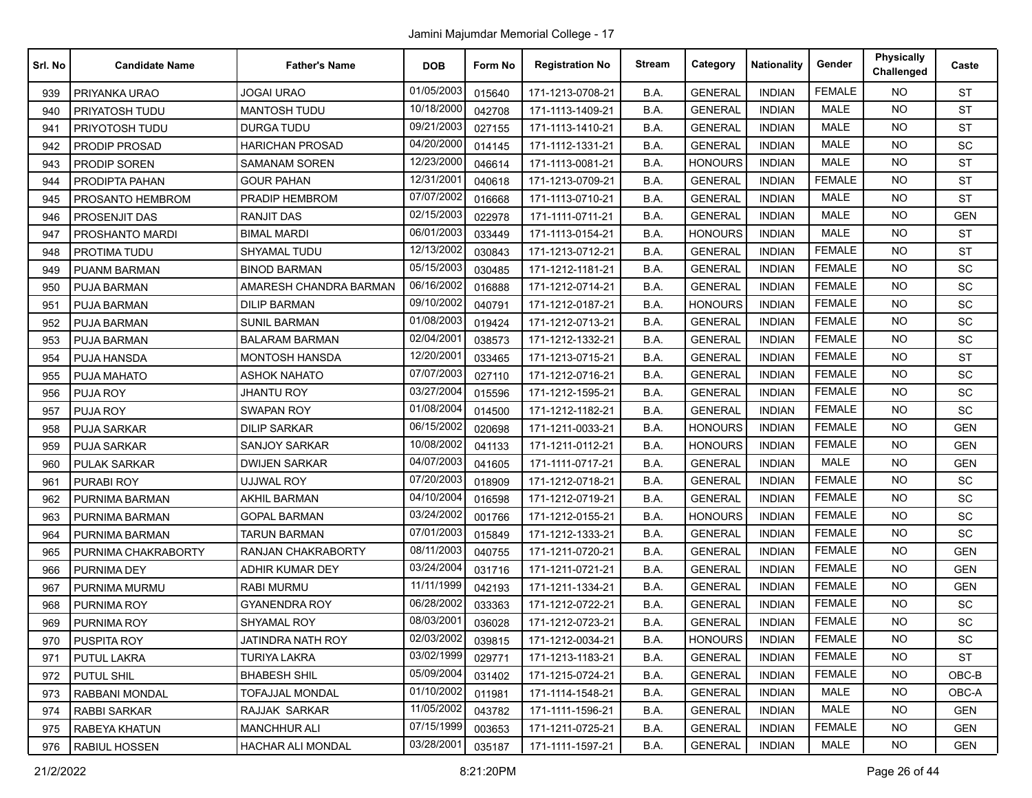Jamini Majumdar Memorial College - 17

| Srl. No | <b>Candidate Name</b> | <b>Father's Name</b>     | <b>DOB</b> | Form No | <b>Registration No</b> | <b>Stream</b> | Category       | <b>Nationality</b> | Gender        | Physically<br>Challenged | Caste      |
|---------|-----------------------|--------------------------|------------|---------|------------------------|---------------|----------------|--------------------|---------------|--------------------------|------------|
| 939     | PRIYANKA URAO         | <b>JOGAI URAO</b>        | 01/05/2003 | 015640  | 171-1213-0708-21       | B.A.          | <b>GENERAL</b> | <b>INDIAN</b>      | <b>FEMALE</b> | <b>NO</b>                | <b>ST</b>  |
| 940     | PRIYATOSH TUDU        | <b>MANTOSH TUDU</b>      | 10/18/2000 | 042708  | 171-1113-1409-21       | B.A.          | <b>GENERAL</b> | <b>INDIAN</b>      | MALE          | <b>NO</b>                | <b>ST</b>  |
| 941     | PRIYOTOSH TUDU        | <b>DURGA TUDU</b>        | 09/21/2003 | 027155  | 171-1113-1410-21       | B.A.          | <b>GENERAL</b> | <b>INDIAN</b>      | <b>MALE</b>   | NO.                      | <b>ST</b>  |
| 942     | <b>PRODIP PROSAD</b>  | <b>HARICHAN PROSAD</b>   | 04/20/2000 | 014145  | 171-1112-1331-21       | B.A.          | <b>GENERAL</b> | <b>INDIAN</b>      | <b>MALE</b>   | <b>NO</b>                | SC         |
| 943     | <b>PRODIP SOREN</b>   | SAMANAM SOREN            | 12/23/2000 | 046614  | 171-1113-0081-21       | B.A.          | <b>HONOURS</b> | <b>INDIAN</b>      | <b>MALE</b>   | <b>NO</b>                | <b>ST</b>  |
| 944     | PRODIPTA PAHAN        | <b>GOUR PAHAN</b>        | 12/31/2001 | 040618  | 171-1213-0709-21       | B.A.          | <b>GENERAL</b> | <b>INDIAN</b>      | <b>FEMALE</b> | <b>NO</b>                | <b>ST</b>  |
| 945     | PROSANTO HEMBROM      | PRADIP HEMBROM           | 07/07/2002 | 016668  | 171-1113-0710-21       | B.A.          | <b>GENERAL</b> | <b>INDIAN</b>      | <b>MALE</b>   | <b>NO</b>                | <b>ST</b>  |
| 946     | PROSENJIT DAS         | RANJIT DAS               | 02/15/2003 | 022978  | 171-1111-0711-21       | B.A.          | <b>GENERAL</b> | <b>INDIAN</b>      | <b>MALE</b>   | <b>NO</b>                | <b>GEN</b> |
| 947     | PROSHANTO MARDI       | <b>BIMAL MARDI</b>       | 06/01/2003 | 033449  | 171-1113-0154-21       | B.A.          | <b>HONOURS</b> | <b>INDIAN</b>      | <b>MALE</b>   | <b>NO</b>                | <b>ST</b>  |
| 948     | PROTIMA TUDU          | SHYAMAL TUDU             | 12/13/2002 | 030843  | 171-1213-0712-21       | B.A.          | <b>GENERAL</b> | <b>INDIAN</b>      | <b>FEMALE</b> | <b>NO</b>                | <b>ST</b>  |
| 949     | PUANM BARMAN          | <b>BINOD BARMAN</b>      | 05/15/2003 | 030485  | 171-1212-1181-21       | B.A.          | <b>GENERAL</b> | <b>INDIAN</b>      | <b>FEMALE</b> | <b>NO</b>                | SC         |
| 950     | <b>PUJA BARMAN</b>    | AMARESH CHANDRA BARMAN   | 06/16/2002 | 016888  | 171-1212-0714-21       | B.A.          | <b>GENERAL</b> | <b>INDIAN</b>      | <b>FEMALE</b> | <b>NO</b>                | SC         |
| 951     | <b>PUJA BARMAN</b>    | <b>DILIP BARMAN</b>      | 09/10/2002 | 040791  | 171-1212-0187-21       | B.A.          | <b>HONOURS</b> | <b>INDIAN</b>      | <b>FEMALE</b> | <b>NO</b>                | SC         |
| 952     | <b>PUJA BARMAN</b>    | <b>SUNIL BARMAN</b>      | 01/08/2003 | 019424  | 171-1212-0713-21       | B.A.          | <b>GENERAL</b> | <b>INDIAN</b>      | <b>FEMALE</b> | <b>NO</b>                | SC         |
| 953     | <b>PUJA BARMAN</b>    | <b>BALARAM BARMAN</b>    | 02/04/2001 | 038573  | 171-1212-1332-21       | B.A.          | <b>GENERAL</b> | <b>INDIAN</b>      | <b>FEMALE</b> | <b>NO</b>                | SC         |
| 954     | PUJA HANSDA           | <b>MONTOSH HANSDA</b>    | 12/20/2001 | 033465  | 171-1213-0715-21       | B.A.          | <b>GENERAL</b> | <b>INDIAN</b>      | <b>FEMALE</b> | <b>NO</b>                | <b>ST</b>  |
| 955     | PUJA MAHATO           | ASHOK NAHATO             | 07/07/2003 | 027110  | 171-1212-0716-21       | B.A.          | <b>GENERAL</b> | <b>INDIAN</b>      | <b>FEMALE</b> | <b>NO</b>                | SC         |
| 956     | PUJA ROY              | JHANTU ROY               | 03/27/2004 | 015596  | 171-1212-1595-21       | B.A.          | <b>GENERAL</b> | <b>INDIAN</b>      | <b>FEMALE</b> | NO.                      | SC         |
| 957     | PUJA ROY              | <b>SWAPAN ROY</b>        | 01/08/2004 | 014500  | 171-1212-1182-21       | B.A.          | <b>GENERAL</b> | <b>INDIAN</b>      | <b>FEMALE</b> | <b>NO</b>                | SC         |
| 958     | <b>PUJA SARKAR</b>    | <b>DILIP SARKAR</b>      | 06/15/2002 | 020698  | 171-1211-0033-21       | B.A.          | <b>HONOURS</b> | <b>INDIAN</b>      | <b>FEMALE</b> | <b>NO</b>                | <b>GEN</b> |
| 959     | <b>PUJA SARKAR</b>    | SANJOY SARKAR            | 10/08/2002 | 041133  | 171-1211-0112-21       | B.A.          | <b>HONOURS</b> | <b>INDIAN</b>      | <b>FEMALE</b> | <b>NO</b>                | <b>GEN</b> |
| 960     | <b>PULAK SARKAR</b>   | <b>DWIJEN SARKAR</b>     | 04/07/2003 | 041605  | 171-1111-0717-21       | B.A.          | <b>GENERAL</b> | <b>INDIAN</b>      | MALE          | NO.                      | <b>GEN</b> |
| 961     | <b>PURABI ROY</b>     | <b>UJJWAL ROY</b>        | 07/20/2003 | 018909  | 171-1212-0718-21       | B.A.          | <b>GENERAL</b> | <b>INDIAN</b>      | <b>FEMALE</b> | <b>NO</b>                | SC         |
| 962     | PURNIMA BARMAN        | <b>AKHIL BARMAN</b>      | 04/10/2004 | 016598  | 171-1212-0719-21       | B.A.          | <b>GENERAL</b> | <b>INDIAN</b>      | <b>FEMALE</b> | <b>NO</b>                | SC         |
| 963     | PURNIMA BARMAN        | <b>GOPAL BARMAN</b>      | 03/24/2002 | 001766  | 171-1212-0155-21       | B.A.          | <b>HONOURS</b> | <b>INDIAN</b>      | <b>FEMALE</b> | <b>NO</b>                | SC         |
| 964     | PURNIMA BARMAN        | <b>TARUN BARMAN</b>      | 07/01/2003 | 015849  | 171-1212-1333-21       | B.A.          | <b>GENERAL</b> | <b>INDIAN</b>      | <b>FEMALE</b> | NO.                      | SC         |
| 965     | PURNIMA CHAKRABORTY   | RANJAN CHAKRABORTY       | 08/11/2003 | 040755  | 171-1211-0720-21       | B.A.          | <b>GENERAL</b> | <b>INDIAN</b>      | <b>FEMALE</b> | <b>NO</b>                | <b>GEN</b> |
| 966     | PURNIMA DEY           | ADHIR KUMAR DEY          | 03/24/2004 | 031716  | 171-1211-0721-21       | B.A.          | <b>GENERAL</b> | <b>INDIAN</b>      | <b>FEMALE</b> | <b>NO</b>                | <b>GEN</b> |
| 967     | PURNIMA MURMU         | RABI MURMU               | 11/11/1999 | 042193  | 171-1211-1334-21       | B.A.          | <b>GENERAL</b> | <b>INDIAN</b>      | <b>FEMALE</b> | <b>NO</b>                | <b>GEN</b> |
| 968     | PURNIMA ROY           | <b>GYANENDRA ROY</b>     | 06/28/2002 | 033363  | 171-1212-0722-21       | B.A.          | <b>GENERAL</b> | <b>INDIAN</b>      | <b>FEMALE</b> | NO.                      | SC         |
| 969     | PURNIMA ROY           | <b>SHYAMAL ROY</b>       | 08/03/2001 | 036028  | 171-1212-0723-21       | B.A.          | <b>GENERAL</b> | <b>INDIAN</b>      | <b>FEMALE</b> | <b>NO</b>                | SC         |
| 970     | PUSPITA ROY           | JATINDRA NATH ROY        | 02/03/2002 | 039815  | 171-1212-0034-21       | B.A.          | <b>HONOURS</b> | <b>INDIAN</b>      | <b>FEMALE</b> | <b>NO</b>                | SC         |
| 971     | PUTUL LAKRA           | <b>TURIYA LAKRA</b>      | 03/02/1999 | 029771  | 171-1213-1183-21       | B.A.          | <b>GENERAL</b> | <b>INDIAN</b>      | <b>FEMALE</b> | <b>NO</b>                | <b>ST</b>  |
| 972     | PUTUL SHIL            | <b>BHABESH SHIL</b>      | 05/09/2004 | 031402  | 171-1215-0724-21       | B.A.          | <b>GENERAL</b> | <b>INDIAN</b>      | <b>FEMALE</b> | <b>NO</b>                | OBC-B      |
| 973     | RABBANI MONDAL        | <b>TOFAJJAL MONDAL</b>   | 01/10/2002 | 011981  | 171-1114-1548-21       | B.A.          | <b>GENERAL</b> | <b>INDIAN</b>      | MALE          | <b>NO</b>                | OBC-A      |
| 974     | RABBI SARKAR          | <b>RAJJAK SARKAR</b>     | 11/05/2002 | 043782  | 171-1111-1596-21       | B.A.          | <b>GENERAL</b> | <b>INDIAN</b>      | MALE          | <b>NO</b>                | <b>GEN</b> |
| 975     | RABEYA KHATUN         | <b>MANCHHUR ALI</b>      | 07/15/1999 | 003653  | 171-1211-0725-21       | B.A.          | <b>GENERAL</b> | <b>INDIAN</b>      | <b>FEMALE</b> | <b>NO</b>                | <b>GEN</b> |
| 976     | <b>RABIUL HOSSEN</b>  | <b>HACHAR ALI MONDAL</b> | 03/28/2001 | 035187  | 171-1111-1597-21       | B.A.          | <b>GENERAL</b> | <b>INDIAN</b>      | MALE          | <b>NO</b>                | <b>GEN</b> |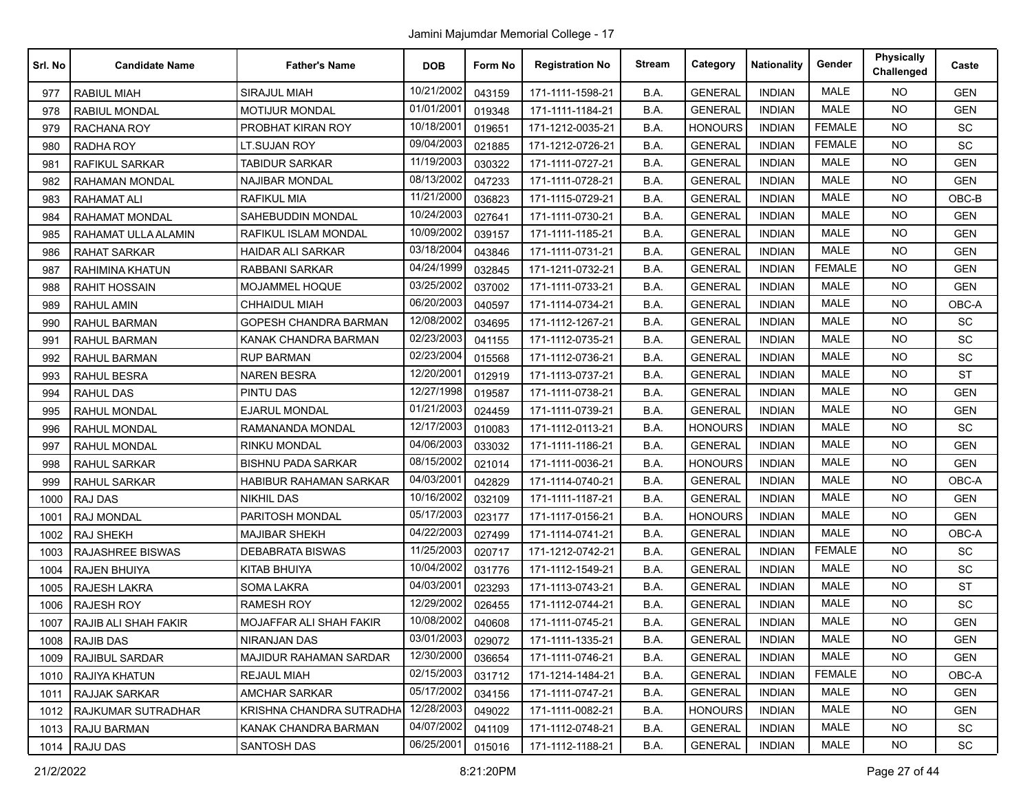| Srl. No | <b>Candidate Name</b>     | <b>Father's Name</b>          | <b>DOB</b> | Form No | <b>Registration No</b> | <b>Stream</b> | Category       | <b>Nationality</b> | Gender        | <b>Physically</b><br>Challenged | Caste      |
|---------|---------------------------|-------------------------------|------------|---------|------------------------|---------------|----------------|--------------------|---------------|---------------------------------|------------|
| 977     | <b>RABIUL MIAH</b>        | <b>SIRAJUL MIAH</b>           | 10/21/2002 | 043159  | 171-1111-1598-21       | B.A.          | <b>GENERAL</b> | <b>INDIAN</b>      | <b>MALE</b>   | <b>NO</b>                       | <b>GEN</b> |
| 978     | <b>RABIUL MONDAL</b>      | <b>MOTIJUR MONDAL</b>         | 01/01/2001 | 019348  | 171-1111-1184-21       | B.A.          | <b>GENERAL</b> | <b>INDIAN</b>      | <b>MALE</b>   | <b>NO</b>                       | <b>GEN</b> |
| 979     | <b>RACHANA ROY</b>        | PROBHAT KIRAN ROY             | 10/18/2001 | 019651  | 171-1212-0035-21       | B.A.          | <b>HONOURS</b> | <b>INDIAN</b>      | <b>FEMALE</b> | <b>NO</b>                       | SC         |
| 980     | <b>RADHA ROY</b>          | LT.SUJAN ROY                  | 09/04/2003 | 021885  | 171-1212-0726-21       | B.A.          | <b>GENERAL</b> | <b>INDIAN</b>      | <b>FEMALE</b> | <b>NO</b>                       | SC         |
| 981     | <b>RAFIKUL SARKAR</b>     | <b>TABIDUR SARKAR</b>         | 11/19/2003 | 030322  | 171-1111-0727-21       | B.A.          | <b>GENERAL</b> | <b>INDIAN</b>      | <b>MALE</b>   | <b>NO</b>                       | <b>GEN</b> |
| 982     | <b>RAHAMAN MONDAL</b>     | <b>NAJIBAR MONDAL</b>         | 08/13/2002 | 047233  | 171-1111-0728-21       | B.A.          | <b>GENERAL</b> | <b>INDIAN</b>      | <b>MALE</b>   | <b>NO</b>                       | <b>GEN</b> |
| 983     | <b>RAHAMAT ALI</b>        | RAFIKUL MIA                   | 11/21/2000 | 036823  | 171-1115-0729-21       | B.A.          | <b>GENERAL</b> | <b>INDIAN</b>      | <b>MALE</b>   | <b>NO</b>                       | OBC-B      |
| 984     | <b>RAHAMAT MONDAL</b>     | <b>SAHEBUDDIN MONDAL</b>      | 10/24/2003 | 027641  | 171-1111-0730-21       | B.A.          | <b>GENERAL</b> | <b>INDIAN</b>      | <b>MALE</b>   | <b>NO</b>                       | <b>GEN</b> |
| 985     | RAHAMAT ULLA ALAMIN       | RAFIKUL ISLAM MONDAL          | 10/09/2002 | 039157  | 171-1111-1185-21       | B.A.          | <b>GENERAL</b> | <b>INDIAN</b>      | <b>MALE</b>   | NO.                             | <b>GEN</b> |
| 986     | RAHAT SARKAR              | <b>HAIDAR ALI SARKAR</b>      | 03/18/2004 | 043846  | 171-1111-0731-21       | B.A.          | <b>GENERAL</b> | <b>INDIAN</b>      | <b>MALE</b>   | NO.                             | <b>GEN</b> |
| 987     | <b>RAHIMINA KHATUN</b>    | <b>RABBANI SARKAR</b>         | 04/24/1999 | 032845  | 171-1211-0732-21       | B.A.          | <b>GENERAL</b> | <b>INDIAN</b>      | <b>FEMALE</b> | <b>NO</b>                       | <b>GEN</b> |
| 988     | <b>RAHIT HOSSAIN</b>      | MOJAMMEL HOQUE                | 03/25/2002 | 037002  | 171-1111-0733-21       | B.A.          | <b>GENERAL</b> | <b>INDIAN</b>      | <b>MALE</b>   | <b>NO</b>                       | <b>GEN</b> |
| 989     | <b>RAHUL AMIN</b>         | <b>CHHAIDUL MIAH</b>          | 06/20/2003 | 040597  | 171-1114-0734-21       | B.A.          | <b>GENERAL</b> | <b>INDIAN</b>      | MALE          | NO.                             | OBC-A      |
| 990     | RAHUL BARMAN              | GOPESH CHANDRA BARMAN         | 12/08/2002 | 034695  | 171-1112-1267-21       | B.A.          | <b>GENERAL</b> | <b>INDIAN</b>      | <b>MALE</b>   | <b>NO</b>                       | <b>SC</b>  |
| 991     | <b>RAHUL BARMAN</b>       | KANAK CHANDRA BARMAN          | 02/23/2003 | 041155  | 171-1112-0735-21       | B.A.          | <b>GENERAL</b> | <b>INDIAN</b>      | <b>MALE</b>   | <b>NO</b>                       | <b>SC</b>  |
| 992     | <b>RAHUL BARMAN</b>       | <b>RUP BARMAN</b>             | 02/23/2004 | 015568  | 171-1112-0736-21       | B.A.          | <b>GENERAL</b> | <b>INDIAN</b>      | <b>MALE</b>   | <b>NO</b>                       | SC         |
| 993     | <b>RAHUL BESRA</b>        | <b>NAREN BESRA</b>            | 12/20/2001 | 012919  | 171-1113-0737-21       | B.A.          | <b>GENERAL</b> | <b>INDIAN</b>      | <b>MALE</b>   | NO.                             | <b>ST</b>  |
| 994     | RAHUL DAS                 | <b>PINTU DAS</b>              | 12/27/1998 | 019587  | 171-1111-0738-21       | B.A.          | <b>GENERAL</b> | <b>INDIAN</b>      | <b>MALE</b>   | <b>NO</b>                       | <b>GEN</b> |
| 995     | <b>RAHUL MONDAL</b>       | <b>EJARUL MONDAL</b>          | 01/21/2003 | 024459  | 171-1111-0739-21       | B.A.          | <b>GENERAL</b> | <b>INDIAN</b>      | <b>MALE</b>   | NO.                             | <b>GEN</b> |
| 996     | <b>RAHUL MONDAL</b>       | RAMANANDA MONDAL              | 12/17/2003 | 010083  | 171-1112-0113-21       | B.A.          | <b>HONOURS</b> | <b>INDIAN</b>      | <b>MALE</b>   | <b>NO</b>                       | SC         |
| 997     | <b>RAHUL MONDAL</b>       | <b>RINKU MONDAL</b>           | 04/06/2003 | 033032  | 171-1111-1186-21       | B.A.          | <b>GENERAL</b> | <b>INDIAN</b>      | <b>MALE</b>   | NO.                             | <b>GEN</b> |
| 998     | <b>RAHUL SARKAR</b>       | <b>BISHNU PADA SARKAR</b>     | 08/15/2002 | 021014  | 171-1111-0036-21       | B.A.          | <b>HONOURS</b> | <b>INDIAN</b>      | MALE          | <b>NO</b>                       | <b>GEN</b> |
| 999     | <b>RAHUL SARKAR</b>       | <b>HABIBUR RAHAMAN SARKAR</b> | 04/03/2001 | 042829  | 171-1114-0740-21       | B.A.          | <b>GENERAL</b> | <b>INDIAN</b>      | <b>MALE</b>   | NO.                             | OBC-A      |
| 1000    | <b>RAJ DAS</b>            | <b>NIKHIL DAS</b>             | 10/16/2002 | 032109  | 171-1111-1187-21       | B.A.          | <b>GENERAL</b> | <b>INDIAN</b>      | <b>MALE</b>   | <b>NO</b>                       | <b>GEN</b> |
| 1001    | <b>RAJ MONDAL</b>         | PARITOSH MONDAL               | 05/17/2003 | 023177  | 171-1117-0156-21       | B.A.          | <b>HONOURS</b> | <b>INDIAN</b>      | <b>MALE</b>   | NO.                             | <b>GEN</b> |
| 1002    | <b>RAJ SHEKH</b>          | MAJIBAR SHEKH                 | 04/22/2003 | 027499  | 171-1114-0741-21       | B.A.          | <b>GENERAL</b> | <b>INDIAN</b>      | <b>MALE</b>   | <b>NO</b>                       | OBC-A      |
| 1003    | <b>RAJASHREE BISWAS</b>   | <b>DEBABRATA BISWAS</b>       | 11/25/2003 | 020717  | 171-1212-0742-21       | B.A.          | <b>GENERAL</b> | <b>INDIAN</b>      | <b>FEMALE</b> | <b>NO</b>                       | SC         |
| 1004    | <b>RAJEN BHUIYA</b>       | KITAB BHUIYA                  | 10/04/2002 | 031776  | 171-1112-1549-21       | B.A.          | <b>GENERAL</b> | <b>INDIAN</b>      | <b>MALE</b>   | <b>NO</b>                       | SC         |
| 1005    | RAJESH LAKRA              | <b>SOMA LAKRA</b>             | 04/03/2001 | 023293  | 171-1113-0743-21       | B.A.          | <b>GENERAL</b> | <b>INDIAN</b>      | <b>MALE</b>   | NO.                             | <b>ST</b>  |
| 1006    | <b>RAJESH ROY</b>         | RAMESH ROY                    | 12/29/2002 | 026455  | 171-1112-0744-21       | B.A.          | <b>GENERAL</b> | <b>INDIAN</b>      | <b>MALE</b>   | <b>NO</b>                       | SC         |
| 1007    | RAJIB ALI SHAH FAKIR      | MOJAFFAR ALI SHAH FAKIR       | 10/08/2002 | 040608  | 171-1111-0745-21       | B.A.          | <b>GENERAL</b> | <b>INDIAN</b>      | <b>MALE</b>   | <b>NO</b>                       | <b>GEN</b> |
| 1008    | <b>RAJIB DAS</b>          | NIRANJAN DAS                  | 03/01/2003 | 029072  | 171-1111-1335-21       | B.A.          | <b>GENERAL</b> | <b>INDIAN</b>      | MALE          | NO.                             | <b>GEN</b> |
| 1009    | RAJIBUL SARDAR            | <b>MAJIDUR RAHAMAN SARDAR</b> | 12/30/2000 | 036654  | 171-1111-0746-21       | B.A.          | <b>GENERAL</b> | <b>INDIAN</b>      | MALE          | <b>NO</b>                       | <b>GEN</b> |
| 1010    | RAJIYA KHATUN             | <b>REJAUL MIAH</b>            | 02/15/2003 | 031712  | 171-1214-1484-21       | B.A.          | <b>GENERAL</b> | <b>INDIAN</b>      | <b>FEMALE</b> | <b>NO</b>                       | OBC-A      |
| 1011    | <b>RAJJAK SARKAR</b>      | <b>AMCHAR SARKAR</b>          | 05/17/2002 | 034156  | 171-1111-0747-21       | B.A.          | <b>GENERAL</b> | <b>INDIAN</b>      | MALE          | <b>NO</b>                       | <b>GEN</b> |
| 1012    | <b>RAJKUMAR SUTRADHAR</b> | KRISHNA CHANDRA SUTRADHA      | 12/28/2003 | 049022  | 171-1111-0082-21       | B.A.          | <b>HONOURS</b> | <b>INDIAN</b>      | MALE          | NO.                             | <b>GEN</b> |
| 1013    | RAJU BARMAN               | KANAK CHANDRA BARMAN          | 04/07/2002 | 041109  | 171-1112-0748-21       | B.A.          | <b>GENERAL</b> | INDIAN             | MALE          | NO.                             | SC         |
| 1014    | <b>RAJU DAS</b>           | <b>SANTOSH DAS</b>            | 06/25/2001 | 015016  | 171-1112-1188-21       | B.A.          | <b>GENERAL</b> | <b>INDIAN</b>      | MALE          | NO.                             | <b>SC</b>  |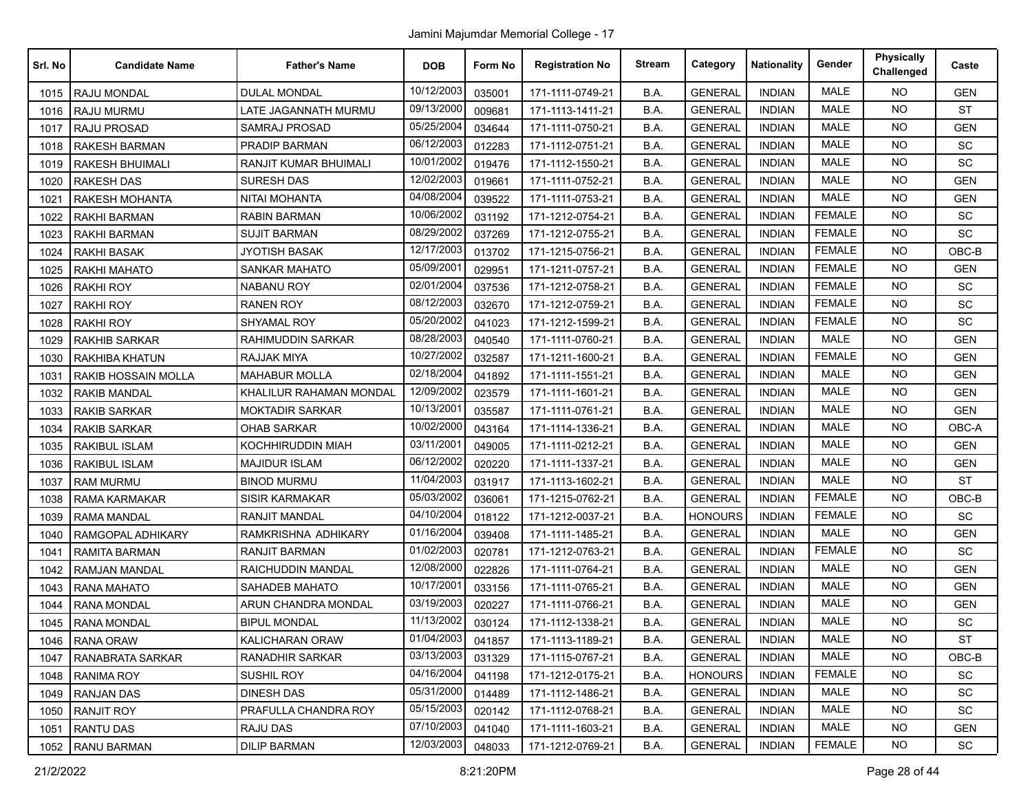| Srl. No | <b>Candidate Name</b>      | <b>Father's Name</b>    | <b>DOB</b> | Form No | <b>Registration No</b> | <b>Stream</b> | Category       | <b>Nationality</b> | Gender        | <b>Physically</b><br>Challenged | Caste      |
|---------|----------------------------|-------------------------|------------|---------|------------------------|---------------|----------------|--------------------|---------------|---------------------------------|------------|
| 1015    | <b>RAJU MONDAL</b>         | <b>DULAL MONDAL</b>     | 10/12/2003 | 035001  | 171-1111-0749-21       | B.A.          | <b>GENERAL</b> | <b>INDIAN</b>      | <b>MALE</b>   | <b>NO</b>                       | <b>GEN</b> |
| 1016    | RAJU MURMU                 | LATE JAGANNATH MURMU    | 09/13/2000 | 009681  | 171-1113-1411-21       | B.A.          | <b>GENERAL</b> | <b>INDIAN</b>      | <b>MALE</b>   | <b>NO</b>                       | <b>ST</b>  |
| 1017    | <b>RAJU PROSAD</b>         | SAMRAJ PROSAD           | 05/25/2004 | 034644  | 171-1111-0750-21       | B.A.          | <b>GENERAL</b> | <b>INDIAN</b>      | MALE          | <b>NO</b>                       | <b>GEN</b> |
| 1018    | <b>RAKESH BARMAN</b>       | PRADIP BARMAN           | 06/12/2003 | 012283  | 171-1112-0751-21       | B.A.          | <b>GENERAL</b> | <b>INDIAN</b>      | <b>MALE</b>   | <b>NO</b>                       | SC         |
| 1019    | <b>RAKESH BHUIMALI</b>     | RANJIT KUMAR BHUIMALI   | 10/01/2002 | 019476  | 171-1112-1550-21       | B.A.          | <b>GENERAL</b> | <b>INDIAN</b>      | <b>MALE</b>   | <b>NO</b>                       | SC         |
| 1020    | <b>RAKESH DAS</b>          | <b>SURESH DAS</b>       | 12/02/2003 | 019661  | 171-1111-0752-21       | B.A.          | <b>GENERAL</b> | <b>INDIAN</b>      | <b>MALE</b>   | <b>NO</b>                       | <b>GEN</b> |
| 1021    | <b>RAKESH MOHANTA</b>      | NITAI MOHANTA           | 04/08/2004 | 039522  | 171-1111-0753-21       | B.A.          | <b>GENERAL</b> | <b>INDIAN</b>      | <b>MALE</b>   | <b>NO</b>                       | <b>GEN</b> |
| 1022    | <b>RAKHI BARMAN</b>        | RABIN BARMAN            | 10/06/2002 | 031192  | 171-1212-0754-21       | B.A.          | <b>GENERAL</b> | <b>INDIAN</b>      | <b>FEMALE</b> | <b>NO</b>                       | SC         |
| 1023    | <b>RAKHI BARMAN</b>        | <b>SUJIT BARMAN</b>     | 08/29/2002 | 037269  | 171-1212-0755-21       | B.A.          | <b>GENERAL</b> | <b>INDIAN</b>      | <b>FEMALE</b> | <b>NO</b>                       | SC         |
| 1024    | RAKHI BASAK                | <b>JYOTISH BASAK</b>    | 12/17/2003 | 013702  | 171-1215-0756-21       | B.A.          | <b>GENERAL</b> | <b>INDIAN</b>      | <b>FEMALE</b> | <b>NO</b>                       | OBC-B      |
| 1025    | <b>RAKHI MAHATO</b>        | SANKAR MAHATO           | 05/09/2001 | 029951  | 171-1211-0757-21       | B.A.          | <b>GENERAL</b> | <b>INDIAN</b>      | <b>FEMALE</b> | <b>NO</b>                       | <b>GEN</b> |
| 1026    | <b>RAKHI ROY</b>           | <b>NABANU ROY</b>       | 02/01/2004 | 037536  | 171-1212-0758-21       | B.A.          | <b>GENERAL</b> | <b>INDIAN</b>      | <b>FEMALE</b> | <b>NO</b>                       | SC         |
| 1027    | <b>RAKHI ROY</b>           | <b>RANEN ROY</b>        | 08/12/2003 | 032670  | 171-1212-0759-21       | B.A.          | <b>GENERAL</b> | <b>INDIAN</b>      | <b>FEMALE</b> | <b>NO</b>                       | SC         |
| 1028    | <b>RAKHI ROY</b>           | SHYAMAL ROY             | 05/20/2002 | 041023  | 171-1212-1599-21       | B.A.          | <b>GENERAL</b> | <b>INDIAN</b>      | <b>FEMALE</b> | <b>NO</b>                       | <b>SC</b>  |
| 1029    | <b>RAKHIB SARKAR</b>       | RAHIMUDDIN SARKAR       | 08/28/2003 | 040540  | 171-1111-0760-21       | B.A.          | <b>GENERAL</b> | <b>INDIAN</b>      | <b>MALE</b>   | <b>NO</b>                       | <b>GEN</b> |
| 1030    | <b>RAKHIBA KHATUN</b>      | RAJJAK MIYA             | 10/27/2002 | 032587  | 171-1211-1600-21       | B.A.          | <b>GENERAL</b> | <b>INDIAN</b>      | <b>FEMALE</b> | <b>NO</b>                       | <b>GEN</b> |
| 1031    | <b>RAKIB HOSSAIN MOLLA</b> | <b>MAHABUR MOLLA</b>    | 02/18/2004 | 041892  | 171-1111-1551-21       | B.A.          | <b>GENERAL</b> | <b>INDIAN</b>      | <b>MALE</b>   | <b>NO</b>                       | <b>GEN</b> |
| 1032    | <b>RAKIB MANDAL</b>        | KHALILUR RAHAMAN MONDAL | 12/09/2002 | 023579  | 171-1111-1601-21       | B.A.          | <b>GENERAL</b> | <b>INDIAN</b>      | <b>MALE</b>   | <b>NO</b>                       | <b>GEN</b> |
| 1033    | <b>RAKIB SARKAR</b>        | <b>MOKTADIR SARKAR</b>  | 10/13/2001 | 035587  | 171-1111-0761-21       | B.A.          | <b>GENERAL</b> | <b>INDIAN</b>      | <b>MALE</b>   | <b>NO</b>                       | <b>GEN</b> |
| 1034    | <b>RAKIB SARKAR</b>        | <b>OHAB SARKAR</b>      | 10/02/2000 | 043164  | 171-1114-1336-21       | B.A.          | <b>GENERAL</b> | <b>INDIAN</b>      | MALE          | <b>NO</b>                       | OBC-A      |
| 1035    | <b>RAKIBUL ISLAM</b>       | KOCHHIRUDDIN MIAH       | 03/11/2001 | 049005  | 171-1111-0212-21       | B.A.          | <b>GENERAL</b> | <b>INDIAN</b>      | <b>MALE</b>   | <b>NO</b>                       | <b>GEN</b> |
| 1036    | <b>RAKIBUL ISLAM</b>       | <b>MAJIDUR ISLAM</b>    | 06/12/2002 | 020220  | 171-1111-1337-21       | B.A.          | <b>GENERAL</b> | <b>INDIAN</b>      | <b>MALE</b>   | <b>NO</b>                       | <b>GEN</b> |
| 1037    | <b>RAM MURMU</b>           | <b>BINOD MURMU</b>      | 11/04/2003 | 031917  | 171-1113-1602-21       | B.A.          | <b>GENERAL</b> | <b>INDIAN</b>      | <b>MALE</b>   | <b>NO</b>                       | <b>ST</b>  |
| 1038    | RAMA KARMAKAR              | <b>SISIR KARMAKAR</b>   | 05/03/2002 | 036061  | 171-1215-0762-21       | B.A.          | <b>GENERAL</b> | <b>INDIAN</b>      | <b>FEMALE</b> | <b>NO</b>                       | OBC-B      |
| 1039    | <b>RAMA MANDAL</b>         | <b>RANJIT MANDAL</b>    | 04/10/2004 | 018122  | 171-1212-0037-21       | B.A.          | <b>HONOURS</b> | <b>INDIAN</b>      | <b>FEMALE</b> | <b>NO</b>                       | SC         |
| 1040    | RAMGOPAL ADHIKARY          | RAMKRISHNA ADHIKARY     | 01/16/2004 | 039408  | 171-1111-1485-21       | B.A.          | <b>GENERAL</b> | <b>INDIAN</b>      | <b>MALE</b>   | <b>NO</b>                       | <b>GEN</b> |
| 1041    | <b>RAMITA BARMAN</b>       | RANJIT BARMAN           | 01/02/2003 | 020781  | 171-1212-0763-21       | B.A.          | <b>GENERAL</b> | <b>INDIAN</b>      | <b>FEMALE</b> | <b>NO</b>                       | SC         |
| 1042    | RAMJAN MANDAL              | RAICHUDDIN MANDAL       | 12/08/2000 | 022826  | 171-1111-0764-21       | B.A.          | <b>GENERAL</b> | <b>INDIAN</b>      | <b>MALE</b>   | <b>NO</b>                       | <b>GEN</b> |
| 1043    | <b>RANA MAHATO</b>         | SAHADEB MAHATO          | 10/17/2001 | 033156  | 171-1111-0765-21       | B.A.          | <b>GENERAL</b> | <b>INDIAN</b>      | <b>MALE</b>   | <b>NO</b>                       | <b>GEN</b> |
| 1044    | <b>RANA MONDAL</b>         | ARUN CHANDRA MONDAL     | 03/19/2003 | 020227  | 171-1111-0766-21       | B.A.          | <b>GENERAL</b> | <b>INDIAN</b>      | <b>MALE</b>   | <b>NO</b>                       | <b>GEN</b> |
| 1045    | <b>RANA MONDAL</b>         | <b>BIPUL MONDAL</b>     | 11/13/2002 | 030124  | 171-1112-1338-21       | B.A.          | <b>GENERAL</b> | <b>INDIAN</b>      | <b>MALE</b>   | <b>NO</b>                       | SC         |
|         | 1046   RANA ORAW           | <b>KALICHARAN ORAW</b>  | 01/04/2003 | 041857  | 171-1113-1189-21       | B.A.          | <b>GENERAL</b> | <b>INDIAN</b>      | MALE          | NO                              | <b>ST</b>  |
| 1047    | RANABRATA SARKAR           | <b>RANADHIR SARKAR</b>  | 03/13/2003 | 031329  | 171-1115-0767-21       | B.A.          | <b>GENERAL</b> | <b>INDIAN</b>      | MALE          | <b>NO</b>                       | OBC-B      |
| 1048    | <b>RANIMA ROY</b>          | SUSHIL ROY              | 04/16/2004 | 041198  | 171-1212-0175-21       | B.A.          | <b>HONOURS</b> | <b>INDIAN</b>      | <b>FEMALE</b> | <b>NO</b>                       | <b>SC</b>  |
| 1049    | <b>RANJAN DAS</b>          | <b>DINESH DAS</b>       | 05/31/2000 | 014489  | 171-1112-1486-21       | B.A.          | <b>GENERAL</b> | <b>INDIAN</b>      | MALE          | <b>NO</b>                       | SC         |
| 1050    | <b>RANJIT ROY</b>          | PRAFULLA CHANDRA ROY    | 05/15/2003 | 020142  | 171-1112-0768-21       | B.A.          | <b>GENERAL</b> | <b>INDIAN</b>      | MALE          | <b>NO</b>                       | <b>SC</b>  |
| 1051    | <b>RANTU DAS</b>           | RAJU DAS                | 07/10/2003 | 041040  | 171-1111-1603-21       | B.A.          | <b>GENERAL</b> | <b>INDIAN</b>      | MALE          | <b>NO</b>                       | <b>GEN</b> |
| 1052    | <b>RANU BARMAN</b>         | <b>DILIP BARMAN</b>     | 12/03/2003 | 048033  | 171-1212-0769-21       | B.A.          | <b>GENERAL</b> | <b>INDIAN</b>      | <b>FEMALE</b> | <b>NO</b>                       | <b>SC</b>  |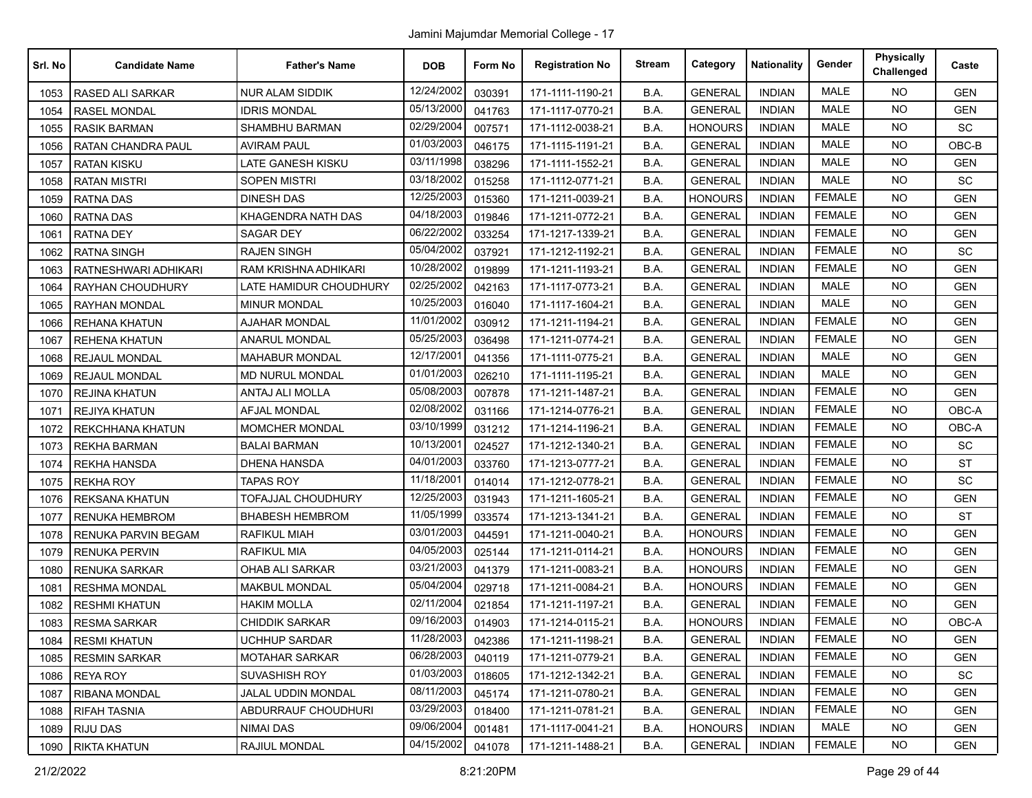| Srl. No | <b>Candidate Name</b>   | <b>Father's Name</b>        | <b>DOB</b>             | Form No | <b>Registration No</b> | <b>Stream</b> | Category       | <b>Nationality</b> | Gender        | <b>Physically</b><br>Challenged | Caste      |
|---------|-------------------------|-----------------------------|------------------------|---------|------------------------|---------------|----------------|--------------------|---------------|---------------------------------|------------|
| 1053    | <b>RASED ALI SARKAR</b> | <b>NUR ALAM SIDDIK</b>      | 12/24/2002             | 030391  | 171-1111-1190-21       | B.A.          | <b>GENERAL</b> | <b>INDIAN</b>      | <b>MALE</b>   | <b>NO</b>                       | <b>GEN</b> |
| 1054    | <b>RASEL MONDAL</b>     | <b>IDRIS MONDAL</b>         | 05/13/2000             | 041763  | 171-1117-0770-21       | B.A.          | <b>GENERAL</b> | <b>INDIAN</b>      | <b>MALE</b>   | NO.                             | <b>GEN</b> |
| 1055    | <b>RASIK BARMAN</b>     | SHAMBHU BARMAN              | 02/29/2004             | 007571  | 171-1112-0038-21       | B.A.          | <b>HONOURS</b> | <b>INDIAN</b>      | <b>MALE</b>   | <b>NO</b>                       | SC         |
| 1056    | RATAN CHANDRA PAUL      | <b>AVIRAM PAUL</b>          | 01/03/2003             | 046175  | 171-1115-1191-21       | B.A.          | <b>GENERAL</b> | <b>INDIAN</b>      | <b>MALE</b>   | <b>NO</b>                       | OBC-B      |
| 1057    | <b>RATAN KISKU</b>      | LATE GANESH KISKU           | 03/11/1998             | 038296  | 171-1111-1552-21       | B.A.          | <b>GENERAL</b> | <b>INDIAN</b>      | <b>MALE</b>   | <b>NO</b>                       | <b>GEN</b> |
| 1058    | <b>RATAN MISTRI</b>     | <b>SOPEN MISTRI</b>         | 03/18/2002             | 015258  | 171-1112-0771-21       | B.A.          | <b>GENERAL</b> | <b>INDIAN</b>      | <b>MALE</b>   | <b>NO</b>                       | <b>SC</b>  |
| 1059    | <b>RATNA DAS</b>        | <b>DINESH DAS</b>           | 12/25/2003             | 015360  | 171-1211-0039-21       | B.A.          | <b>HONOURS</b> | <b>INDIAN</b>      | <b>FEMALE</b> | <b>NO</b>                       | <b>GEN</b> |
| 1060    | <b>RATNA DAS</b>        | KHAGENDRA NATH DAS          | 04/18/2003             | 019846  | 171-1211-0772-21       | B.A.          | <b>GENERAL</b> | <b>INDIAN</b>      | <b>FEMALE</b> | NO.                             | <b>GEN</b> |
| 1061    | <b>RATNA DEY</b>        | SAGAR DEY                   | 06/22/2002             | 033254  | 171-1217-1339-21       | B.A.          | <b>GENERAL</b> | <b>INDIAN</b>      | <b>FEMALE</b> | <b>NO</b>                       | <b>GEN</b> |
| 1062    | <b>RATNA SINGH</b>      | <b>RAJEN SINGH</b>          | 05/04/2002             | 037921  | 171-1212-1192-21       | B.A.          | <b>GENERAL</b> | <b>INDIAN</b>      | <b>FEMALE</b> | NO.                             | <b>SC</b>  |
| 1063    | RATNESHWARI ADHIKARI    | <b>RAM KRISHNA ADHIKARI</b> | 10/28/2002             | 019899  | 171-1211-1193-21       | B.A.          | <b>GENERAL</b> | <b>INDIAN</b>      | <b>FEMALE</b> | NO.                             | <b>GEN</b> |
| 1064    | <b>RAYHAN CHOUDHURY</b> | LATE HAMIDUR CHOUDHURY      | 02/25/2002             | 042163  | 171-1117-0773-21       | B.A.          | <b>GENERAL</b> | <b>INDIAN</b>      | <b>MALE</b>   | NO.                             | <b>GEN</b> |
| 1065    | <b>RAYHAN MONDAL</b>    | <b>MINUR MONDAL</b>         | 10/25/2003             | 016040  | 171-1117-1604-21       | B.A.          | <b>GENERAL</b> | <b>INDIAN</b>      | <b>MALE</b>   | <b>NO</b>                       | <b>GEN</b> |
| 1066    | <b>REHANA KHATUN</b>    | <b>AJAHAR MONDAL</b>        | 11/01/2002             | 030912  | 171-1211-1194-21       | B.A.          | <b>GENERAL</b> | <b>INDIAN</b>      | <b>FEMALE</b> | <b>NO</b>                       | <b>GEN</b> |
| 1067    | <b>REHENA KHATUN</b>    | <b>ANARUL MONDAL</b>        | 05/25/2003             | 036498  | 171-1211-0774-21       | B.A.          | <b>GENERAL</b> | <b>INDIAN</b>      | <b>FEMALE</b> | NO.                             | <b>GEN</b> |
| 1068    | <b>REJAUL MONDAL</b>    | <b>MAHABUR MONDAL</b>       | 12/17/200 <sup>-</sup> | 041356  | 171-1111-0775-21       | B.A.          | <b>GENERAL</b> | <b>INDIAN</b>      | <b>MALE</b>   | NO.                             | <b>GEN</b> |
| 1069    | <b>REJAUL MONDAL</b>    | MD NURUL MONDAL             | 01/01/2003             | 026210  | 171-1111-1195-21       | B.A.          | <b>GENERAL</b> | <b>INDIAN</b>      | <b>MALE</b>   | NO.                             | <b>GEN</b> |
| 1070    | <b>REJINA KHATUN</b>    | <b>ANTAJ ALI MOLLA</b>      | 05/08/2003             | 007878  | 171-1211-1487-21       | B.A.          | <b>GENERAL</b> | <b>INDIAN</b>      | <b>FEMALE</b> | NO.                             | <b>GEN</b> |
| 1071    | <b>REJIYA KHATUN</b>    | <b>AFJAL MONDAL</b>         | 02/08/2002             | 031166  | 171-1214-0776-21       | B.A.          | <b>GENERAL</b> | INDIAN             | <b>FEMALE</b> | NO.                             | OBC-A      |
| 1072    | REKCHHANA KHATUN        | <b>MOMCHER MONDAL</b>       | 03/10/1999             | 031212  | 171-1214-1196-21       | B.A.          | <b>GENERAL</b> | <b>INDIAN</b>      | <b>FEMALE</b> | <b>NO</b>                       | OBC-A      |
| 1073    | <b>REKHA BARMAN</b>     | <b>BALAI BARMAN</b>         | 10/13/200              | 024527  | 171-1212-1340-21       | B.A.          | <b>GENERAL</b> | <b>INDIAN</b>      | <b>FEMALE</b> | NO.                             | SC         |
| 1074    | <b>REKHA HANSDA</b>     | DHENA HANSDA                | 04/01/2003             | 033760  | 171-1213-0777-21       | B.A.          | <b>GENERAL</b> | <b>INDIAN</b>      | <b>FEMALE</b> | NO.                             | <b>ST</b>  |
| 1075    | <b>REKHA ROY</b>        | TAPAS ROY                   | 11/18/2001             | 014014  | 171-1212-0778-21       | B.A.          | <b>GENERAL</b> | INDIAN             | <b>FEMALE</b> | <b>NO</b>                       | SC         |
| 1076    | <b>REKSANA KHATUN</b>   | <b>TOFAJJAL CHOUDHURY</b>   | 12/25/2003             | 031943  | 171-1211-1605-21       | B.A.          | <b>GENERAL</b> | <b>INDIAN</b>      | <b>FEMALE</b> | NO.                             | <b>GEN</b> |
| 1077    | <b>RENUKA HEMBROM</b>   | <b>BHABESH HEMBROM</b>      | 11/05/1999             | 033574  | 171-1213-1341-21       | B.A.          | <b>GENERAL</b> | <b>INDIAN</b>      | <b>FEMALE</b> | <b>NO</b>                       | <b>ST</b>  |
| 1078    | RENUKA PARVIN BEGAM     | RAFIKUL MIAH                | 03/01/2003             | 044591  | 171-1211-0040-21       | B.A.          | <b>HONOURS</b> | <b>INDIAN</b>      | <b>FEMALE</b> | <b>NO</b>                       | <b>GEN</b> |
| 1079    | <b>RENUKA PERVIN</b>    | RAFIKUL MIA                 | 04/05/2003             | 025144  | 171-1211-0114-21       | B.A.          | <b>HONOURS</b> | <b>INDIAN</b>      | <b>FEMALE</b> | <b>NO</b>                       | <b>GEN</b> |
| 1080    | <b>RENUKA SARKAR</b>    | <b>OHAB ALI SARKAR</b>      | 03/21/2003             | 041379  | 171-1211-0083-21       | B.A.          | <b>HONOURS</b> | <b>INDIAN</b>      | <b>FEMALE</b> | <b>NO</b>                       | <b>GEN</b> |
| 1081    | <b>RESHMA MONDAL</b>    | <b>MAKBUL MONDAL</b>        | 05/04/2004             | 029718  | 171-1211-0084-21       | B.A.          | HONOURS        | <b>INDIAN</b>      | <b>FEMALE</b> | NO.                             | <b>GEN</b> |
| 1082    | <b>RESHMI KHATUN</b>    | <b>HAKIM MOLLA</b>          | 02/11/2004             | 021854  | 171-1211-1197-21       | B.A.          | <b>GENERAL</b> | <b>INDIAN</b>      | <b>FEMALE</b> | NO.                             | <b>GEN</b> |
| 1083    | <b>RESMA SARKAR</b>     | <b>CHIDDIK SARKAR</b>       | 09/16/2003             | 014903  | 171-1214-0115-21       | B.A.          | HONOURS        | <b>INDIAN</b>      | <b>FEMALE</b> | NO.                             | OBC-A      |
| 1084    | <b>RESMI KHATUN</b>     | <b>UCHHUP SARDAR</b>        | 11/28/2003             | 042386  | 171-1211-1198-21       | B.A.          | <b>GENERAL</b> | <b>INDIAN</b>      | <b>FEMALE</b> | NO.                             | <b>GEN</b> |
| 1085    | <b>RESMIN SARKAR</b>    | <b>MOTAHAR SARKAR</b>       | 06/28/2003             | 040119  | 171-1211-0779-21       | B.A.          | <b>GENERAL</b> | <b>INDIAN</b>      | <b>FEMALE</b> | NO.                             | <b>GEN</b> |
| 1086    | <b>REYA ROY</b>         | SUVASHISH ROY               | 01/03/2003             | 018605  | 171-1212-1342-21       | B.A.          | <b>GENERAL</b> | <b>INDIAN</b>      | <b>FEMALE</b> | NO.                             | SC         |
| 1087    | RIBANA MONDAL           | <b>JALAL UDDIN MONDAL</b>   | 08/11/2003             | 045174  | 171-1211-0780-21       | B.A.          | <b>GENERAL</b> | <b>INDIAN</b>      | FEMALE        | NO.                             | <b>GEN</b> |
| 1088    | <b>RIFAH TASNIA</b>     | ABDURRAUF CHOUDHURI         | 03/29/2003             | 018400  | 171-1211-0781-21       | B.A.          | <b>GENERAL</b> | <b>INDIAN</b>      | <b>FEMALE</b> | <b>NO</b>                       | <b>GEN</b> |
| 1089    | <b>RIJU DAS</b>         | NIMAI DAS                   | 09/06/2004             | 001481  | 171-1117-0041-21       | B.A.          | <b>HONOURS</b> | <b>INDIAN</b>      | MALE          | NO.                             | <b>GEN</b> |
| 1090    | <b>RIKTA KHATUN</b>     | RAJIUL MONDAL               | 04/15/2002             | 041078  | 171-1211-1488-21       | B.A.          | <b>GENERAL</b> | <b>INDIAN</b>      | <b>FEMALE</b> | NO.                             | <b>GEN</b> |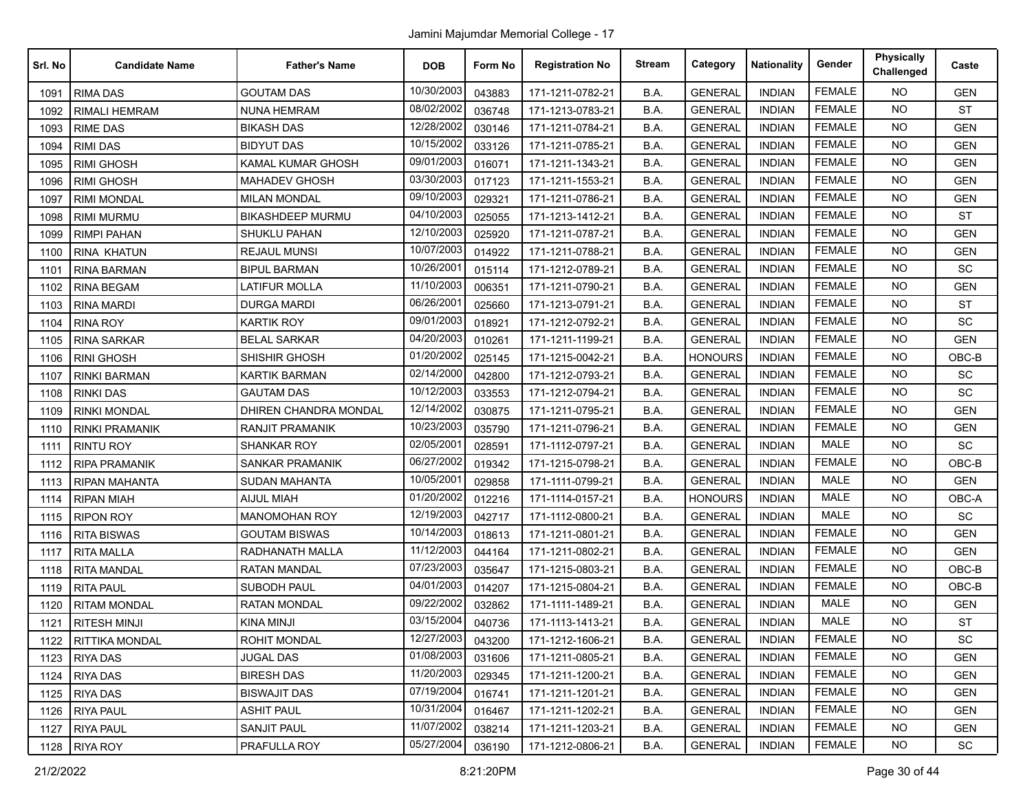| Srl. No | <b>Candidate Name</b> | <b>Father's Name</b>    | <b>DOB</b> | Form No | <b>Registration No</b> | <b>Stream</b> | Category       | <b>Nationality</b> | Gender        | <b>Physically</b><br>Challenged | Caste      |
|---------|-----------------------|-------------------------|------------|---------|------------------------|---------------|----------------|--------------------|---------------|---------------------------------|------------|
| 1091    | <b>RIMA DAS</b>       | <b>GOUTAM DAS</b>       | 10/30/2003 | 043883  | 171-1211-0782-21       | B.A.          | <b>GENERAL</b> | <b>INDIAN</b>      | <b>FEMALE</b> | <b>NO</b>                       | <b>GEN</b> |
| 1092    | <b>RIMALI HEMRAM</b>  | <b>NUNA HEMRAM</b>      | 08/02/2002 | 036748  | 171-1213-0783-21       | B.A.          | <b>GENERAL</b> | <b>INDIAN</b>      | <b>FEMALE</b> | <b>NO</b>                       | ST         |
| 1093    | <b>RIME DAS</b>       | <b>BIKASH DAS</b>       | 12/28/2002 | 030146  | 171-1211-0784-21       | B.A.          | <b>GENERAL</b> | <b>INDIAN</b>      | <b>FEMALE</b> | <b>NO</b>                       | <b>GEN</b> |
| 1094    | <b>RIMI DAS</b>       | <b>BIDYUT DAS</b>       | 10/15/2002 | 033126  | 171-1211-0785-21       | B.A.          | <b>GENERAL</b> | <b>INDIAN</b>      | <b>FEMALE</b> | <b>NO</b>                       | <b>GEN</b> |
| 1095    | <b>RIMI GHOSH</b>     | KAMAL KUMAR GHOSH       | 09/01/2003 | 016071  | 171-1211-1343-21       | B.A.          | <b>GENERAL</b> | <b>INDIAN</b>      | <b>FEMALE</b> | <b>NO</b>                       | <b>GEN</b> |
| 1096    | <b>RIMI GHOSH</b>     | <b>MAHADEV GHOSH</b>    | 03/30/2003 | 017123  | 171-1211-1553-21       | B.A.          | <b>GENERAL</b> | <b>INDIAN</b>      | <b>FEMALE</b> | <b>NO</b>                       | <b>GEN</b> |
| 1097    | <b>RIMI MONDAL</b>    | <b>MILAN MONDAL</b>     | 09/10/2003 | 029321  | 171-1211-0786-21       | B.A.          | <b>GENERAL</b> | <b>INDIAN</b>      | <b>FEMALE</b> | <b>NO</b>                       | <b>GEN</b> |
| 1098    | <b>RIMI MURMU</b>     | <b>BIKASHDEEP MURMU</b> | 04/10/2003 | 025055  | 171-1213-1412-21       | B.A.          | <b>GENERAL</b> | <b>INDIAN</b>      | <b>FEMALE</b> | <b>NO</b>                       | <b>ST</b>  |
| 1099    | RIMPI PAHAN           | SHUKLU PAHAN            | 12/10/2003 | 025920  | 171-1211-0787-21       | B.A.          | <b>GENERAL</b> | <b>INDIAN</b>      | <b>FEMALE</b> | <b>NO</b>                       | <b>GEN</b> |
| 1100    | <b>RINA KHATUN</b>    | <b>REJAUL MUNSI</b>     | 10/07/2003 | 014922  | 171-1211-0788-21       | B.A.          | <b>GENERAL</b> | <b>INDIAN</b>      | <b>FEMALE</b> | <b>NO</b>                       | <b>GEN</b> |
| 1101    | <b>RINA BARMAN</b>    | BIPUL BARMAN            | 10/26/2001 | 015114  | 171-1212-0789-21       | B.A.          | <b>GENERAL</b> | <b>INDIAN</b>      | <b>FEMALE</b> | <b>NO</b>                       | SC         |
| 1102    | <b>RINA BEGAM</b>     | LATIFUR MOLLA           | 11/10/2003 | 006351  | 171-1211-0790-21       | B.A.          | <b>GENERAL</b> | <b>INDIAN</b>      | <b>FEMALE</b> | <b>NO</b>                       | <b>GEN</b> |
| 1103    | <b>RINA MARDI</b>     | <b>DURGA MARDI</b>      | 06/26/2001 | 025660  | 171-1213-0791-21       | B.A.          | <b>GENERAL</b> | <b>INDIAN</b>      | <b>FEMALE</b> | <b>NO</b>                       | <b>ST</b>  |
| 1104    | <b>RINA ROY</b>       | KARTIK ROY              | 09/01/2003 | 018921  | 171-1212-0792-21       | B.A.          | <b>GENERAL</b> | <b>INDIAN</b>      | <b>FEMALE</b> | <b>NO</b>                       | SC         |
| 1105    | <b>RINA SARKAR</b>    | <b>BELAL SARKAR</b>     | 04/20/2003 | 010261  | 171-1211-1199-21       | B.A.          | <b>GENERAL</b> | <b>INDIAN</b>      | <b>FEMALE</b> | <b>NO</b>                       | <b>GEN</b> |
| 1106    | <b>RINI GHOSH</b>     | SHISHIR GHOSH           | 01/20/2002 | 025145  | 171-1215-0042-21       | B.A.          | <b>HONOURS</b> | <b>INDIAN</b>      | <b>FEMALE</b> | <b>NO</b>                       | OBC-B      |
| 1107    | <b>RINKI BARMAN</b>   | <b>KARTIK BARMAN</b>    | 02/14/2000 | 042800  | 171-1212-0793-21       | B.A.          | <b>GENERAL</b> | <b>INDIAN</b>      | <b>FEMALE</b> | <b>NO</b>                       | <b>SC</b>  |
| 1108    | <b>RINKI DAS</b>      | <b>GAUTAM DAS</b>       | 10/12/2003 | 033553  | 171-1212-0794-21       | B.A.          | <b>GENERAL</b> | <b>INDIAN</b>      | <b>FEMALE</b> | <b>NO</b>                       | SC         |
| 1109    | <b>RINKI MONDAL</b>   | DHIREN CHANDRA MONDAL   | 12/14/2002 | 030875  | 171-1211-0795-21       | B.A.          | <b>GENERAL</b> | <b>INDIAN</b>      | <b>FEMALE</b> | <b>NO</b>                       | <b>GEN</b> |
| 1110    | <b>RINKI PRAMANIK</b> | RANJIT PRAMANIK         | 10/23/2003 | 035790  | 171-1211-0796-21       | B.A.          | <b>GENERAL</b> | <b>INDIAN</b>      | <b>FEMALE</b> | <b>NO</b>                       | <b>GEN</b> |
| 1111    | <b>RINTU ROY</b>      | <b>SHANKAR ROY</b>      | 02/05/2001 | 028591  | 171-1112-0797-21       | B.A.          | <b>GENERAL</b> | <b>INDIAN</b>      | MALE          | <b>NO</b>                       | SC         |
| 1112    | <b>RIPA PRAMANIK</b>  | <b>SANKAR PRAMANIK</b>  | 06/27/2002 | 019342  | 171-1215-0798-21       | B.A.          | <b>GENERAL</b> | <b>INDIAN</b>      | <b>FEMALE</b> | <b>NO</b>                       | OBC-B      |
| 1113    | <b>RIPAN MAHANTA</b>  | <b>SUDAN MAHANTA</b>    | 10/05/2001 | 029858  | 171-1111-0799-21       | B.A.          | <b>GENERAL</b> | <b>INDIAN</b>      | MALE          | <b>NO</b>                       | <b>GEN</b> |
| 1114    | <b>RIPAN MIAH</b>     | <b>AIJUL MIAH</b>       | 01/20/2002 | 012216  | 171-1114-0157-21       | B.A.          | <b>HONOURS</b> | <b>INDIAN</b>      | MALE          | <b>NO</b>                       | OBC-A      |
| 1115    | <b>RIPON ROY</b>      | <b>MANOMOHAN ROY</b>    | 12/19/2003 | 042717  | 171-1112-0800-21       | B.A.          | <b>GENERAL</b> | <b>INDIAN</b>      | <b>MALE</b>   | <b>NO</b>                       | SC         |
| 1116    | <b>RITA BISWAS</b>    | <b>GOUTAM BISWAS</b>    | 10/14/2003 | 018613  | 171-1211-0801-21       | B.A.          | <b>GENERAL</b> | <b>INDIAN</b>      | <b>FEMALE</b> | <b>NO</b>                       | <b>GEN</b> |
| 1117    | <b>RITA MALLA</b>     | RADHANATH MALLA         | 11/12/2003 | 044164  | 171-1211-0802-21       | B.A.          | <b>GENERAL</b> | <b>INDIAN</b>      | <b>FEMALE</b> | <b>NO</b>                       | <b>GEN</b> |
| 1118    | <b>RITA MANDAL</b>    | <b>RATAN MANDAL</b>     | 07/23/2003 | 035647  | 171-1215-0803-21       | B.A.          | <b>GENERAL</b> | <b>INDIAN</b>      | <b>FEMALE</b> | <b>NO</b>                       | OBC-B      |
| 1119    | <b>RITA PAUL</b>      | SUBODH PAUL             | 04/01/2003 | 014207  | 171-1215-0804-21       | B.A.          | <b>GENERAL</b> | <b>INDIAN</b>      | <b>FEMALE</b> | <b>NO</b>                       | $OBC-B$    |
| 1120    | <b>RITAM MONDAL</b>   | <b>RATAN MONDAL</b>     | 09/22/2002 | 032862  | 171-1111-1489-21       | B.A.          | <b>GENERAL</b> | <b>INDIAN</b>      | <b>MALE</b>   | <b>NO</b>                       | <b>GEN</b> |
| 1121    | <b>RITESH MINJI</b>   | <b>KINA MINJI</b>       | 03/15/2004 | 040736  | 171-1113-1413-21       | B.A.          | <b>GENERAL</b> | <b>INDIAN</b>      | <b>MALE</b>   | <b>NO</b>                       | <b>ST</b>  |
|         | 1122   RITTIKA MONDAL | ROHIT MONDAL            | 12/27/2003 | 043200  | 171-1212-1606-21       | B.A.          | <b>GENERAL</b> | <b>INDIAN</b>      | FEMALE        | <b>NO</b>                       | SC         |
| 1123    | <b>RIYA DAS</b>       | <b>JUGAL DAS</b>        | 01/08/2003 | 031606  | 171-1211-0805-21       | B.A.          | <b>GENERAL</b> | <b>INDIAN</b>      | <b>FEMALE</b> | NO.                             | <b>GEN</b> |
| 1124    | <b>RIYA DAS</b>       | <b>BIRESH DAS</b>       | 11/20/2003 | 029345  | 171-1211-1200-21       | B.A.          | <b>GENERAL</b> | <b>INDIAN</b>      | <b>FEMALE</b> | <b>NO</b>                       | <b>GEN</b> |
| 1125    | <b>RIYA DAS</b>       | <b>BISWAJIT DAS</b>     | 07/19/2004 | 016741  | 171-1211-1201-21       | B.A.          | <b>GENERAL</b> | <b>INDIAN</b>      | <b>FEMALE</b> | <b>NO</b>                       | <b>GEN</b> |
| 1126    | <b>RIYA PAUL</b>      | <b>ASHIT PAUL</b>       | 10/31/2004 | 016467  | 171-1211-1202-21       | B.A.          | <b>GENERAL</b> | <b>INDIAN</b>      | <b>FEMALE</b> | <b>NO</b>                       | <b>GEN</b> |
| 1127    | <b>RIYA PAUL</b>      | SANJIT PAUL             | 11/07/2002 | 038214  | 171-1211-1203-21       | B.A.          | <b>GENERAL</b> | <b>INDIAN</b>      | <b>FEMALE</b> | <b>NO</b>                       | <b>GEN</b> |
|         | 1128 RIYA ROY         | PRAFULLA ROY            | 05/27/2004 | 036190  | 171-1212-0806-21       | B.A.          | <b>GENERAL</b> | <b>INDIAN</b>      | <b>FEMALE</b> | NO.                             | <b>SC</b>  |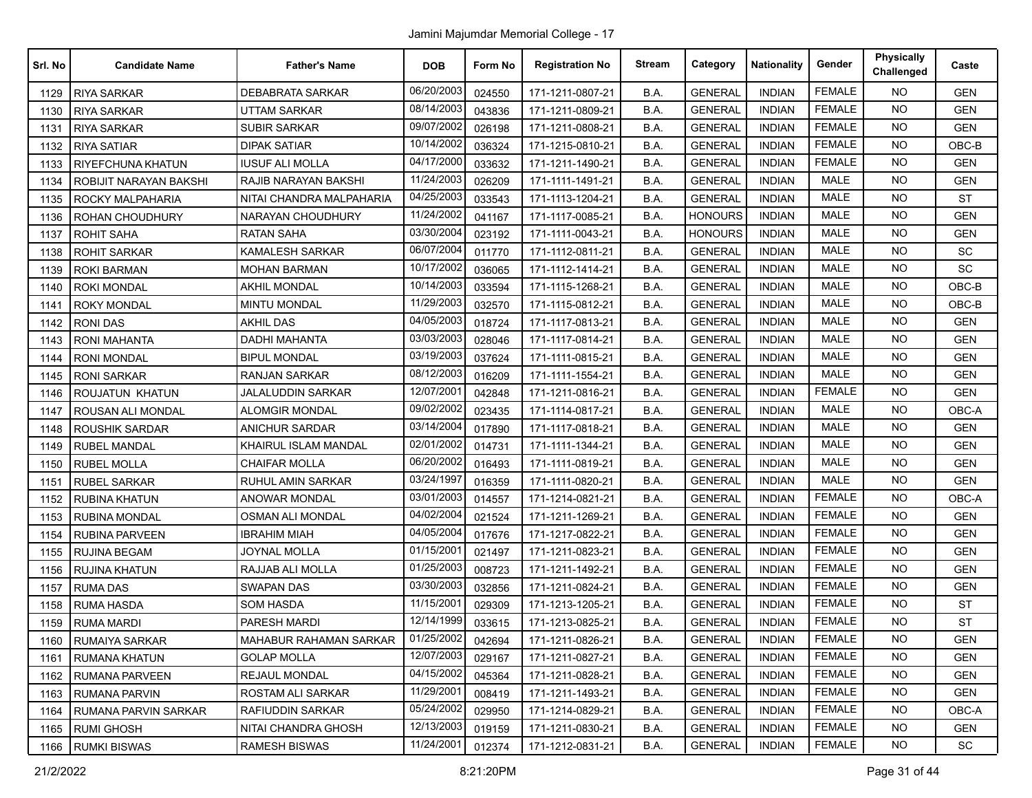| Srl. No | <b>Candidate Name</b>    | <b>Father's Name</b>     | <b>DOB</b> | Form No | <b>Registration No</b> | <b>Stream</b> | Category       | <b>Nationality</b> | Gender        | <b>Physically</b><br>Challenged | Caste      |
|---------|--------------------------|--------------------------|------------|---------|------------------------|---------------|----------------|--------------------|---------------|---------------------------------|------------|
| 1129    | <b>RIYA SARKAR</b>       | <b>DEBABRATA SARKAR</b>  | 06/20/2003 | 024550  | 171-1211-0807-21       | B.A.          | <b>GENERAL</b> | <b>INDIAN</b>      | <b>FEMALE</b> | <b>NO</b>                       | <b>GEN</b> |
| 1130    | <b>RIYA SARKAR</b>       | UTTAM SARKAR             | 08/14/2003 | 043836  | 171-1211-0809-21       | B.A.          | <b>GENERAL</b> | <b>INDIAN</b>      | <b>FEMALE</b> | <b>NO</b>                       | <b>GEN</b> |
| 1131    | <b>RIYA SARKAR</b>       | <b>SUBIR SARKAR</b>      | 09/07/2002 | 026198  | 171-1211-0808-21       | B.A.          | <b>GENERAL</b> | <b>INDIAN</b>      | <b>FEMALE</b> | <b>NO</b>                       | <b>GEN</b> |
| 1132    | <b>RIYA SATIAR</b>       | <b>DIPAK SATIAR</b>      | 10/14/2002 | 036324  | 171-1215-0810-21       | B.A.          | <b>GENERAL</b> | <b>INDIAN</b>      | <b>FEMALE</b> | <b>NO</b>                       | OBC-B      |
| 1133    | RIYEFCHUNA KHATUN        | <b>IUSUF ALI MOLLA</b>   | 04/17/2000 | 033632  | 171-1211-1490-21       | B.A.          | <b>GENERAL</b> | <b>INDIAN</b>      | <b>FEMALE</b> | <b>NO</b>                       | <b>GEN</b> |
| 1134    | ROBIJIT NARAYAN BAKSHI   | RAJIB NARAYAN BAKSHI     | 11/24/2003 | 026209  | 171-1111-1491-21       | B.A.          | <b>GENERAL</b> | <b>INDIAN</b>      | <b>MALE</b>   | NO.                             | <b>GEN</b> |
| 1135    | ROCKY MALPAHARIA         | NITAI CHANDRA MALPAHARIA | 04/25/2003 | 033543  | 171-1113-1204-21       | B.A.          | <b>GENERAL</b> | <b>INDIAN</b>      | <b>MALE</b>   | <b>NO</b>                       | <b>ST</b>  |
| 1136    | ROHAN CHOUDHURY          | NARAYAN CHOUDHURY        | 11/24/2002 | 041167  | 171-1117-0085-21       | B.A.          | <b>HONOURS</b> | <b>INDIAN</b>      | <b>MALE</b>   | <b>NO</b>                       | <b>GEN</b> |
| 1137    | <b>ROHIT SAHA</b>        | <b>RATAN SAHA</b>        | 03/30/2004 | 023192  | 171-1111-0043-21       | B.A.          | <b>HONOURS</b> | <b>INDIAN</b>      | <b>MALE</b>   | <b>NO</b>                       | <b>GEN</b> |
| 1138    | <b>ROHIT SARKAR</b>      | KAMALESH SARKAR          | 06/07/2004 | 011770  | 171-1112-0811-21       | B.A.          | <b>GENERAL</b> | <b>INDIAN</b>      | <b>MALE</b>   | NO.                             | <b>SC</b>  |
| 1139    | <b>ROKI BARMAN</b>       | <b>MOHAN BARMAN</b>      | 10/17/2002 | 036065  | 171-1112-1414-21       | B.A.          | <b>GENERAL</b> | <b>INDIAN</b>      | <b>MALE</b>   | <b>NO</b>                       | <b>SC</b>  |
| 1140    | <b>ROKI MONDAL</b>       | <b>AKHIL MONDAL</b>      | 10/14/2003 | 033594  | 171-1115-1268-21       | B.A.          | <b>GENERAL</b> | <b>INDIAN</b>      | <b>MALE</b>   | <b>NO</b>                       | OBC-B      |
| 1141    | <b>ROKY MONDAL</b>       | <b>MINTU MONDAL</b>      | 11/29/2003 | 032570  | 171-1115-0812-21       | B.A.          | <b>GENERAL</b> | <b>INDIAN</b>      | MALE          | <b>NO</b>                       | OBC-B      |
| 1142    | <b>RONIDAS</b>           | <b>AKHIL DAS</b>         | 04/05/2003 | 018724  | 171-1117-0813-21       | B.A.          | <b>GENERAL</b> | <b>INDIAN</b>      | <b>MALE</b>   | <b>NO</b>                       | <b>GEN</b> |
| 1143    | <b>RONI MAHANTA</b>      | <b>DADHI MAHANTA</b>     | 03/03/2003 | 028046  | 171-1117-0814-21       | B.A.          | <b>GENERAL</b> | <b>INDIAN</b>      | <b>MALE</b>   | NO.                             | <b>GEN</b> |
| 1144    | <b>RONI MONDAL</b>       | <b>BIPUL MONDAL</b>      | 03/19/2003 | 037624  | 171-1111-0815-21       | B.A.          | <b>GENERAL</b> | <b>INDIAN</b>      | <b>MALE</b>   | <b>NO</b>                       | <b>GEN</b> |
| 1145    | <b>RONI SARKAR</b>       | <b>RANJAN SARKAR</b>     | 08/12/2003 | 016209  | 171-1111-1554-21       | B.A.          | <b>GENERAL</b> | <b>INDIAN</b>      | MALE          | NO.                             | <b>GEN</b> |
| 1146    | ROUJATUN KHATUN          | <b>JALALUDDIN SARKAR</b> | 12/07/2001 | 042848  | 171-1211-0816-21       | B.A.          | <b>GENERAL</b> | <b>INDIAN</b>      | <b>FEMALE</b> | <b>NO</b>                       | <b>GEN</b> |
| 1147    | <b>ROUSAN ALI MONDAL</b> | <b>ALOMGIR MONDAL</b>    | 09/02/2002 | 023435  | 171-1114-0817-21       | B.A.          | <b>GENERAL</b> | <b>INDIAN</b>      | <b>MALE</b>   | NO.                             | OBC-A      |
| 1148    | <b>ROUSHIK SARDAR</b>    | <b>ANICHUR SARDAR</b>    | 03/14/2004 | 017890  | 171-1117-0818-21       | B.A.          | <b>GENERAL</b> | <b>INDIAN</b>      | <b>MALE</b>   | <b>NO</b>                       | <b>GEN</b> |
| 1149    | <b>RUBEL MANDAL</b>      | KHAIRUL ISLAM MANDAL     | 02/01/2002 | 014731  | 171-1111-1344-21       | B.A.          | <b>GENERAL</b> | <b>INDIAN</b>      | <b>MALE</b>   | <b>NO</b>                       | <b>GEN</b> |
| 1150    | <b>RUBEL MOLLA</b>       | CHAIFAR MOLLA            | 06/20/2002 | 016493  | 171-1111-0819-21       | B.A.          | <b>GENERAL</b> | <b>INDIAN</b>      | <b>MALE</b>   | <b>NO</b>                       | <b>GEN</b> |
| 1151    | <b>RUBEL SARKAR</b>      | RUHUL AMIN SARKAR        | 03/24/1997 | 016359  | 171-1111-0820-21       | B.A.          | <b>GENERAL</b> | <b>INDIAN</b>      | <b>MALE</b>   | NO.                             | <b>GEN</b> |
| 1152    | <b>RUBINA KHATUN</b>     | ANOWAR MONDAL            | 03/01/2003 | 014557  | 171-1214-0821-21       | B.A.          | <b>GENERAL</b> | <b>INDIAN</b>      | <b>FEMALE</b> | <b>NO</b>                       | OBC-A      |
| 1153    | <b>RUBINA MONDAL</b>     | OSMAN ALI MONDAL         | 04/02/2004 | 021524  | 171-1211-1269-21       | B.A.          | <b>GENERAL</b> | <b>INDIAN</b>      | <b>FEMALE</b> | NO.                             | <b>GEN</b> |
| 1154    | <b>RUBINA PARVEEN</b>    | IBRAHIM MIAH             | 04/05/2004 | 017676  | 171-1217-0822-21       | B.A.          | <b>GENERAL</b> | <b>INDIAN</b>      | <b>FEMALE</b> | NO.                             | <b>GEN</b> |
| 1155    | <b>RUJINA BEGAM</b>      | <b>JOYNAL MOLLA</b>      | 01/15/2001 | 021497  | 171-1211-0823-21       | B.A.          | <b>GENERAL</b> | <b>INDIAN</b>      | <b>FEMALE</b> | NO.                             | <b>GEN</b> |
| 1156    | <b>RUJINA KHATUN</b>     | RAJJAB ALI MOLLA         | 01/25/2003 | 008723  | 171-1211-1492-21       | B.A.          | <b>GENERAL</b> | <b>INDIAN</b>      | <b>FEMALE</b> | <b>NO</b>                       | <b>GEN</b> |
| 1157    | <b>RUMA DAS</b>          | <b>SWAPAN DAS</b>        | 03/30/2003 | 032856  | 171-1211-0824-21       | B.A.          | <b>GENERAL</b> | <b>INDIAN</b>      | <b>FEMALE</b> | NO.                             | <b>GEN</b> |
| 1158    | <b>RUMA HASDA</b>        | SOM HASDA                | 11/15/2001 | 029309  | 171-1213-1205-21       | B.A.          | <b>GENERAL</b> | <b>INDIAN</b>      | <b>FEMALE</b> | <b>NO</b>                       | <b>ST</b>  |
| 1159    | <b>RUMA MARDI</b>        | PARESH MARDI             | 12/14/1999 | 033615  | 171-1213-0825-21       | B.A.          | <b>GENERAL</b> | <b>INDIAN</b>      | <b>FEMALE</b> | NO.                             | <b>ST</b>  |
|         | 1160   RUMAIYA SARKAR    | MAHABUR RAHAMAN SARKAR   | 01/25/2002 | 042694  | 171-1211-0826-21       | B.A.          | <b>GENERAL</b> | <b>INDIAN</b>      | FEMALE        | NO.                             | <b>GEN</b> |
| 1161    | RUMANA KHATUN            | <b>GOLAP MOLLA</b>       | 12/07/2003 | 029167  | 171-1211-0827-21       | B.A.          | <b>GENERAL</b> | <b>INDIAN</b>      | FEMALE        | <b>NO</b>                       | <b>GEN</b> |
| 1162    | RUMANA PARVEEN           | REJAUL MONDAL            | 04/15/2002 | 045364  | 171-1211-0828-21       | B.A.          | <b>GENERAL</b> | <b>INDIAN</b>      | <b>FEMALE</b> | NO.                             | <b>GEN</b> |
| 1163    | <b>RUMANA PARVIN</b>     | ROSTAM ALI SARKAR        | 11/29/2001 | 008419  | 171-1211-1493-21       | B.A.          | <b>GENERAL</b> | <b>INDIAN</b>      | <b>FEMALE</b> | NO.                             | <b>GEN</b> |
| 1164    | RUMANA PARVIN SARKAR     | RAFIUDDIN SARKAR         | 05/24/2002 | 029950  | 171-1214-0829-21       | B.A.          | <b>GENERAL</b> | <b>INDIAN</b>      | <b>FEMALE</b> | NO.                             | OBC-A      |
| 1165    | <b>RUMI GHOSH</b>        | NITAI CHANDRA GHOSH      | 12/13/2003 | 019159  | 171-1211-0830-21       | B.A.          | <b>GENERAL</b> | <b>INDIAN</b>      | <b>FEMALE</b> | <b>NO</b>                       | <b>GEN</b> |
| 1166    | <b>RUMKI BISWAS</b>      | <b>RAMESH BISWAS</b>     | 11/24/2001 | 012374  | 171-1212-0831-21       | B.A.          | <b>GENERAL</b> | <b>INDIAN</b>      | <b>FEMALE</b> | NO.                             | SC         |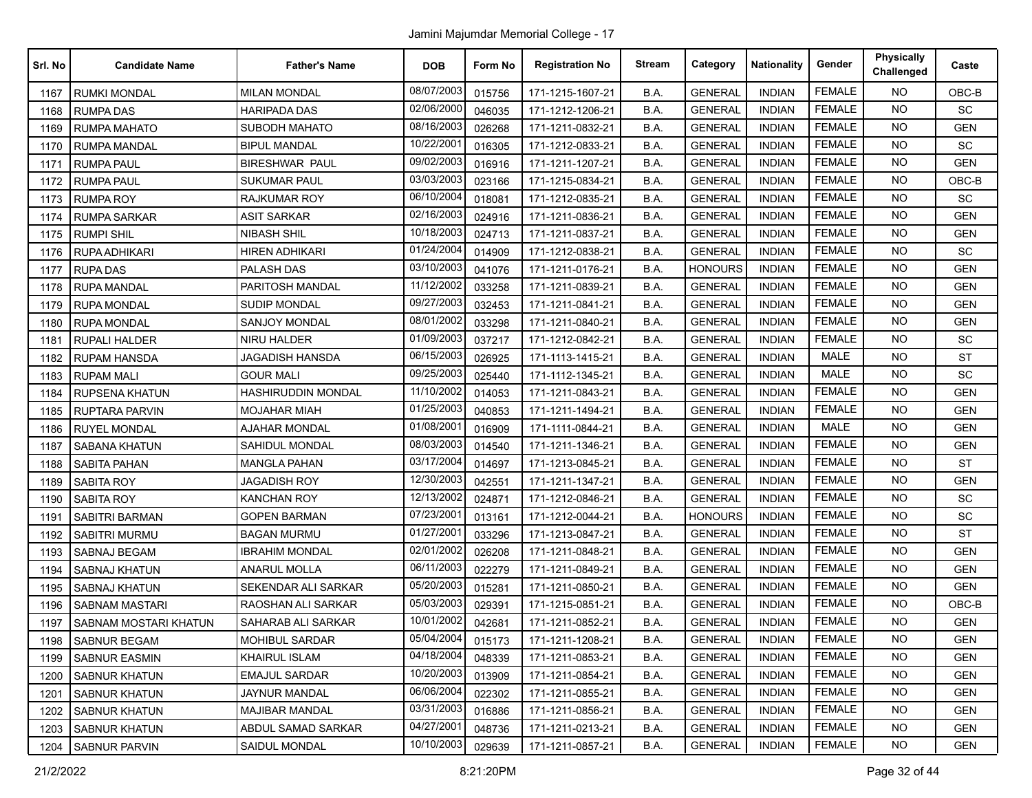| Srl. No | <b>Candidate Name</b> | <b>Father's Name</b>      | <b>DOB</b> | Form No | <b>Registration No</b> | <b>Stream</b> | Category       | <b>Nationality</b> | Gender        | <b>Physically</b><br>Challenged | Caste      |
|---------|-----------------------|---------------------------|------------|---------|------------------------|---------------|----------------|--------------------|---------------|---------------------------------|------------|
| 1167    | <b>RUMKI MONDAL</b>   | <b>MILAN MONDAL</b>       | 08/07/2003 | 015756  | 171-1215-1607-21       | B.A.          | <b>GENERAL</b> | <b>INDIAN</b>      | <b>FEMALE</b> | <b>NO</b>                       | OBC-B      |
| 1168    | <b>RUMPADAS</b>       | HARIPADA DAS              | 02/06/2000 | 046035  | 171-1212-1206-21       | B.A.          | <b>GENERAL</b> | <b>INDIAN</b>      | <b>FEMALE</b> | <b>NO</b>                       | SC         |
| 1169    | <b>RUMPA MAHATO</b>   | <b>SUBODH MAHATO</b>      | 08/16/2003 | 026268  | 171-1211-0832-21       | B.A.          | <b>GENERAL</b> | <b>INDIAN</b>      | <b>FEMALE</b> | <b>NO</b>                       | <b>GEN</b> |
| 1170    | <b>RUMPA MANDAL</b>   | <b>BIPUL MANDAL</b>       | 10/22/2001 | 016305  | 171-1212-0833-21       | B.A.          | <b>GENERAL</b> | <b>INDIAN</b>      | <b>FEMALE</b> | <b>NO</b>                       | SC         |
| 1171    | <b>RUMPA PAUL</b>     | <b>BIRESHWAR PAUL</b>     | 09/02/2003 | 016916  | 171-1211-1207-21       | B.A.          | <b>GENERAL</b> | <b>INDIAN</b>      | <b>FEMALE</b> | <b>NO</b>                       | <b>GEN</b> |
| 1172    | <b>RUMPA PAUL</b>     | <b>SUKUMAR PAUL</b>       | 03/03/2003 | 023166  | 171-1215-0834-21       | B.A.          | <b>GENERAL</b> | <b>INDIAN</b>      | <b>FEMALE</b> | <b>NO</b>                       | $OBC-B$    |
| 1173    | <b>RUMPA ROY</b>      | RAJKUMAR ROY              | 06/10/2004 | 018081  | 171-1212-0835-21       | B.A.          | <b>GENERAL</b> | <b>INDIAN</b>      | <b>FEMALE</b> | <b>NO</b>                       | SC         |
| 1174    | <b>RUMPA SARKAR</b>   | <b>ASIT SARKAR</b>        | 02/16/2003 | 024916  | 171-1211-0836-21       | B.A.          | <b>GENERAL</b> | <b>INDIAN</b>      | <b>FEMALE</b> | <b>NO</b>                       | <b>GEN</b> |
| 1175    | <b>RUMPI SHIL</b>     | <b>NIBASH SHIL</b>        | 10/18/2003 | 024713  | 171-1211-0837-21       | B.A.          | <b>GENERAL</b> | <b>INDIAN</b>      | <b>FEMALE</b> | <b>NO</b>                       | <b>GEN</b> |
| 1176    | RUPA ADHIKARI         | <b>HIREN ADHIKARI</b>     | 01/24/2004 | 014909  | 171-1212-0838-21       | B.A.          | <b>GENERAL</b> | <b>INDIAN</b>      | <b>FEMALE</b> | <b>NO</b>                       | SC         |
| 1177    | <b>RUPA DAS</b>       | PALASH DAS                | 03/10/2003 | 041076  | 171-1211-0176-21       | B.A.          | <b>HONOURS</b> | <b>INDIAN</b>      | <b>FEMALE</b> | <b>NO</b>                       | <b>GEN</b> |
| 1178    | <b>RUPA MANDAL</b>    | PARITOSH MANDAL           | 11/12/2002 | 033258  | 171-1211-0839-21       | B.A.          | <b>GENERAL</b> | <b>INDIAN</b>      | <b>FEMALE</b> | <b>NO</b>                       | <b>GEN</b> |
| 1179    | <b>RUPA MONDAL</b>    | <b>SUDIP MONDAL</b>       | 09/27/2003 | 032453  | 171-1211-0841-21       | B.A.          | <b>GENERAL</b> | <b>INDIAN</b>      | <b>FEMALE</b> | <b>NO</b>                       | <b>GEN</b> |
| 1180    | <b>RUPA MONDAL</b>    | SANJOY MONDAL             | 08/01/2002 | 033298  | 171-1211-0840-21       | B.A.          | <b>GENERAL</b> | <b>INDIAN</b>      | <b>FEMALE</b> | <b>NO</b>                       | <b>GEN</b> |
| 1181    | <b>RUPALI HALDER</b>  | <b>NIRU HALDER</b>        | 01/09/2003 | 037217  | 171-1212-0842-21       | B.A.          | <b>GENERAL</b> | <b>INDIAN</b>      | <b>FEMALE</b> | <b>NO</b>                       | SC         |
| 1182    | <b>RUPAM HANSDA</b>   | <b>JAGADISH HANSDA</b>    | 06/15/2003 | 026925  | 171-1113-1415-21       | B.A.          | <b>GENERAL</b> | <b>INDIAN</b>      | MALE          | <b>NO</b>                       | <b>ST</b>  |
| 1183    | <b>RUPAM MALI</b>     | <b>GOUR MALI</b>          | 09/25/2003 | 025440  | 171-1112-1345-21       | B.A.          | <b>GENERAL</b> | <b>INDIAN</b>      | <b>MALE</b>   | <b>NO</b>                       | <b>SC</b>  |
| 1184    | <b>RUPSENA KHATUN</b> | <b>HASHIRUDDIN MONDAL</b> | 11/10/2002 | 014053  | 171-1211-0843-21       | B.A.          | <b>GENERAL</b> | <b>INDIAN</b>      | <b>FEMALE</b> | <b>NO</b>                       | <b>GEN</b> |
| 1185    | <b>RUPTARA PARVIN</b> | <b>MOJAHAR MIAH</b>       | 01/25/2003 | 040853  | 171-1211-1494-21       | B.A.          | <b>GENERAL</b> | <b>INDIAN</b>      | <b>FEMALE</b> | <b>NO</b>                       | <b>GEN</b> |
| 1186    | <b>RUYEL MONDAL</b>   | <b>AJAHAR MONDAL</b>      | 01/08/2001 | 016909  | 171-1111-0844-21       | B.A.          | <b>GENERAL</b> | <b>INDIAN</b>      | MALE          | <b>NO</b>                       | <b>GEN</b> |
| 1187    | <b>SABANA KHATUN</b>  | <b>SAHIDUL MONDAL</b>     | 08/03/2003 | 014540  | 171-1211-1346-21       | B.A.          | <b>GENERAL</b> | <b>INDIAN</b>      | <b>FEMALE</b> | <b>NO</b>                       | <b>GEN</b> |
| 1188    | SABITA PAHAN          | <b>MANGLA PAHAN</b>       | 03/17/2004 | 014697  | 171-1213-0845-21       | B.A.          | <b>GENERAL</b> | <b>INDIAN</b>      | <b>FEMALE</b> | <b>NO</b>                       | <b>ST</b>  |
| 1189    | SABITA ROY            | <b>JAGADISH ROY</b>       | 12/30/2003 | 042551  | 171-1211-1347-21       | B.A.          | <b>GENERAL</b> | <b>INDIAN</b>      | <b>FEMALE</b> | <b>NO</b>                       | <b>GEN</b> |
| 1190    | <b>SABITA ROY</b>     | <b>KANCHAN ROY</b>        | 12/13/2002 | 024871  | 171-1212-0846-21       | B.A.          | <b>GENERAL</b> | <b>INDIAN</b>      | <b>FEMALE</b> | <b>NO</b>                       | SC         |
| 1191    | <b>SABITRI BARMAN</b> | <b>GOPEN BARMAN</b>       | 07/23/2001 | 013161  | 171-1212-0044-21       | B.A.          | <b>HONOURS</b> | <b>INDIAN</b>      | <b>FEMALE</b> | <b>NO</b>                       | SC         |
| 1192    | <b>SABITRI MURMU</b>  | BAGAN MURMU               | 01/27/2001 | 033296  | 171-1213-0847-21       | B.A.          | <b>GENERAL</b> | <b>INDIAN</b>      | <b>FEMALE</b> | <b>NO</b>                       | <b>ST</b>  |
| 1193    | <b>SABNAJ BEGAM</b>   | <b>IBRAHIM MONDAL</b>     | 02/01/2002 | 026208  | 171-1211-0848-21       | B.A.          | <b>GENERAL</b> | <b>INDIAN</b>      | <b>FEMALE</b> | <b>NO</b>                       | <b>GEN</b> |
| 1194    | <b>SABNAJ KHATUN</b>  | <b>ANARUL MOLLA</b>       | 06/11/2003 | 022279  | 171-1211-0849-21       | B.A.          | <b>GENERAL</b> | <b>INDIAN</b>      | <b>FEMALE</b> | <b>NO</b>                       | <b>GEN</b> |
| 1195    | <b>SABNAJ KHATUN</b>  | SEKENDAR ALI SARKAR       | 05/20/2003 | 015281  | 171-1211-0850-21       | B.A.          | <b>GENERAL</b> | <b>INDIAN</b>      | <b>FEMALE</b> | <b>NO</b>                       | <b>GEN</b> |
| 1196    | <b>SABNAM MASTARI</b> | RAOSHAN ALI SARKAR        | 05/03/2003 | 029391  | 171-1215-0851-21       | B.A.          | <b>GENERAL</b> | <b>INDIAN</b>      | <b>FEMALE</b> | <b>NO</b>                       | OBC-B      |
| 1197    | SABNAM MOSTARI KHATUN | SAHARAB ALI SARKAR        | 10/01/2002 | 042681  | 171-1211-0852-21       | B.A.          | <b>GENERAL</b> | <b>INDIAN</b>      | <b>FEMALE</b> | <b>NO</b>                       | <b>GEN</b> |
| 1198    | SABNUR BEGAM          | <b>MOHIBUL SARDAR</b>     | 05/04/2004 | 015173  | 171-1211-1208-21       | B.A.          | <b>GENERAL</b> | <b>INDIAN</b>      | <b>FEMALE</b> | <b>NO</b>                       | <b>GEN</b> |
| 1199    | SABNUR EASMIN         | <b>KHAIRUL ISLAM</b>      | 04/18/2004 | 048339  | 171-1211-0853-21       | B.A.          | <b>GENERAL</b> | <b>INDIAN</b>      | <b>FEMALE</b> | <b>NO</b>                       | <b>GEN</b> |
| 1200    | <b>SABNUR KHATUN</b>  | <b>EMAJUL SARDAR</b>      | 10/20/2003 | 013909  | 171-1211-0854-21       | B.A.          | <b>GENERAL</b> | <b>INDIAN</b>      | <b>FEMALE</b> | <b>NO</b>                       | <b>GEN</b> |
| 1201    | <b>SABNUR KHATUN</b>  | <b>JAYNUR MANDAL</b>      | 06/06/2004 | 022302  | 171-1211-0855-21       | B.A.          | <b>GENERAL</b> | <b>INDIAN</b>      | <b>FEMALE</b> | <b>NO</b>                       | <b>GEN</b> |
| 1202    | <b>SABNUR KHATUN</b>  | <b>MAJIBAR MANDAL</b>     | 03/31/2003 | 016886  | 171-1211-0856-21       | B.A.          | <b>GENERAL</b> | <b>INDIAN</b>      | <b>FEMALE</b> | NO.                             | <b>GEN</b> |
| 1203    | <b>SABNUR KHATUN</b>  | ABDUL SAMAD SARKAR        | 04/27/2001 | 048736  | 171-1211-0213-21       | B.A.          | <b>GENERAL</b> | <b>INDIAN</b>      | <b>FEMALE</b> | <b>NO</b>                       | <b>GEN</b> |
| 1204    | SABNUR PARVIN         | SAIDUL MONDAL             | 10/10/2003 | 029639  | 171-1211-0857-21       | B.A.          | <b>GENERAL</b> | <b>INDIAN</b>      | <b>FEMALE</b> | <b>NO</b>                       | <b>GEN</b> |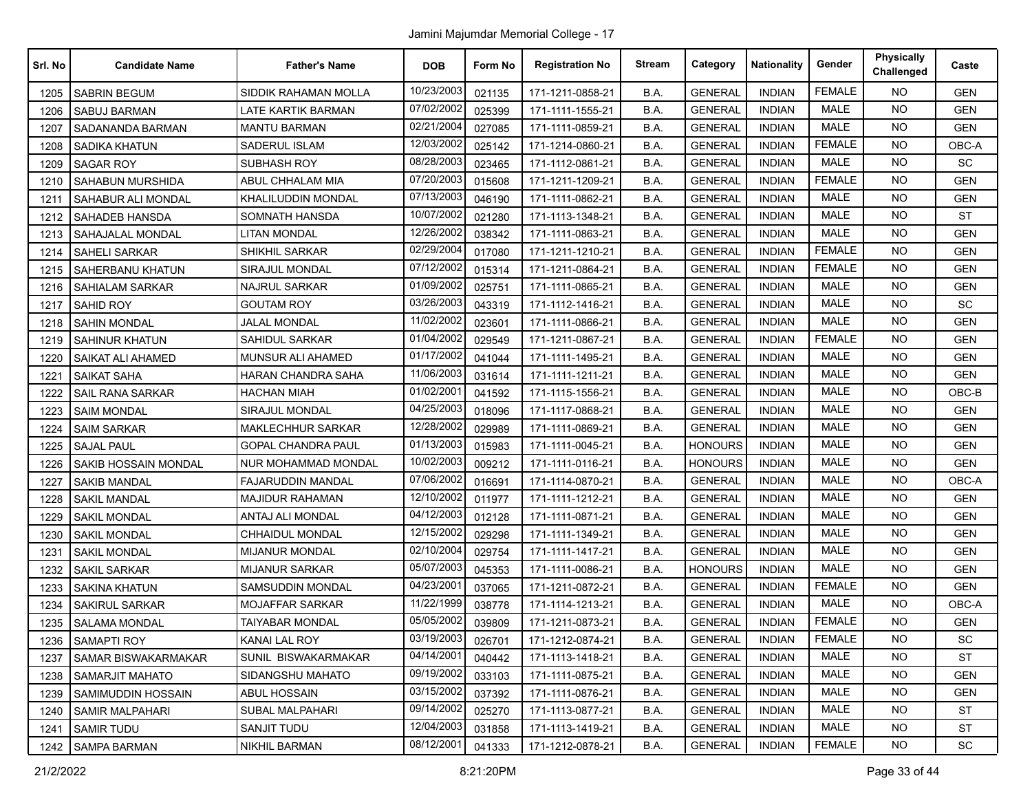| Srl. No | <b>Candidate Name</b>   | <b>Father's Name</b>      | <b>DOB</b> | Form No | <b>Registration No</b> | <b>Stream</b> | Category       | <b>Nationality</b> | Gender        | <b>Physically</b><br>Challenged | Caste      |
|---------|-------------------------|---------------------------|------------|---------|------------------------|---------------|----------------|--------------------|---------------|---------------------------------|------------|
| 1205    | <b>SABRIN BEGUM</b>     | SIDDIK RAHAMAN MOLLA      | 10/23/2003 | 021135  | 171-1211-0858-21       | B.A.          | <b>GENERAL</b> | <b>INDIAN</b>      | <b>FEMALE</b> | <b>NO</b>                       | <b>GEN</b> |
| 1206    | SABUJ BARMAN            | <b>LATE KARTIK BARMAN</b> | 07/02/2002 | 025399  | 171-1111-1555-21       | B.A.          | <b>GENERAL</b> | <b>INDIAN</b>      | <b>MALE</b>   | <b>NO</b>                       | <b>GEN</b> |
| 1207    | SADANANDA BARMAN        | <b>MANTU BARMAN</b>       | 02/21/2004 | 027085  | 171-1111-0859-21       | B.A.          | <b>GENERAL</b> | <b>INDIAN</b>      | <b>MALE</b>   | <b>NO</b>                       | <b>GEN</b> |
| 1208    | SADIKA KHATUN           | SADERUL ISLAM             | 12/03/2002 | 025142  | 171-1214-0860-21       | B.A.          | <b>GENERAL</b> | <b>INDIAN</b>      | <b>FEMALE</b> | NO.                             | OBC-A      |
| 1209    | <b>SAGAR ROY</b>        | <b>SUBHASH ROY</b>        | 08/28/2003 | 023465  | 171-1112-0861-21       | B.A.          | <b>GENERAL</b> | <b>INDIAN</b>      | MALE          | <b>NO</b>                       | SC         |
| 1210    | SAHABUN MURSHIDA        | ABUL CHHALAM MIA          | 07/20/2003 | 015608  | 171-1211-1209-21       | B.A.          | <b>GENERAL</b> | <b>INDIAN</b>      | <b>FEMALE</b> | <b>NO</b>                       | <b>GEN</b> |
| 1211    | SAHABUR ALI MONDAL      | KHALILUDDIN MONDAL        | 07/13/2003 | 046190  | 171-1111-0862-21       | B.A.          | <b>GENERAL</b> | <b>INDIAN</b>      | <b>MALE</b>   | <b>NO</b>                       | <b>GEN</b> |
| 1212    | SAHADEB HANSDA          | SOMNATH HANSDA            | 10/07/2002 | 021280  | 171-1113-1348-21       | B.A.          | <b>GENERAL</b> | <b>INDIAN</b>      | <b>MALE</b>   | NO.                             | ST         |
| 1213    | SAHAJALAL MONDAL        | <b>LITAN MONDAL</b>       | 12/26/2002 | 038342  | 171-1111-0863-21       | B.A.          | <b>GENERAL</b> | <b>INDIAN</b>      | <b>MALE</b>   | <b>NO</b>                       | <b>GEN</b> |
| 1214    | <b>SAHELI SARKAR</b>    | SHIKHIL SARKAR            | 02/29/2004 | 017080  | 171-1211-1210-21       | B.A.          | <b>GENERAL</b> | <b>INDIAN</b>      | <b>FEMALE</b> | <b>NO</b>                       | <b>GEN</b> |
| 1215    | SAHERBANU KHATUN        | SIRAJUL MONDAL            | 07/12/2002 | 015314  | 171-1211-0864-21       | B.A.          | <b>GENERAL</b> | <b>INDIAN</b>      | <b>FEMALE</b> | <b>NO</b>                       | <b>GEN</b> |
| 1216    | SAHIALAM SARKAR         | <b>NAJRUL SARKAR</b>      | 01/09/2002 | 025751  | 171-1111-0865-21       | B.A.          | <b>GENERAL</b> | <b>INDIAN</b>      | <b>MALE</b>   | <b>NO</b>                       | <b>GEN</b> |
| 1217    | <b>SAHID ROY</b>        | <b>GOUTAM ROY</b>         | 03/26/2003 | 043319  | 171-1112-1416-21       | B.A.          | <b>GENERAL</b> | <b>INDIAN</b>      | <b>MALE</b>   | <b>NO</b>                       | SC         |
| 1218    | <b>SAHIN MONDAL</b>     | JALAL MONDAL              | 11/02/2002 | 023601  | 171-1111-0866-21       | B.A.          | <b>GENERAL</b> | <b>INDIAN</b>      | <b>MALE</b>   | <b>NO</b>                       | <b>GEN</b> |
| 1219    | <b>SAHINUR KHATUN</b>   | SAHIDUL SARKAR            | 01/04/2002 | 029549  | 171-1211-0867-21       | B.A.          | <b>GENERAL</b> | <b>INDIAN</b>      | <b>FEMALE</b> | <b>NO</b>                       | <b>GEN</b> |
| 1220    | SAIKAT ALI AHAMED       | MUNSUR ALI AHAMED         | 01/17/2002 | 041044  | 171-1111-1495-21       | B.A.          | <b>GENERAL</b> | <b>INDIAN</b>      | <b>MALE</b>   | <b>NO</b>                       | <b>GEN</b> |
| 1221    | <b>SAIKAT SAHA</b>      | HARAN CHANDRA SAHA        | 11/06/2003 | 031614  | 171-1111-1211-21       | B.A.          | <b>GENERAL</b> | <b>INDIAN</b>      | <b>MALE</b>   | <b>NO</b>                       | <b>GEN</b> |
| 1222    | <b>SAIL RANA SARKAR</b> | HACHAN MIAH               | 01/02/2001 | 041592  | 171-1115-1556-21       | B.A.          | <b>GENERAL</b> | <b>INDIAN</b>      | <b>MALE</b>   | <b>NO</b>                       | OBC-B      |
| 1223    | <b>SAIM MONDAL</b>      | <b>SIRAJUL MONDAL</b>     | 04/25/2003 | 018096  | 171-1117-0868-21       | B.A.          | <b>GENERAL</b> | <b>INDIAN</b>      | MALE          | <b>NO</b>                       | <b>GEN</b> |
| 1224    | <b>SAIM SARKAR</b>      | <b>MAKLECHHUR SARKAR</b>  | 12/28/2002 | 029989  | 171-1111-0869-21       | B.A.          | <b>GENERAL</b> | <b>INDIAN</b>      | <b>MALE</b>   | NO.                             | <b>GEN</b> |
| 1225    | <b>SAJAL PAUL</b>       | <b>GOPAL CHANDRA PAUL</b> | 01/13/2003 | 015983  | 171-1111-0045-21       | B.A.          | <b>HONOURS</b> | <b>INDIAN</b>      | <b>MALE</b>   | <b>NO</b>                       | <b>GEN</b> |
| 1226    | SAKIB HOSSAIN MONDAL    | NUR MOHAMMAD MONDAL       | 10/02/2003 | 009212  | 171-1111-0116-21       | B.A.          | <b>HONOURS</b> | <b>INDIAN</b>      | <b>MALE</b>   | <b>NO</b>                       | <b>GEN</b> |
| 1227    | <b>SAKIB MANDAL</b>     | <b>FAJARUDDIN MANDAL</b>  | 07/06/2002 | 016691  | 171-1114-0870-21       | B.A.          | <b>GENERAL</b> | <b>INDIAN</b>      | MALE          | <b>NO</b>                       | OBC-A      |
| 1228    | <b>SAKIL MANDAL</b>     | <b>MAJIDUR RAHAMAN</b>    | 12/10/2002 | 011977  | 171-1111-1212-21       | B.A.          | <b>GENERAL</b> | <b>INDIAN</b>      | <b>MALE</b>   | NO.                             | <b>GEN</b> |
| 1229    | <b>SAKIL MONDAL</b>     | ANTAJ ALI MONDAL          | 04/12/2003 | 012128  | 171-1111-0871-21       | B.A.          | <b>GENERAL</b> | <b>INDIAN</b>      | MALE          | <b>NO</b>                       | <b>GEN</b> |
| 1230    | <b>SAKIL MONDAL</b>     | CHHAIDUL MONDAL           | 12/15/2002 | 029298  | 171-1111-1349-21       | B.A.          | <b>GENERAL</b> | <b>INDIAN</b>      | <b>MALE</b>   | <b>NO</b>                       | <b>GEN</b> |
| 1231    | <b>SAKIL MONDAL</b>     | <b>MIJANUR MONDAL</b>     | 02/10/2004 | 029754  | 171-1111-1417-21       | B.A.          | <b>GENERAL</b> | <b>INDIAN</b>      | MALE          | <b>NO</b>                       | <b>GEN</b> |
| 1232    | SAKIL SARKAR            | <b>MIJANUR SARKAR</b>     | 05/07/2003 | 045353  | 171-1111-0086-21       | B.A.          | <b>HONOURS</b> | <b>INDIAN</b>      | <b>MALE</b>   | <b>NO</b>                       | <b>GEN</b> |
| 1233    | <b>SAKINA KHATUN</b>    | SAMSUDDIN MONDAL          | 04/23/2001 | 037065  | 171-1211-0872-21       | B.A.          | <b>GENERAL</b> | <b>INDIAN</b>      | <b>FEMALE</b> | <b>NO</b>                       | <b>GEN</b> |
| 1234    | SAKIRUL SARKAR          | MOJAFFAR SARKAR           | 11/22/1999 | 038778  | 171-1114-1213-21       | B.A.          | <b>GENERAL</b> | <b>INDIAN</b>      | <b>MALE</b>   | <b>NO</b>                       | OBC-A      |
| 1235    | <b>SALAMA MONDAL</b>    | <b>TAIYABAR MONDAL</b>    | 05/05/2002 | 039809  | 171-1211-0873-21       | B.A.          | <b>GENERAL</b> | <b>INDIAN</b>      | <b>FEMALE</b> | NO.                             | <b>GEN</b> |
| 1236    | SAMAPTI ROY             | KANAI LAL ROY             | 03/19/2003 | 026701  | 171-1212-0874-21       | B.A.          | <b>GENERAL</b> | <b>INDIAN</b>      | FEMALE        | NO.                             | SC         |
| 1237    | SAMAR BISWAKARMAKAR     | SUNIL BISWAKARMAKAR       | 04/14/2001 | 040442  | 171-1113-1418-21       | B.A.          | <b>GENERAL</b> | <b>INDIAN</b>      | <b>MALE</b>   | <b>NO</b>                       | <b>ST</b>  |
| 1238    | <b>SAMARJIT MAHATO</b>  | SIDANGSHU MAHATO          | 09/19/2002 | 033103  | 171-1111-0875-21       | B.A.          | <b>GENERAL</b> | <b>INDIAN</b>      | <b>MALE</b>   | <b>NO</b>                       | <b>GEN</b> |
| 1239    | SAMIMUDDIN HOSSAIN      | ABUL HOSSAIN              | 03/15/2002 | 037392  | 171-1111-0876-21       | B.A.          | <b>GENERAL</b> | <b>INDIAN</b>      | MALE          | <b>NO</b>                       | <b>GEN</b> |
| 1240    | <b>SAMIR MALPAHARI</b>  | <b>SUBAL MALPAHARI</b>    | 09/14/2002 | 025270  | 171-1113-0877-21       | B.A.          | <b>GENERAL</b> | <b>INDIAN</b>      | MALE          | NO.                             | ST         |
| 1241    | <b>SAMIR TUDU</b>       | SANJIT TUDU               | 12/04/2003 | 031858  | 171-1113-1419-21       | B.A.          | <b>GENERAL</b> | <b>INDIAN</b>      | MALE          | NO.                             | <b>ST</b>  |
| 1242    | <b>SAMPA BARMAN</b>     | <b>NIKHIL BARMAN</b>      | 08/12/2001 | 041333  | 171-1212-0878-21       | B.A.          | <b>GENERAL</b> | <b>INDIAN</b>      | <b>FEMALE</b> | <b>NO</b>                       | <b>SC</b>  |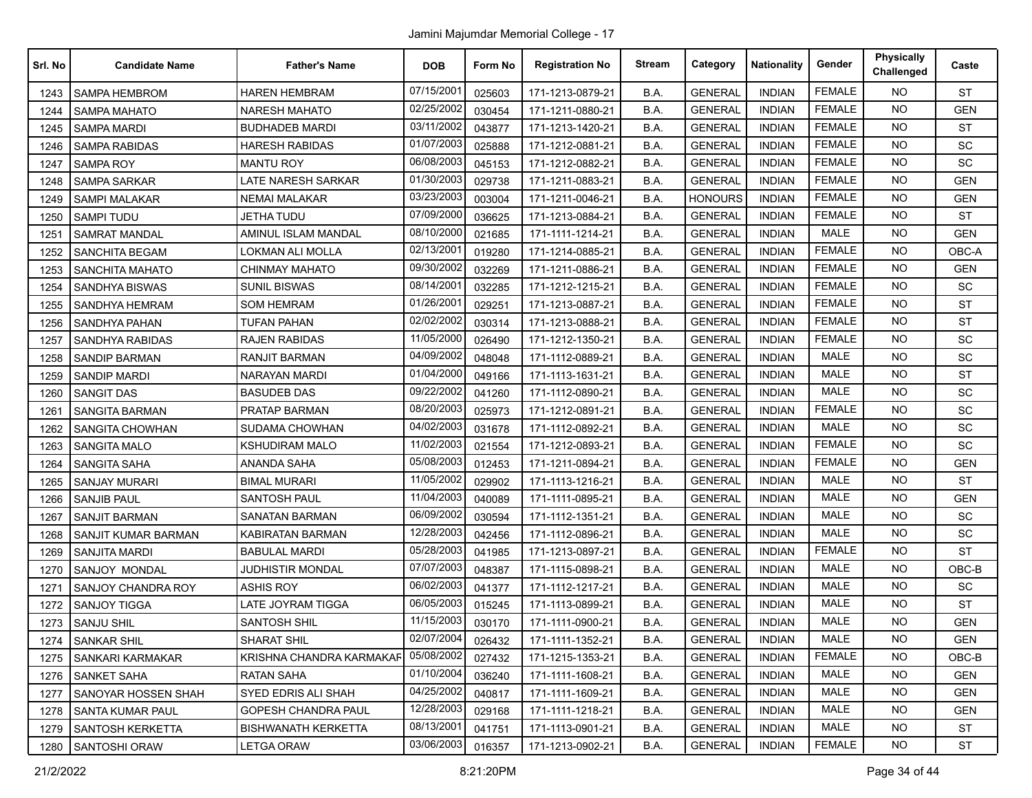| Srl. No | <b>Candidate Name</b>   | <b>Father's Name</b>       | <b>DOB</b> | Form No | <b>Registration No</b> | <b>Stream</b> | Category       | <b>Nationality</b> | Gender        | <b>Physically</b><br>Challenged | Caste      |
|---------|-------------------------|----------------------------|------------|---------|------------------------|---------------|----------------|--------------------|---------------|---------------------------------|------------|
| 1243    | <b>SAMPA HEMBROM</b>    | HAREN HEMBRAM              | 07/15/2001 | 025603  | 171-1213-0879-21       | B.A.          | <b>GENERAL</b> | <b>INDIAN</b>      | <b>FEMALE</b> | <b>NO</b>                       | <b>ST</b>  |
| 1244    | <b>SAMPA MAHATO</b>     | <b>NARESH MAHATO</b>       | 02/25/2002 | 030454  | 171-1211-0880-21       | B.A.          | <b>GENERAL</b> | <b>INDIAN</b>      | <b>FEMALE</b> | <b>NO</b>                       | <b>GEN</b> |
| 1245    | <b>SAMPA MARDI</b>      | <b>BUDHADEB MARDI</b>      | 03/11/2002 | 043877  | 171-1213-1420-21       | B.A.          | <b>GENERAL</b> | <b>INDIAN</b>      | <b>FEMALE</b> | <b>NO</b>                       | <b>ST</b>  |
| 1246    | <b>SAMPA RABIDAS</b>    | <b>HARESH RABIDAS</b>      | 01/07/2003 | 025888  | 171-1212-0881-21       | B.A.          | <b>GENERAL</b> | <b>INDIAN</b>      | <b>FEMALE</b> | <b>NO</b>                       | SC         |
| 1247    | <b>SAMPA ROY</b>        | <b>MANTU ROY</b>           | 06/08/2003 | 045153  | 171-1212-0882-21       | B.A.          | <b>GENERAL</b> | <b>INDIAN</b>      | <b>FEMALE</b> | <b>NO</b>                       | SC         |
| 1248    | <b>SAMPA SARKAR</b>     | LATE NARESH SARKAR         | 01/30/2003 | 029738  | 171-1211-0883-21       | B.A.          | <b>GENERAL</b> | <b>INDIAN</b>      | <b>FEMALE</b> | <b>NO</b>                       | <b>GEN</b> |
| 1249    | <b>SAMPI MALAKAR</b>    | <b>NEMAI MALAKAR</b>       | 03/23/2003 | 003004  | 171-1211-0046-21       | B.A.          | <b>HONOURS</b> | <b>INDIAN</b>      | <b>FEMALE</b> | <b>NO</b>                       | <b>GEN</b> |
| 1250    | <b>SAMPI TUDU</b>       | <b>JETHA TUDU</b>          | 07/09/2000 | 036625  | 171-1213-0884-21       | B.A.          | <b>GENERAL</b> | <b>INDIAN</b>      | <b>FEMALE</b> | <b>NO</b>                       | <b>ST</b>  |
| 1251    | <b>SAMRAT MANDAL</b>    | AMINUL ISLAM MANDAL        | 08/10/2000 | 021685  | 171-1111-1214-21       | B.A.          | <b>GENERAL</b> | <b>INDIAN</b>      | <b>MALE</b>   | <b>NO</b>                       | <b>GEN</b> |
| 1252    | <b>SANCHITA BEGAM</b>   | LOKMAN ALI MOLLA           | 02/13/2001 | 019280  | 171-1214-0885-21       | B.A.          | <b>GENERAL</b> | <b>INDIAN</b>      | <b>FEMALE</b> | <b>NO</b>                       | OBC-A      |
| 1253    | <b>SANCHITA MAHATO</b>  | <b>CHINMAY MAHATO</b>      | 09/30/2002 | 032269  | 171-1211-0886-21       | B.A.          | <b>GENERAL</b> | <b>INDIAN</b>      | <b>FEMALE</b> | <b>NO</b>                       | <b>GEN</b> |
| 1254    | <b>SANDHYA BISWAS</b>   | <b>SUNIL BISWAS</b>        | 08/14/2001 | 032285  | 171-1212-1215-21       | B.A.          | <b>GENERAL</b> | <b>INDIAN</b>      | <b>FEMALE</b> | <b>NO</b>                       | SC         |
| 1255    | SANDHYA HEMRAM          | <b>SOM HEMRAM</b>          | 01/26/2001 | 029251  | 171-1213-0887-21       | B.A.          | <b>GENERAL</b> | <b>INDIAN</b>      | <b>FEMALE</b> | <b>NO</b>                       | <b>ST</b>  |
| 1256    | SANDHYA PAHAN           | <b>TUFAN PAHAN</b>         | 02/02/2002 | 030314  | 171-1213-0888-21       | B.A.          | <b>GENERAL</b> | <b>INDIAN</b>      | <b>FEMALE</b> | <b>NO</b>                       | <b>ST</b>  |
| 1257    | SANDHYA RABIDAS         | <b>RAJEN RABIDAS</b>       | 11/05/2000 | 026490  | 171-1212-1350-21       | B.A.          | <b>GENERAL</b> | <b>INDIAN</b>      | <b>FEMALE</b> | <b>NO</b>                       | SC         |
| 1258    | <b>SANDIP BARMAN</b>    | <b>RANJIT BARMAN</b>       | 04/09/2002 | 048048  | 171-1112-0889-21       | B.A.          | <b>GENERAL</b> | <b>INDIAN</b>      | <b>MALE</b>   | <b>NO</b>                       | SC         |
| 1259    | SANDIP MARDI            | <b>NARAYAN MARDI</b>       | 01/04/2000 | 049166  | 171-1113-1631-21       | B.A.          | <b>GENERAL</b> | <b>INDIAN</b>      | MALE          | <b>NO</b>                       | <b>ST</b>  |
| 1260    | <b>SANGIT DAS</b>       | <b>BASUDEB DAS</b>         | 09/22/2002 | 041260  | 171-1112-0890-21       | B.A.          | <b>GENERAL</b> | <b>INDIAN</b>      | <b>MALE</b>   | <b>NO</b>                       | SC         |
| 1261    | <b>SANGITA BARMAN</b>   | PRATAP BARMAN              | 08/20/2003 | 025973  | 171-1212-0891-21       | B.A.          | <b>GENERAL</b> | <b>INDIAN</b>      | <b>FEMALE</b> | <b>NO</b>                       | SC         |
| 1262    | <b>SANGITA CHOWHAN</b>  | SUDAMA CHOWHAN             | 04/02/2003 | 031678  | 171-1112-0892-21       | B.A.          | <b>GENERAL</b> | <b>INDIAN</b>      | MALE          | <b>NO</b>                       | SC         |
| 1263    | <b>SANGITA MALO</b>     | <b>KSHUDIRAM MALO</b>      | 11/02/2003 | 021554  | 171-1212-0893-21       | B.A.          | <b>GENERAL</b> | <b>INDIAN</b>      | <b>FEMALE</b> | <b>NO</b>                       | SC         |
| 1264    | <b>SANGITA SAHA</b>     | <b>ANANDA SAHA</b>         | 05/08/2003 | 012453  | 171-1211-0894-21       | B.A.          | <b>GENERAL</b> | <b>INDIAN</b>      | <b>FEMALE</b> | <b>NO</b>                       | <b>GEN</b> |
| 1265    | <b>SANJAY MURARI</b>    | <b>BIMAL MURARI</b>        | 11/05/2002 | 029902  | 171-1113-1216-21       | B.A.          | <b>GENERAL</b> | <b>INDIAN</b>      | <b>MALE</b>   | <b>NO</b>                       | <b>ST</b>  |
| 1266    | <b>SANJIB PAUL</b>      | <b>SANTOSH PAUL</b>        | 11/04/2003 | 040089  | 171-1111-0895-21       | B.A.          | <b>GENERAL</b> | <b>INDIAN</b>      | <b>MALE</b>   | <b>NO</b>                       | <b>GEN</b> |
| 1267    | <b>SANJIT BARMAN</b>    | <b>SANATAN BARMAN</b>      | 06/09/2002 | 030594  | 171-1112-1351-21       | B.A.          | <b>GENERAL</b> | <b>INDIAN</b>      | <b>MALE</b>   | <b>NO</b>                       | SC         |
| 1268    | SANJIT KUMAR BARMAN     | KABIRATAN BARMAN           | 12/28/2003 | 042456  | 171-1112-0896-21       | B.A.          | <b>GENERAL</b> | <b>INDIAN</b>      | <b>MALE</b>   | <b>NO</b>                       | SC         |
| 1269    | <b>SANJITA MARDI</b>    | <b>BABULAL MARDI</b>       | 05/28/2003 | 041985  | 171-1213-0897-21       | B.A.          | <b>GENERAL</b> | <b>INDIAN</b>      | <b>FEMALE</b> | <b>NO</b>                       | <b>ST</b>  |
| 1270    | SANJOY MONDAL           | JUDHISTIR MONDAL           | 07/07/2003 | 048387  | 171-1115-0898-21       | B.A.          | <b>GENERAL</b> | <b>INDIAN</b>      | <b>MALE</b>   | <b>NO</b>                       | OBC-B      |
| 1271    | SANJOY CHANDRA ROY      | <b>ASHIS ROY</b>           | 06/02/2003 | 041377  | 171-1112-1217-21       | B.A.          | <b>GENERAL</b> | <b>INDIAN</b>      | <b>MALE</b>   | <b>NO</b>                       | SC         |
| 1272    | <b>SANJOY TIGGA</b>     | LATE JOYRAM TIGGA          | 06/05/2003 | 015245  | 171-1113-0899-21       | B.A.          | <b>GENERAL</b> | <b>INDIAN</b>      | <b>MALE</b>   | <b>NO</b>                       | <b>ST</b>  |
| 1273    | <b>SANJU SHIL</b>       | <b>SANTOSH SHIL</b>        | 11/15/2003 | 030170  | 171-1111-0900-21       | B.A.          | <b>GENERAL</b> | <b>INDIAN</b>      | <b>MALE</b>   | <b>NO</b>                       | <b>GEN</b> |
|         | 1274 SANKAR SHIL        | <b>SHARAT SHIL</b>         | 02/07/2004 | 026432  | 171-1111-1352-21       | B.A.          | <b>GENERAL</b> | <b>INDIAN</b>      | MALE          | NO                              | <b>GEN</b> |
| 1275    | SANKARI KARMAKAR        | KRISHNA CHANDRA KARMAKAFI  | 05/08/2002 | 027432  | 171-1215-1353-21       | B.A.          | <b>GENERAL</b> | <b>INDIAN</b>      | <b>FEMALE</b> | <b>NO</b>                       | OBC-B      |
| 1276    | <b>SANKET SAHA</b>      | RATAN SAHA                 | 01/10/2004 | 036240  | 171-1111-1608-21       | B.A.          | <b>GENERAL</b> | <b>INDIAN</b>      | MALE          | <b>NO</b>                       | GEN        |
| 1277    | SANOYAR HOSSEN SHAH     | SYED EDRIS ALI SHAH        | 04/25/2002 | 040817  | 171-1111-1609-21       | B.A.          | <b>GENERAL</b> | <b>INDIAN</b>      | MALE          | <b>NO</b>                       | <b>GEN</b> |
| 1278    | <b>SANTA KUMAR PAUL</b> | GOPESH CHANDRA PAUL        | 12/28/2003 | 029168  | 171-1111-1218-21       | B.A.          | <b>GENERAL</b> | <b>INDIAN</b>      | MALE          | <b>NO</b>                       | <b>GEN</b> |
| 1279    | SANTOSH KERKETTA        | <b>BISHWANATH KERKETTA</b> | 08/13/2001 | 041751  | 171-1113-0901-21       | B.A.          | <b>GENERAL</b> | <b>INDIAN</b>      | MALE          | <b>NO</b>                       | <b>ST</b>  |
| 1280    | <b>SANTOSHI ORAW</b>    | LETGA ORAW                 | 03/06/2003 | 016357  | 171-1213-0902-21       | B.A.          | <b>GENERAL</b> | <b>INDIAN</b>      | <b>FEMALE</b> | NO.                             | ST         |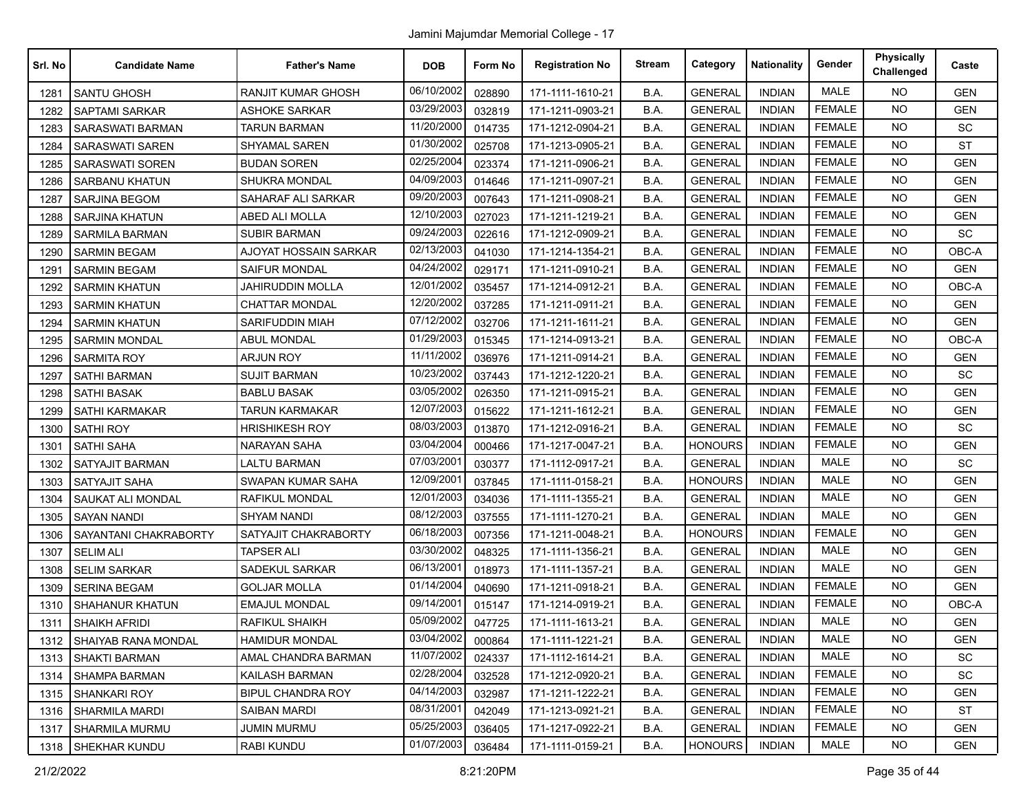| Srl. No | <b>Candidate Name</b>      | <b>Father's Name</b>      | <b>DOB</b> | Form No | <b>Registration No</b> | <b>Stream</b> | Category       | <b>Nationality</b> | Gender        | <b>Physically</b><br>Challenged | Caste      |
|---------|----------------------------|---------------------------|------------|---------|------------------------|---------------|----------------|--------------------|---------------|---------------------------------|------------|
| 1281    | SANTU GHOSH                | <b>RANJIT KUMAR GHOSH</b> | 06/10/2002 | 028890  | 171-1111-1610-21       | B.A.          | <b>GENERAL</b> | <b>INDIAN</b>      | <b>MALE</b>   | <b>NO</b>                       | <b>GEN</b> |
| 1282    | <b>SAPTAMI SARKAR</b>      | <b>ASHOKE SARKAR</b>      | 03/29/2003 | 032819  | 171-1211-0903-21       | B.A.          | <b>GENERAL</b> | <b>INDIAN</b>      | <b>FEMALE</b> | <b>NO</b>                       | <b>GEN</b> |
| 1283    | <b>SARASWATI BARMAN</b>    | TARUN BARMAN              | 11/20/2000 | 014735  | 171-1212-0904-21       | B.A.          | <b>GENERAL</b> | <b>INDIAN</b>      | <b>FEMALE</b> | <b>NO</b>                       | SC         |
| 1284    | SARASWATI SAREN            | <b>SHYAMAL SAREN</b>      | 01/30/2002 | 025708  | 171-1213-0905-21       | B.A.          | <b>GENERAL</b> | <b>INDIAN</b>      | <b>FEMALE</b> | <b>NO</b>                       | <b>ST</b>  |
| 1285    | <b>SARASWATI SOREN</b>     | <b>BUDAN SOREN</b>        | 02/25/2004 | 023374  | 171-1211-0906-21       | B.A.          | <b>GENERAL</b> | <b>INDIAN</b>      | <b>FEMALE</b> | <b>NO</b>                       | <b>GEN</b> |
| 1286    | <b>SARBANU KHATUN</b>      | SHUKRA MONDAL             | 04/09/2003 | 014646  | 171-1211-0907-21       | B.A.          | <b>GENERAL</b> | <b>INDIAN</b>      | <b>FEMALE</b> | <b>NO</b>                       | <b>GEN</b> |
| 1287    | <b>SARJINA BEGOM</b>       | SAHARAF ALI SARKAR        | 09/20/2003 | 007643  | 171-1211-0908-21       | B.A.          | <b>GENERAL</b> | <b>INDIAN</b>      | <b>FEMALE</b> | <b>NO</b>                       | <b>GEN</b> |
| 1288    | <b>SARJINA KHATUN</b>      | ABED ALI MOLLA            | 12/10/2003 | 027023  | 171-1211-1219-21       | B.A.          | <b>GENERAL</b> | <b>INDIAN</b>      | <b>FEMALE</b> | <b>NO</b>                       | <b>GEN</b> |
| 1289    | <b>SARMILA BARMAN</b>      | <b>SUBIR BARMAN</b>       | 09/24/2003 | 022616  | 171-1212-0909-21       | B.A.          | <b>GENERAL</b> | <b>INDIAN</b>      | <b>FEMALE</b> | <b>NO</b>                       | SC         |
| 1290    | <b>SARMIN BEGAM</b>        | AJOYAT HOSSAIN SARKAR     | 02/13/2003 | 041030  | 171-1214-1354-21       | B.A.          | <b>GENERAL</b> | <b>INDIAN</b>      | <b>FEMALE</b> | <b>NO</b>                       | OBC-A      |
| 1291    | <b>SARMIN BEGAM</b>        | SAIFUR MONDAL             | 04/24/2002 | 029171  | 171-1211-0910-21       | B.A.          | <b>GENERAL</b> | <b>INDIAN</b>      | <b>FEMALE</b> | <b>NO</b>                       | <b>GEN</b> |
| 1292    | <b>SARMIN KHATUN</b>       | JAHIRUDDIN MOLLA          | 12/01/2002 | 035457  | 171-1214-0912-21       | B.A.          | <b>GENERAL</b> | <b>INDIAN</b>      | <b>FEMALE</b> | <b>NO</b>                       | OBC-A      |
| 1293    | <b>SARMIN KHATUN</b>       | <b>CHATTAR MONDAL</b>     | 12/20/2002 | 037285  | 171-1211-0911-21       | B.A.          | <b>GENERAL</b> | <b>INDIAN</b>      | <b>FEMALE</b> | <b>NO</b>                       | <b>GEN</b> |
| 1294    | <b>SARMIN KHATUN</b>       | SARIFUDDIN MIAH           | 07/12/2002 | 032706  | 171-1211-1611-21       | B.A.          | <b>GENERAL</b> | <b>INDIAN</b>      | <b>FEMALE</b> | <b>NO</b>                       | <b>GEN</b> |
| 1295    | <b>SARMIN MONDAL</b>       | <b>ABUL MONDAL</b>        | 01/29/2003 | 015345  | 171-1214-0913-21       | B.A.          | <b>GENERAL</b> | <b>INDIAN</b>      | <b>FEMALE</b> | <b>NO</b>                       | OBC-A      |
| 1296    | <b>SARMITA ROY</b>         | <b>ARJUN ROY</b>          | 11/11/2002 | 036976  | 171-1211-0914-21       | B.A.          | <b>GENERAL</b> | <b>INDIAN</b>      | <b>FEMALE</b> | <b>NO</b>                       | <b>GEN</b> |
| 1297    | <b>SATHI BARMAN</b>        | <b>SUJIT BARMAN</b>       | 10/23/2002 | 037443  | 171-1212-1220-21       | B.A.          | <b>GENERAL</b> | <b>INDIAN</b>      | <b>FEMALE</b> | <b>NO</b>                       | <b>SC</b>  |
| 1298    | SATHI BASAK                | <b>BABLU BASAK</b>        | 03/05/2002 | 026350  | 171-1211-0915-21       | B.A.          | <b>GENERAL</b> | <b>INDIAN</b>      | <b>FEMALE</b> | <b>NO</b>                       | <b>GEN</b> |
| 1299    | <b>SATHI KARMAKAR</b>      | <b>TARUN KARMAKAR</b>     | 12/07/2003 | 015622  | 171-1211-1612-21       | B.A.          | <b>GENERAL</b> | <b>INDIAN</b>      | <b>FEMALE</b> | <b>NO</b>                       | <b>GEN</b> |
| 1300    | <b>SATHI ROY</b>           | <b>HRISHIKESH ROY</b>     | 08/03/2003 | 013870  | 171-1212-0916-21       | B.A.          | <b>GENERAL</b> | <b>INDIAN</b>      | <b>FEMALE</b> | <b>NO</b>                       | SC         |
| 1301    | <b>SATHI SAHA</b>          | NARAYAN SAHA              | 03/04/2004 | 000466  | 171-1217-0047-21       | B.A.          | <b>HONOURS</b> | <b>INDIAN</b>      | <b>FEMALE</b> | <b>NO</b>                       | <b>GEN</b> |
| 1302    | <b>SATYAJIT BARMAN</b>     | <b>LALTU BARMAN</b>       | 07/03/2001 | 030377  | 171-1112-0917-21       | B.A.          | <b>GENERAL</b> | <b>INDIAN</b>      | <b>MALE</b>   | <b>NO</b>                       | SC         |
| 1303    | <b>SATYAJIT SAHA</b>       | SWAPAN KUMAR SAHA         | 12/09/2001 | 037845  | 171-1111-0158-21       | B.A.          | <b>HONOURS</b> | <b>INDIAN</b>      | <b>MALE</b>   | <b>NO</b>                       | <b>GEN</b> |
| 1304    | SAUKAT ALI MONDAL          | <b>RAFIKUL MONDAL</b>     | 12/01/2003 | 034036  | 171-1111-1355-21       | B.A.          | <b>GENERAL</b> | <b>INDIAN</b>      | <b>MALE</b>   | <b>NO</b>                       | <b>GEN</b> |
| 1305    | <b>SAYAN NANDI</b>         | SHYAM NANDI               | 08/12/2003 | 037555  | 171-1111-1270-21       | B.A.          | <b>GENERAL</b> | <b>INDIAN</b>      | <b>MALE</b>   | <b>NO</b>                       | <b>GEN</b> |
| 1306    | SAYANTANI CHAKRABORTY      | SATYAJIT CHAKRABORTY      | 06/18/2003 | 007356  | 171-1211-0048-21       | B.A.          | <b>HONOURS</b> | <b>INDIAN</b>      | <b>FEMALE</b> | <b>NO</b>                       | <b>GEN</b> |
| 1307    | <b>SELIM ALI</b>           | <b>TAPSER ALI</b>         | 03/30/2002 | 048325  | 171-1111-1356-21       | B.A.          | <b>GENERAL</b> | <b>INDIAN</b>      | <b>MALE</b>   | <b>NO</b>                       | <b>GEN</b> |
| 1308    | <b>SELIM SARKAR</b>        | <b>SADEKUL SARKAR</b>     | 06/13/2001 | 018973  | 171-1111-1357-21       | B.A.          | <b>GENERAL</b> | <b>INDIAN</b>      | MALE          | <b>NO</b>                       | <b>GEN</b> |
| 1309    | <b>SERINA BEGAM</b>        | <b>GOLJAR MOLLA</b>       | 01/14/2004 | 040690  | 171-1211-0918-21       | B.A.          | <b>GENERAL</b> | <b>INDIAN</b>      | <b>FEMALE</b> | <b>NO</b>                       | <b>GEN</b> |
| 1310    | <b>SHAHANUR KHATUN</b>     | EMAJUL MONDAL             | 09/14/2001 | 015147  | 171-1214-0919-21       | B.A.          | <b>GENERAL</b> | <b>INDIAN</b>      | <b>FEMALE</b> | <b>NO</b>                       | OBC-A      |
| 1311    | <b>SHAIKH AFRIDI</b>       | RAFIKUL SHAIKH            | 05/09/2002 | 047725  | 171-1111-1613-21       | B.A.          | <b>GENERAL</b> | <b>INDIAN</b>      | <b>MALE</b>   | <b>NO</b>                       | <b>GEN</b> |
|         | 1312   SHAIYAB RANA MONDAL | <b>HAMIDUR MONDAL</b>     | 03/04/2002 | 000864  | 171-1111-1221-21       | B.A.          | <b>GENERAL</b> | <b>INDIAN</b>      | MALE          | NO                              | <b>GEN</b> |
| 1313    | <b>SHAKTI BARMAN</b>       | AMAL CHANDRA BARMAN       | 11/07/2002 | 024337  | 171-1112-1614-21       | B.A.          | <b>GENERAL</b> | <b>INDIAN</b>      | MALE          | <b>NO</b>                       | SC         |
| 1314    | SHAMPA BARMAN              | KAILASH BARMAN            | 02/28/2004 | 032528  | 171-1212-0920-21       | B.A.          | <b>GENERAL</b> | <b>INDIAN</b>      | <b>FEMALE</b> | <b>NO</b>                       | <b>SC</b>  |
| 1315    | SHANKARI ROY               | <b>BIPUL CHANDRA ROY</b>  | 04/14/2003 | 032987  | 171-1211-1222-21       | B.A.          | <b>GENERAL</b> | <b>INDIAN</b>      | <b>FEMALE</b> | <b>NO</b>                       | <b>GEN</b> |
| 1316    | <b>SHARMILA MARDI</b>      | SAIBAN MARDI              | 08/31/2001 | 042049  | 171-1213-0921-21       | B.A.          | <b>GENERAL</b> | <b>INDIAN</b>      | <b>FEMALE</b> | <b>NO</b>                       | ST         |
| 1317    | SHARMILA MURMU             | <b>JUMIN MURMU</b>        | 05/25/2003 | 036405  | 171-1217-0922-21       | B.A.          | <b>GENERAL</b> | <b>INDIAN</b>      | <b>FEMALE</b> | <b>NO</b>                       | <b>GEN</b> |
| 1318    | SHEKHAR KUNDU              | RABI KUNDU                | 01/07/2003 | 036484  | 171-1111-0159-21       | B.A.          | <b>HONOURS</b> | <b>INDIAN</b>      | MALE          | <b>NO</b>                       | GEN        |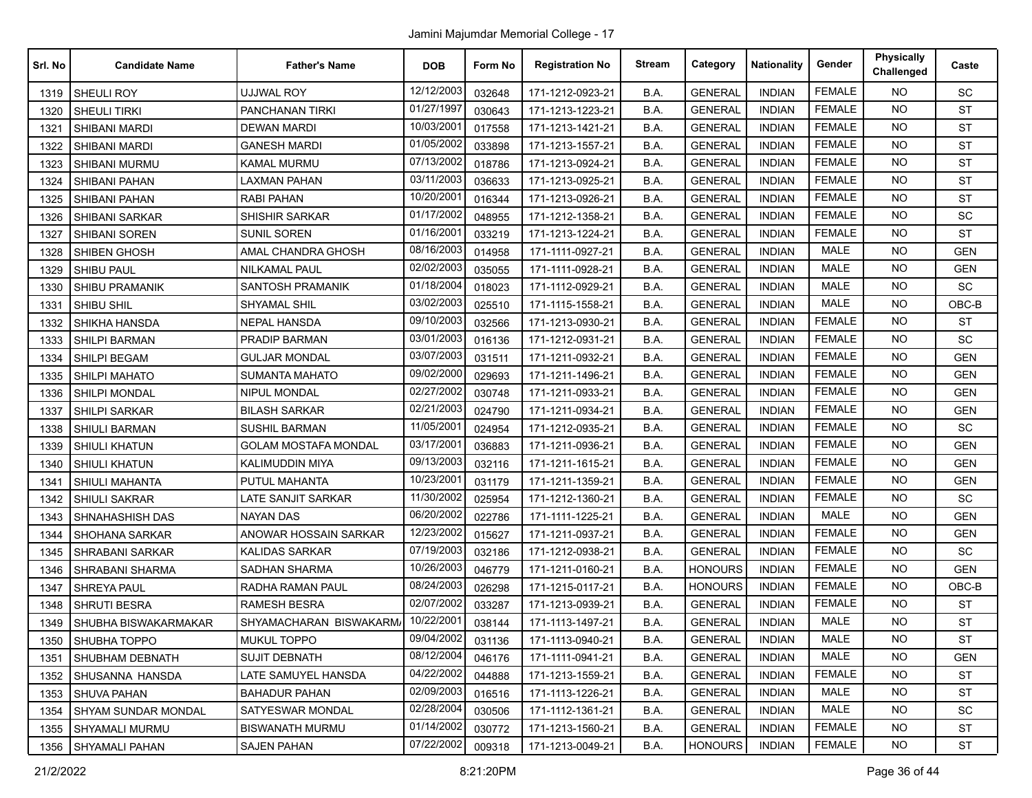| Srl. No | <b>Candidate Name</b>      | <b>Father's Name</b>        | <b>DOB</b> | Form No | <b>Registration No</b> | <b>Stream</b> | Category       | <b>Nationality</b> | Gender        | <b>Physically</b><br>Challenged | Caste      |
|---------|----------------------------|-----------------------------|------------|---------|------------------------|---------------|----------------|--------------------|---------------|---------------------------------|------------|
| 1319    | <b>SHEULI ROY</b>          | UJJWAL ROY                  | 12/12/2003 | 032648  | 171-1212-0923-21       | B.A.          | <b>GENERAL</b> | <b>INDIAN</b>      | <b>FEMALE</b> | <b>NO</b>                       | SC         |
| 1320    | SHEULI TIRKI               | PANCHANAN TIRKI             | 01/27/1997 | 030643  | 171-1213-1223-21       | B.A.          | <b>GENERAL</b> | <b>INDIAN</b>      | <b>FEMALE</b> | <b>NO</b>                       | <b>ST</b>  |
| 1321    | SHIBANI MARDI              | DEWAN MARDI                 | 10/03/2001 | 017558  | 171-1213-1421-21       | B.A.          | <b>GENERAL</b> | <b>INDIAN</b>      | <b>FEMALE</b> | <b>NO</b>                       | <b>ST</b>  |
| 1322    | SHIBANI MARDI              | <b>GANESH MARDI</b>         | 01/05/2002 | 033898  | 171-1213-1557-21       | B.A.          | <b>GENERAL</b> | <b>INDIAN</b>      | <b>FEMALE</b> | <b>NO</b>                       | <b>ST</b>  |
| 1323    | SHIBANI MURMU              | <b>KAMAL MURMU</b>          | 07/13/2002 | 018786  | 171-1213-0924-21       | B.A.          | <b>GENERAL</b> | <b>INDIAN</b>      | <b>FEMALE</b> | <b>NO</b>                       | ST         |
| 1324    | <b>SHIBANI PAHAN</b>       | <b>LAXMAN PAHAN</b>         | 03/11/2003 | 036633  | 171-1213-0925-21       | B.A.          | <b>GENERAL</b> | <b>INDIAN</b>      | <b>FEMALE</b> | <b>NO</b>                       | <b>ST</b>  |
| 1325    | SHIBANI PAHAN              | RABI PAHAN                  | 10/20/2001 | 016344  | 171-1213-0926-21       | B.A.          | <b>GENERAL</b> | <b>INDIAN</b>      | <b>FEMALE</b> | <b>NO</b>                       | <b>ST</b>  |
| 1326    | <b>SHIBANI SARKAR</b>      | <b>SHISHIR SARKAR</b>       | 01/17/2002 | 048955  | 171-1212-1358-21       | B.A.          | <b>GENERAL</b> | <b>INDIAN</b>      | <b>FEMALE</b> | <b>NO</b>                       | SC         |
| 1327    | <b>SHIBANI SOREN</b>       | <b>SUNIL SOREN</b>          | 01/16/2001 | 033219  | 171-1213-1224-21       | B.A.          | <b>GENERAL</b> | <b>INDIAN</b>      | <b>FEMALE</b> | <b>NO</b>                       | ST         |
| 1328    | <b>SHIBEN GHOSH</b>        | AMAL CHANDRA GHOSH          | 08/16/2003 | 014958  | 171-1111-0927-21       | B.A.          | <b>GENERAL</b> | <b>INDIAN</b>      | <b>MALE</b>   | <b>NO</b>                       | <b>GEN</b> |
| 1329    | <b>SHIBU PAUL</b>          | <b>NILKAMAL PAUL</b>        | 02/02/2003 | 035055  | 171-1111-0928-21       | B.A.          | <b>GENERAL</b> | <b>INDIAN</b>      | MALE          | <b>NO</b>                       | <b>GEN</b> |
| 1330    | <b>SHIBU PRAMANIK</b>      | <b>SANTOSH PRAMANIK</b>     | 01/18/2004 | 018023  | 171-1112-0929-21       | B.A.          | <b>GENERAL</b> | <b>INDIAN</b>      | <b>MALE</b>   | <b>NO</b>                       | SC         |
| 1331    | SHIBU SHIL                 | SHYAMAL SHIL                | 03/02/2003 | 025510  | 171-1115-1558-21       | B.A.          | <b>GENERAL</b> | <b>INDIAN</b>      | <b>MALE</b>   | <b>NO</b>                       | OBC-B      |
| 1332    | SHIKHA HANSDA              | <b>NEPAL HANSDA</b>         | 09/10/2003 | 032566  | 171-1213-0930-21       | B.A.          | <b>GENERAL</b> | <b>INDIAN</b>      | <b>FEMALE</b> | <b>NO</b>                       | <b>ST</b>  |
| 1333    | <b>SHILPI BARMAN</b>       | <b>PRADIP BARMAN</b>        | 03/01/2003 | 016136  | 171-1212-0931-21       | B.A.          | <b>GENERAL</b> | <b>INDIAN</b>      | <b>FEMALE</b> | <b>NO</b>                       | SC         |
| 1334    | SHILPI BEGAM               | <b>GULJAR MONDAL</b>        | 03/07/2003 | 031511  | 171-1211-0932-21       | B.A.          | <b>GENERAL</b> | <b>INDIAN</b>      | <b>FEMALE</b> | <b>NO</b>                       | <b>GEN</b> |
| 1335    | <b>SHILPI MAHATO</b>       | <b>SUMANTA MAHATO</b>       | 09/02/2000 | 029693  | 171-1211-1496-21       | B.A.          | <b>GENERAL</b> | <b>INDIAN</b>      | <b>FEMALE</b> | <b>NO</b>                       | <b>GEN</b> |
| 1336    | <b>SHILPI MONDAL</b>       | NIPUL MONDAL                | 02/27/2002 | 030748  | 171-1211-0933-21       | B.A.          | <b>GENERAL</b> | <b>INDIAN</b>      | <b>FEMALE</b> | <b>NO</b>                       | <b>GEN</b> |
| 1337    | <b>SHILPI SARKAR</b>       | <b>BILASH SARKAR</b>        | 02/21/2003 | 024790  | 171-1211-0934-21       | B.A.          | <b>GENERAL</b> | <b>INDIAN</b>      | <b>FEMALE</b> | NO                              | <b>GEN</b> |
| 1338    | SHIULI BARMAN              | <b>SUSHIL BARMAN</b>        | 11/05/2001 | 024954  | 171-1212-0935-21       | B.A.          | <b>GENERAL</b> | <b>INDIAN</b>      | <b>FEMALE</b> | <b>NO</b>                       | SC         |
| 1339    | SHIULI KHATUN              | <b>GOLAM MOSTAFA MONDAL</b> | 03/17/2001 | 036883  | 171-1211-0936-21       | B.A.          | <b>GENERAL</b> | <b>INDIAN</b>      | <b>FEMALE</b> | <b>NO</b>                       | <b>GEN</b> |
| 1340    | SHIULI KHATUN              | KALIMUDDIN MIYA             | 09/13/2003 | 032116  | 171-1211-1615-21       | B.A.          | <b>GENERAL</b> | <b>INDIAN</b>      | <b>FEMALE</b> | <b>NO</b>                       | <b>GEN</b> |
| 1341    | <b>SHIULI MAHANTA</b>      | PUTUL MAHANTA               | 10/23/2001 | 031179  | 171-1211-1359-21       | B.A.          | <b>GENERAL</b> | <b>INDIAN</b>      | <b>FEMALE</b> | <b>NO</b>                       | <b>GEN</b> |
| 1342    | <b>SHIULI SAKRAR</b>       | LATE SANJIT SARKAR          | 11/30/2002 | 025954  | 171-1212-1360-21       | B.A.          | <b>GENERAL</b> | <b>INDIAN</b>      | <b>FEMALE</b> | <b>NO</b>                       | SC         |
| 1343    | SHNAHASHISH DAS            | NAYAN DAS                   | 06/20/2002 | 022786  | 171-1111-1225-21       | B.A.          | <b>GENERAL</b> | <b>INDIAN</b>      | <b>MALE</b>   | <b>NO</b>                       | <b>GEN</b> |
| 1344    | <b>SHOHANA SARKAR</b>      | ANOWAR HOSSAIN SARKAR       | 12/23/2002 | 015627  | 171-1211-0937-21       | B.A.          | <b>GENERAL</b> | <b>INDIAN</b>      | <b>FEMALE</b> | <b>NO</b>                       | <b>GEN</b> |
| 1345    | <b>SHRABANI SARKAR</b>     | <b>KALIDAS SARKAR</b>       | 07/19/2003 | 032186  | 171-1212-0938-21       | B.A.          | <b>GENERAL</b> | <b>INDIAN</b>      | <b>FEMALE</b> | <b>NO</b>                       | SC         |
| 1346    | SHRABANI SHARMA            | <b>SADHAN SHARMA</b>        | 10/26/2003 | 046779  | 171-1211-0160-21       | B.A.          | <b>HONOURS</b> | <b>INDIAN</b>      | <b>FEMALE</b> | <b>NO</b>                       | <b>GEN</b> |
| 1347    | SHREYA PAUL                | RADHA RAMAN PAUL            | 08/24/2003 | 026298  | 171-1215-0117-21       | B.A.          | <b>HONOURS</b> | <b>INDIAN</b>      | <b>FEMALE</b> | <b>NO</b>                       | OBC-B      |
| 1348    | <b>SHRUTI BESRA</b>        | <b>RAMESH BESRA</b>         | 02/07/2002 | 033287  | 171-1213-0939-21       | B.A.          | <b>GENERAL</b> | <b>INDIAN</b>      | <b>FEMALE</b> | <b>NO</b>                       | <b>ST</b>  |
| 1349    | SHUBHA BISWAKARMAKAR       | SHYAMACHARAN BISWAKARM.     | 10/22/2001 | 038144  | 171-1113-1497-21       | B.A.          | <b>GENERAL</b> | <b>INDIAN</b>      | <b>MALE</b>   | NO.                             | <b>ST</b>  |
|         | 1350 SHUBHA TOPPO          | <b>MUKUL TOPPO</b>          | 09/04/2002 | 031136  | 171-1113-0940-21       | B.A.          | <b>GENERAL</b> | <b>INDIAN</b>      | MALE          | NO                              | <b>ST</b>  |
| 1351    | <b>SHUBHAM DEBNATH</b>     | <b>SUJIT DEBNATH</b>        | 08/12/2004 | 046176  | 171-1111-0941-21       | B.A.          | <b>GENERAL</b> | <b>INDIAN</b>      | MALE          | <b>NO</b>                       | <b>GEN</b> |
| 1352    | SHUSANNA HANSDA            | LATE SAMUYEL HANSDA         | 04/22/2002 | 044888  | 171-1213-1559-21       | B.A.          | <b>GENERAL</b> | <b>INDIAN</b>      | <b>FEMALE</b> | NO                              | ST         |
| 1353    | SHUVA PAHAN                | <b>BAHADUR PAHAN</b>        | 02/09/2003 | 016516  | 171-1113-1226-21       | B.A.          | <b>GENERAL</b> | <b>INDIAN</b>      | MALE          | NO                              | <b>ST</b>  |
| 1354    | <b>SHYAM SUNDAR MONDAL</b> | SATYESWAR MONDAL            | 02/28/2004 | 030506  | 171-1112-1361-21       | B.A.          | <b>GENERAL</b> | <b>INDIAN</b>      | MALE          | NO                              | <b>SC</b>  |
| 1355    | <b>SHYAMALI MURMU</b>      | <b>BISWANATH MURMU</b>      | 01/14/2002 | 030772  | 171-1213-1560-21       | B.A.          | <b>GENERAL</b> | <b>INDIAN</b>      | <b>FEMALE</b> | NO                              | <b>ST</b>  |
| 1356    | SHYAMALI PAHAN             | SAJEN PAHAN                 | 07/22/2002 | 009318  | 171-1213-0049-21       | B.A.          | <b>HONOURS</b> | <b>INDIAN</b>      | <b>FEMALE</b> | NO                              | ST         |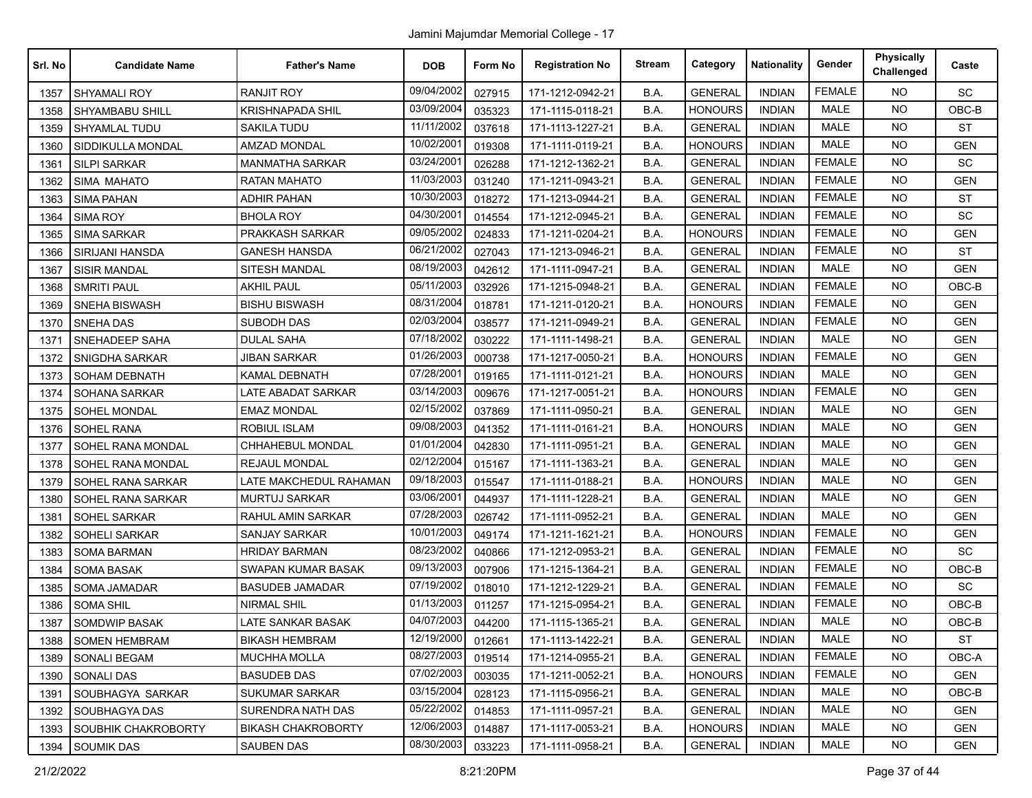| Srl. No | <b>Candidate Name</b>      | <b>Father's Name</b>      | <b>DOB</b> | Form No | <b>Registration No</b> | <b>Stream</b> | Category       | <b>Nationality</b> | Gender        | <b>Physically</b><br>Challenged | Caste      |
|---------|----------------------------|---------------------------|------------|---------|------------------------|---------------|----------------|--------------------|---------------|---------------------------------|------------|
| 1357    | SHYAMALI ROY               | <b>RANJIT ROY</b>         | 09/04/2002 | 027915  | 171-1212-0942-21       | B.A.          | <b>GENERAL</b> | <b>INDIAN</b>      | <b>FEMALE</b> | <b>NO</b>                       | SC         |
| 1358    | SHYAMBABU SHILL            | KRISHNAPADA SHIL          | 03/09/2004 | 035323  | 171-1115-0118-21       | B.A.          | <b>HONOURS</b> | <b>INDIAN</b>      | <b>MALE</b>   | <b>NO</b>                       | OBC-B      |
| 1359    | SHYAMLAL TUDU              | SAKILA TUDU               | 11/11/2002 | 037618  | 171-1113-1227-21       | B.A.          | <b>GENERAL</b> | <b>INDIAN</b>      | MALE          | <b>NO</b>                       | <b>ST</b>  |
| 1360    | SIDDIKULLA MONDAL          | <b>AMZAD MONDAL</b>       | 10/02/2001 | 019308  | 171-1111-0119-21       | B.A.          | <b>HONOURS</b> | <b>INDIAN</b>      | <b>MALE</b>   | <b>NO</b>                       | <b>GEN</b> |
| 1361    | <b>SILPI SARKAR</b>        | <b>MANMATHA SARKAR</b>    | 03/24/2001 | 026288  | 171-1212-1362-21       | B.A.          | <b>GENERAL</b> | <b>INDIAN</b>      | <b>FEMALE</b> | <b>NO</b>                       | SC         |
| 1362    | SIMA MAHATO                | <b>RATAN MAHATO</b>       | 11/03/2003 | 031240  | 171-1211-0943-21       | B.A.          | <b>GENERAL</b> | <b>INDIAN</b>      | <b>FEMALE</b> | <b>NO</b>                       | <b>GEN</b> |
| 1363    | <b>SIMA PAHAN</b>          | <b>ADHIR PAHAN</b>        | 10/30/2003 | 018272  | 171-1213-0944-21       | B.A.          | <b>GENERAL</b> | <b>INDIAN</b>      | <b>FEMALE</b> | <b>NO</b>                       | <b>ST</b>  |
| 1364    | <b>SIMA ROY</b>            | <b>BHOLA ROY</b>          | 04/30/2001 | 014554  | 171-1212-0945-21       | B.A.          | <b>GENERAL</b> | <b>INDIAN</b>      | <b>FEMALE</b> | <b>NO</b>                       | SC         |
| 1365    | <b>SIMA SARKAR</b>         | PRAKKASH SARKAR           | 09/05/2002 | 024833  | 171-1211-0204-21       | B.A.          | <b>HONOURS</b> | <b>INDIAN</b>      | <b>FEMALE</b> | <b>NO</b>                       | <b>GEN</b> |
| 1366    | SIRIJANI HANSDA            | <b>GANESH HANSDA</b>      | 06/21/2002 | 027043  | 171-1213-0946-21       | B.A.          | <b>GENERAL</b> | <b>INDIAN</b>      | <b>FEMALE</b> | <b>NO</b>                       | <b>ST</b>  |
| 1367    | <b>SISIR MANDAL</b>        | SITESH MANDAL             | 08/19/2003 | 042612  | 171-1111-0947-21       | B.A.          | <b>GENERAL</b> | <b>INDIAN</b>      | MALE          | <b>NO</b>                       | <b>GEN</b> |
| 1368    | <b>SMRITI PAUL</b>         | <b>AKHIL PAUL</b>         | 05/11/2003 | 032926  | 171-1215-0948-21       | B.A.          | <b>GENERAL</b> | <b>INDIAN</b>      | <b>FEMALE</b> | <b>NO</b>                       | OBC-B      |
| 1369    | <b>SNEHA BISWASH</b>       | <b>BISHU BISWASH</b>      | 08/31/2004 | 018781  | 171-1211-0120-21       | B.A.          | <b>HONOURS</b> | <b>INDIAN</b>      | <b>FEMALE</b> | <b>NO</b>                       | <b>GEN</b> |
| 1370    | <b>SNEHA DAS</b>           | <b>SUBODH DAS</b>         | 02/03/2004 | 038577  | 171-1211-0949-21       | B.A.          | <b>GENERAL</b> | <b>INDIAN</b>      | <b>FEMALE</b> | <b>NO</b>                       | <b>GEN</b> |
| 1371    | SNEHADEEP SAHA             | <b>DULAL SAHA</b>         | 07/18/2002 | 030222  | 171-1111-1498-21       | B.A.          | <b>GENERAL</b> | <b>INDIAN</b>      | MALE          | <b>NO</b>                       | <b>GEN</b> |
| 1372    | SNIGDHA SARKAR             | <b>JIBAN SARKAR</b>       | 01/26/2003 | 000738  | 171-1217-0050-21       | B.A.          | <b>HONOURS</b> | <b>INDIAN</b>      | <b>FEMALE</b> | <b>NO</b>                       | <b>GEN</b> |
| 1373    | <b>SOHAM DEBNATH</b>       | KAMAL DEBNATH             | 07/28/2001 | 019165  | 171-1111-0121-21       | B.A.          | <b>HONOURS</b> | <b>INDIAN</b>      | MALE          | <b>NO</b>                       | <b>GEN</b> |
| 1374    | <b>SOHANA SARKAR</b>       | LATE ABADAT SARKAR        | 03/14/2003 | 009676  | 171-1217-0051-21       | B.A.          | <b>HONOURS</b> | <b>INDIAN</b>      | <b>FEMALE</b> | <b>NO</b>                       | <b>GEN</b> |
| 1375    | SOHEL MONDAL               | <b>EMAZ MONDAL</b>        | 02/15/2002 | 037869  | 171-1111-0950-21       | B.A.          | <b>GENERAL</b> | <b>INDIAN</b>      | <b>MALE</b>   | NO                              | <b>GEN</b> |
| 1376    | <b>SOHEL RANA</b>          | <b>ROBIUL ISLAM</b>       | 09/08/2003 | 041352  | 171-1111-0161-21       | B.A.          | <b>HONOURS</b> | <b>INDIAN</b>      | <b>MALE</b>   | <b>NO</b>                       | <b>GEN</b> |
| 1377    | SOHEL RANA MONDAL          | CHHAHEBUL MONDAL          | 01/01/2004 | 042830  | 171-1111-0951-21       | B.A.          | <b>GENERAL</b> | <b>INDIAN</b>      | <b>MALE</b>   | <b>NO</b>                       | <b>GEN</b> |
| 1378    | SOHEL RANA MONDAL          | REJAUL MONDAL             | 02/12/2004 | 015167  | 171-1111-1363-21       | B.A.          | <b>GENERAL</b> | <b>INDIAN</b>      | <b>MALE</b>   | <b>NO</b>                       | <b>GEN</b> |
| 1379    | SOHEL RANA SARKAR          | LATE MAKCHEDUL RAHAMAN    | 09/18/2003 | 015547  | 171-1111-0188-21       | B.A.          | <b>HONOURS</b> | <b>INDIAN</b>      | <b>MALE</b>   | <b>NO</b>                       | <b>GEN</b> |
| 1380    | SOHEL RANA SARKAR          | <b>MURTUJ SARKAR</b>      | 03/06/2001 | 044937  | 171-1111-1228-21       | B.A.          | <b>GENERAL</b> | <b>INDIAN</b>      | <b>MALE</b>   | <b>NO</b>                       | <b>GEN</b> |
| 1381    | <b>SOHEL SARKAR</b>        | RAHUL AMIN SARKAR         | 07/28/2003 | 026742  | 171-1111-0952-21       | B.A.          | <b>GENERAL</b> | <b>INDIAN</b>      | <b>MALE</b>   | <b>NO</b>                       | <b>GEN</b> |
| 1382    | <b>SOHELI SARKAR</b>       | SANJAY SARKAR             | 10/01/2003 | 049174  | 171-1211-1621-21       | B.A.          | <b>HONOURS</b> | <b>INDIAN</b>      | <b>FEMALE</b> | <b>NO</b>                       | <b>GEN</b> |
| 1383    | <b>SOMA BARMAN</b>         | <b>HRIDAY BARMAN</b>      | 08/23/2002 | 040866  | 171-1212-0953-21       | B.A.          | <b>GENERAL</b> | <b>INDIAN</b>      | <b>FEMALE</b> | <b>NO</b>                       | SC         |
| 1384    | <b>SOMA BASAK</b>          | SWAPAN KUMAR BASAK        | 09/13/2003 | 007906  | 171-1215-1364-21       | B.A.          | <b>GENERAL</b> | <b>INDIAN</b>      | <b>FEMALE</b> | <b>NO</b>                       | OBC-B      |
| 1385    | <b>SOMA JAMADAR</b>        | <b>BASUDEB JAMADAR</b>    | 07/19/2002 | 018010  | 171-1212-1229-21       | B.A.          | <b>GENERAL</b> | <b>INDIAN</b>      | <b>FEMALE</b> | <b>NO</b>                       | SC         |
| 1386    | <b>SOMA SHIL</b>           | NIRMAL SHIL               | 01/13/2003 | 011257  | 171-1215-0954-21       | B.A.          | <b>GENERAL</b> | <b>INDIAN</b>      | <b>FEMALE</b> | <b>NO</b>                       | OBC-B      |
| 1387    | <b>SOMDWIP BASAK</b>       | LATE SANKAR BASAK         | 04/07/2003 | 044200  | 171-1115-1365-21       | B.A.          | <b>GENERAL</b> | <b>INDIAN</b>      | <b>MALE</b>   | NO.                             | OBC-B      |
|         | 1388 SOMEN HEMBRAM         | <b>BIKASH HEMBRAM</b>     | 12/19/2000 | 012661  | 171-1113-1422-21       | B.A.          | <b>GENERAL</b> | <b>INDIAN</b>      | MALE          | NO.                             | ST         |
| 1389    | <b>SONALI BEGAM</b>        | <b>MUCHHA MOLLA</b>       | 08/27/2003 | 019514  | 171-1214-0955-21       | B.A.          | <b>GENERAL</b> | <b>INDIAN</b>      | <b>FEMALE</b> | <b>NO</b>                       | OBC-A      |
| 1390    | <b>SONALI DAS</b>          | <b>BASUDEB DAS</b>        | 07/02/2003 | 003035  | 171-1211-0052-21       | B.A.          | <b>HONOURS</b> | <b>INDIAN</b>      | <b>FEMALE</b> | <b>NO</b>                       | GEN        |
| 1391    | SOUBHAGYA SARKAR           | SUKUMAR SARKAR            | 03/15/2004 | 028123  | 171-1115-0956-21       | B.A.          | <b>GENERAL</b> | <b>INDIAN</b>      | MALE          | <b>NO</b>                       | OBC-B      |
| 1392    | <b>SOUBHAGYA DAS</b>       | SURENDRA NATH DAS         | 05/22/2002 | 014853  | 171-1111-0957-21       | B.A.          | <b>GENERAL</b> | <b>INDIAN</b>      | MALE          | <b>NO</b>                       | <b>GEN</b> |
| 1393    | <b>SOUBHIK CHAKROBORTY</b> | <b>BIKASH CHAKROBORTY</b> | 12/06/2003 | 014887  | 171-1117-0053-21       | B.A.          | <b>HONOURS</b> | <b>INDIAN</b>      | MALE          | <b>NO</b>                       | <b>GEN</b> |
| 1394    | <b>SOUMIK DAS</b>          | <b>SAUBEN DAS</b>         | 08/30/2003 | 033223  | 171-1111-0958-21       | B.A.          | <b>GENERAL</b> | <b>INDIAN</b>      | MALE          | NO                              | GEN        |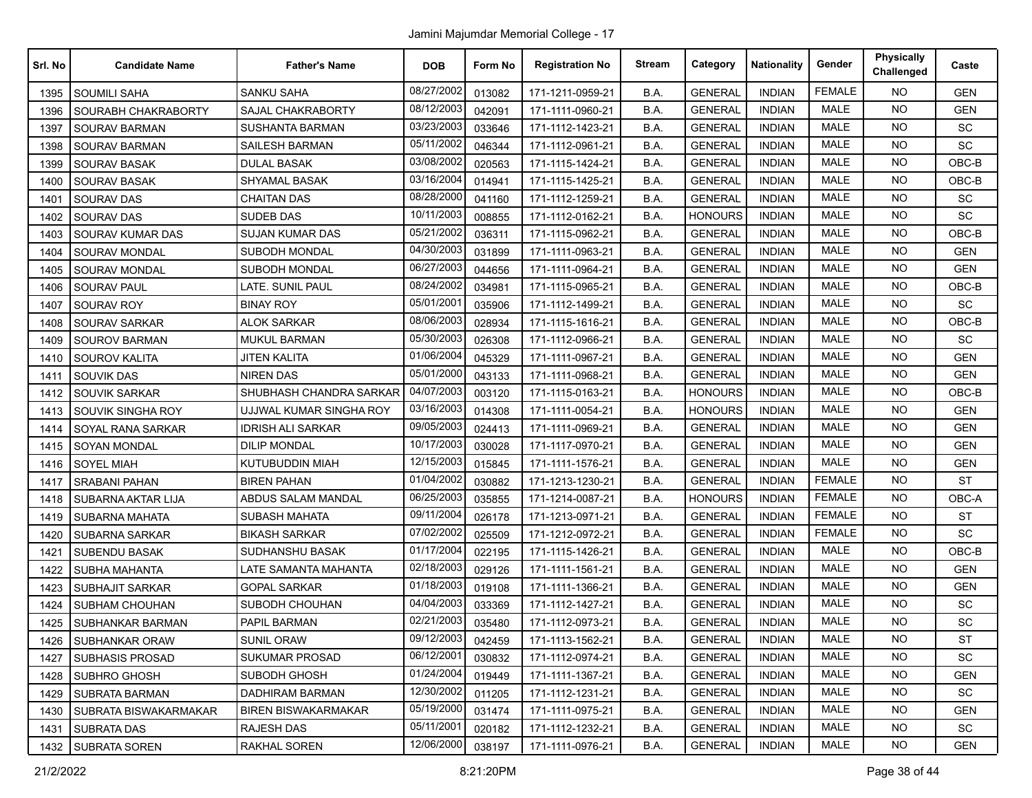| Srl. No | <b>Candidate Name</b>  | <b>Father's Name</b>       | <b>DOB</b> | Form No | <b>Registration No</b> | <b>Stream</b> | Category       | <b>Nationality</b> | Gender        | <b>Physically</b><br>Challenged | Caste      |
|---------|------------------------|----------------------------|------------|---------|------------------------|---------------|----------------|--------------------|---------------|---------------------------------|------------|
| 1395    | <b>SOUMILI SAHA</b>    | <b>SANKU SAHA</b>          | 08/27/2002 | 013082  | 171-1211-0959-21       | B.A.          | <b>GENERAL</b> | <b>INDIAN</b>      | <b>FEMALE</b> | <b>NO</b>                       | <b>GEN</b> |
| 1396    | SOURABH CHAKRABORTY    | SAJAL CHAKRABORTY          | 08/12/2003 | 042091  | 171-1111-0960-21       | B.A.          | <b>GENERAL</b> | <b>INDIAN</b>      | <b>MALE</b>   | <b>NO</b>                       | <b>GEN</b> |
| 1397    | <b>SOURAV BARMAN</b>   | SUSHANTA BARMAN            | 03/23/2003 | 033646  | 171-1112-1423-21       | B.A.          | <b>GENERAL</b> | <b>INDIAN</b>      | <b>MALE</b>   | <b>NO</b>                       | SC         |
| 1398    | <b>SOURAV BARMAN</b>   | <b>SAILESH BARMAN</b>      | 05/11/2002 | 046344  | 171-1112-0961-21       | B.A.          | <b>GENERAL</b> | <b>INDIAN</b>      | <b>MALE</b>   | <b>NO</b>                       | <b>SC</b>  |
| 1399    | <b>SOURAV BASAK</b>    | <b>DULAL BASAK</b>         | 03/08/2002 | 020563  | 171-1115-1424-21       | B.A.          | <b>GENERAL</b> | <b>INDIAN</b>      | <b>MALE</b>   | <b>NO</b>                       | OBC-B      |
| 1400    | <b>SOURAV BASAK</b>    | SHYAMAL BASAK              | 03/16/2004 | 014941  | 171-1115-1425-21       | B.A.          | <b>GENERAL</b> | <b>INDIAN</b>      | <b>MALE</b>   | NO.                             | OBC-B      |
| 1401    | <b>SOURAV DAS</b>      | <b>CHAITAN DAS</b>         | 08/28/2000 | 041160  | 171-1112-1259-21       | B.A.          | <b>GENERAL</b> | <b>INDIAN</b>      | <b>MALE</b>   | <b>NO</b>                       | <b>SC</b>  |
| 1402    | <b>SOURAV DAS</b>      | <b>SUDEB DAS</b>           | 10/11/2003 | 008855  | 171-1112-0162-21       | B.A.          | <b>HONOURS</b> | <b>INDIAN</b>      | <b>MALE</b>   | <b>NO</b>                       | <b>SC</b>  |
| 1403    | SOURAV KUMAR DAS       | <b>SUJAN KUMAR DAS</b>     | 05/21/2002 | 036311  | 171-1115-0962-21       | B.A.          | <b>GENERAL</b> | <b>INDIAN</b>      | <b>MALE</b>   | NO.                             | OBC-B      |
| 1404    | <b>SOURAV MONDAL</b>   | SUBODH MONDAL              | 04/30/2003 | 031899  | 171-1111-0963-21       | B.A.          | <b>GENERAL</b> | <b>INDIAN</b>      | <b>MALE</b>   | NO.                             | <b>GEN</b> |
| 1405    | SOURAV MONDAL          | SUBODH MONDAL              | 06/27/2003 | 044656  | 171-1111-0964-21       | B.A.          | <b>GENERAL</b> | <b>INDIAN</b>      | <b>MALE</b>   | <b>NO</b>                       | <b>GEN</b> |
| 1406    | <b>SOURAV PAUL</b>     | LATE. SUNIL PAUL           | 08/24/2002 | 034981  | 171-1115-0965-21       | B.A.          | <b>GENERAL</b> | <b>INDIAN</b>      | <b>MALE</b>   | <b>NO</b>                       | OBC-B      |
| 1407    | SOURAV ROY             | <b>BINAY ROY</b>           | 05/01/2001 | 035906  | 171-1112-1499-21       | B.A.          | <b>GENERAL</b> | <b>INDIAN</b>      | <b>MALE</b>   | <b>NO</b>                       | SC         |
| 1408    | <b>SOURAV SARKAR</b>   | <b>ALOK SARKAR</b>         | 08/06/2003 | 028934  | 171-1115-1616-21       | B.A.          | <b>GENERAL</b> | <b>INDIAN</b>      | <b>MALE</b>   | <b>NO</b>                       | OBC-B      |
| 1409    | <b>SOUROV BARMAN</b>   | <b>MUKUL BARMAN</b>        | 05/30/2003 | 026308  | 171-1112-0966-21       | B.A.          | <b>GENERAL</b> | <b>INDIAN</b>      | <b>MALE</b>   | NO.                             | <b>SC</b>  |
| 1410    | SOUROV KALITA          | <b>JITEN KALITA</b>        | 01/06/2004 | 045329  | 171-1111-0967-21       | B.A.          | <b>GENERAL</b> | <b>INDIAN</b>      | <b>MALE</b>   | <b>NO</b>                       | <b>GEN</b> |
| 1411    | <b>SOUVIK DAS</b>      | <b>NIREN DAS</b>           | 05/01/2000 | 043133  | 171-1111-0968-21       | B.A.          | <b>GENERAL</b> | <b>INDIAN</b>      | MALE          | NO.                             | <b>GEN</b> |
| 1412    | SOUVIK SARKAR          | SHUBHASH CHANDRA SARKAR    | 04/07/2003 | 003120  | 171-1115-0163-21       | B.A.          | <b>HONOURS</b> | <b>INDIAN</b>      | <b>MALE</b>   | <b>NO</b>                       | OBC-B      |
| 1413    | SOUVIK SINGHA ROY      | UJJWAL KUMAR SINGHA ROY    | 03/16/2003 | 014308  | 171-1111-0054-21       | B.A.          | <b>HONOURS</b> | <b>INDIAN</b>      | <b>MALE</b>   | NO.                             | <b>GEN</b> |
| 1414    | SOYAL RANA SARKAR      | <b>IDRISH ALI SARKAR</b>   | 09/05/2003 | 024413  | 171-1111-0969-21       | B.A.          | <b>GENERAL</b> | <b>INDIAN</b>      | <b>MALE</b>   | <b>NO</b>                       | <b>GEN</b> |
| 1415    | <b>SOYAN MONDAL</b>    | <b>DILIP MONDAL</b>        | 10/17/2003 | 030028  | 171-1117-0970-21       | B.A.          | <b>GENERAL</b> | <b>INDIAN</b>      | <b>MALE</b>   | NO.                             | <b>GEN</b> |
| 1416    | <b>SOYEL MIAH</b>      | KUTUBUDDIN MIAH            | 12/15/2003 | 015845  | 171-1111-1576-21       | B.A.          | <b>GENERAL</b> | <b>INDIAN</b>      | <b>MALE</b>   | NO.                             | <b>GEN</b> |
| 1417    | <b>SRABANI PAHAN</b>   | <b>BIREN PAHAN</b>         | 01/04/2002 | 030882  | 171-1213-1230-21       | B.A.          | <b>GENERAL</b> | <b>INDIAN</b>      | <b>FEMALE</b> | NO.                             | <b>ST</b>  |
| 1418    | SUBARNA AKTAR LIJA     | ABDUS SALAM MANDAL         | 06/25/2003 | 035855  | 171-1214-0087-21       | B.A.          | <b>HONOURS</b> | <b>INDIAN</b>      | <b>FEMALE</b> | <b>NO</b>                       | OBC-A      |
| 1419    | <b>SUBARNA MAHATA</b>  | SUBASH MAHATA              | 09/11/2004 | 026178  | 171-1213-0971-21       | B.A.          | <b>GENERAL</b> | <b>INDIAN</b>      | <b>FEMALE</b> | NO.                             | <b>ST</b>  |
| 1420    | <b>SUBARNA SARKAR</b>  | BIKASH SARKAR              | 07/02/2002 | 025509  | 171-1212-0972-21       | B.A.          | <b>GENERAL</b> | <b>INDIAN</b>      | <b>FEMALE</b> | NO.                             | SC         |
| 1421    | <b>SUBENDU BASAK</b>   | SUDHANSHU BASAK            | 01/17/2004 | 022195  | 171-1115-1426-21       | B.A.          | <b>GENERAL</b> | <b>INDIAN</b>      | <b>MALE</b>   | NO.                             | OBC-B      |
| 1422    | <b>SUBHA MAHANTA</b>   | LATE SAMANTA MAHANTA       | 02/18/2003 | 029126  | 171-1111-1561-21       | B.A.          | <b>GENERAL</b> | <b>INDIAN</b>      | <b>MALE</b>   | <b>NO</b>                       | <b>GEN</b> |
| 1423    | SUBHAJIT SARKAR        | <b>GOPAL SARKAR</b>        | 01/18/2003 | 019108  | 171-1111-1366-21       | B.A.          | <b>GENERAL</b> | <b>INDIAN</b>      | <b>MALE</b>   | NO.                             | <b>GEN</b> |
| 1424    | SUBHAM CHOUHAN         | SUBODH CHOUHAN             | 04/04/2003 | 033369  | 171-1112-1427-21       | B.A.          | <b>GENERAL</b> | <b>INDIAN</b>      | <b>MALE</b>   | <b>NO</b>                       | <b>SC</b>  |
| 1425    | SUBHANKAR BARMAN       | PAPIL BARMAN               | 02/21/2003 | 035480  | 171-1112-0973-21       | B.A.          | <b>GENERAL</b> | <b>INDIAN</b>      | <b>MALE</b>   | NO.                             | SC         |
|         | 1426 SUBHANKAR ORAW    | <b>SUNIL ORAW</b>          | 09/12/2003 | 042459  | 171-1113-1562-21       | B.A.          | <b>GENERAL</b> | <b>INDIAN</b>      | MALE          | NO.                             | ST         |
| 1427    | <b>SUBHASIS PROSAD</b> | <b>SUKUMAR PROSAD</b>      | 06/12/2001 | 030832  | 171-1112-0974-21       | B.A.          | <b>GENERAL</b> | <b>INDIAN</b>      | MALE          | <b>NO</b>                       | SC         |
| 1428    | SUBHRO GHOSH           | SUBODH GHOSH               | 01/24/2004 | 019449  | 171-1111-1367-21       | B.A.          | <b>GENERAL</b> | <b>INDIAN</b>      | MALE          | <b>NO</b>                       | <b>GEN</b> |
| 1429    | SUBRATA BARMAN         | <b>DADHIRAM BARMAN</b>     | 12/30/2002 | 011205  | 171-1112-1231-21       | B.A.          | <b>GENERAL</b> | <b>INDIAN</b>      | MALE          | <b>NO</b>                       | <b>SC</b>  |
| 1430    | SUBRATA BISWAKARMAKAR  | <b>BIREN BISWAKARMAKAR</b> | 05/19/2000 | 031474  | 171-1111-0975-21       | B.A.          | <b>GENERAL</b> | <b>INDIAN</b>      | MALE          | NO.                             | <b>GEN</b> |
| 1431    | <b>SUBRATA DAS</b>     | RAJESH DAS                 | 05/11/2001 | 020182  | 171-1112-1232-21       | B.A.          | <b>GENERAL</b> | <b>INDIAN</b>      | MALE          | <b>NO</b>                       | SC         |
|         | 1432   SUBRATA SOREN   | RAKHAL SOREN               | 12/06/2000 | 038197  | 171-1111-0976-21       | B.A.          | <b>GENERAL</b> | <b>INDIAN</b>      | MALE          | NO.                             | <b>GEN</b> |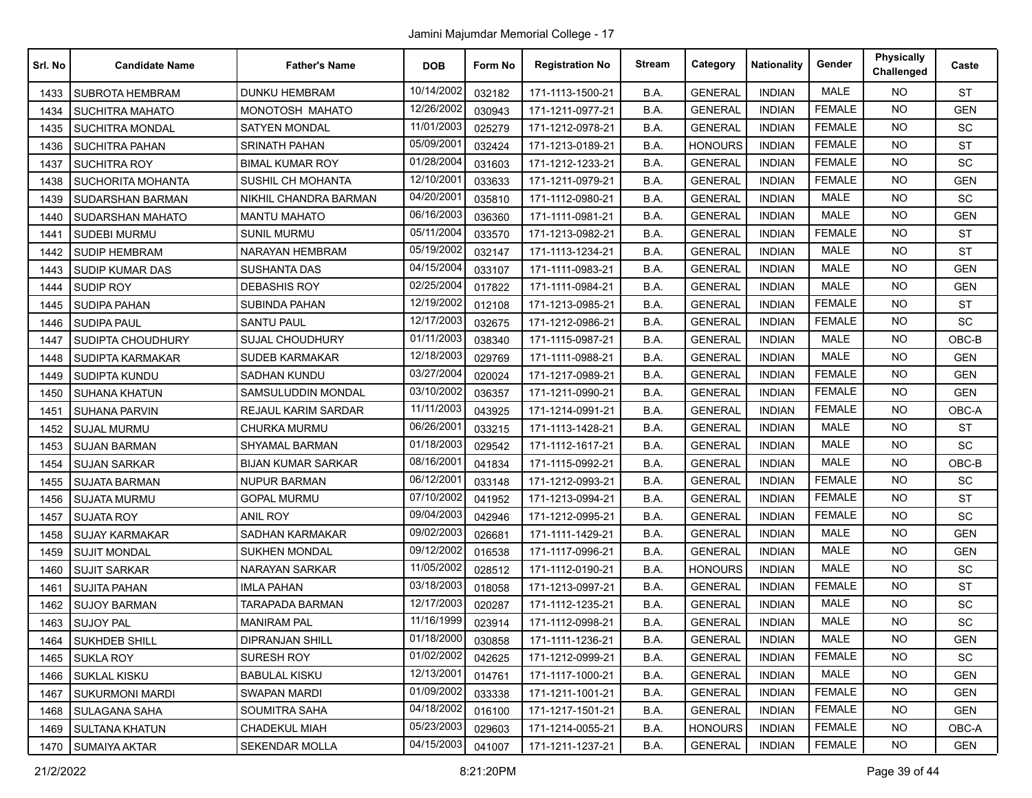| Srl. No | <b>Candidate Name</b>  | <b>Father's Name</b>      | <b>DOB</b> | Form No | <b>Registration No</b> | <b>Stream</b> | Category       | <b>Nationality</b> | Gender        | <b>Physically</b><br>Challenged | Caste      |
|---------|------------------------|---------------------------|------------|---------|------------------------|---------------|----------------|--------------------|---------------|---------------------------------|------------|
| 1433    | <b>SUBROTA HEMBRAM</b> | <b>DUNKU HEMBRAM</b>      | 10/14/2002 | 032182  | 171-1113-1500-21       | B.A.          | <b>GENERAL</b> | <b>INDIAN</b>      | <b>MALE</b>   | <b>NO</b>                       | <b>ST</b>  |
| 1434    | <b>SUCHITRA MAHATO</b> | MONOTOSH MAHATO           | 12/26/2002 | 030943  | 171-1211-0977-21       | B.A.          | <b>GENERAL</b> | <b>INDIAN</b>      | <b>FEMALE</b> | <b>NO</b>                       | <b>GEN</b> |
| 1435    | <b>SUCHITRA MONDAL</b> | <b>SATYEN MONDAL</b>      | 11/01/2003 | 025279  | 171-1212-0978-21       | B.A.          | <b>GENERAL</b> | <b>INDIAN</b>      | <b>FEMALE</b> | <b>NO</b>                       | SC         |
| 1436    | <b>SUCHITRA PAHAN</b>  | SRINATH PAHAN             | 05/09/2001 | 032424  | 171-1213-0189-21       | B.A.          | <b>HONOURS</b> | <b>INDIAN</b>      | <b>FEMALE</b> | NO.                             | <b>ST</b>  |
| 1437    | <b>SUCHITRA ROY</b>    | <b>BIMAL KUMAR ROY</b>    | 01/28/2004 | 031603  | 171-1212-1233-21       | B.A.          | <b>GENERAL</b> | <b>INDIAN</b>      | <b>FEMALE</b> | <b>NO</b>                       | SC         |
| 1438    | SUCHORITA MOHANTA      | SUSHIL CH MOHANTA         | 12/10/2001 | 033633  | 171-1211-0979-21       | B.A.          | <b>GENERAL</b> | <b>INDIAN</b>      | <b>FEMALE</b> | <b>NO</b>                       | <b>GEN</b> |
| 1439    | SUDARSHAN BARMAN       | NIKHIL CHANDRA BARMAN     | 04/20/2001 | 035810  | 171-1112-0980-21       | B.A.          | <b>GENERAL</b> | <b>INDIAN</b>      | <b>MALE</b>   | <b>NO</b>                       | SC         |
| 1440    | SUDARSHAN MAHATO       | <b>MANTU MAHATO</b>       | 06/16/2003 | 036360  | 171-1111-0981-21       | B.A.          | <b>GENERAL</b> | <b>INDIAN</b>      | <b>MALE</b>   | <b>NO</b>                       | <b>GEN</b> |
| 1441    | <b>SUDEBI MURMU</b>    | <b>SUNIL MURMU</b>        | 05/11/2004 | 033570  | 171-1213-0982-21       | B.A.          | <b>GENERAL</b> | <b>INDIAN</b>      | <b>FEMALE</b> | <b>NO</b>                       | <b>ST</b>  |
| 1442    | <b>SUDIP HEMBRAM</b>   | NARAYAN HEMBRAM           | 05/19/2002 | 032147  | 171-1113-1234-21       | B.A.          | <b>GENERAL</b> | <b>INDIAN</b>      | <b>MALE</b>   | <b>NO</b>                       | <b>ST</b>  |
| 1443    | SUDIP KUMAR DAS        | SUSHANTA DAS              | 04/15/2004 | 033107  | 171-1111-0983-21       | B.A.          | <b>GENERAL</b> | <b>INDIAN</b>      | <b>MALE</b>   | <b>NO</b>                       | <b>GEN</b> |
| 1444    | SUDIP ROY              | <b>DEBASHIS ROY</b>       | 02/25/2004 | 017822  | 171-1111-0984-21       | B.A.          | <b>GENERAL</b> | <b>INDIAN</b>      | <b>MALE</b>   | <b>NO</b>                       | <b>GEN</b> |
| 1445    | SUDIPA PAHAN           | SUBINDA PAHAN             | 12/19/2002 | 012108  | 171-1213-0985-21       | B.A.          | <b>GENERAL</b> | <b>INDIAN</b>      | <b>FEMALE</b> | <b>NO</b>                       | <b>ST</b>  |
| 1446    | <b>SUDIPA PAUL</b>     | <b>SANTU PAUL</b>         | 12/17/2003 | 032675  | 171-1212-0986-21       | B.A.          | <b>GENERAL</b> | <b>INDIAN</b>      | <b>FEMALE</b> | <b>NO</b>                       | SC         |
| 1447    | SUDIPTA CHOUDHURY      | <b>SUJAL CHOUDHURY</b>    | 01/11/2003 | 038340  | 171-1115-0987-21       | B.A.          | <b>GENERAL</b> | <b>INDIAN</b>      | <b>MALE</b>   | <b>NO</b>                       | OBC-B      |
| 1448    | SUDIPTA KARMAKAR       | <b>SUDEB KARMAKAR</b>     | 12/18/2003 | 029769  | 171-1111-0988-21       | B.A.          | <b>GENERAL</b> | <b>INDIAN</b>      | <b>MALE</b>   | <b>NO</b>                       | <b>GEN</b> |
| 1449    | SUDIPTA KUNDU          | SADHAN KUNDU              | 03/27/2004 | 020024  | 171-1217-0989-21       | B.A.          | <b>GENERAL</b> | <b>INDIAN</b>      | <b>FEMALE</b> | <b>NO</b>                       | <b>GEN</b> |
| 1450    | SUHANA KHATUN          | SAMSULUDDIN MONDAL        | 03/10/2002 | 036357  | 171-1211-0990-21       | B.A.          | <b>GENERAL</b> | <b>INDIAN</b>      | <b>FEMALE</b> | <b>NO</b>                       | <b>GEN</b> |
| 1451    | <b>SUHANA PARVIN</b>   | REJAUL KARIM SARDAR       | 11/11/2003 | 043925  | 171-1214-0991-21       | B.A.          | <b>GENERAL</b> | <b>INDIAN</b>      | <b>FEMALE</b> | <b>NO</b>                       | OBC-A      |
| 1452    | <b>SUJAL MURMU</b>     | CHURKA MURMU              | 06/26/2001 | 033215  | 171-1113-1428-21       | B.A.          | <b>GENERAL</b> | <b>INDIAN</b>      | <b>MALE</b>   | NO.                             | <b>ST</b>  |
| 1453    | <b>SUJAN BARMAN</b>    | SHYAMAL BARMAN            | 01/18/2003 | 029542  | 171-1112-1617-21       | B.A.          | <b>GENERAL</b> | <b>INDIAN</b>      | <b>MALE</b>   | <b>NO</b>                       | SC         |
| 1454    | <b>SUJAN SARKAR</b>    | <b>BIJAN KUMAR SARKAR</b> | 08/16/2001 | 041834  | 171-1115-0992-21       | B.A.          | <b>GENERAL</b> | <b>INDIAN</b>      | <b>MALE</b>   | <b>NO</b>                       | OBC-B      |
| 1455    | <b>SUJATA BARMAN</b>   | <b>NUPUR BARMAN</b>       | 06/12/2001 | 033148  | 171-1212-0993-21       | B.A.          | <b>GENERAL</b> | <b>INDIAN</b>      | <b>FEMALE</b> | <b>NO</b>                       | <b>SC</b>  |
| 1456    | <b>SUJATA MURMU</b>    | <b>GOPAL MURMU</b>        | 07/10/2002 | 041952  | 171-1213-0994-21       | B.A.          | <b>GENERAL</b> | <b>INDIAN</b>      | <b>FEMALE</b> | NO.                             | <b>ST</b>  |
| 1457    | <b>SUJATA ROY</b>      | <b>ANIL ROY</b>           | 09/04/2003 | 042946  | 171-1212-0995-21       | B.A.          | <b>GENERAL</b> | <b>INDIAN</b>      | <b>FEMALE</b> | <b>NO</b>                       | SC         |
| 1458    | <b>SUJAY KARMAKAR</b>  | SADHAN KARMAKAR           | 09/02/2003 | 026681  | 171-1111-1429-21       | B.A.          | <b>GENERAL</b> | <b>INDIAN</b>      | <b>MALE</b>   | <b>NO</b>                       | <b>GEN</b> |
| 1459    | <b>SUJIT MONDAL</b>    | <b>SUKHEN MONDAL</b>      | 09/12/2002 | 016538  | 171-1117-0996-21       | B.A.          | <b>GENERAL</b> | <b>INDIAN</b>      | MALE          | <b>NO</b>                       | <b>GEN</b> |
| 1460    | <b>SUJIT SARKAR</b>    | NARAYAN SARKAR            | 11/05/2002 | 028512  | 171-1112-0190-21       | B.A.          | <b>HONOURS</b> | <b>INDIAN</b>      | <b>MALE</b>   | <b>NO</b>                       | SC         |
| 1461    | <b>SUJITA PAHAN</b>    | <b>IMLA PAHAN</b>         | 03/18/2003 | 018058  | 171-1213-0997-21       | B.A.          | <b>GENERAL</b> | <b>INDIAN</b>      | <b>FEMALE</b> | <b>NO</b>                       | <b>ST</b>  |
| 1462    | <b>SUJOY BARMAN</b>    | TARAPADA BARMAN           | 12/17/2003 | 020287  | 171-1112-1235-21       | B.A.          | <b>GENERAL</b> | <b>INDIAN</b>      | <b>MALE</b>   | <b>NO</b>                       | SC         |
| 1463    | <b>SUJOY PAL</b>       | <b>MANIRAM PAL</b>        | 11/16/1999 | 023914  | 171-1112-0998-21       | B.A.          | <b>GENERAL</b> | <b>INDIAN</b>      | <b>MALE</b>   | <b>NO</b>                       | SC         |
|         | 1464 SUKHDEB SHILL     | <b>DIPRANJAN SHILL</b>    | 01/18/2000 | 030858  | 171-1111-1236-21       | B.A.          | <b>GENERAL</b> | <b>INDIAN</b>      | MALE          | <b>NO</b>                       | <b>GEN</b> |
| 1465    | SUKLA ROY              | SURESH ROY                | 01/02/2002 | 042625  | 171-1212-0999-21       | B.A.          | <b>GENERAL</b> | <b>INDIAN</b>      | <b>FEMALE</b> | <b>NO</b>                       | SC         |
| 1466    | <b>SUKLAL KISKU</b>    | <b>BABULAL KISKU</b>      | 12/13/2001 | 014761  | 171-1117-1000-21       | B.A.          | <b>GENERAL</b> | <b>INDIAN</b>      | <b>MALE</b>   | <b>NO</b>                       | <b>GEN</b> |
| 1467    | SUKURMONI MARDI        | <b>SWAPAN MARDI</b>       | 01/09/2002 | 033338  | 171-1211-1001-21       | B.A.          | <b>GENERAL</b> | <b>INDIAN</b>      | <b>FEMALE</b> | <b>NO</b>                       | <b>GEN</b> |
| 1468    | SULAGANA SAHA          | SOUMITRA SAHA             | 04/18/2002 | 016100  | 171-1217-1501-21       | B.A.          | <b>GENERAL</b> | <b>INDIAN</b>      | <b>FEMALE</b> | <b>NO</b>                       | <b>GEN</b> |
| 1469    | SULTANA KHATUN         | CHADEKUL MIAH             | 05/23/2003 | 029603  | 171-1214-0055-21       | B.A.          | <b>HONOURS</b> | <b>INDIAN</b>      | <b>FEMALE</b> | NO.                             | OBC-A      |
|         | 1470 SUMAIYA AKTAR     | <b>SEKENDAR MOLLA</b>     | 04/15/2003 | 041007  | 171-1211-1237-21       | B.A.          | <b>GENERAL</b> | <b>INDIAN</b>      | <b>FEMALE</b> | <b>NO</b>                       | GEN        |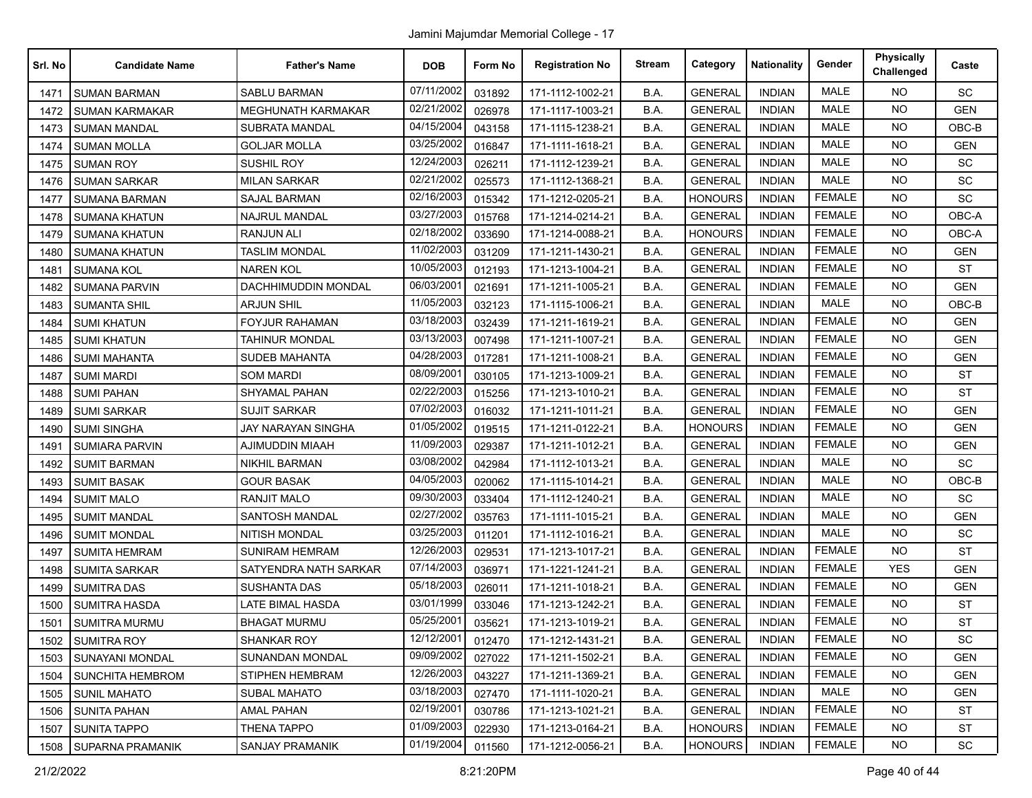| Srl. No | <b>Candidate Name</b>   | <b>Father's Name</b>       | <b>DOB</b> | Form No | <b>Registration No</b> | <b>Stream</b> | Category       | <b>Nationality</b> | Gender        | <b>Physically</b><br>Challenged | Caste      |
|---------|-------------------------|----------------------------|------------|---------|------------------------|---------------|----------------|--------------------|---------------|---------------------------------|------------|
| 1471    | <b>SUMAN BARMAN</b>     | <b>SABLU BARMAN</b>        | 07/11/2002 | 031892  | 171-1112-1002-21       | B.A.          | <b>GENERAL</b> | <b>INDIAN</b>      | <b>MALE</b>   | <b>NO</b>                       | <b>SC</b>  |
| 1472    | <b>SUMAN KARMAKAR</b>   | MEGHUNATH KARMAKAR         | 02/21/2002 | 026978  | 171-1117-1003-21       | B.A.          | <b>GENERAL</b> | <b>INDIAN</b>      | <b>MALE</b>   | NO.                             | <b>GEN</b> |
| 1473    | <b>SUMAN MANDAL</b>     | <b>SUBRATA MANDAL</b>      | 04/15/2004 | 043158  | 171-1115-1238-21       | B.A.          | <b>GENERAL</b> | <b>INDIAN</b>      | <b>MALE</b>   | <b>NO</b>                       | OBC-B      |
| 1474    | <b>SUMAN MOLLA</b>      | <b>GOLJAR MOLLA</b>        | 03/25/2002 | 016847  | 171-1111-1618-21       | B.A.          | <b>GENERAL</b> | <b>INDIAN</b>      | <b>MALE</b>   | <b>NO</b>                       | <b>GEN</b> |
| 1475    | <b>SUMAN ROY</b>        | <b>SUSHIL ROY</b>          | 12/24/2003 | 026211  | 171-1112-1239-21       | B.A.          | <b>GENERAL</b> | <b>INDIAN</b>      | <b>MALE</b>   | <b>NO</b>                       | SC         |
| 1476    | <b>SUMAN SARKAR</b>     | <b>MILAN SARKAR</b>        | 02/21/2002 | 025573  | 171-1112-1368-21       | B.A.          | <b>GENERAL</b> | <b>INDIAN</b>      | <b>MALE</b>   | <b>NO</b>                       | SC         |
| 1477    | <b>SUMANA BARMAN</b>    | <b>SAJAL BARMAN</b>        | 02/16/2003 | 015342  | 171-1212-0205-21       | B.A.          | <b>HONOURS</b> | <b>INDIAN</b>      | <b>FEMALE</b> | <b>NO</b>                       | SC         |
| 1478    | <b>SUMANA KHATUN</b>    | <b>NAJRUL MANDAL</b>       | 03/27/2003 | 015768  | 171-1214-0214-21       | B.A.          | <b>GENERAL</b> | <b>INDIAN</b>      | <b>FEMALE</b> | NO.                             | OBC-A      |
| 1479    | <b>SUMANA KHATUN</b>    | <b>RANJUN ALI</b>          | 02/18/2002 | 033690  | 171-1214-0088-21       | B.A.          | <b>HONOURS</b> | <b>INDIAN</b>      | <b>FEMALE</b> | <b>NO</b>                       | OBC-A      |
| 1480    | <b>SUMANA KHATUN</b>    | <b>TASLIM MONDAL</b>       | 11/02/2003 | 031209  | 171-1211-1430-21       | B.A.          | <b>GENERAL</b> | <b>INDIAN</b>      | <b>FEMALE</b> | NO.                             | <b>GEN</b> |
| 1481    | <b>SUMANA KOL</b>       | <b>NAREN KOL</b>           | 10/05/2003 | 012193  | 171-1213-1004-21       | B.A.          | <b>GENERAL</b> | <b>INDIAN</b>      | <b>FEMALE</b> | NO.                             | <b>ST</b>  |
| 1482    | <b>SUMANA PARVIN</b>    | <b>DACHHIMUDDIN MONDAL</b> | 06/03/200  | 021691  | 171-1211-1005-21       | B.A.          | <b>GENERAL</b> | <b>INDIAN</b>      | <b>FEMALE</b> | NO.                             | <b>GEN</b> |
| 1483    | <b>SUMANTA SHIL</b>     | <b>ARJUN SHIL</b>          | 11/05/2003 | 032123  | 171-1115-1006-21       | B.A.          | <b>GENERAL</b> | <b>INDIAN</b>      | <b>MALE</b>   | <b>NO</b>                       | OBC-B      |
| 1484    | <b>SUMI KHATUN</b>      | <b>FOYJUR RAHAMAN</b>      | 03/18/2003 | 032439  | 171-1211-1619-21       | B.A.          | <b>GENERAL</b> | <b>INDIAN</b>      | <b>FEMALE</b> | <b>NO</b>                       | <b>GEN</b> |
| 1485    | <b>SUMI KHATUN</b>      | TAHINUR MONDAL             | 03/13/2003 | 007498  | 171-1211-1007-21       | B.A.          | <b>GENERAL</b> | <b>INDIAN</b>      | <b>FEMALE</b> | NO.                             | <b>GEN</b> |
| 1486    | <b>SUMI MAHANTA</b>     | <b>SUDEB MAHANTA</b>       | 04/28/2003 | 017281  | 171-1211-1008-21       | B.A.          | <b>GENERAL</b> | <b>INDIAN</b>      | <b>FEMALE</b> | NO.                             | <b>GEN</b> |
| 1487    | <b>SUMI MARDI</b>       | <b>SOM MARDI</b>           | 08/09/2001 | 030105  | 171-1213-1009-21       | B.A.          | <b>GENERAL</b> | <b>INDIAN</b>      | <b>FEMALE</b> | NO.                             | <b>ST</b>  |
| 1488    | <b>SUMI PAHAN</b>       | SHYAMAL PAHAN              | 02/22/2003 | 015256  | 171-1213-1010-21       | B.A.          | <b>GENERAL</b> | <b>INDIAN</b>      | <b>FEMALE</b> | NO.                             | <b>ST</b>  |
| 1489    | <b>SUMI SARKAR</b>      | SUJIT SARKAR               | 07/02/2003 | 016032  | 171-1211-1011-21       | B.A.          | <b>GENERAL</b> | INDIAN             | <b>FEMALE</b> | NO.                             | <b>GEN</b> |
| 1490    | <b>SUMI SINGHA</b>      | JAY NARAYAN SINGHA         | 01/05/2002 | 019515  | 171-1211-0122-21       | B.A.          | <b>HONOURS</b> | <b>INDIAN</b>      | <b>FEMALE</b> | <b>NO</b>                       | <b>GEN</b> |
| 1491    | <b>SUMIARA PARVIN</b>   | AJIMUDDIN MIAAH            | 11/09/2003 | 029387  | 171-1211-1012-21       | B.A.          | <b>GENERAL</b> | <b>INDIAN</b>      | <b>FEMALE</b> | <b>NO</b>                       | <b>GEN</b> |
| 1492    | <b>SUMIT BARMAN</b>     | <b>NIKHIL BARMAN</b>       | 03/08/2002 | 042984  | 171-1112-1013-21       | B.A.          | <b>GENERAL</b> | <b>INDIAN</b>      | <b>MALE</b>   | NO.                             | SC         |
| 1493    | <b>SUMIT BASAK</b>      | GOUR BASAK                 | 04/05/2003 | 020062  | 171-1115-1014-21       | B.A.          | <b>GENERAL</b> | INDIAN             | <b>MALE</b>   | <b>NO</b>                       | OBC-B      |
| 1494    | <b>SUMIT MALO</b>       | <b>RANJIT MALO</b>         | 09/30/2003 | 033404  | 171-1112-1240-21       | B.A.          | <b>GENERAL</b> | <b>INDIAN</b>      | <b>MALE</b>   | NO.                             | SC         |
| 1495    | <b>SUMIT MANDAL</b>     | SANTOSH MANDAL             | 02/27/2002 | 035763  | 171-1111-1015-21       | B.A.          | <b>GENERAL</b> | <b>INDIAN</b>      | <b>MALE</b>   | NO.                             | <b>GEN</b> |
| 1496    | <b>SUMIT MONDAL</b>     | <b>NITISH MONDAL</b>       | 03/25/2003 | 011201  | 171-1112-1016-21       | B.A.          | GENERAL        | <b>INDIAN</b>      | <b>MALE</b>   | NO.                             | SC         |
| 1497    | <b>SUMITA HEMRAM</b>    | SUNIRAM HEMRAM             | 12/26/2003 | 029531  | 171-1213-1017-21       | B.A.          | GENERAL        | INDIAN             | <b>FEMALE</b> | <b>NO</b>                       | <b>ST</b>  |
| 1498    | <b>SUMITA SARKAR</b>    | SATYENDRA NATH SARKAR      | 07/14/2003 | 036971  | 171-1221-1241-21       | B.A.          | <b>GENERAL</b> | <b>INDIAN</b>      | <b>FEMALE</b> | <b>YES</b>                      | <b>GEN</b> |
| 1499    | <b>SUMITRA DAS</b>      | <b>SUSHANTA DAS</b>        | 05/18/2003 | 026011  | 171-1211-1018-21       | B.A.          | <b>GENERAL</b> | <b>INDIAN</b>      | <b>FEMALE</b> | <b>NO</b>                       | <b>GEN</b> |
| 1500    | <b>SUMITRA HASDA</b>    | LATE BIMAL HASDA           | 03/01/1999 | 033046  | 171-1213-1242-21       | B.A.          | <b>GENERAL</b> | <b>INDIAN</b>      | <b>FEMALE</b> | <b>NO</b>                       | <b>ST</b>  |
| 1501    | <b>SUMITRA MURMU</b>    | <b>BHAGAT MURMU</b>        | 05/25/2001 | 035621  | 171-1213-1019-21       | B.A.          | <b>GENERAL</b> | INDIAN             | <b>FEMALE</b> | NO.                             | <b>ST</b>  |
| 1502    | <b>SUMITRA ROY</b>      | <b>SHANKAR ROY</b>         | 12/12/2001 | 012470  | 171-1212-1431-21       | B.A.          | <b>GENERAL</b> | <b>INDIAN</b>      | <b>FEMALE</b> | NO.                             | SC         |
| 1503    | <b>SUNAYANI MONDAL</b>  | <b>SUNANDAN MONDAL</b>     | 09/09/2002 | 027022  | 171-1211-1502-21       | B.A.          | <b>GENERAL</b> | <b>INDIAN</b>      | <b>FEMALE</b> | NO.                             | <b>GEN</b> |
| 1504    | <b>SUNCHITA HEMBROM</b> | STIPHEN HEMBRAM            | 12/26/2003 | 043227  | 171-1211-1369-21       | B.A.          | <b>GENERAL</b> | <b>INDIAN</b>      | <b>FEMALE</b> | <b>NO</b>                       | <b>GEN</b> |
| 1505    | <b>SUNIL MAHATO</b>     | <b>SUBAL MAHATO</b>        | 03/18/2003 | 027470  | 171-1111-1020-21       | B.A.          | <b>GENERAL</b> | <b>INDIAN</b>      | MALE          | NO.                             | <b>GEN</b> |
| 1506    | <b>SUNITA PAHAN</b>     | <b>AMAL PAHAN</b>          | 02/19/2001 | 030786  | 171-1213-1021-21       | B.A.          | <b>GENERAL</b> | <b>INDIAN</b>      | <b>FEMALE</b> | <b>NO</b>                       | ST         |
| 1507    | <b>SUNITA TAPPO</b>     | <b>THENA TAPPO</b>         | 01/09/2003 | 022930  | 171-1213-0164-21       | B.A.          | <b>HONOURS</b> | <b>INDIAN</b>      | <b>FEMALE</b> | NO.                             | <b>ST</b>  |
| 1508    | SUPARNA PRAMANIK        | <b>SANJAY PRAMANIK</b>     | 01/19/2004 | 011560  | 171-1212-0056-21       | B.A.          | <b>HONOURS</b> | <b>INDIAN</b>      | <b>FEMALE</b> | NO.                             | SC         |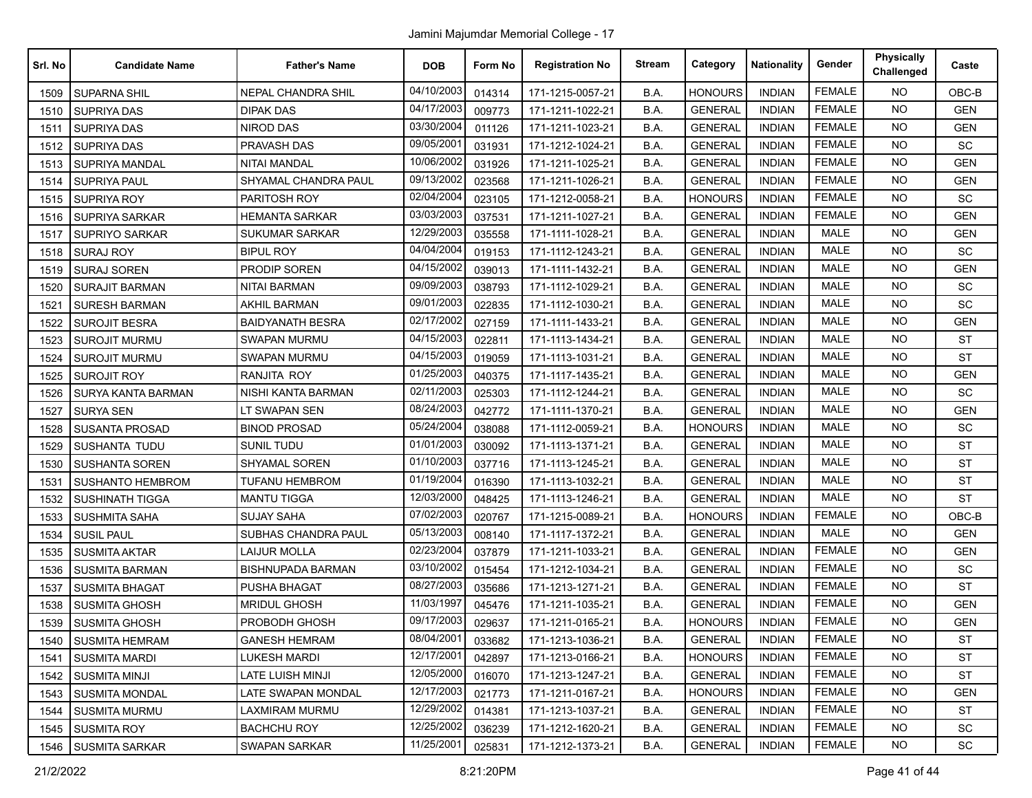| Srl. No | <b>Candidate Name</b>   | <b>Father's Name</b>      | <b>DOB</b> | Form No | <b>Registration No</b> | <b>Stream</b> | Category       | <b>Nationality</b> | Gender        | <b>Physically</b><br>Challenged | Caste      |
|---------|-------------------------|---------------------------|------------|---------|------------------------|---------------|----------------|--------------------|---------------|---------------------------------|------------|
| 1509    | <b>SUPARNA SHIL</b>     | NEPAL CHANDRA SHIL        | 04/10/2003 | 014314  | 171-1215-0057-21       | B.A.          | <b>HONOURS</b> | <b>INDIAN</b>      | <b>FEMALE</b> | <b>NO</b>                       | OBC-B      |
| 1510    | <b>SUPRIYA DAS</b>      | <b>DIPAK DAS</b>          | 04/17/2003 | 009773  | 171-1211-1022-21       | B.A.          | <b>GENERAL</b> | <b>INDIAN</b>      | <b>FEMALE</b> | <b>NO</b>                       | <b>GEN</b> |
| 1511    | <b>SUPRIYA DAS</b>      | NIROD DAS                 | 03/30/2004 | 011126  | 171-1211-1023-21       | B.A.          | <b>GENERAL</b> | <b>INDIAN</b>      | <b>FEMALE</b> | <b>NO</b>                       | <b>GEN</b> |
| 1512    | <b>SUPRIYA DAS</b>      | PRAVASH DAS               | 09/05/2001 | 031931  | 171-1212-1024-21       | B.A.          | <b>GENERAL</b> | <b>INDIAN</b>      | <b>FEMALE</b> | <b>NO</b>                       | SC         |
| 1513    | SUPRIYA MANDAL          | <b>NITAI MANDAL</b>       | 10/06/2002 | 031926  | 171-1211-1025-21       | B.A.          | <b>GENERAL</b> | <b>INDIAN</b>      | <b>FEMALE</b> | <b>NO</b>                       | <b>GEN</b> |
| 1514    | <b>SUPRIYA PAUL</b>     | SHYAMAL CHANDRA PAUL      | 09/13/2002 | 023568  | 171-1211-1026-21       | B.A.          | <b>GENERAL</b> | <b>INDIAN</b>      | <b>FEMALE</b> | <b>NO</b>                       | <b>GEN</b> |
| 1515    | <b>SUPRIYA ROY</b>      | PARITOSH ROY              | 02/04/2004 | 023105  | 171-1212-0058-21       | B.A.          | <b>HONOURS</b> | <b>INDIAN</b>      | <b>FEMALE</b> | <b>NO</b>                       | <b>SC</b>  |
| 1516    | <b>SUPRIYA SARKAR</b>   | <b>HEMANTA SARKAR</b>     | 03/03/2003 | 037531  | 171-1211-1027-21       | B.A.          | <b>GENERAL</b> | <b>INDIAN</b>      | <b>FEMALE</b> | <b>NO</b>                       | <b>GEN</b> |
| 1517    | <b>SUPRIYO SARKAR</b>   | <b>SUKUMAR SARKAR</b>     | 12/29/2003 | 035558  | 171-1111-1028-21       | B.A.          | <b>GENERAL</b> | <b>INDIAN</b>      | <b>MALE</b>   | <b>NO</b>                       | <b>GEN</b> |
| 1518    | <b>SURAJ ROY</b>        | <b>BIPUL ROY</b>          | 04/04/2004 | 019153  | 171-1112-1243-21       | B.A.          | <b>GENERAL</b> | <b>INDIAN</b>      | <b>MALE</b>   | <b>NO</b>                       | <b>SC</b>  |
| 1519    | <b>SURAJ SOREN</b>      | PRODIP SOREN              | 04/15/2002 | 039013  | 171-1111-1432-21       | B.A.          | <b>GENERAL</b> | <b>INDIAN</b>      | <b>MALE</b>   | <b>NO</b>                       | <b>GEN</b> |
| 1520    | <b>SURAJIT BARMAN</b>   | <b>NITAI BARMAN</b>       | 09/09/2003 | 038793  | 171-1112-1029-21       | B.A.          | <b>GENERAL</b> | <b>INDIAN</b>      | <b>MALE</b>   | <b>NO</b>                       | SC         |
| 1521    | SURESH BARMAN           | <b>AKHIL BARMAN</b>       | 09/01/2003 | 022835  | 171-1112-1030-21       | B.A.          | <b>GENERAL</b> | <b>INDIAN</b>      | <b>MALE</b>   | <b>NO</b>                       | SC         |
| 1522    | <b>SUROJIT BESRA</b>    | <b>BAIDYANATH BESRA</b>   | 02/17/2002 | 027159  | 171-1111-1433-21       | B.A.          | <b>GENERAL</b> | <b>INDIAN</b>      | <b>MALE</b>   | <b>NO</b>                       | <b>GEN</b> |
| 1523    | <b>SUROJIT MURMU</b>    | <b>SWAPAN MURMU</b>       | 04/15/2003 | 022811  | 171-1113-1434-21       | B.A.          | <b>GENERAL</b> | <b>INDIAN</b>      | MALE          | <b>NO</b>                       | <b>ST</b>  |
| 1524    | <b>SUROJIT MURMU</b>    | <b>SWAPAN MURMU</b>       | 04/15/2003 | 019059  | 171-1113-1031-21       | B.A.          | <b>GENERAL</b> | <b>INDIAN</b>      | MALE          | <b>NO</b>                       | <b>ST</b>  |
| 1525    | <b>SUROJIT ROY</b>      | RANJITA ROY               | 01/25/2003 | 040375  | 171-1117-1435-21       | B.A.          | <b>GENERAL</b> | <b>INDIAN</b>      | MALE          | <b>NO</b>                       | <b>GEN</b> |
| 1526    | SURYA KANTA BARMAN      | NISHI KANTA BARMAN        | 02/11/2003 | 025303  | 171-1112-1244-21       | B.A.          | <b>GENERAL</b> | <b>INDIAN</b>      | <b>MALE</b>   | <b>NO</b>                       | SC         |
| 1527    | <b>SURYA SEN</b>        | LT SWAPAN SEN             | 08/24/2003 | 042772  | 171-1111-1370-21       | B.A.          | <b>GENERAL</b> | <b>INDIAN</b>      | <b>MALE</b>   | <b>NO</b>                       | <b>GEN</b> |
| 1528    | <b>SUSANTA PROSAD</b>   | <b>BINOD PROSAD</b>       | 05/24/2004 | 038088  | 171-1112-0059-21       | B.A.          | <b>HONOURS</b> | <b>INDIAN</b>      | MALE          | <b>NO</b>                       | SC         |
| 1529    | SUSHANTA TUDU           | <b>SUNIL TUDU</b>         | 01/01/2003 | 030092  | 171-1113-1371-21       | B.A.          | <b>GENERAL</b> | <b>INDIAN</b>      | <b>MALE</b>   | <b>NO</b>                       | <b>ST</b>  |
| 1530    | <b>SUSHANTA SOREN</b>   | SHYAMAL SOREN             | 01/10/2003 | 037716  | 171-1113-1245-21       | B.A.          | <b>GENERAL</b> | <b>INDIAN</b>      | <b>MALE</b>   | <b>NO</b>                       | <b>ST</b>  |
| 1531    | <b>SUSHANTO HEMBROM</b> | <b>TUFANU HEMBROM</b>     | 01/19/2004 | 016390  | 171-1113-1032-21       | B.A.          | <b>GENERAL</b> | <b>INDIAN</b>      | <b>MALE</b>   | <b>NO</b>                       | <b>ST</b>  |
| 1532    | <b>SUSHINATH TIGGA</b>  | <b>MANTU TIGGA</b>        | 12/03/2000 | 048425  | 171-1113-1246-21       | B.A.          | <b>GENERAL</b> | <b>INDIAN</b>      | <b>MALE</b>   | <b>NO</b>                       | <b>ST</b>  |
| 1533    | <b>SUSHMITA SAHA</b>    | <b>SUJAY SAHA</b>         | 07/02/2003 | 020767  | 171-1215-0089-21       | B.A.          | <b>HONOURS</b> | <b>INDIAN</b>      | <b>FEMALE</b> | <b>NO</b>                       | OBC-B      |
| 1534    | <b>SUSIL PAUL</b>       | SUBHAS CHANDRA PAUL       | 05/13/2003 | 008140  | 171-1117-1372-21       | B.A.          | <b>GENERAL</b> | <b>INDIAN</b>      | <b>MALE</b>   | <b>NO</b>                       | <b>GEN</b> |
| 1535    | <b>SUSMITA AKTAR</b>    | <b>LAIJUR MOLLA</b>       | 02/23/2004 | 037879  | 171-1211-1033-21       | B.A.          | <b>GENERAL</b> | <b>INDIAN</b>      | <b>FEMALE</b> | <b>NO</b>                       | <b>GEN</b> |
| 1536    | <b>SUSMITA BARMAN</b>   | <b>BISHNUPADA BARMAN</b>  | 03/10/2002 | 015454  | 171-1212-1034-21       | B.A.          | <b>GENERAL</b> | <b>INDIAN</b>      | <b>FEMALE</b> | <b>NO</b>                       | SC         |
| 1537    | <b>SUSMITA BHAGAT</b>   | <b>PUSHA BHAGAT</b>       | 08/27/2003 | 035686  | 171-1213-1271-21       | B.A.          | <b>GENERAL</b> | <b>INDIAN</b>      | <b>FEMALE</b> | <b>NO</b>                       | <b>ST</b>  |
| 1538    | <b>SUSMITA GHOSH</b>    | <b>MRIDUL GHOSH</b>       | 11/03/1997 | 045476  | 171-1211-1035-21       | B.A.          | <b>GENERAL</b> | <b>INDIAN</b>      | <b>FEMALE</b> | <b>NO</b>                       | <b>GEN</b> |
| 1539    | <b>SUSMITA GHOSH</b>    | PROBODH GHOSH             | 09/17/2003 | 029637  | 171-1211-0165-21       | B.A.          | <b>HONOURS</b> | <b>INDIAN</b>      | <b>FEMALE</b> | <b>NO</b>                       | <b>GEN</b> |
| 1540    | <b>SUSMITA HEMRAM</b>   | <b>GANESH HEMRAM</b>      | 08/04/2001 | 033682  | 171-1213-1036-21       | B.A.          | <b>GENERAL</b> | <b>INDIAN</b>      | <b>FEMALE</b> | <b>NO</b>                       | ST         |
| 1541    | <b>SUSMITA MARDI</b>    | <b>LUKESH MARDI</b>       | 12/17/2001 | 042897  | 171-1213-0166-21       | B.A.          | <b>HONOURS</b> | <b>INDIAN</b>      | <b>FEMALE</b> | <b>NO</b>                       | <b>ST</b>  |
| 1542    | <b>SUSMITA MINJI</b>    | LATE LUISH MINJI          | 12/05/2000 | 016070  | 171-1213-1247-21       | B.A.          | <b>GENERAL</b> | <b>INDIAN</b>      | <b>FEMALE</b> | <b>NO</b>                       | ST         |
| 1543    | <b>SUSMITA MONDAL</b>   | <b>LATE SWAPAN MONDAL</b> | 12/17/2003 | 021773  | 171-1211-0167-21       | B.A.          | <b>HONOURS</b> | <b>INDIAN</b>      | <b>FEMALE</b> | <b>NO</b>                       | <b>GEN</b> |
| 1544    | <b>SUSMITA MURMU</b>    | LAXMIRAM MURMU            | 12/29/2002 | 014381  | 171-1213-1037-21       | B.A.          | <b>GENERAL</b> | <b>INDIAN</b>      | <b>FEMALE</b> | <b>NO</b>                       | <b>ST</b>  |
| 1545    | <b>SUSMITA ROY</b>      | <b>BACHCHU ROY</b>        | 12/25/2002 | 036239  | 171-1212-1620-21       | B.A.          | <b>GENERAL</b> | <b>INDIAN</b>      | <b>FEMALE</b> | <b>NO</b>                       | SC         |
| 1546    | <b>SUSMITA SARKAR</b>   | SWAPAN SARKAR             | 11/25/2001 | 025831  | 171-1212-1373-21       | B.A.          | <b>GENERAL</b> | <b>INDIAN</b>      | <b>FEMALE</b> | NO.                             | SC         |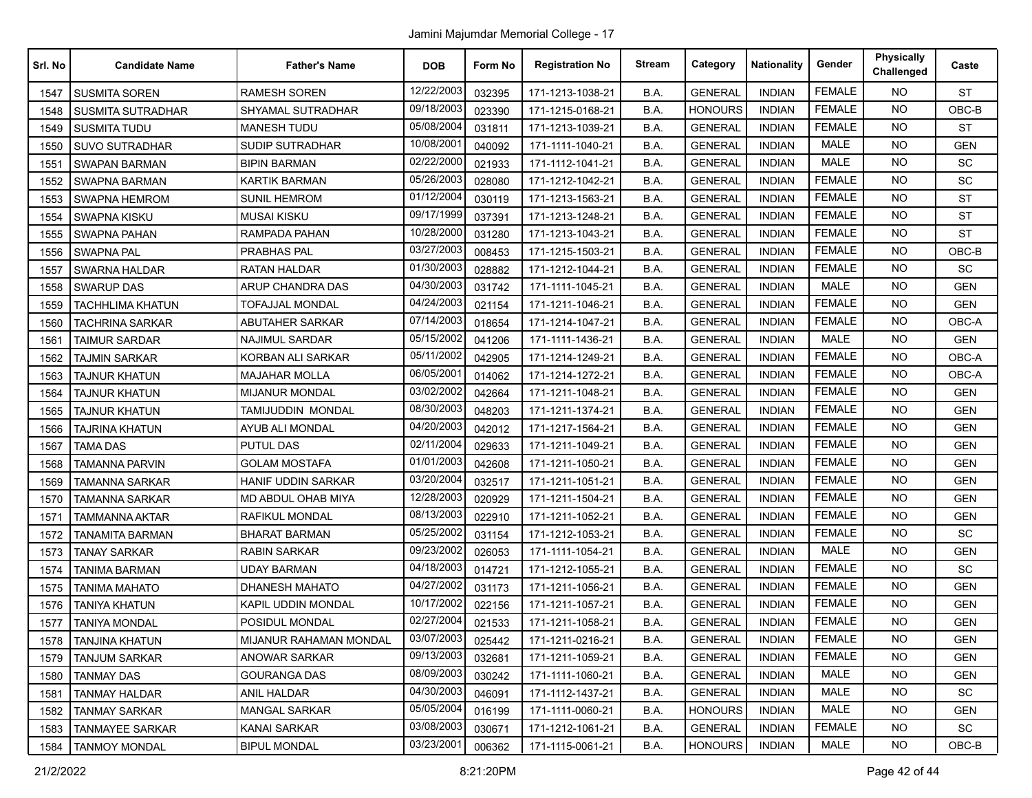| Srl. No | <b>Candidate Name</b>    | <b>Father's Name</b>      | <b>DOB</b> | Form No | <b>Registration No</b> | <b>Stream</b> | Category       | <b>Nationality</b> | Gender        | <b>Physically</b><br>Challenged | Caste      |
|---------|--------------------------|---------------------------|------------|---------|------------------------|---------------|----------------|--------------------|---------------|---------------------------------|------------|
| 1547    | <b>SUSMITA SOREN</b>     | <b>RAMESH SOREN</b>       | 12/22/2003 | 032395  | 171-1213-1038-21       | B.A.          | <b>GENERAL</b> | <b>INDIAN</b>      | <b>FEMALE</b> | <b>NO</b>                       | <b>ST</b>  |
| 1548    | <b>SUSMITA SUTRADHAR</b> | <b>SHYAMAL SUTRADHAR</b>  | 09/18/2003 | 023390  | 171-1215-0168-21       | B.A.          | <b>HONOURS</b> | <b>INDIAN</b>      | <b>FEMALE</b> | <b>NO</b>                       | OBC-B      |
| 1549    | <b>SUSMITA TUDU</b>      | <b>MANESH TUDU</b>        | 05/08/2004 | 031811  | 171-1213-1039-21       | B.A.          | <b>GENERAL</b> | <b>INDIAN</b>      | <b>FEMALE</b> | <b>NO</b>                       | <b>ST</b>  |
| 1550    | <b>SUVO SUTRADHAR</b>    | <b>SUDIP SUTRADHAR</b>    | 10/08/2001 | 040092  | 171-1111-1040-21       | B.A.          | <b>GENERAL</b> | <b>INDIAN</b>      | <b>MALE</b>   | <b>NO</b>                       | <b>GEN</b> |
| 1551    | <b>SWAPAN BARMAN</b>     | <b>BIPIN BARMAN</b>       | 02/22/2000 | 021933  | 171-1112-1041-21       | B.A.          | <b>GENERAL</b> | <b>INDIAN</b>      | <b>MALE</b>   | <b>NO</b>                       | SC         |
| 1552    | SWAPNA BARMAN            | <b>KARTIK BARMAN</b>      | 05/26/2003 | 028080  | 171-1212-1042-21       | B.A.          | <b>GENERAL</b> | <b>INDIAN</b>      | <b>FEMALE</b> | <b>NO</b>                       | <b>SC</b>  |
| 1553    | <b>SWAPNA HEMROM</b>     | <b>SUNIL HEMROM</b>       | 01/12/2004 | 030119  | 171-1213-1563-21       | B.A.          | <b>GENERAL</b> | <b>INDIAN</b>      | <b>FEMALE</b> | <b>NO</b>                       | <b>ST</b>  |
| 1554    | <b>SWAPNA KISKU</b>      | <b>MUSAI KISKU</b>        | 09/17/1999 | 037391  | 171-1213-1248-21       | B.A.          | <b>GENERAL</b> | <b>INDIAN</b>      | <b>FEMALE</b> | <b>NO</b>                       | <b>ST</b>  |
| 1555    | SWAPNA PAHAN             | RAMPADA PAHAN             | 10/28/2000 | 031280  | 171-1213-1043-21       | B.A.          | <b>GENERAL</b> | <b>INDIAN</b>      | <b>FEMALE</b> | <b>NO</b>                       | <b>ST</b>  |
| 1556    | <b>SWAPNA PAL</b>        | PRABHAS PAL               | 03/27/2003 | 008453  | 171-1215-1503-21       | B.A.          | <b>GENERAL</b> | <b>INDIAN</b>      | <b>FEMALE</b> | <b>NO</b>                       | OBC-B      |
| 1557    | SWARNA HALDAR            | RATAN HALDAR              | 01/30/2003 | 028882  | 171-1212-1044-21       | B.A.          | <b>GENERAL</b> | <b>INDIAN</b>      | <b>FEMALE</b> | <b>NO</b>                       | SC         |
| 1558    | <b>SWARUP DAS</b>        | <b>ARUP CHANDRA DAS</b>   | 04/30/2003 | 031742  | 171-1111-1045-21       | B.A.          | <b>GENERAL</b> | <b>INDIAN</b>      | <b>MALE</b>   | <b>NO</b>                       | <b>GEN</b> |
| 1559    | <b>TACHHLIMA KHATUN</b>  | <b>TOFAJJAL MONDAL</b>    | 04/24/2003 | 021154  | 171-1211-1046-21       | B.A.          | <b>GENERAL</b> | <b>INDIAN</b>      | <b>FEMALE</b> | <b>NO</b>                       | <b>GEN</b> |
| 1560    | TACHRINA SARKAR          | <b>ABUTAHER SARKAR</b>    | 07/14/2003 | 018654  | 171-1214-1047-21       | B.A.          | <b>GENERAL</b> | <b>INDIAN</b>      | <b>FEMALE</b> | <b>NO</b>                       | OBC-A      |
| 1561    | <b>TAIMUR SARDAR</b>     | <b>NAJIMUL SARDAR</b>     | 05/15/2002 | 041206  | 171-1111-1436-21       | B.A.          | <b>GENERAL</b> | <b>INDIAN</b>      | MALE          | <b>NO</b>                       | <b>GEN</b> |
| 1562    | <b>TAJMIN SARKAR</b>     | KORBAN ALI SARKAR         | 05/11/2002 | 042905  | 171-1214-1249-21       | B.A.          | <b>GENERAL</b> | <b>INDIAN</b>      | <b>FEMALE</b> | <b>NO</b>                       | OBC-A      |
| 1563    | <b>TAJNUR KHATUN</b>     | <b>MAJAHAR MOLLA</b>      | 06/05/2001 | 014062  | 171-1214-1272-21       | B.A.          | <b>GENERAL</b> | <b>INDIAN</b>      | <b>FEMALE</b> | <b>NO</b>                       | OBC-A      |
| 1564    | <b>TAJNUR KHATUN</b>     | <b>MIJANUR MONDAL</b>     | 03/02/2002 | 042664  | 171-1211-1048-21       | B.A.          | <b>GENERAL</b> | <b>INDIAN</b>      | <b>FEMALE</b> | <b>NO</b>                       | <b>GEN</b> |
| 1565    | <b>TAJNUR KHATUN</b>     | TAMIJUDDIN MONDAL         | 08/30/2003 | 048203  | 171-1211-1374-21       | B.A.          | <b>GENERAL</b> | <b>INDIAN</b>      | <b>FEMALE</b> | NO                              | <b>GEN</b> |
| 1566    | <b>TAJRINA KHATUN</b>    | AYUB ALI MONDAL           | 04/20/2003 | 042012  | 171-1217-1564-21       | B.A.          | <b>GENERAL</b> | <b>INDIAN</b>      | <b>FEMALE</b> | <b>NO</b>                       | <b>GEN</b> |
| 1567    | <b>TAMA DAS</b>          | <b>PUTUL DAS</b>          | 02/11/2004 | 029633  | 171-1211-1049-21       | B.A.          | <b>GENERAL</b> | <b>INDIAN</b>      | <b>FEMALE</b> | <b>NO</b>                       | <b>GEN</b> |
| 1568    | <b>TAMANNA PARVIN</b>    | <b>GOLAM MOSTAFA</b>      | 01/01/2003 | 042608  | 171-1211-1050-21       | B.A.          | <b>GENERAL</b> | <b>INDIAN</b>      | <b>FEMALE</b> | <b>NO</b>                       | <b>GEN</b> |
| 1569    | <b>TAMANNA SARKAR</b>    | <b>HANIF UDDIN SARKAR</b> | 03/20/2004 | 032517  | 171-1211-1051-21       | B.A.          | <b>GENERAL</b> | <b>INDIAN</b>      | <b>FEMALE</b> | <b>NO</b>                       | <b>GEN</b> |
| 1570    | <b>TAMANNA SARKAR</b>    | MD ABDUL OHAB MIYA        | 12/28/2003 | 020929  | 171-1211-1504-21       | B.A.          | <b>GENERAL</b> | <b>INDIAN</b>      | <b>FEMALE</b> | <b>NO</b>                       | <b>GEN</b> |
| 1571    | <b>TAMMANNA AKTAR</b>    | RAFIKUL MONDAL            | 08/13/2003 | 022910  | 171-1211-1052-21       | B.A.          | <b>GENERAL</b> | <b>INDIAN</b>      | <b>FEMALE</b> | <b>NO</b>                       | <b>GEN</b> |
| 1572    | TANAMITA BARMAN          | BHARAT BARMAN             | 05/25/2002 | 031154  | 171-1212-1053-21       | B.A.          | <b>GENERAL</b> | <b>INDIAN</b>      | <b>FEMALE</b> | <b>NO</b>                       | SC         |
| 1573    | <b>TANAY SARKAR</b>      | <b>RABIN SARKAR</b>       | 09/23/2002 | 026053  | 171-1111-1054-21       | B.A.          | <b>GENERAL</b> | <b>INDIAN</b>      | <b>MALE</b>   | <b>NO</b>                       | <b>GEN</b> |
| 1574    | TANIMA BARMAN            | UDAY BARMAN               | 04/18/2003 | 014721  | 171-1212-1055-21       | B.A.          | <b>GENERAL</b> | <b>INDIAN</b>      | <b>FEMALE</b> | <b>NO</b>                       | SC         |
| 1575    | <b>TANIMA MAHATO</b>     | <b>DHANESH MAHATO</b>     | 04/27/2002 | 031173  | 171-1211-1056-21       | B.A.          | <b>GENERAL</b> | <b>INDIAN</b>      | <b>FEMALE</b> | <b>NO</b>                       | <b>GEN</b> |
| 1576    | TANIYA KHATUN            | KAPIL UDDIN MONDAL        | 10/17/2002 | 022156  | 171-1211-1057-21       | B.A.          | <b>GENERAL</b> | <b>INDIAN</b>      | <b>FEMALE</b> | <b>NO</b>                       | <b>GEN</b> |
| 1577    | <b>TANIYA MONDAL</b>     | POSIDUL MONDAL            | 02/27/2004 | 021533  | 171-1211-1058-21       | B.A.          | <b>GENERAL</b> | <b>INDIAN</b>      | <b>FEMALE</b> | NO.                             | <b>GEN</b> |
|         | 1578   TANJINA KHATUN    | MIJANUR RAHAMAN MONDAL    | 03/07/2003 | 025442  | 171-1211-0216-21       | B.A.          | <b>GENERAL</b> | <b>INDIAN</b>      | FEMALE        | NO.                             | GEN        |
| 1579    | <b>TANJUM SARKAR</b>     | <b>ANOWAR SARKAR</b>      | 09/13/2003 | 032681  | 171-1211-1059-21       | B.A.          | <b>GENERAL</b> | <b>INDIAN</b>      | <b>FEMALE</b> | <b>NO</b>                       | <b>GEN</b> |
| 1580    | <b>TANMAY DAS</b>        | GOURANGA DAS              | 08/09/2003 | 030242  | 171-1111-1060-21       | B.A.          | <b>GENERAL</b> | <b>INDIAN</b>      | MALE          | <b>NO</b>                       | <b>GEN</b> |
| 1581    | <b>TANMAY HALDAR</b>     | ANIL HALDAR               | 04/30/2003 | 046091  | 171-1112-1437-21       | B.A.          | <b>GENERAL</b> | <b>INDIAN</b>      | MALE          | <b>NO</b>                       | SC         |
| 1582    | <b>TANMAY SARKAR</b>     | MANGAL SARKAR             | 05/05/2004 | 016199  | 171-1111-0060-21       | B.A.          | <b>HONOURS</b> | INDIAN             | MALE          | NO.                             | <b>GEN</b> |
| 1583    | <b>TANMAYEE SARKAR</b>   | KANAI SARKAR              | 03/08/2003 | 030671  | 171-1212-1061-21       | B.A.          | <b>GENERAL</b> | <b>INDIAN</b>      | <b>FEMALE</b> | <b>NO</b>                       | SC         |
| 1584    | <b>TANMOY MONDAL</b>     | <b>BIPUL MONDAL</b>       | 03/23/2001 | 006362  | 171-1115-0061-21       | B.A.          | <b>HONOURS</b> | <b>INDIAN</b>      | MALE          | NO                              | OBC-B      |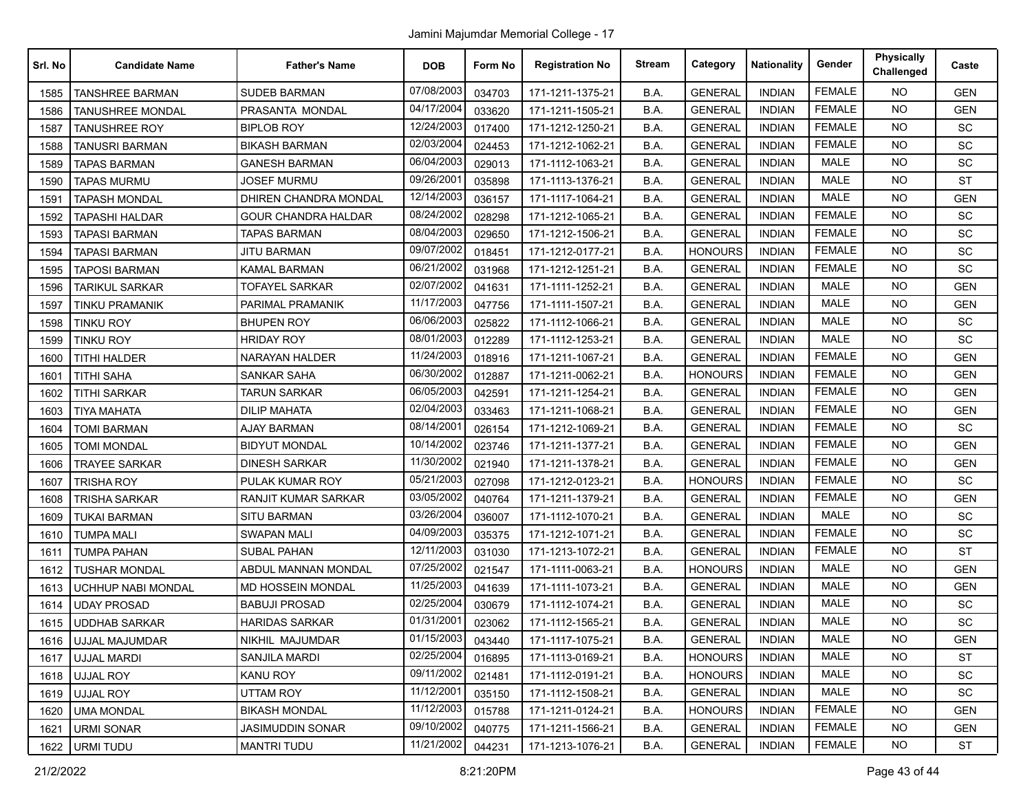| Srl. No | <b>Candidate Name</b>     | <b>Father's Name</b>         | <b>DOB</b> | Form No | <b>Registration No</b> | <b>Stream</b> | Category       | <b>Nationality</b> | Gender        | <b>Physically</b><br>Challenged | Caste      |
|---------|---------------------------|------------------------------|------------|---------|------------------------|---------------|----------------|--------------------|---------------|---------------------------------|------------|
| 1585    | <b>TANSHREE BARMAN</b>    | <b>SUDEB BARMAN</b>          | 07/08/2003 | 034703  | 171-1211-1375-21       | B.A.          | <b>GENERAL</b> | <b>INDIAN</b>      | <b>FEMALE</b> | <b>NO</b>                       | <b>GEN</b> |
| 1586    | <b>TANUSHREE MONDAL</b>   | PRASANTA MONDAL              | 04/17/2004 | 033620  | 171-1211-1505-21       | B.A.          | <b>GENERAL</b> | <b>INDIAN</b>      | <b>FEMALE</b> | <b>NO</b>                       | <b>GEN</b> |
| 1587    | <b>TANUSHREE ROY</b>      | <b>BIPLOB ROY</b>            | 12/24/2003 | 017400  | 171-1212-1250-21       | B.A.          | <b>GENERAL</b> | <b>INDIAN</b>      | <b>FEMALE</b> | <b>NO</b>                       | SC         |
| 1588    | <b>TANUSRI BARMAN</b>     | <b>BIKASH BARMAN</b>         | 02/03/2004 | 024453  | 171-1212-1062-21       | B.A.          | <b>GENERAL</b> | <b>INDIAN</b>      | <b>FEMALE</b> | <b>NO</b>                       | SC         |
| 1589    | <b>TAPAS BARMAN</b>       | <b>GANESH BARMAN</b>         | 06/04/2003 | 029013  | 171-1112-1063-21       | B.A.          | <b>GENERAL</b> | <b>INDIAN</b>      | <b>MALE</b>   | <b>NO</b>                       | SC         |
| 1590    | <b>TAPAS MURMU</b>        | <b>JOSEF MURMU</b>           | 09/26/2001 | 035898  | 171-1113-1376-21       | B.A.          | <b>GENERAL</b> | <b>INDIAN</b>      | <b>MALE</b>   | NO.                             | <b>ST</b>  |
| 1591    | <b>TAPASH MONDAL</b>      | <b>DHIREN CHANDRA MONDAL</b> | 12/14/2003 | 036157  | 171-1117-1064-21       | B.A.          | <b>GENERAL</b> | <b>INDIAN</b>      | <b>MALE</b>   | <b>NO</b>                       | <b>GEN</b> |
| 1592    | <b>TAPASHI HALDAR</b>     | <b>GOUR CHANDRA HALDAR</b>   | 08/24/2002 | 028298  | 171-1212-1065-21       | B.A.          | <b>GENERAL</b> | <b>INDIAN</b>      | <b>FEMALE</b> | <b>NO</b>                       | SC         |
| 1593    | TAPASI BARMAN             | <b>TAPAS BARMAN</b>          | 08/04/2003 | 029650  | 171-1212-1506-21       | B.A.          | <b>GENERAL</b> | <b>INDIAN</b>      | <b>FEMALE</b> | <b>NO</b>                       | SC         |
| 1594    | TAPASI BARMAN             | JITU BARMAN                  | 09/07/2002 | 018451  | 171-1212-0177-21       | B.A.          | <b>HONOURS</b> | <b>INDIAN</b>      | <b>FEMALE</b> | NO.                             | <b>SC</b>  |
| 1595    | <b>TAPOSI BARMAN</b>      | <b>KAMAL BARMAN</b>          | 06/21/2002 | 031968  | 171-1212-1251-21       | B.A.          | <b>GENERAL</b> | <b>INDIAN</b>      | <b>FEMALE</b> | <b>NO</b>                       | SC         |
| 1596    | <b>TARIKUL SARKAR</b>     | <b>TOFAYEL SARKAR</b>        | 02/07/2002 | 041631  | 171-1111-1252-21       | B.A.          | <b>GENERAL</b> | <b>INDIAN</b>      | <b>MALE</b>   | <b>NO</b>                       | <b>GEN</b> |
| 1597    | <b>TINKU PRAMANIK</b>     | PARIMAL PRAMANIK             | 11/17/2003 | 047756  | 171-1111-1507-21       | B.A.          | <b>GENERAL</b> | <b>INDIAN</b>      | MALE          | <b>NO</b>                       | <b>GEN</b> |
| 1598    | tinku Roy                 | <b>BHUPEN ROY</b>            | 06/06/2003 | 025822  | 171-1112-1066-21       | B.A.          | <b>GENERAL</b> | <b>INDIAN</b>      | <b>MALE</b>   | <b>NO</b>                       | <b>SC</b>  |
| 1599    | <b>TINKU ROY</b>          | <b>HRIDAY ROY</b>            | 08/01/2003 | 012289  | 171-1112-1253-21       | B.A.          | <b>GENERAL</b> | <b>INDIAN</b>      | <b>MALE</b>   | NO.                             | SC         |
| 1600    | <b>TITHI HALDER</b>       | <b>NARAYAN HALDER</b>        | 11/24/2003 | 018916  | 171-1211-1067-21       | B.A.          | <b>GENERAL</b> | <b>INDIAN</b>      | <b>FEMALE</b> | <b>NO</b>                       | <b>GEN</b> |
| 1601    | <b>TITHI SAHA</b>         | <b>SANKAR SAHA</b>           | 06/30/2002 | 012887  | 171-1211-0062-21       | B.A.          | <b>HONOURS</b> | <b>INDIAN</b>      | <b>FEMALE</b> | NO.                             | <b>GEN</b> |
| 1602    | <b>TITHI SARKAR</b>       | <b>TARUN SARKAR</b>          | 06/05/2003 | 042591  | 171-1211-1254-21       | B.A.          | <b>GENERAL</b> | <b>INDIAN</b>      | <b>FEMALE</b> | <b>NO</b>                       | <b>GEN</b> |
| 1603    | <b>TIYA MAHATA</b>        | <b>DILIP MAHATA</b>          | 02/04/2003 | 033463  | 171-1211-1068-21       | B.A.          | <b>GENERAL</b> | <b>INDIAN</b>      | <b>FEMALE</b> | NO.                             | <b>GEN</b> |
| 1604    | <b>TOMI BARMAN</b>        | <b>AJAY BARMAN</b>           | 08/14/2001 | 026154  | 171-1212-1069-21       | B.A.          | <b>GENERAL</b> | <b>INDIAN</b>      | <b>FEMALE</b> | <b>NO</b>                       | SC         |
| 1605    | <b>TOMI MONDAL</b>        | <b>BIDYUT MONDAL</b>         | 10/14/2002 | 023746  | 171-1211-1377-21       | B.A.          | <b>GENERAL</b> | <b>INDIAN</b>      | <b>FEMALE</b> | NO.                             | <b>GEN</b> |
| 1606    | <b>TRAYEE SARKAR</b>      | <b>DINESH SARKAR</b>         | 11/30/2002 | 021940  | 171-1211-1378-21       | B.A.          | <b>GENERAL</b> | <b>INDIAN</b>      | <b>FEMALE</b> | <b>NO</b>                       | <b>GEN</b> |
| 1607    | <b>TRISHA ROY</b>         | PULAK KUMAR ROY              | 05/21/2003 | 027098  | 171-1212-0123-21       | B.A.          | <b>HONOURS</b> | <b>INDIAN</b>      | <b>FEMALE</b> | NO.                             | SC         |
| 1608    | <b>TRISHA SARKAR</b>      | RANJIT KUMAR SARKAR          | 03/05/2002 | 040764  | 171-1211-1379-21       | B.A.          | <b>GENERAL</b> | <b>INDIAN</b>      | <b>FEMALE</b> | <b>NO</b>                       | <b>GEN</b> |
| 1609    | <b>TUKAI BARMAN</b>       | <b>SITU BARMAN</b>           | 03/26/2004 | 036007  | 171-1112-1070-21       | B.A.          | <b>GENERAL</b> | <b>INDIAN</b>      | <b>MALE</b>   | NO.                             | SC         |
| 1610    | TUMPA MALI                | SWAPAN MALI                  | 04/09/2003 | 035375  | 171-1212-1071-21       | B.A.          | <b>GENERAL</b> | <b>INDIAN</b>      | <b>FEMALE</b> | NO.                             | <b>SC</b>  |
| 1611    | <b>TUMPA PAHAN</b>        | <b>SUBAL PAHAN</b>           | 12/11/2003 | 031030  | 171-1213-1072-21       | B.A.          | <b>GENERAL</b> | <b>INDIAN</b>      | <b>FEMALE</b> | <b>NO</b>                       | <b>ST</b>  |
| 1612    | <b>TUSHAR MONDAL</b>      | ABDUL MANNAN MONDAL          | 07/25/2002 | 021547  | 171-1111-0063-21       | B.A.          | <b>HONOURS</b> | <b>INDIAN</b>      | <b>MALE</b>   | <b>NO</b>                       | <b>GEN</b> |
| 1613    | <b>UCHHUP NABI MONDAL</b> | MD HOSSEIN MONDAL            | 11/25/2003 | 041639  | 171-1111-1073-21       | B.A.          | <b>GENERAL</b> | <b>INDIAN</b>      | <b>MALE</b>   | NO.                             | <b>GEN</b> |
| 1614    | UDAY PROSAD               | BABUJI PROSAD                | 02/25/2004 | 030679  | 171-1112-1074-21       | B.A.          | <b>GENERAL</b> | <b>INDIAN</b>      | <b>MALE</b>   | <b>NO</b>                       | <b>SC</b>  |
| 1615    | <b>UDDHAB SARKAR</b>      | HARIDAS SARKAR               | 01/31/2001 | 023062  | 171-1112-1565-21       | B.A.          | <b>GENERAL</b> | <b>INDIAN</b>      | <b>MALE</b>   | <b>NO</b>                       | SC         |
|         | 1616   UJJAL MAJUMDAR     | NIKHIL MAJUMDAR              | 01/15/2003 | 043440  | 171-1117-1075-21       | B.A.          | <b>GENERAL</b> | <b>INDIAN</b>      | MALE          | NO.                             | <b>GEN</b> |
| 1617    | UJJAL MARDI               | <b>SANJILA MARDI</b>         | 02/25/2004 | 016895  | 171-1113-0169-21       | B.A.          | <b>HONOURS</b> | <b>INDIAN</b>      | <b>MALE</b>   | <b>NO</b>                       | <b>ST</b>  |
| 1618    | UJJAL ROY                 | <b>KANU ROY</b>              | 09/11/2002 | 021481  | 171-1112-0191-21       | B.A.          | <b>HONOURS</b> | <b>INDIAN</b>      | MALE          | <b>NO</b>                       | SC         |
| 1619    | UJJAL ROY                 | UTTAM ROY                    | 11/12/2001 | 035150  | 171-1112-1508-21       | B.A.          | <b>GENERAL</b> | <b>INDIAN</b>      | MALE          | NO.                             | SC         |
| 1620    | <b>UMA MONDAL</b>         | <b>BIKASH MONDAL</b>         | 11/12/2003 | 015788  | 171-1211-0124-21       | B.A.          | <b>HONOURS</b> | <b>INDIAN</b>      | <b>FEMALE</b> | NO.                             | <b>GEN</b> |
| 1621    | <b>URMI SONAR</b>         | <b>JASIMUDDIN SONAR</b>      | 09/10/2002 | 040775  | 171-1211-1566-21       | B.A.          | <b>GENERAL</b> | <b>INDIAN</b>      | <b>FEMALE</b> | <b>NO</b>                       | <b>GEN</b> |
| 1622    | URMI TUDU                 | <b>MANTRI TUDU</b>           | 11/21/2002 | 044231  | 171-1213-1076-21       | B.A.          | <b>GENERAL</b> | <b>INDIAN</b>      | <b>FEMALE</b> | NO.                             | ST         |